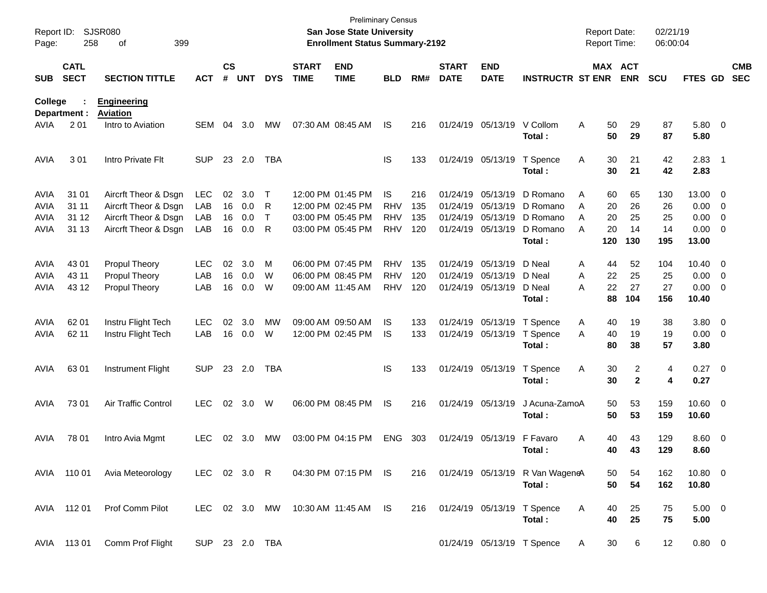| Report ID:<br>Page: | 258                        | <b>SJSR080</b><br>399<br>of           |                |                    |            |              |                             | <b>San Jose State University</b><br><b>Enrollment Status Summary-2192</b> | <b>Preliminary Census</b> |     |                             |                           |                                               | <b>Report Date:</b><br>Report Time: |                       | 02/21/19<br>06:00:04 |                        |                          |
|---------------------|----------------------------|---------------------------------------|----------------|--------------------|------------|--------------|-----------------------------|---------------------------------------------------------------------------|---------------------------|-----|-----------------------------|---------------------------|-----------------------------------------------|-------------------------------------|-----------------------|----------------------|------------------------|--------------------------|
| <b>SUB</b>          | <b>CATL</b><br><b>SECT</b> | <b>SECTION TITTLE</b>                 | <b>ACT</b>     | $\mathsf{cs}$<br># | <b>UNT</b> | <b>DYS</b>   | <b>START</b><br><b>TIME</b> | <b>END</b><br><b>TIME</b>                                                 | <b>BLD</b>                | RM# | <b>START</b><br><b>DATE</b> | <b>END</b><br><b>DATE</b> | <b>INSTRUCTR ST ENR</b>                       |                                     | MAX ACT<br><b>ENR</b> | <b>SCU</b>           | FTES GD                | <b>CMB</b><br><b>SEC</b> |
| College             | Department :               | <b>Engineering</b><br><b>Aviation</b> |                |                    |            |              |                             |                                                                           |                           |     |                             |                           |                                               |                                     |                       |                      |                        |                          |
| AVIA                | 201                        | Intro to Aviation                     | <b>SEM</b>     | 04                 | 3.0        | МW           |                             | 07:30 AM 08:45 AM                                                         | IS                        | 216 |                             | 01/24/19 05/13/19         | V Collom<br>Total:                            | Α<br>50<br>50                       | 29<br>29              | 87<br>87             | 5.80 0<br>5.80         |                          |
| <b>AVIA</b>         | 301                        | Intro Private Flt                     | <b>SUP</b>     |                    | 23 2.0     | TBA          |                             |                                                                           | IS                        | 133 |                             | 01/24/19 05/13/19         | T Spence<br>Total:                            | 30<br>Α<br>30                       | 21<br>21              | 42<br>42             | $2.83$ 1<br>2.83       |                          |
| <b>AVIA</b>         | 31 01                      | Aircrft Theor & Dsgn                  | LEC            | 02                 | 3.0        | $\top$       |                             | 12:00 PM 01:45 PM                                                         | <b>IS</b>                 | 216 |                             | 01/24/19 05/13/19         | D Romano                                      | 60<br>Α                             | 65                    | 130                  | 13.00 0                |                          |
| <b>AVIA</b>         | 31 11                      | Aircrft Theor & Dsgn                  | LAB            | 16                 | 0.0        | R            |                             | 12:00 PM 02:45 PM                                                         | <b>RHV</b>                | 135 |                             | 01/24/19 05/13/19         | D Romano                                      | 20<br>A                             | 26                    | 26                   | $0.00 \t 0$            |                          |
| <b>AVIA</b>         | 31 12                      | Aircrft Theor & Dsgn                  | LAB            | 16                 | 0.0        | $\mathsf{T}$ |                             | 03:00 PM 05:45 PM                                                         | <b>RHV</b>                | 135 |                             | 01/24/19 05/13/19         | D Romano                                      | 20<br>A                             | 25                    | 25                   | $0.00 \t 0$            |                          |
| AVIA                | 31 13                      | Aircrft Theor & Dsgn                  | LAB            | 16                 | 0.0        | R            |                             | 03:00 PM 05:45 PM                                                         | <b>RHV</b>                | 120 |                             | 01/24/19 05/13/19         | D Romano<br>Total:                            | 20<br>A<br>120                      | 14<br>130             | 14<br>195            | $0.00 \t 0$<br>13.00   |                          |
| <b>AVIA</b>         | 43 01                      | <b>Propul Theory</b>                  | <b>LEC</b>     | 02                 | 3.0        | М            |                             | 06:00 PM 07:45 PM                                                         | <b>RHV</b>                | 135 |                             | 01/24/19 05/13/19         | D Neal                                        | 44<br>Α                             | 52                    | 104                  | $10.40 \quad 0$        |                          |
| <b>AVIA</b>         | 43 11                      | <b>Propul Theory</b>                  | LAB            | 16                 | 0.0        | W            |                             | 06:00 PM 08:45 PM                                                         | <b>RHV</b>                | 120 |                             | 01/24/19 05/13/19         | D Neal                                        | 22<br>A                             | 25                    | 25                   | $0.00 \t 0$            |                          |
| AVIA                | 43 12                      | <b>Propul Theory</b>                  | LAB            | 16                 | 0.0        | W            | 09:00 AM 11:45 AM           |                                                                           | <b>RHV</b>                | 120 |                             | 01/24/19 05/13/19         | D Neal<br>Total:                              | 22<br>Α<br>88                       | 27<br>104             | 27<br>156            | $0.00 \t 0$<br>10.40   |                          |
| <b>AVIA</b>         | 62 01                      | Instru Flight Tech                    | <b>LEC</b>     | 02                 | 3.0        | MW           |                             | 09:00 AM 09:50 AM                                                         | IS                        | 133 |                             | 01/24/19 05/13/19         | T Spence                                      | A<br>40                             | 19                    | 38                   | 3.80 0                 |                          |
| <b>AVIA</b>         | 62 11                      | Instru Flight Tech                    | LAB            | 16                 | 0.0        | W            |                             | 12:00 PM 02:45 PM                                                         | IS                        | 133 |                             | 01/24/19 05/13/19         | T Spence                                      | 40<br>A                             | 19                    | 19                   | $0.00 \t 0$            |                          |
|                     |                            |                                       |                |                    |            |              |                             |                                                                           |                           |     |                             |                           | Total:                                        | 80                                  | 38                    | 57                   | 3.80                   |                          |
| <b>AVIA</b>         | 63 01                      | Instrument Flight                     | <b>SUP</b>     |                    | 23 2.0     | <b>TBA</b>   |                             |                                                                           | IS                        | 133 |                             | 01/24/19 05/13/19         | T Spence<br>Total:                            | Α<br>30<br>30                       | 2<br>$\mathbf{2}$     | 4<br>4               | $0.27$ 0<br>0.27       |                          |
| <b>AVIA</b>         | 73 01                      | Air Traffic Control                   | <b>LEC</b>     | 02 <sub>o</sub>    | 3.0        | W            |                             | 06:00 PM 08:45 PM                                                         | <b>IS</b>                 | 216 |                             | 01/24/19 05/13/19         | J Acuna-ZamoA<br>Total:                       | 50<br>50                            | 53<br>53              | 159<br>159           | 10.60 0<br>10.60       |                          |
| AVIA                | 78 01                      | Intro Avia Mgmt                       | <b>LEC</b>     | 02 <sub>o</sub>    | 3.0        | МW           |                             | 03:00 PM 04:15 PM                                                         | ENG                       | 303 |                             | 01/24/19 05/13/19         | F Favaro<br>Total:                            | 40<br>Α<br>40                       | 43<br>43              | 129<br>129           | $8.60 \quad 0$<br>8.60 |                          |
|                     | AVIA 110 01                | Avia Meteorology                      | LEC 02 3.0 R   |                    |            |              |                             | 04:30 PM 07:15 PM IS                                                      |                           |     |                             |                           | 216 01/24/19 05/13/19 R Van WageneA<br>Total: | 50<br>50                            | 54<br>54              | 162<br>162           | $10.80 \t 0$<br>10.80  |                          |
|                     | AVIA 112 01                | Prof Comm Pilot                       |                |                    |            |              |                             | LEC 02 3.0 MW 10:30 AM 11:45 AM IS                                        |                           | 216 |                             |                           | 01/24/19 05/13/19 T Spence<br>Total:          | A<br>40<br>40                       | 25<br>25              | 75<br>75             | $5.00 \t 0$<br>5.00    |                          |
|                     | AVIA 113 01                | Comm Prof Flight                      | SUP 23 2.0 TBA |                    |            |              |                             |                                                                           |                           |     |                             |                           | 01/24/19 05/13/19 T Spence                    | 30<br>A                             | 6                     | 12                   | $0.80 \t 0$            |                          |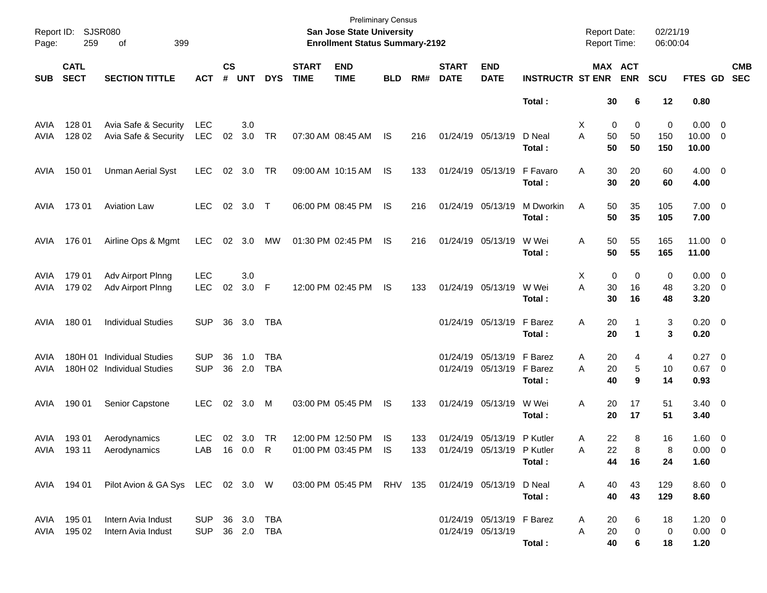| Page:        | Report ID: SJSR080<br>259  | 399                                                                                              |                                  |                    |               |                   | <b>Preliminary Census</b><br>San Jose State University<br><b>Enrollment Status Summary-2192</b> |                                        |                 |            |                             |                                                 | <b>Report Date:</b><br>Report Time: |                          | 02/21/19<br>06:00:04  |                 |                                       |                          |
|--------------|----------------------------|--------------------------------------------------------------------------------------------------|----------------------------------|--------------------|---------------|-------------------|-------------------------------------------------------------------------------------------------|----------------------------------------|-----------------|------------|-----------------------------|-------------------------------------------------|-------------------------------------|--------------------------|-----------------------|-----------------|---------------------------------------|--------------------------|
| <b>SUB</b>   | <b>CATL</b><br><b>SECT</b> | <b>SECTION TITTLE</b>                                                                            | <b>ACT</b>                       | $\mathsf{cs}$<br># | <b>UNT</b>    | <b>DYS</b>        | <b>START</b><br><b>TIME</b>                                                                     | <b>END</b><br><b>TIME</b>              | <b>BLD</b>      | RM#        | <b>START</b><br><b>DATE</b> | <b>END</b><br><b>DATE</b>                       | <b>INSTRUCTR ST ENR</b>             |                          | MAX ACT<br><b>ENR</b> | <b>SCU</b>      | FTES GD                               | <b>CMB</b><br><b>SEC</b> |
|              |                            |                                                                                                  |                                  |                    |               |                   |                                                                                                 |                                        |                 |            |                             |                                                 | Total:                              | 30                       | 6                     | 12              | 0.80                                  |                          |
| AVIA<br>AVIA | 128 01<br>128 02           | Avia Safe & Security<br>Avia Safe & Security                                                     | <b>LEC</b><br><b>LEC</b>         | 02                 | 3.0<br>3.0    | <b>TR</b>         |                                                                                                 | 07:30 AM 08:45 AM                      | IS              | 216        |                             | 01/24/19 05/13/19                               | D Neal<br>Total:                    | X<br>Α<br>50<br>50       | 0<br>0<br>50<br>50    | 0<br>150<br>150 | $0.00 \t 0$<br>$10.00 \t 0$<br>10.00  |                          |
| AVIA         | 150 01                     | <b>Unman Aerial Syst</b>                                                                         | LEC.                             | 02                 | 3.0           | TR                |                                                                                                 | 09:00 AM 10:15 AM                      | IS              | 133        |                             | 01/24/19 05/13/19                               | F Favaro<br>Total:                  | 30<br>Α<br>30            | 20<br>20              | 60<br>60        | $4.00 \t 0$<br>4.00                   |                          |
| AVIA         | 17301                      | <b>Aviation Law</b>                                                                              | <b>LEC</b>                       |                    | 02 3.0        | $\top$            |                                                                                                 | 06:00 PM 08:45 PM                      | IS              | 216        |                             | 01/24/19 05/13/19                               | M Dworkin<br>Total:                 | Α<br>50<br>50            | 35<br>35              | 105<br>105      | $7.00 \t 0$<br>7.00                   |                          |
| AVIA         | 176 01                     | Airline Ops & Mgmt                                                                               | LEC.                             | 02                 | 3.0           | МW                |                                                                                                 | 01:30 PM 02:45 PM                      | IS              | 216        |                             | 01/24/19 05/13/19                               | W Wei<br>Total:                     | 50<br>Α<br>50            | 55<br>55              | 165<br>165      | $11.00 \t 0$<br>11.00                 |                          |
| AVIA<br>AVIA | 179 01<br>179 02           | Adv Airport Plnng<br>Adv Airport Plnng                                                           | <b>LEC</b><br><b>LEC</b>         | 02                 | 3.0<br>3.0    | - F               |                                                                                                 | 12:00 PM 02:45 PM                      | <b>IS</b>       | 133        |                             | 01/24/19 05/13/19                               | W Wei<br>Total:                     | X<br>Α<br>30<br>30       | 0<br>0<br>16<br>16    | 0<br>48<br>48   | $0.00 \t 0$<br>$3.20 \ 0$<br>3.20     |                          |
| AVIA         | 180 01                     | <b>Individual Studies</b>                                                                        | <b>SUP</b>                       | 36                 | 3.0           | TBA               |                                                                                                 |                                        |                 |            |                             | 01/24/19 05/13/19                               | F Barez<br>Total:                   | 20<br>Α<br>20            | 1<br>$\mathbf 1$      | 3<br>3          | $0.20 \ 0$<br>0.20                    |                          |
| AVIA<br>AVIA | 180H 01                    | <b>Individual Studies</b><br>180H 02 Individual Studies                                          | <b>SUP</b><br><b>SUP</b>         | 36                 | 1.0<br>36 2.0 | TBA<br><b>TBA</b> |                                                                                                 |                                        |                 |            |                             | 01/24/19 05/13/19<br>01/24/19 05/13/19          | F Barez<br>F Barez<br>Total:        | 20<br>Α<br>20<br>Α<br>40 | 4<br>5<br>9           | 4<br>10<br>14   | $0.27$ 0<br>$0.67$ 0<br>0.93          |                          |
| AVIA         | 190 01                     | Senior Capstone                                                                                  | <b>LEC</b>                       |                    | 02 3.0        | M                 |                                                                                                 | 03:00 PM 05:45 PM                      | IS              | 133        |                             | 01/24/19 05/13/19                               | W Wei<br>Total:                     | 20<br>Α<br>20            | 17<br>17              | 51<br>51        | $3.40 \ 0$<br>3.40                    |                          |
| AVIA         | 19301<br>AVIA 19311        | Aerodynamics<br>Aerodynamics                                                                     | <b>LEC</b><br>LAB 16 0.0 R       |                    | 02 3.0        | <b>TR</b>         |                                                                                                 | 12:00 PM 12:50 PM<br>01:00 PM 03:45 PM | <b>IS</b><br>IS | 133<br>133 |                             | 01/24/19 05/13/19<br>01/24/19 05/13/19 P Kutler | P Kutler<br>Total:                  | 22<br>A<br>22<br>Α       | 8<br>8<br>44<br>16    | 16<br>8<br>24   | $1.60 \t 0$<br>$0.00 \quad 0$<br>1.60 |                          |
|              |                            | AVIA 194 01 Pilot Avion & GA Sys LEC 02 3.0 W 03:00 PM 05:45 PM RHV 135 01/24/19 05/13/19 D Neal |                                  |                    |               |                   |                                                                                                 |                                        |                 |            |                             |                                                 | Total:                              | A<br>40<br>40            | 43<br>43              | 129<br>129      | $8.60 \quad 0$<br>8.60                |                          |
|              | AVIA 195 01<br>AVIA 195 02 | Intern Avia Indust<br>Intern Avia Indust                                                         | SUP 36 3.0 TBA<br>SUP 36 2.0 TBA |                    |               |                   |                                                                                                 |                                        |                 |            |                             | 01/24/19 05/13/19 F Barez<br>01/24/19 05/13/19  | Total:                              | 20<br>A<br>20<br>A<br>40 | 6<br>0<br>6           | 18<br>0<br>18   | $1.20 \t 0$<br>$0.00 \t 0$<br>1.20    |                          |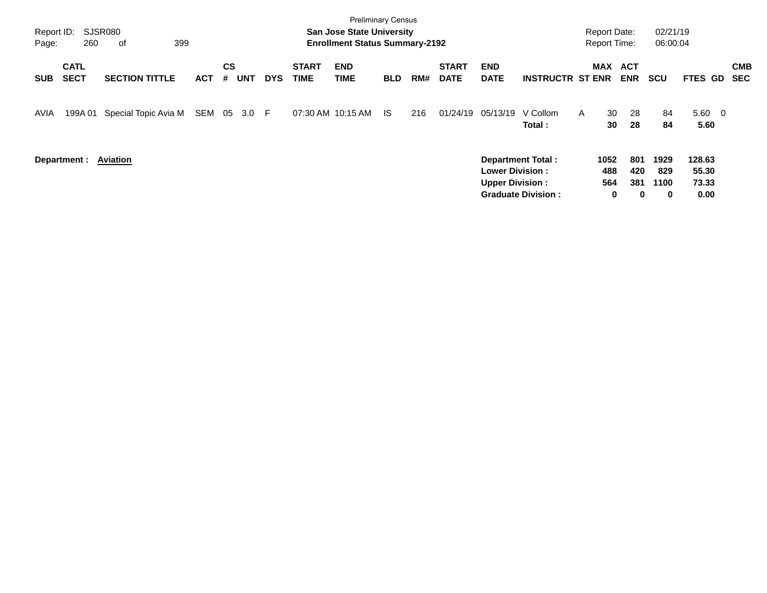| Report ID:<br>Page: | 260                        | SJSR080<br>οf<br>399  |            |         |            |            |                             | <b>Preliminary Census</b><br><b>San Jose State University</b><br><b>Enrollment Status Summary-2192</b> |            |     |                             |                                                                              |                           | <b>Report Date:</b><br><b>Report Time:</b> |                                    | 02/21/19<br>06:00:04     |                                  |                          |
|---------------------|----------------------------|-----------------------|------------|---------|------------|------------|-----------------------------|--------------------------------------------------------------------------------------------------------|------------|-----|-----------------------------|------------------------------------------------------------------------------|---------------------------|--------------------------------------------|------------------------------------|--------------------------|----------------------------------|--------------------------|
| <b>SUB</b>          | <b>CATL</b><br><b>SECT</b> | <b>SECTION TITTLE</b> | <b>ACT</b> | CS<br># | <b>UNT</b> | <b>DYS</b> | <b>START</b><br><b>TIME</b> | <b>END</b><br><b>TIME</b>                                                                              | <b>BLD</b> | RM# | <b>START</b><br><b>DATE</b> | <b>END</b><br><b>DATE</b>                                                    | <b>INSTRUCTR ST ENR</b>   | MAX ACT                                    | <b>ENR</b>                         | <b>SCU</b>               | FTES GD                          | <b>CMB</b><br><b>SEC</b> |
| AVIA                | 199A 01                    | Special Topic Avia M  | SEM        | 05      | 3.0 F      |            |                             | 07:30 AM 10:15 AM                                                                                      | - IS       | 216 | 01/24/19                    | 05/13/19                                                                     | V Collom<br>Total:        | 30<br>A<br>30                              | 28<br>28                           | 84<br>84                 | $5.60 \quad 0$<br>5.60           |                          |
|                     | Department: Aviation       |                       |            |         |            |            |                             |                                                                                                        |            |     |                             | <b>Department Total:</b><br><b>Lower Division:</b><br><b>Upper Division:</b> | <b>Graduate Division:</b> | 1052<br>488<br>564                         | 801<br>420<br>381<br>0<br>$\bf{0}$ | 1929<br>829<br>1100<br>0 | 128.63<br>55.30<br>73.33<br>0.00 |                          |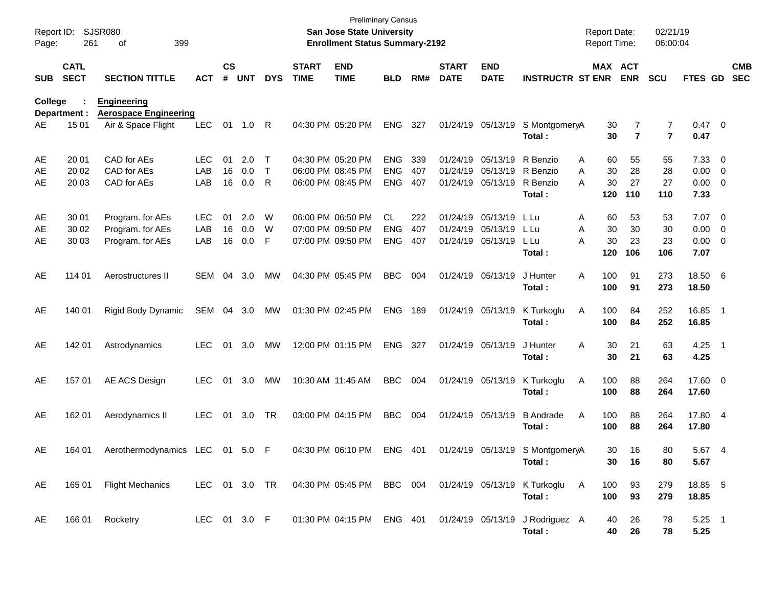| Report ID:<br>Page: | 261                        | SJSR080<br>399<br>οf                               |                   |                    |            |                   |                             | <b>Preliminary Census</b><br><b>San Jose State University</b><br><b>Enrollment Status Summary-2192</b> |                          |            |                             |                           |                                           | <b>Report Date:</b><br>Report Time: |                     | 02/21/19<br>06:00:04             |                        |                                           |                          |
|---------------------|----------------------------|----------------------------------------------------|-------------------|--------------------|------------|-------------------|-----------------------------|--------------------------------------------------------------------------------------------------------|--------------------------|------------|-----------------------------|---------------------------|-------------------------------------------|-------------------------------------|---------------------|----------------------------------|------------------------|-------------------------------------------|--------------------------|
| <b>SUB</b>          | <b>CATL</b><br><b>SECT</b> | <b>SECTION TITTLE</b>                              | <b>ACT</b>        | $\mathsf{cs}$<br># | <b>UNT</b> | <b>DYS</b>        | <b>START</b><br><b>TIME</b> | <b>END</b><br><b>TIME</b>                                                                              | <b>BLD</b>               | RM#        | <b>START</b><br><b>DATE</b> | <b>END</b><br><b>DATE</b> | <b>INSTRUCTR ST ENR</b>                   | MAX ACT                             | <b>ENR</b>          | <b>SCU</b>                       | FTES GD                |                                           | <b>CMB</b><br><b>SEC</b> |
| College             | Department :               | <b>Engineering</b><br><b>Aerospace Engineering</b> |                   |                    |            |                   |                             |                                                                                                        |                          |            |                             |                           |                                           |                                     |                     |                                  |                        |                                           |                          |
| AE                  | 15 01                      | Air & Space Flight                                 | <b>LEC</b>        | 01                 | 1.0        | R                 |                             | 04:30 PM 05:20 PM                                                                                      | <b>ENG</b>               | 327        |                             | 01/24/19 05/13/19         | S MontgomeryA<br>Total:                   | 30<br>30                            | 7<br>$\overline{7}$ | $\overline{7}$<br>$\overline{7}$ | $0.47 \quad 0$<br>0.47 |                                           |                          |
| AE<br>AE            | 20 01<br>20 02             | CAD for AEs<br>CAD for AEs                         | <b>LEC</b><br>LAB | 01<br>16           | 2.0<br>0.0 | T<br>$\mathsf{T}$ |                             | 04:30 PM 05:20 PM<br>06:00 PM 08:45 PM                                                                 | <b>ENG</b><br><b>ENG</b> | 339<br>407 | 01/24/19<br>01/24/19        | 05/13/19<br>05/13/19      | R Benzio<br>R Benzio                      | 60<br>A<br>30<br>A                  | 55<br>28            | 55<br>28                         | 7.33<br>0.00           | $\overline{\mathbf{0}}$<br>$\overline{0}$ |                          |
| AE                  | 20 03                      | CAD for AEs                                        | LAB               | 16                 | 0.0        | R                 |                             | 06:00 PM 08:45 PM                                                                                      | <b>ENG</b>               | 407        | 01/24/19                    | 05/13/19                  | R Benzio<br>Total:                        | 30<br>А<br>120                      | 27<br>110           | 27<br>110                        | 0.00<br>7.33           | $\overline{\mathbf{0}}$                   |                          |
| AE<br>AE            | 30 01<br>30 02             | Program. for AEs                                   | <b>LEC</b><br>LAB | 01<br>16           | 2.0<br>0.0 | W<br>W            |                             | 06:00 PM 06:50 PM<br>07:00 PM 09:50 PM                                                                 | CL<br><b>ENG</b>         | 222<br>407 | 01/24/19<br>01/24/19        | 05/13/19<br>05/13/19      | L Lu<br>L Lu                              | 60<br>A<br>30<br>A                  | 53<br>30            | 53<br>30                         | 7.07<br>0.00           | $\overline{\phantom{0}}$                  |                          |
| AE                  | 30 03                      | Program. for AEs<br>Program. for AEs               | LAB               | 16                 | 0.0        | F                 |                             | 07:00 PM 09:50 PM                                                                                      | <b>ENG</b>               | 407        |                             | 01/24/19 05/13/19         | L Lu<br>Total:                            | 30<br>А<br>120                      | 23<br>106           | 23<br>106                        | 0.00<br>7.07           | $\overline{0}$<br>$\overline{\mathbf{0}}$ |                          |
| AE                  | 114 01                     | Aerostructures II                                  | SEM               | 04                 | 3.0        | MW                |                             | 04:30 PM 05:45 PM                                                                                      | <b>BBC</b>               | 004        | 01/24/19 05/13/19           |                           | J Hunter<br>Total:                        | A<br>100<br>100                     | 91<br>91            | 273<br>273                       | 18.50 6<br>18.50       |                                           |                          |
| AE                  | 140 01                     | Rigid Body Dynamic                                 | SEM               | 04                 | 3.0        | МW                |                             | 01:30 PM 02:45 PM                                                                                      | <b>ENG</b>               | 189        | 01/24/19 05/13/19           |                           | K Turkoglu<br>Total:                      | Α<br>100<br>100                     | 84<br>84            | 252<br>252                       | 16.85<br>16.85         | $\overline{\phantom{1}}$                  |                          |
| AE                  | 142 01                     | Astrodynamics                                      | <b>LEC</b>        | 01                 | 3.0        | MW                |                             | 12:00 PM 01:15 PM                                                                                      | <b>ENG</b>               | 327        | 01/24/19 05/13/19           |                           | J Hunter<br>Total:                        | 30<br>A<br>30                       | 21<br>21            | 63<br>63                         | 4.25<br>4.25           | $\overline{\phantom{0}}$                  |                          |
| AE                  | 157 01                     | AE ACS Design                                      | <b>LEC</b>        | 01                 | 3.0        | MW                |                             | 10:30 AM 11:45 AM                                                                                      | <b>BBC</b>               | 004        | 01/24/19 05/13/19           |                           | K Turkoglu<br>Total:                      | 100<br>Α<br>100                     | 88<br>88            | 264<br>264                       | 17.60 0<br>17.60       |                                           |                          |
| AE                  | 162 01                     | Aerodynamics II                                    | <b>LEC</b>        | 01                 | 3.0        | TR                |                             | 03:00 PM 04:15 PM                                                                                      | <b>BBC</b>               | 004        | 01/24/19 05/13/19           |                           | <b>B</b> Andrade<br>Total:                | Α<br>100<br>100                     | 88<br>88            | 264<br>264                       | 17.80 4<br>17.80       |                                           |                          |
| AE                  | 164 01                     | Aerothermodynamics LEC 01 5.0 F                    |                   |                    |            |                   |                             | 04:30 PM 06:10 PM ENG 401                                                                              |                          |            |                             |                           | 01/24/19 05/13/19 S MontgomeryA<br>Total: | 30<br>30                            | 16<br>16            | 80<br>80                         | 5.67 4<br>5.67         |                                           |                          |
| AE                  |                            | 165 01 Flight Mechanics                            |                   |                    |            |                   |                             | LEC 01 3.0 TR  04:30 PM  05:45 PM  BBC  004                                                            |                          |            |                             |                           | 01/24/19 05/13/19 K Turkoglu<br>Total:    | A<br>100<br>100                     | 93<br>93            | 279<br>279                       | 18.85 5<br>18.85       |                                           |                          |
| AE                  |                            | 166 01 Rocketry                                    | LEC 01 3.0 F      |                    |            |                   |                             | 01:30 PM 04:15 PM ENG 401                                                                              |                          |            |                             |                           | 01/24/19 05/13/19 J Rodriguez A<br>Total: | 40<br>40                            | 26<br>26            | 78<br>78                         | $5.25$ 1<br>5.25       |                                           |                          |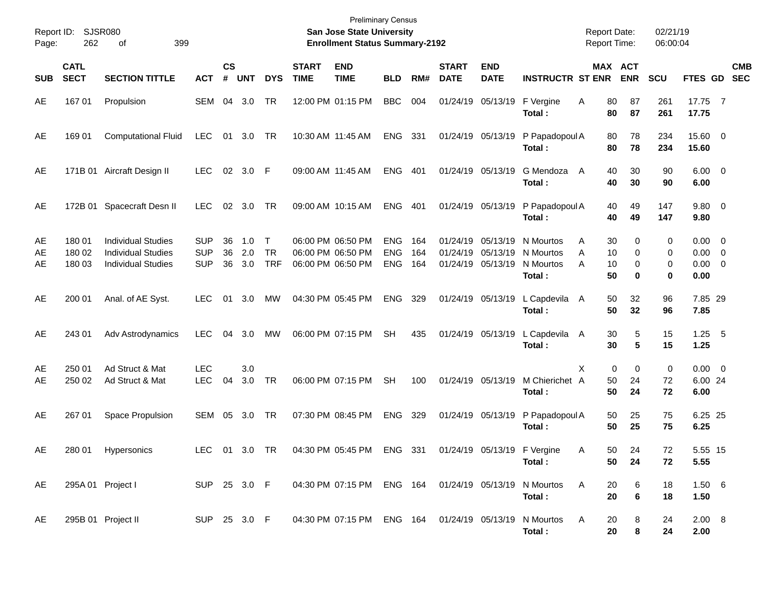| Report ID:<br>Page: | SJSR080<br>262             | 399                                                                                 |                                        |                    |                   |                                   | <b>Preliminary Census</b><br><b>San Jose State University</b><br><b>Enrollment Status Summary-2192</b> |                                                                       |                                        |                   |                             |                               | <b>Report Date:</b><br><b>Report Time:</b>              |                                     | 02/21/19<br>06:00:04  |                  |                                                   |                          |
|---------------------|----------------------------|-------------------------------------------------------------------------------------|----------------------------------------|--------------------|-------------------|-----------------------------------|--------------------------------------------------------------------------------------------------------|-----------------------------------------------------------------------|----------------------------------------|-------------------|-----------------------------|-------------------------------|---------------------------------------------------------|-------------------------------------|-----------------------|------------------|---------------------------------------------------|--------------------------|
| <b>SUB</b>          | <b>CATL</b><br><b>SECT</b> | <b>SECTION TITTLE</b>                                                               | <b>ACT</b>                             | $\mathsf{cs}$<br># | <b>UNT</b>        | <b>DYS</b>                        | <b>START</b><br><b>TIME</b>                                                                            | <b>END</b><br><b>TIME</b>                                             | <b>BLD</b>                             | RM#               | <b>START</b><br><b>DATE</b> | <b>END</b><br><b>DATE</b>     | <b>INSTRUCTR ST ENR</b>                                 |                                     | MAX ACT<br><b>ENR</b> | <b>SCU</b>       | FTES GD                                           | <b>CMB</b><br><b>SEC</b> |
| AE                  | 167 01                     | Propulsion                                                                          | <b>SEM</b>                             |                    | 04 3.0            | TR                                |                                                                                                        | 12:00 PM 01:15 PM                                                     | <b>BBC</b>                             | 004               |                             | 01/24/19 05/13/19             | F Vergine<br>Total:                                     | Α<br>80<br>80                       | 87<br>87              | 261<br>261       | 17.75 7<br>17.75                                  |                          |
| AE                  | 169 01                     | <b>Computational Fluid</b>                                                          | LEC                                    | 01                 | 3.0               | TR                                |                                                                                                        | 10:30 AM 11:45 AM                                                     | ENG 331                                |                   |                             | 01/24/19 05/13/19             | P Papadopoul A<br>Total:                                | 80<br>80                            | 78<br>78              | 234<br>234       | 15.60 0<br>15.60                                  |                          |
| AE                  |                            | 171B 01 Aircraft Design II                                                          | <b>LEC</b>                             | $02\,$             | 3.0 F             |                                   |                                                                                                        | 09:00 AM 11:45 AM                                                     | <b>ENG</b>                             | 401               |                             | 01/24/19 05/13/19             | G Mendoza<br>Total:                                     | 40<br>A<br>40                       | 30<br>30              | 90<br>90         | $6.00 \quad 0$<br>6.00                            |                          |
| AE                  |                            | 172B 01 Spacecraft Desn II                                                          | <b>LEC</b>                             | $02\,$             | 3.0               | TR                                |                                                                                                        | 09:00 AM 10:15 AM                                                     | <b>ENG</b>                             | - 401             |                             | 01/24/19 05/13/19             | P Papadopoul A<br>Total:                                | 40<br>40                            | 49<br>49              | 147<br>147       | 9.80 0<br>9.80                                    |                          |
| AE<br>AE<br>AE      | 180 01<br>180 02<br>180 03 | <b>Individual Studies</b><br><b>Individual Studies</b><br><b>Individual Studies</b> | <b>SUP</b><br><b>SUP</b><br><b>SUP</b> | 36<br>36<br>36     | 1.0<br>2.0<br>3.0 | $\top$<br><b>TR</b><br><b>TRF</b> |                                                                                                        | 06:00 PM 06:50 PM<br>06:00 PM 06:50 PM<br>06:00 PM 06:50 PM           | <b>ENG</b><br><b>ENG</b><br><b>ENG</b> | 164<br>164<br>164 | 01/24/19<br>01/24/19        | 05/13/19<br>01/24/19 05/13/19 | N Mourtos<br>05/13/19 N Mourtos<br>N Mourtos<br>Total : | A<br>30<br>A<br>10<br>A<br>10<br>50 | 0<br>0<br>0<br>0      | 0<br>0<br>0<br>0 | $0.00 \t 0$<br>$0.00 \t 0$<br>$0.00 \t 0$<br>0.00 |                          |
| AE                  | 200 01                     | Anal. of AE Syst.                                                                   | <b>LEC</b>                             | 01                 | 3.0               | MW                                |                                                                                                        | 04:30 PM 05:45 PM                                                     | <b>ENG</b>                             | 329               |                             | 01/24/19 05/13/19             | L Capdevila<br>Total:                                   | 50<br>A<br>50                       | 32<br>32              | 96<br>96         | 7.85 29<br>7.85                                   |                          |
| AE                  | 243 01                     | Adv Astrodynamics                                                                   | <b>LEC</b>                             | 04                 | 3.0               | MW                                |                                                                                                        | 06:00 PM 07:15 PM                                                     | <b>SH</b>                              | 435               |                             | 01/24/19 05/13/19             | L Capdevila<br>Total:                                   | 30<br>A<br>30                       | 5<br>5                | 15<br>15         | $1.25$ 5<br>1.25                                  |                          |
| AE<br>AE            | 250 01<br>250 02           | Ad Struct & Mat<br>Ad Struct & Mat                                                  | <b>LEC</b><br>LEC                      | 04                 | 3.0<br>3.0        | TR                                |                                                                                                        | 06:00 PM 07:15 PM                                                     | <b>SH</b>                              | 100               |                             | 01/24/19 05/13/19             | M Chierichet A<br>Total:                                | X<br>50<br>50                       | 0<br>0<br>24<br>24    | 0<br>72<br>72    | $0.00 \t 0$<br>6.00 24<br>6.00                    |                          |
| AE                  | 267 01                     | Space Propulsion                                                                    | <b>SEM</b>                             | 05                 | 3.0               | TR                                |                                                                                                        | 07:30 PM 08:45 PM                                                     | <b>ENG</b>                             | 329               |                             | 01/24/19 05/13/19             | P Papadopoul A<br>Total:                                | 50<br>50                            | 25<br>25              | 75<br>75         | 6.25 25<br>6.25                                   |                          |
| AE                  | 280 01                     | Hypersonics                                                                         | <b>LEC</b>                             |                    | 01 3.0 TR         |                                   |                                                                                                        | 04:30 PM 05:45 PM ENG 331                                             |                                        |                   |                             |                               | 01/24/19 05/13/19 F Vergine<br>Total :                  | A<br>50                             | 50.<br>24<br>24       | 72<br>72         | 5.55 15<br>5.55                                   |                          |
| AE                  |                            | 295A 01 Project I                                                                   |                                        |                    |                   |                                   |                                                                                                        | SUP 25 3.0 F 04:30 PM 07:15 PM ENG 164 01/24/19 05/13/19 N Mourtos    |                                        |                   |                             |                               | Total:                                                  | $\mathsf{A}$<br>20<br>20            | 6<br>6                | 18<br>18         | 1.506<br>1.50                                     |                          |
| AE                  |                            | 295B 01 Project II                                                                  |                                        |                    |                   |                                   |                                                                                                        | SUP 25 3.0 F  04:30 PM 07:15 PM ENG 164  01/24/19  05/13/19 N Mourtos |                                        |                   |                             |                               | Total:                                                  | $\mathsf{A}$<br>20<br>20            | 8<br>8                | 24<br>24         | 2.00 8<br>2.00                                    |                          |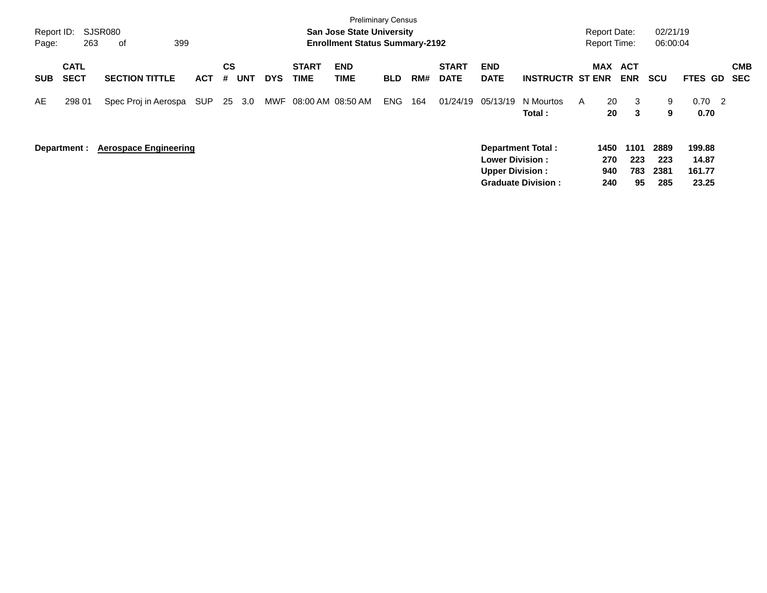| Report ID:<br>Page: | 263                        | SJSR080<br>399<br>оf         |            |         |            |            |                             | <b>Preliminary Census</b><br><b>San Jose State University</b><br><b>Enrollment Status Summary-2192</b> |            |     |                             |                                                  |                                                       |   | <b>Report Date:</b><br><b>Report Time:</b> |                          | 02/21/19<br>06:00:04       |                                            |                   |
|---------------------|----------------------------|------------------------------|------------|---------|------------|------------|-----------------------------|--------------------------------------------------------------------------------------------------------|------------|-----|-----------------------------|--------------------------------------------------|-------------------------------------------------------|---|--------------------------------------------|--------------------------|----------------------------|--------------------------------------------|-------------------|
| <b>SUB</b>          | <b>CATL</b><br><b>SECT</b> | <b>SECTION TITTLE</b>        | <b>ACT</b> | CS<br># | <b>UNT</b> | <b>DYS</b> | <b>START</b><br><b>TIME</b> | <b>END</b><br><b>TIME</b>                                                                              | <b>BLD</b> | RM# | <b>START</b><br><b>DATE</b> | <b>END</b><br><b>DATE</b>                        | <b>INSTRUCTR ST ENR</b>                               |   | MAX                                        | ACT<br><b>ENR</b>        | <b>SCU</b>                 | <b>FTES GD</b>                             | <b>CMB</b><br>SEC |
| AE                  | 298 01                     | Spec Proj in Aerospa         | <b>SUP</b> |         | 25 3.0     | MWF        | 08:00 AM 08:50 AM           |                                                                                                        | <b>ENG</b> | 164 | 01/24/19                    | 05/13/19                                         | N Mourtos<br>Total:                                   | A | 20<br>20                                   | 3<br>3                   | 9<br>9                     | 0.70<br>$\overline{\phantom{0}}^2$<br>0.70 |                   |
|                     | Department :               | <b>Aerospace Engineering</b> |            |         |            |            |                             |                                                                                                        |            |     |                             | <b>Lower Division:</b><br><b>Upper Division:</b> | <b>Department Total:</b><br><b>Graduate Division:</b> |   | 1450<br>270<br>940<br>240                  | 1101<br>223<br>783<br>95 | 2889<br>223<br>2381<br>285 | 199.88<br>14.87<br>161.77<br>23.25         |                   |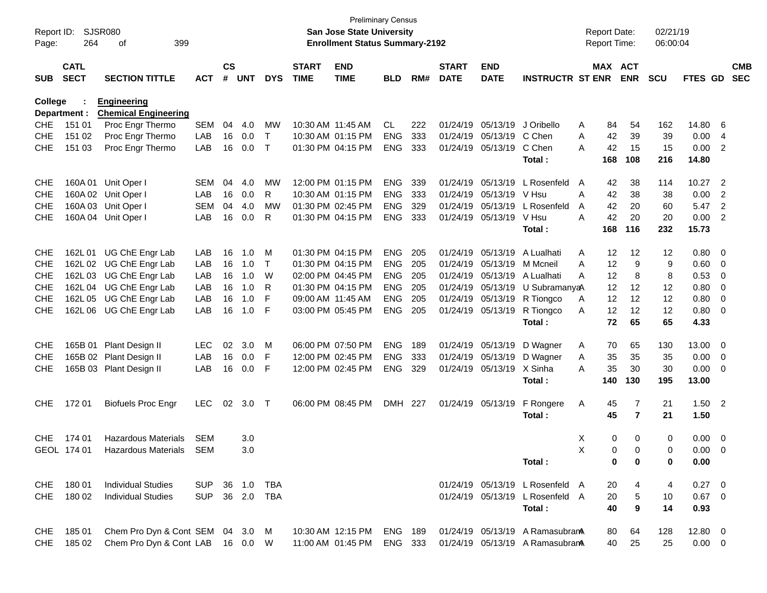| $\mathsf{cs}$<br><b>CATL</b><br><b>START</b><br><b>END</b><br><b>START</b><br>MAX ACT<br><b>END</b><br><b>SECT</b><br><b>SECTION TITTLE</b><br><b>ACT</b><br>#<br><b>UNT</b><br><b>DYS</b><br><b>TIME</b><br><b>TIME</b><br>RM#<br><b>DATE</b><br><b>DATE</b><br><b>INSTRUCTR ST ENR</b><br><b>ENR</b><br><b>SCU</b><br><b>SUB</b><br><b>BLD</b><br>College<br><b>Engineering</b><br><b>Chemical Engineering</b><br>Department :<br>Proc Engr Thermo<br>10:30 AM 11:45 AM<br><b>CHE</b><br>151 01<br><b>SEM</b><br>04<br>4.0<br>MW<br>CL.<br>222<br>01/24/19 05/13/19 J Oribello<br>54<br>162<br>A<br>84 | <b>CMB</b><br>FTES GD SEC<br>14.80<br>6<br>0.00<br>-4<br>0.00<br>$\overline{2}$<br>14.80 |
|----------------------------------------------------------------------------------------------------------------------------------------------------------------------------------------------------------------------------------------------------------------------------------------------------------------------------------------------------------------------------------------------------------------------------------------------------------------------------------------------------------------------------------------------------------------------------------------------------------|------------------------------------------------------------------------------------------|
|                                                                                                                                                                                                                                                                                                                                                                                                                                                                                                                                                                                                          |                                                                                          |
|                                                                                                                                                                                                                                                                                                                                                                                                                                                                                                                                                                                                          |                                                                                          |
|                                                                                                                                                                                                                                                                                                                                                                                                                                                                                                                                                                                                          |                                                                                          |
| Proc Engr Thermo<br>LAB<br>16<br>0.0<br><b>ENG</b><br>333<br>01/24/19 05/13/19 C Chen<br>42<br>39<br>39<br><b>CHE</b><br>151 02<br>$\top$<br>10:30 AM 01:15 PM<br>A                                                                                                                                                                                                                                                                                                                                                                                                                                      |                                                                                          |
| LAB<br>16<br>0.0<br>01:30 PM 04:15 PM<br><b>ENG</b><br>333<br>C Chen<br>42<br><b>CHE</b><br>$\top$<br>01/24/19 05/13/19<br>A<br>15<br>15                                                                                                                                                                                                                                                                                                                                                                                                                                                                 |                                                                                          |
| 151 03<br>Proc Engr Thermo<br>168<br>108<br>216<br>Total:                                                                                                                                                                                                                                                                                                                                                                                                                                                                                                                                                |                                                                                          |
|                                                                                                                                                                                                                                                                                                                                                                                                                                                                                                                                                                                                          |                                                                                          |
| 12:00 PM 01:15 PM<br><b>ENG</b><br>01/24/19 05/13/19<br>L Rosenfeld<br><b>CHE</b><br>160A 01 Unit Oper I<br><b>SEM</b><br>04<br>4.0<br><b>MW</b><br>339<br>42<br>38<br>114<br>A                                                                                                                                                                                                                                                                                                                                                                                                                          | 10.27<br>$\overline{\phantom{0}}$                                                        |
| 160A 02 Unit Oper I<br>LAB<br>16<br>0.0<br>10:30 AM 01:15 PM<br><b>ENG</b><br>333<br>01/24/19 05/13/19<br>V Hsu<br><b>CHE</b><br>R<br>A<br>42<br>38<br>38                                                                                                                                                                                                                                                                                                                                                                                                                                                | 0.00<br>$\overline{2}$                                                                   |
| 160A 03 Unit Oper I<br>04<br><b>MW</b><br>01:30 PM 02:45 PM<br><b>ENG</b><br>329<br>01/24/19<br>05/13/19<br>L Rosenfeld<br>42<br><b>CHE</b><br><b>SEM</b><br>4.0<br>A<br>20<br>60                                                                                                                                                                                                                                                                                                                                                                                                                        | 5.47<br>$\overline{2}$                                                                   |
| LAB<br>16<br>0.0<br>01:30 PM 04:15 PM<br><b>ENG</b><br>333<br>42<br>20<br><b>CHE</b><br>160A 04 Unit Oper I<br>R<br>01/24/19 05/13/19<br>V Hsu<br>A<br>20                                                                                                                                                                                                                                                                                                                                                                                                                                                | 0.00<br>$\overline{2}$                                                                   |
| 168<br>116<br>232<br>Total:                                                                                                                                                                                                                                                                                                                                                                                                                                                                                                                                                                              | 15.73                                                                                    |
| 16<br>1.0<br>01:30 PM 04:15 PM<br><b>ENG</b><br>01/24/19 05/13/19<br><b>CHE</b><br>162L 01 UG ChE Engr Lab<br>LAB<br>205<br>A Lualhati<br>12<br>12<br>12<br>M<br>A                                                                                                                                                                                                                                                                                                                                                                                                                                       | 0.80<br>$\overline{\mathbf{0}}$                                                          |
| LAB<br>16<br>01:30 PM 04:15 PM<br>ENG<br>205<br>01/24/19 05/13/19<br>M Mcneil<br>12<br>9<br><b>CHE</b><br>162L 02 UG ChE Engr Lab<br>1.0<br>$\top$<br>9<br>A                                                                                                                                                                                                                                                                                                                                                                                                                                             | 0.60<br>- 0                                                                              |
| 162L 03 UG ChE Engr Lab<br>LAB<br>16<br>1.0<br>02:00 PM 04:45 PM<br><b>ENG</b><br>205<br>01/24/19 05/13/19<br>12<br><b>CHE</b><br>W<br>A Lualhati<br>8<br>8<br>A                                                                                                                                                                                                                                                                                                                                                                                                                                         | 0.53<br>$\overline{0}$                                                                   |
| LAB<br>16<br>1.0<br>01:30 PM 04:15 PM<br><b>ENG</b><br>205<br>12<br><b>CHE</b><br>162L 04 UG ChE Engr Lab<br>R<br>01/24/19 05/13/19<br>U SubramanyaA<br>12<br>12                                                                                                                                                                                                                                                                                                                                                                                                                                         | 0.80<br>0                                                                                |
| 162L 05 UG ChE Engr Lab<br>LAB<br>16<br>1.0<br>F<br>09:00 AM 11:45 AM<br>ENG<br>205<br>01/24/19 05/13/19 R Tiongco<br>12<br>12<br><b>CHE</b><br>Α<br>12                                                                                                                                                                                                                                                                                                                                                                                                                                                  | 0.80<br>0                                                                                |
| LAB<br>16<br>1.0<br>F<br>ENG<br>R Tiongco<br>12<br>12<br>12<br><b>CHE</b><br>162L 06 UG ChE Engr Lab<br>03:00 PM 05:45 PM<br>205<br>01/24/19 05/13/19<br>A                                                                                                                                                                                                                                                                                                                                                                                                                                               | 0.80<br>$\overline{\mathbf{0}}$                                                          |
| 72<br>65<br>65<br>Total:                                                                                                                                                                                                                                                                                                                                                                                                                                                                                                                                                                                 | 4.33                                                                                     |
|                                                                                                                                                                                                                                                                                                                                                                                                                                                                                                                                                                                                          |                                                                                          |
| 165B 01 Plant Design II<br>02<br>3.0<br>06:00 PM 07:50 PM<br><b>ENG</b><br><b>CHE</b><br><b>LEC</b><br>M<br>189<br>01/24/19 05/13/19<br>D Wagner<br>65<br>130<br>A<br>70                                                                                                                                                                                                                                                                                                                                                                                                                                 | 13.00<br>$\overline{\phantom{0}}$                                                        |
| 165B 02 Plant Design II<br>LAB<br>16<br>0.0<br>12:00 PM 02:45 PM<br><b>ENG</b><br>333<br>01/24/19 05/13/19<br>35<br><b>CHE</b><br>F<br>D Wagner<br>35<br>35<br>Α                                                                                                                                                                                                                                                                                                                                                                                                                                         | 0.00<br>$\overline{\phantom{0}}$                                                         |
| 165B 03 Plant Design II<br>LAB<br>16<br>0.0<br>ENG<br>329<br>01/24/19 05/13/19 X Sinha<br>35<br>30<br><b>CHE</b><br>F<br>12:00 PM 02:45 PM<br>A<br>30                                                                                                                                                                                                                                                                                                                                                                                                                                                    | 0.00<br>$\overline{\phantom{0}}$                                                         |
| 130<br>195<br>Total:<br>140                                                                                                                                                                                                                                                                                                                                                                                                                                                                                                                                                                              | 13.00                                                                                    |
| 02<br>3.0<br>F Rongere<br><b>CHE</b><br>172 01<br><b>Biofuels Proc Engr</b><br><b>LEC</b><br>06:00 PM 08:45 PM<br>DMH 227<br>01/24/19 05/13/19<br>A<br>45<br>7<br>21<br>$\top$                                                                                                                                                                                                                                                                                                                                                                                                                           | $1.50$ 2                                                                                 |
| 45<br>$\overline{7}$<br>Total:<br>21                                                                                                                                                                                                                                                                                                                                                                                                                                                                                                                                                                     | 1.50                                                                                     |
|                                                                                                                                                                                                                                                                                                                                                                                                                                                                                                                                                                                                          |                                                                                          |
| 174 01<br><b>Hazardous Materials</b><br><b>SEM</b><br>0<br>0<br><b>CHE</b><br>3.0<br>X<br>0                                                                                                                                                                                                                                                                                                                                                                                                                                                                                                              | 0.00<br>$\overline{\phantom{0}}$                                                         |
| $\mathsf X$<br>GEOL 174 01<br>SEM<br>3.0<br>$\Omega$<br>Hazardous Materials<br>$\Omega$<br>0                                                                                                                                                                                                                                                                                                                                                                                                                                                                                                             | $0.00 \quad 0$                                                                           |
| 0<br>0<br>Total:<br>0                                                                                                                                                                                                                                                                                                                                                                                                                                                                                                                                                                                    | 0.00                                                                                     |
| 18001<br><b>Individual Studies</b><br>CHE<br>36 1.0<br>TBA<br>01/24/19 05/13/19 L Rosenfeld A<br><b>SUP</b><br>20<br>4<br>4                                                                                                                                                                                                                                                                                                                                                                                                                                                                              | $0.27 \t 0$                                                                              |
| 36 2.0 TBA<br><b>CHE</b><br>180 02<br><b>Individual Studies</b><br><b>SUP</b><br>01/24/19 05/13/19 L Rosenfeld A<br>20<br>5<br>10                                                                                                                                                                                                                                                                                                                                                                                                                                                                        | $0.67$ 0                                                                                 |
| Total:<br>9<br>14<br>40                                                                                                                                                                                                                                                                                                                                                                                                                                                                                                                                                                                  | 0.93                                                                                     |
|                                                                                                                                                                                                                                                                                                                                                                                                                                                                                                                                                                                                          |                                                                                          |
| Chem Pro Dyn & Cont SEM 04 3.0 M<br>CHE<br>18501<br>10:30 AM 12:15 PM<br><b>ENG 189</b><br>01/24/19 05/13/19 A Ramasubrana<br>80<br>64<br>128<br>Chem Pro Dyn & Cont LAB 16 0.0 W<br><b>CHE</b><br>185 02<br>11:00 AM 01:45 PM<br>ENG 333<br>01/24/19 05/13/19 A Ramasubran<br>40<br>25<br>25                                                                                                                                                                                                                                                                                                            | $12.80 \t 0$<br>$0.00 \t 0$                                                              |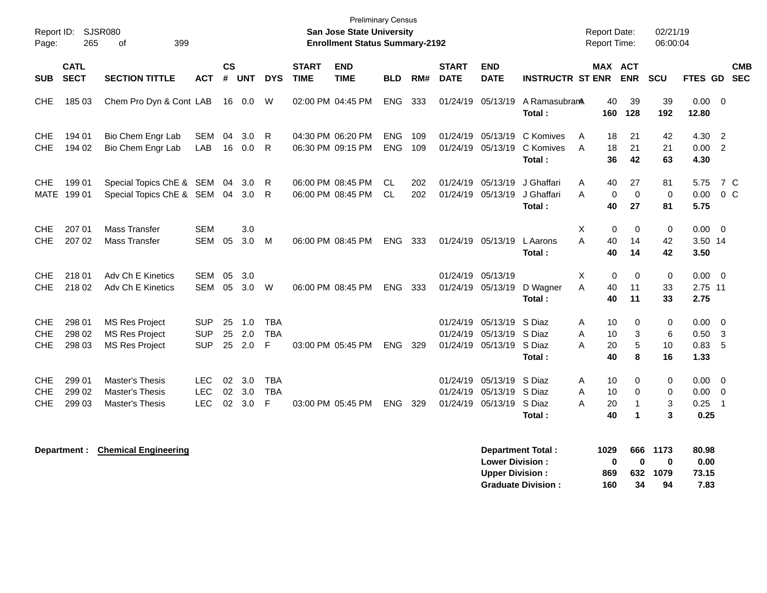| Report ID:<br>Page:                    | 265                        | <b>SJSR080</b><br>399<br>οf                                             |                                        |                |                   |                               |                             | <b>Preliminary Census</b><br><b>San Jose State University</b><br><b>Enrollment Status Summary-2192</b> |                          |            |                                  |                                                |                                      |             | <b>Report Date:</b><br><b>Report Time:</b> |                                                | 02/21/19<br>06:00:04       |                              |                                                |                          |
|----------------------------------------|----------------------------|-------------------------------------------------------------------------|----------------------------------------|----------------|-------------------|-------------------------------|-----------------------------|--------------------------------------------------------------------------------------------------------|--------------------------|------------|----------------------------------|------------------------------------------------|--------------------------------------|-------------|--------------------------------------------|------------------------------------------------|----------------------------|------------------------------|------------------------------------------------|--------------------------|
| <b>SUB</b>                             | <b>CATL</b><br><b>SECT</b> | <b>SECTION TITTLE</b>                                                   | <b>ACT</b>                             | <b>CS</b><br># | <b>UNT</b>        | <b>DYS</b>                    | <b>START</b><br><b>TIME</b> | <b>END</b><br><b>TIME</b>                                                                              | <b>BLD</b>               | RM#        | <b>START</b><br><b>DATE</b>      | <b>END</b><br><b>DATE</b>                      | <b>INSTRUCTR ST ENR</b>              |             | MAX ACT                                    | <b>ENR</b>                                     | <b>SCU</b>                 | <b>FTES GD</b>               |                                                | <b>CMB</b><br><b>SEC</b> |
| <b>CHE</b>                             | 185 03                     | Chem Pro Dyn & Cont LAB                                                 |                                        |                | 16 0.0            | W                             |                             | 02:00 PM 04:45 PM                                                                                      | <b>ENG</b>               | 333        | 01/24/19                         | 05/13/19                                       | A RamasubranA<br>Total:              |             | 40<br>160                                  | 39<br>128                                      | 39<br>192                  | 0.00<br>12.80                | $\overline{0}$                                 |                          |
| <b>CHE</b><br><b>CHE</b>               | 194 01<br>194 02           | Bio Chem Engr Lab<br>Bio Chem Engr Lab                                  | <b>SEM</b><br>LAB                      | 04<br>16       | 3.0<br>0.0        | R<br>R                        |                             | 04:30 PM 06:20 PM<br>06:30 PM 09:15 PM                                                                 | <b>ENG</b><br><b>ENG</b> | 109<br>109 | 01/24/19<br>01/24/19             | 05/13/19<br>05/13/19                           | C Komives<br>C Komives<br>Total:     | A<br>A      | 18<br>18<br>36                             | 21<br>21<br>42                                 | 42<br>21<br>63             | 4.30<br>0.00<br>4.30         | $\overline{2}$<br>$\overline{2}$               |                          |
| <b>CHE</b><br>MATE                     | 199 01<br>199 01           | Special Topics ChE & SEM 04<br>Special Topics ChE & SEM 04              |                                        |                | 3.0<br>3.0        | R<br>R                        |                             | 06:00 PM 08:45 PM<br>06:00 PM 08:45 PM                                                                 | <b>CL</b><br><b>CL</b>   | 202<br>202 | 01/24/19<br>01/24/19             | 05/13/19<br>05/13/19                           | J Ghaffari<br>J Ghaffari<br>Total:   | Α<br>A      | 40<br>0<br>40                              | 27<br>$\mathbf 0$<br>27                        | 81<br>0<br>81              | 5.75<br>0.00<br>5.75         | 7 C<br>0 <sup>o</sup>                          |                          |
| <b>CHE</b><br><b>CHE</b>               | 207 01<br>207 02           | <b>Mass Transfer</b><br><b>Mass Transfer</b>                            | <b>SEM</b><br><b>SEM</b>               | 05             | 3.0<br>3.0        | м                             |                             | 06:00 PM 08:45 PM                                                                                      | <b>ENG</b>               | 333        |                                  | 01/24/19 05/13/19                              | L Aarons<br>Total:                   | X<br>A      | 0<br>40<br>40                              | 0<br>14<br>14                                  | 0<br>42<br>42              | 0.00<br>3.50 14<br>3.50      | $\overline{\mathbf{0}}$                        |                          |
| <b>CHE</b><br><b>CHE</b>               | 218 01<br>218 02           | Adv Ch E Kinetics<br>Adv Ch E Kinetics                                  | <b>SEM</b><br><b>SEM</b>               | 05<br>05       | 3.0<br>3.0        | W                             |                             | 06:00 PM 08:45 PM                                                                                      | <b>ENG</b>               | 333        | 01/24/19<br>01/24/19             | 05/13/19<br>05/13/19                           | D Wagner<br>Total:                   | X<br>A      | 0<br>40<br>40                              | 0<br>11<br>11                                  | 0<br>33<br>33              | 0.00<br>2.75 11<br>2.75      | $\overline{\mathbf{0}}$                        |                          |
| <b>CHE</b><br><b>CHE</b><br><b>CHE</b> | 298 01<br>298 02<br>298 03 | <b>MS Res Project</b><br><b>MS Res Project</b><br><b>MS Res Project</b> | <b>SUP</b><br><b>SUP</b><br><b>SUP</b> | 25<br>25<br>25 | 1.0<br>2.0<br>2.0 | <b>TBA</b><br><b>TBA</b><br>F |                             | 03:00 PM 05:45 PM                                                                                      | <b>ENG</b>               | 329        | 01/24/19<br>01/24/19<br>01/24/19 | 05/13/19<br>05/13/19 S Diaz<br>05/13/19 S Diaz | S Diaz<br>Total:                     | A<br>A<br>A | 10<br>10<br>20<br>40                       | 0<br>3<br>5<br>8                               | 0<br>6<br>10<br>16         | 0.00<br>0.50<br>0.83<br>1.33 | $\overline{0}$<br>$\overline{\mathbf{3}}$<br>5 |                          |
| <b>CHE</b><br><b>CHE</b><br><b>CHE</b> | 299 01<br>299 02<br>299 03 | Master's Thesis<br>Master's Thesis<br>Master's Thesis                   | <b>LEC</b><br><b>LEC</b><br><b>LEC</b> | 02<br>02<br>02 | 3.0<br>3.0<br>3.0 | <b>TBA</b><br><b>TBA</b><br>F |                             | 03:00 PM 05:45 PM                                                                                      | ENG                      | 329        | 01/24/19<br>01/24/19<br>01/24/19 | 05/13/19<br>05/13/19<br>05/13/19               | S Diaz<br>S Diaz<br>S Diaz<br>Total: | A<br>A<br>A | 10<br>10<br>20<br>40                       | 0<br>0<br>$\mathbf{1}$<br>$\blacktriangleleft$ | $\mathbf 0$<br>0<br>3<br>3 | 0.00<br>0.00<br>0.25<br>0.25 | $\overline{0}$<br>0<br>$\overline{1}$          |                          |
|                                        | Department :               | <b>Chemical Engineering</b>                                             |                                        |                |                   |                               |                             |                                                                                                        |                          |            |                                  |                                                | <b>Department Total:</b>             |             | 1029                                       | 666                                            | 1173                       | 80.98                        |                                                |                          |

| Department Total:         | 1029 |    | 666 1173 | 80.98 |
|---------------------------|------|----|----------|-------|
| <b>Lower Division:</b>    | n    | n  | n        | 0.00  |
| <b>Upper Division:</b>    | 869  |    | 632 1079 | 73.15 |
| <b>Graduate Division:</b> | 160  | 34 | 94       | 7.83  |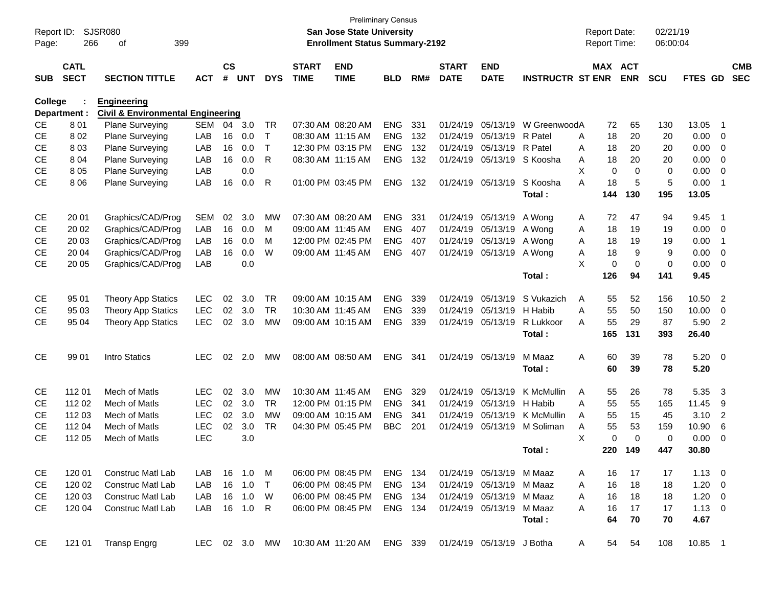| Report ID:<br>Page: | 266                        | <b>SJSR080</b><br>399<br>οf                  |               |                    |            |              |                             | <b>San Jose State University</b><br><b>Enrollment Status Summary-2192</b> | <b>Preliminary Census</b> |     |                             |                           |                         | <b>Report Date:</b><br><b>Report Time:</b> |            | 02/21/19<br>06:00:04 |                |                |                          |
|---------------------|----------------------------|----------------------------------------------|---------------|--------------------|------------|--------------|-----------------------------|---------------------------------------------------------------------------|---------------------------|-----|-----------------------------|---------------------------|-------------------------|--------------------------------------------|------------|----------------------|----------------|----------------|--------------------------|
| <b>SUB</b>          | <b>CATL</b><br><b>SECT</b> | <b>SECTION TITTLE</b>                        | <b>ACT</b>    | $\mathsf{cs}$<br># | <b>UNT</b> | <b>DYS</b>   | <b>START</b><br><b>TIME</b> | <b>END</b><br><b>TIME</b>                                                 | <b>BLD</b>                | RM# | <b>START</b><br><b>DATE</b> | <b>END</b><br><b>DATE</b> | <b>INSTRUCTR ST ENR</b> | MAX ACT                                    | <b>ENR</b> | <b>SCU</b>           | <b>FTES GD</b> |                | <b>CMB</b><br><b>SEC</b> |
| <b>College</b>      |                            | <b>Engineering</b>                           |               |                    |            |              |                             |                                                                           |                           |     |                             |                           |                         |                                            |            |                      |                |                |                          |
|                     | Department :               | <b>Civil &amp; Environmental Engineering</b> |               |                    |            |              |                             |                                                                           |                           |     |                             |                           |                         |                                            |            |                      |                |                |                          |
| <b>CE</b>           | 801                        | <b>Plane Surveying</b>                       | <b>SEM</b>    | 04                 | 3.0        | TR           |                             | 07:30 AM 08:20 AM                                                         | <b>ENG</b>                | 331 | 01/24/19                    | 05/13/19                  | W GreenwoodA            | 72                                         | 65         | 130                  | 13.05          | -1             |                          |
| <b>CE</b>           | 802                        | Plane Surveying                              | LAB           | 16                 | 0.0        | $\mathsf{T}$ | 08:30 AM 11:15 AM           |                                                                           | <b>ENG</b>                | 132 | 01/24/19                    | 05/13/19 R Patel          |                         | 18<br>A                                    | 20         | 20                   | 0.00           | 0              |                          |
| <b>CE</b>           | 803                        | Plane Surveying                              | LAB           | 16                 | 0.0        | $\mathsf{T}$ |                             | 12:30 PM 03:15 PM                                                         | <b>ENG</b>                | 132 | 01/24/19                    | 05/13/19 R Patel          |                         | 18<br>A                                    | 20         | 20                   | 0.00           | 0              |                          |
| <b>CE</b>           | 804                        | Plane Surveying                              | LAB           | 16                 | 0.0        | R            |                             | 08:30 AM 11:15 AM                                                         | <b>ENG</b>                | 132 | 01/24/19                    |                           | 05/13/19 S Koosha       | 18<br>A                                    | 20         | 20                   | 0.00           | 0              |                          |
| <b>CE</b>           | 8 0 5                      | Plane Surveying                              | LAB           |                    | 0.0        |              |                             |                                                                           |                           |     |                             |                           |                         | X<br>0                                     | 0          | $\mathbf 0$          | 0.00           | 0              |                          |
| <b>CE</b>           | 8 0 6                      | Plane Surveying                              | LAB           | 16                 | 0.0        | R            |                             | 01:00 PM 03:45 PM                                                         | <b>ENG</b>                | 132 | 01/24/19                    | 05/13/19                  | S Koosha                | 18<br>А                                    | 5          | 5                    | 0.00           | -1             |                          |
|                     |                            |                                              |               |                    |            |              |                             |                                                                           |                           |     |                             |                           | Total:                  | 144                                        | 130        | 195                  | 13.05          |                |                          |
| <b>CE</b>           | 20 01                      | Graphics/CAD/Prog                            | <b>SEM</b>    | 02                 | 3.0        | <b>MW</b>    |                             | 07:30 AM 08:20 AM                                                         | <b>ENG</b>                | 331 | 01/24/19                    | 05/13/19                  | A Wong                  | 72<br>A                                    | 47         | 94                   | 9.45           | - 1            |                          |
| <b>CE</b>           | 20 02                      | Graphics/CAD/Prog                            | LAB           | 16                 | 0.0        | м            |                             | 09:00 AM 11:45 AM                                                         | <b>ENG</b>                | 407 | 01/24/19                    | 05/13/19                  | A Wong                  | 18<br>A                                    | 19         | 19                   | 0.00           | $\overline{0}$ |                          |
| СE                  | 20 03                      | Graphics/CAD/Prog                            | LAB           | 16                 | 0.0        | м            |                             | 12:00 PM 02:45 PM                                                         | <b>ENG</b>                | 407 | 01/24/19                    | 05/13/19                  | A Wong                  | 18<br>A                                    | 19         | 19                   | 0.00           | -1             |                          |
| <b>CE</b>           | 20 04                      | Graphics/CAD/Prog                            | LAB           | 16                 | 0.0        | W            |                             | 09:00 AM 11:45 AM                                                         | <b>ENG</b>                | 407 | 01/24/19                    | 05/13/19                  | A Wong                  | 18<br>A                                    | 9          | 9                    | 0.00           | 0              |                          |
| <b>CE</b>           | 20 05                      | Graphics/CAD/Prog                            | LAB           |                    | 0.0        |              |                             |                                                                           |                           |     |                             |                           |                         | X<br>$\mathbf 0$                           | 0          | 0                    | 0.00           | 0              |                          |
|                     |                            |                                              |               |                    |            |              |                             |                                                                           |                           |     |                             |                           | Total:                  | 126                                        | 94         | 141                  | 9.45           |                |                          |
| <b>CE</b>           | 95 01                      | <b>Theory App Statics</b>                    | <b>LEC</b>    | 02                 | 3.0        | <b>TR</b>    |                             | 09:00 AM 10:15 AM                                                         | <b>ENG</b>                | 339 | 01/24/19                    | 05/13/19                  | S Vukazich              | Α<br>55                                    | 52         | 156                  | 10.50          | $\overline{2}$ |                          |
| <b>CE</b>           | 95 03                      | <b>Theory App Statics</b>                    | <b>LEC</b>    | 02                 | 3.0        | <b>TR</b>    |                             | 10:30 AM 11:45 AM                                                         | <b>ENG</b>                | 339 | 01/24/19                    | 05/13/19                  | H Habib                 | A<br>55                                    | 50         | 150                  | 10.00          | $\mathbf 0$    |                          |
| <b>CE</b>           | 95 04                      | <b>Theory App Statics</b>                    | <b>LEC</b>    | 02                 | 3.0        | <b>MW</b>    |                             | 09:00 AM 10:15 AM                                                         | <b>ENG</b>                | 339 | 01/24/19                    | 05/13/19                  | R Lukkoor               | A<br>55                                    | 29         | 87                   | 5.90           | $\overline{2}$ |                          |
|                     |                            |                                              |               |                    |            |              |                             |                                                                           |                           |     |                             |                           | Total:                  | 165                                        | 131        | 393                  | 26.40          |                |                          |
| <b>CE</b>           | 99 01                      | Intro Statics                                | <b>LEC</b>    | 02                 | 2.0        | <b>MW</b>    |                             | 08:00 AM 08:50 AM                                                         | <b>ENG</b>                | 341 |                             | 01/24/19 05/13/19         | M Maaz                  | A<br>60                                    | 39         | 78                   | $5.20 \ 0$     |                |                          |
|                     |                            |                                              |               |                    |            |              |                             |                                                                           |                           |     |                             |                           | Total:                  | 60                                         | 39         | 78                   | 5.20           |                |                          |
| <b>CE</b>           | 112 01                     | Mech of Matls                                | <b>LEC</b>    | 02                 | 3.0        | <b>MW</b>    | 10:30 AM 11:45 AM           |                                                                           | <b>ENG</b>                | 329 | 01/24/19                    | 05/13/19                  | K McMullin              | Α<br>55                                    | 26         | 78                   | 5.35           | 3              |                          |
| СE                  | 112 02                     | Mech of Matls                                | <b>LEC</b>    | 02                 | 3.0        | <b>TR</b>    |                             | 12:00 PM 01:15 PM                                                         | <b>ENG</b>                | 341 | 01/24/19                    | 05/13/19                  | H Habib                 | A<br>55                                    | 55         | 165                  | 11.45          | 9              |                          |
| <b>CE</b>           | 112 03                     | Mech of Matls                                | <b>LEC</b>    | 02                 | 3.0        | <b>MW</b>    |                             | 09:00 AM 10:15 AM                                                         | <b>ENG</b>                | 341 | 01/24/19                    | 05/13/19                  | K McMullin              | A<br>55                                    | 15         | 45                   | 3.10           | $\overline{2}$ |                          |
| СE                  | 112 04                     | Mech of Matls                                | <b>LEC</b>    | 02                 | 3.0        | <b>TR</b>    |                             | 04:30 PM 05:45 PM                                                         | <b>BBC</b>                | 201 | 01/24/19                    | 05/13/19                  | M Soliman               | 55<br>Α                                    | 53         | 159                  | 10.90          | 6              |                          |
| <b>CE</b>           | 112 05                     | Mech of Matls                                | <b>LEC</b>    |                    | 3.0        |              |                             |                                                                           |                           |     |                             |                           |                         | X<br>$\Omega$                              | 0          | $\mathbf 0$          | 0.00           | 0              |                          |
|                     |                            |                                              |               |                    |            |              |                             |                                                                           |                           |     |                             |                           | Total:                  | 220                                        | 149        | 447                  | 30.80          |                |                          |
| CE                  | 120 01                     | Construc Matl Lab                            | LAB.          |                    | 16  1.0    | M            |                             | 06:00 PM 08:45 PM                                                         | ENG 134                   |     |                             | 01/24/19 05/13/19 M Maaz  |                         | 16<br>A                                    | 17         | 17                   | $1.13 \quad 0$ |                |                          |
| <b>CE</b>           | 120 02                     | <b>Construc Matl Lab</b>                     | LAB           |                    | 16 1.0     | $\top$       |                             | 06:00 PM 08:45 PM                                                         | ENG 134                   |     |                             | 01/24/19 05/13/19 M Maaz  |                         | 16<br>A                                    | 18         | 18                   | $1.20 \t 0$    |                |                          |
| <b>CE</b>           | 120 03                     | <b>Construc Matl Lab</b>                     | LAB           |                    | 16 1.0     | W            |                             | 06:00 PM 08:45 PM                                                         | ENG 134                   |     |                             | 01/24/19 05/13/19 M Maaz  |                         | 16<br>A                                    | 18         | 18                   | $1.20 \t 0$    |                |                          |
| <b>CE</b>           | 120 04                     | Construc Matl Lab                            | LAB           |                    | 16  1.0  R |              |                             | 06:00 PM 08:45 PM                                                         | ENG 134                   |     |                             | 01/24/19 05/13/19 M Maaz  |                         | 16<br>A                                    | 17         | 17                   | $1.13 \ 0$     |                |                          |
|                     |                            |                                              |               |                    |            |              |                             |                                                                           |                           |     |                             |                           | Total:                  | 64                                         | 70         | 70                   | 4.67           |                |                          |
| <b>CE</b>           | 121 01                     | <b>Transp Engrg</b>                          | LEC 02 3.0 MW |                    |            |              |                             | 10:30 AM 11:20 AM                                                         | ENG 339                   |     |                             | 01/24/19 05/13/19 J Botha |                         | 54<br>A                                    | 54         | 108                  | 10.85 1        |                |                          |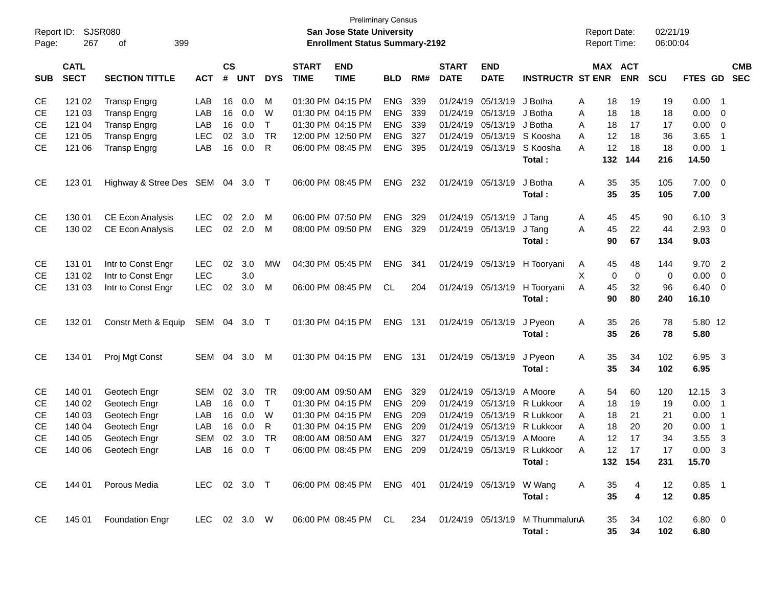|                     |                            | <b>Preliminary Census</b><br><b>SJSR080</b><br>San Jose State University<br><b>Enrollment Status Summary-2192</b> |              |                    |            |            |                             |                                                       |            |     |                             |                           |                                                                    |   |                                            |             | 02/21/19          |                  |                            |  |
|---------------------|----------------------------|-------------------------------------------------------------------------------------------------------------------|--------------|--------------------|------------|------------|-----------------------------|-------------------------------------------------------|------------|-----|-----------------------------|---------------------------|--------------------------------------------------------------------|---|--------------------------------------------|-------------|-------------------|------------------|----------------------------|--|
| Report ID:<br>Page: | 267                        | 399<br>οf                                                                                                         |              |                    |            |            |                             |                                                       |            |     |                             |                           |                                                                    |   | <b>Report Date:</b><br><b>Report Time:</b> |             | 06:00:04          |                  |                            |  |
| <b>SUB</b>          | <b>CATL</b><br><b>SECT</b> | <b>SECTION TITTLE</b>                                                                                             | <b>ACT</b>   | $\mathsf{cs}$<br># | <b>UNT</b> | <b>DYS</b> | <b>START</b><br><b>TIME</b> | <b>END</b><br><b>TIME</b>                             | <b>BLD</b> | RM# | <b>START</b><br><b>DATE</b> | <b>END</b><br><b>DATE</b> | <b>INSTRUCTR ST ENR</b>                                            |   | MAX ACT                                    | <b>ENR</b>  | <b>SCU</b>        | FTES GD          | <b>CMB</b><br><b>SEC</b>   |  |
| CE                  | 121 02                     | <b>Transp Engrg</b>                                                                                               | LAB          | 16                 | 0.0        | м          |                             | 01:30 PM 04:15 PM                                     | <b>ENG</b> | 339 | 01/24/19                    | 05/13/19                  | J Botha                                                            | A | 18                                         | 19          | 19                | 0.00             | - 1                        |  |
| <b>CE</b>           | 121 03                     | <b>Transp Engrg</b>                                                                                               | LAB          | 16                 | 0.0        | W          |                             | 01:30 PM 04:15 PM                                     | <b>ENG</b> | 339 | 01/24/19                    | 05/13/19                  | J Botha                                                            | A | 18                                         | 18          | 18                | 0.00             | - 0                        |  |
| <b>CE</b>           | 121 04                     | <b>Transp Engrg</b>                                                                                               | LAB          | 16                 | 0.0        | T.         |                             | 01:30 PM 04:15 PM                                     | <b>ENG</b> | 339 | 01/24/19                    | 05/13/19                  | J Botha                                                            | A | 18                                         | 17          | 17                | 0.00             | $\overline{\mathbf{0}}$    |  |
| <b>CE</b>           | 121 05                     | <b>Transp Engrg</b>                                                                                               | <b>LEC</b>   | 02                 | 3.0        | <b>TR</b>  |                             | 12:00 PM 12:50 PM                                     | <b>ENG</b> | 327 | 01/24/19                    | 05/13/19                  | S Koosha                                                           | A | 12                                         | 18          | 36                | 3.65             | $\overline{\phantom{0}}$ 1 |  |
| <b>CE</b>           | 121 06                     | <b>Transp Engrg</b>                                                                                               | LAB          | 16                 | 0.0        | R          |                             | 06:00 PM 08:45 PM                                     | <b>ENG</b> | 395 | 01/24/19                    | 05/13/19                  | S Koosha                                                           | A | 12                                         | 18          | 18                | 0.00             | $\overline{1}$             |  |
|                     |                            |                                                                                                                   |              |                    |            |            |                             |                                                       |            |     |                             |                           | Total:                                                             |   | 132                                        | 144         | 216               | 14.50            |                            |  |
| <b>CE</b>           | 123 01                     | Highway & Stree Des SEM 04                                                                                        |              |                    | 3.0        | $\top$     |                             | 06:00 PM 08:45 PM                                     | <b>ENG</b> | 232 | 01/24/19                    | 05/13/19                  | J Botha<br>Total:                                                  | A | 35<br>35                                   | 35<br>35    | 105<br>105        | 7.00<br>7.00     | $\overline{0}$             |  |
| <b>CE</b>           | 130 01                     | CE Econ Analysis                                                                                                  | <b>LEC</b>   | 02                 | 2.0        | м          |                             | 06:00 PM 07:50 PM                                     | <b>ENG</b> | 329 | 01/24/19                    | 05/13/19                  | J Tang                                                             | A | 45                                         | 45          | 90                | 6.10             | - 3                        |  |
| <b>CE</b>           | 130 02                     | CE Econ Analysis                                                                                                  | <b>LEC</b>   | 02                 | 2.0        | M          |                             | 08:00 PM 09:50 PM                                     | <b>ENG</b> | 329 |                             | 01/24/19 05/13/19         | J Tang                                                             | A | 45                                         | 22          | 44                | 2.93             | - 0                        |  |
|                     |                            |                                                                                                                   |              |                    |            |            |                             |                                                       |            |     |                             |                           | Total:                                                             |   | 90                                         | 67          | 134               | 9.03             |                            |  |
| CE                  | 131 01                     | Intr to Const Engr                                                                                                | <b>LEC</b>   | 02                 | 3.0        | MW         |                             | 04:30 PM 05:45 PM                                     | <b>ENG</b> | 341 | 01/24/19                    |                           | 05/13/19 H Tooryani                                                | A | 45                                         | 48          | 144               | 9.70             | $\overline{2}$             |  |
| <b>CE</b>           | 131 02                     | Intr to Const Engr                                                                                                | <b>LEC</b>   |                    | 3.0        |            |                             |                                                       |            |     |                             |                           |                                                                    | X | 0                                          | $\mathbf 0$ | 0                 | 0.00             | 0                          |  |
| <b>CE</b>           | 131 03                     | Intr to Const Engr                                                                                                | <b>LEC</b>   | 02                 | 3.0        | м          |                             | 06:00 PM 08:45 PM                                     | CL.        | 204 |                             | 01/24/19 05/13/19         | H Tooryani                                                         | A | 45                                         | 32          | 96                | 6.40             | - 0                        |  |
|                     |                            |                                                                                                                   |              |                    |            |            |                             |                                                       |            |     |                             |                           | Total:                                                             |   | 90                                         | 80          | 240               | 16.10            |                            |  |
| <b>CE</b>           | 132 01                     | Constr Meth & Equip                                                                                               | SEM 04       |                    | $3.0$ T    |            |                             | 01:30 PM 04:15 PM                                     | ENG        | 131 |                             | 01/24/19 05/13/19         | J Pyeon                                                            | Α | 35                                         | 26          | 78                | 5.80 12          |                            |  |
|                     |                            |                                                                                                                   |              |                    |            |            |                             |                                                       |            |     |                             |                           | Total:                                                             |   | 35                                         | 26          | 78                | 5.80             |                            |  |
| <b>CE</b>           | 134 01                     | Proj Mgt Const                                                                                                    | SEM 04       |                    | 3.0        | M          |                             | 01:30 PM 04:15 PM                                     | ENG        | 131 |                             | 01/24/19 05/13/19         | J Pyeon                                                            | Α | 35                                         | 34          | 102               | 6.95             | $\overline{\mathbf{3}}$    |  |
|                     |                            |                                                                                                                   |              |                    |            |            |                             |                                                       |            |     |                             |                           | Total:                                                             |   | 35                                         | 34          | 102               | 6.95             |                            |  |
| CE                  | 140 01                     | Geotech Engr                                                                                                      | <b>SEM</b>   | 02                 | 3.0        | TR.        | 09:00 AM 09:50 AM           |                                                       | <b>ENG</b> | 329 | 01/24/19                    | 05/13/19                  | A Moore                                                            | A | 54                                         | 60          | 120               | 12.15            | - 3                        |  |
| <b>CE</b>           | 140 02                     | Geotech Engr                                                                                                      | LAB          | 16                 | 0.0        | T.         |                             | 01:30 PM 04:15 PM                                     | <b>ENG</b> | 209 | 01/24/19                    | 05/13/19                  | R Lukkoor                                                          | A | 18                                         | 19          | 19                | 0.00             | $\overline{1}$             |  |
| <b>CE</b>           | 140 03                     | Geotech Engr                                                                                                      | LAB          | 16                 | 0.0        | W          |                             | 01:30 PM 04:15 PM                                     | <b>ENG</b> | 209 | 01/24/19                    | 05/13/19                  | R Lukkoor                                                          | A | 18                                         | 21          | 21                | 0.00             | $\overline{\phantom{0}}$ 1 |  |
| <b>CE</b>           | 140 04                     | Geotech Engr                                                                                                      | LAB          | 16                 | 0.0        | R          |                             | 01:30 PM 04:15 PM                                     | <b>ENG</b> | 209 | 01/24/19                    | 05/13/19                  | R Lukkoor                                                          | A | 18                                         | 20          | 20                | 0.00             | $\overline{\phantom{0}}$ 1 |  |
| <b>CE</b>           | 140 05                     | Geotech Engr                                                                                                      | <b>SEM</b>   | 02                 | 3.0        | <b>TR</b>  |                             | 08:00 AM 08:50 AM                                     | <b>ENG</b> | 327 | 01/24/19                    | 05/13/19                  | A Moore                                                            | A | 12                                         | 17          | 34                | 3.55             | -3                         |  |
| CE                  |                            | 140 06 Geotech Engr                                                                                               | LAB 16 0.0 T |                    |            |            |                             | 06:00 PM 08:45 PM ENG 209 01/24/19 05/13/19 R Lukkoor |            |     |                             |                           |                                                                    | A | 12                                         | 17          | 17                | $0.00 \quad 3$   |                            |  |
|                     |                            |                                                                                                                   |              |                    |            |            |                             |                                                       |            |     |                             |                           | Total:                                                             |   |                                            | 132 154     | 231               | 15.70            |                            |  |
| CE.                 | 144 01                     | Porous Media                                                                                                      | LEC 02 3.0 T |                    |            |            |                             | 06:00 PM 08:45 PM ENG 401 01/24/19 05/13/19 W Wang    |            |     |                             |                           |                                                                    | A | 35                                         | 4           | $12 \overline{ }$ | $0.85$ 1         |                            |  |
|                     |                            |                                                                                                                   |              |                    |            |            |                             |                                                       |            |     |                             |                           | Total:                                                             |   | 35                                         | 4           | 12                | 0.85             |                            |  |
| CE                  |                            | 145 01 Foundation Engr                                                                                            | LEC 02 3.0 W |                    |            |            |                             |                                                       |            |     |                             |                           | 06:00 PM 08:45 PM CL 234 01/24/19 05/13/19 M ThummaluruA<br>Total: |   | 35<br>35 <sub>5</sub>                      | 34<br>34    | 102<br>102        | $6.80$ 0<br>6.80 |                            |  |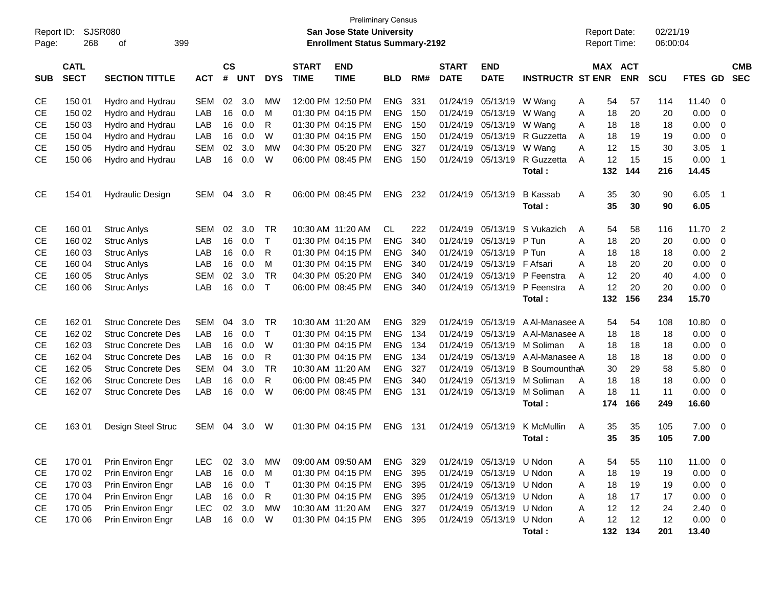| Report ID: | <b>Preliminary Census</b><br><b>SJSR080</b><br>San Jose State University<br><b>Enrollment Status Summary-2192</b> |                           |            |                |            |              |                             |                           |            |     |                             |                           |                           |   | <b>Report Date:</b> |                          | 02/21/19   |              |                         |                          |
|------------|-------------------------------------------------------------------------------------------------------------------|---------------------------|------------|----------------|------------|--------------|-----------------------------|---------------------------|------------|-----|-----------------------------|---------------------------|---------------------------|---|---------------------|--------------------------|------------|--------------|-------------------------|--------------------------|
| Page:      | 268                                                                                                               | 399<br>οf                 |            |                |            |              |                             |                           |            |     |                             |                           |                           |   | Report Time:        |                          | 06:00:04   |              |                         |                          |
| <b>SUB</b> | <b>CATL</b><br><b>SECT</b>                                                                                        | <b>SECTION TITTLE</b>     | <b>ACT</b> | <b>CS</b><br># | <b>UNT</b> | <b>DYS</b>   | <b>START</b><br><b>TIME</b> | <b>END</b><br><b>TIME</b> | <b>BLD</b> | RM# | <b>START</b><br><b>DATE</b> | <b>END</b><br><b>DATE</b> | <b>INSTRUCTR ST ENR</b>   |   | <b>MAX</b>          | <b>ACT</b><br><b>ENR</b> | <b>SCU</b> | FTES GD      |                         | <b>CMB</b><br><b>SEC</b> |
| СE         | 150 01                                                                                                            | Hydro and Hydrau          | <b>SEM</b> | 02             | 3.0        | МW           |                             | 12:00 PM 12:50 PM         | <b>ENG</b> | 331 | 01/24/19                    | 05/13/19                  | W Wang                    | A | 54                  | 57                       | 114        | 11.40        | 0                       |                          |
| <b>CE</b>  | 150 02                                                                                                            | Hydro and Hydrau          | LAB        | 16             | 0.0        | м            |                             | 01:30 PM 04:15 PM         | <b>ENG</b> | 150 | 01/24/19                    | 05/13/19                  | W Wang                    | Α | 18                  | 20                       | 20         | 0.00         | 0                       |                          |
| <b>CE</b>  | 150 03                                                                                                            | Hydro and Hydrau          | LAB        | 16             | 0.0        | R            |                             | 01:30 PM 04:15 PM         | <b>ENG</b> | 150 | 01/24/19                    | 05/13/19                  | W Wang                    | Α | 18                  | 18                       | 18         | 0.00         | 0                       |                          |
| <b>CE</b>  | 150 04                                                                                                            | Hydro and Hydrau          | LAB        | 16             | 0.0        | W            |                             | 01:30 PM 04:15 PM         | <b>ENG</b> | 150 | 01/24/19                    | 05/13/19                  | R Guzzetta                | A | 18                  | 19                       | 19         | 0.00         | $\mathbf 0$             |                          |
| <b>CE</b>  | 150 05                                                                                                            | Hydro and Hydrau          | <b>SEM</b> | 02             | 3.0        | <b>MW</b>    |                             | 04:30 PM 05:20 PM         | <b>ENG</b> | 327 | 01/24/19                    | 05/13/19                  | W Wang                    | A | 12                  | 15                       | 30         | 3.05         | $\overline{1}$          |                          |
| <b>CE</b>  | 150 06                                                                                                            | Hydro and Hydrau          | LAB        | 16             | 0.0        | W            |                             | 06:00 PM 08:45 PM         | <b>ENG</b> | 150 | 01/24/19                    | 05/13/19                  | R Guzzetta                | A | 12                  | 15                       | 15         | 0.00         | -1                      |                          |
|            |                                                                                                                   |                           |            |                |            |              |                             |                           |            |     |                             |                           | Total:                    |   | 132                 | 144                      | 216        | 14.45        |                         |                          |
| СE         | 154 01                                                                                                            | <b>Hydraulic Design</b>   | SEM        | 04             | 3.0        | R            |                             | 06:00 PM 08:45 PM         | <b>ENG</b> | 232 | 01/24/19                    | 05/13/19                  | <b>B</b> Kassab<br>Total: | A | 35<br>35            | 30<br>30                 | 90<br>90   | 6.05<br>6.05 | - 1                     |                          |
| СE         | 160 01                                                                                                            | <b>Struc Anlys</b>        | <b>SEM</b> | 02             | 3.0        | <b>TR</b>    |                             | 10:30 AM 11:20 AM         | CL         | 222 | 01/24/19                    | 05/13/19                  | S Vukazich                | A | 54                  | 58                       | 116        | 11.70        | $\overline{2}$          |                          |
| <b>CE</b>  | 160 02                                                                                                            | <b>Struc Anlys</b>        | LAB        | 16             | 0.0        | $\mathsf{T}$ |                             | 01:30 PM 04:15 PM         | <b>ENG</b> | 340 | 01/24/19                    | 05/13/19                  | P Tun                     | A | 18                  | 20                       | 20         | 0.00         | $\mathbf 0$             |                          |
| <b>CE</b>  | 160 03                                                                                                            | <b>Struc Anlys</b>        | LAB        | 16             | 0.0        | R            |                             | 01:30 PM 04:15 PM         | <b>ENG</b> | 340 | 01/24/19                    | 05/13/19                  | P Tun                     | A | 18                  | 18                       | 18         | 0.00         | 2                       |                          |
| <b>CE</b>  | 160 04                                                                                                            | <b>Struc Anlys</b>        | LAB        | 16             | 0.0        | M            |                             | 01:30 PM 04:15 PM         | <b>ENG</b> | 340 | 01/24/19                    | 05/13/19                  | F Afsari                  | A | 18                  | 20                       | 20         | 0.00         | $\mathbf 0$             |                          |
| <b>CE</b>  | 160 05                                                                                                            | <b>Struc Anlys</b>        | <b>SEM</b> | 02             | 3.0        | <b>TR</b>    |                             | 04:30 PM 05:20 PM         | <b>ENG</b> | 340 | 01/24/19                    | 05/13/19                  | P Feenstra                | A | 12                  | 20                       | 40         | 4.00         | $\mathbf 0$             |                          |
| <b>CE</b>  | 160 06                                                                                                            | <b>Struc Anlys</b>        | LAB        | 16             | 0.0        | $\top$       |                             | 06:00 PM 08:45 PM         | <b>ENG</b> | 340 | 01/24/19                    | 05/13/19                  | P Feenstra                | A | 12                  | 20                       | 20         | 0.00         | $\mathbf 0$             |                          |
|            |                                                                                                                   |                           |            |                |            |              |                             |                           |            |     |                             |                           | Total:                    |   | 132                 | 156                      | 234        | 15.70        |                         |                          |
| СE         | 162 01                                                                                                            | <b>Struc Concrete Des</b> | <b>SEM</b> | 04             | 3.0        | <b>TR</b>    |                             | 10:30 AM 11:20 AM         | <b>ENG</b> | 329 | 01/24/19                    | 05/13/19                  | A Al-Manasee A            |   | 54                  | 54                       | 108        | 10.80        | 0                       |                          |
| <b>CE</b>  | 162 02                                                                                                            | <b>Struc Concrete Des</b> | LAB        | 16             | 0.0        | $\mathsf{T}$ |                             | 01:30 PM 04:15 PM         | <b>ENG</b> | 134 | 01/24/19                    | 05/13/19                  | A Al-Manasee A            |   | 18                  | 18                       | 18         | 0.00         | 0                       |                          |
| <b>CE</b>  | 162 03                                                                                                            | <b>Struc Concrete Des</b> | LAB        | 16             | 0.0        | W            |                             | 01:30 PM 04:15 PM         | <b>ENG</b> | 134 | 01/24/19                    | 05/13/19                  | M Soliman                 | A | 18                  | 18                       | 18         | 0.00         | $\mathbf 0$             |                          |
| <b>CE</b>  | 162 04                                                                                                            | <b>Struc Concrete Des</b> | LAB        | 16             | 0.0        | R            |                             | 01:30 PM 04:15 PM         | <b>ENG</b> | 134 | 01/24/19                    | 05/13/19                  | A Al-Manasee A            |   | 18                  | 18                       | 18         | 0.00         | $\mathbf 0$             |                          |
| <b>CE</b>  | 162 05                                                                                                            | <b>Struc Concrete Des</b> | <b>SEM</b> | 04             | 3.0        | <b>TR</b>    |                             | 10:30 AM 11:20 AM         | <b>ENG</b> | 327 | 01/24/19                    | 05/13/19                  | B SoumounthaA             |   | 30                  | 29                       | 58         | 5.80         | 0                       |                          |
| <b>CE</b>  | 162 06                                                                                                            | <b>Struc Concrete Des</b> | LAB        | 16             | 0.0        | R            |                             | 06:00 PM 08:45 PM         | <b>ENG</b> | 340 | 01/24/19                    | 05/13/19                  | M Soliman                 | A | 18                  | 18                       | 18         | 0.00         | 0                       |                          |
| <b>CE</b>  | 162 07                                                                                                            | <b>Struc Concrete Des</b> | LAB        | 16             | 0.0        | W            |                             | 06:00 PM 08:45 PM         | <b>ENG</b> | 131 |                             | 01/24/19 05/13/19         | M Soliman                 | A | 18                  | 11                       | 11         | 0.00         | $\mathbf 0$             |                          |
|            |                                                                                                                   |                           |            |                |            |              |                             |                           |            |     |                             |                           | Total:                    |   | 174                 | 166                      | 249        | 16.60        |                         |                          |
| СE         | 16301                                                                                                             | Design Steel Struc        | SEM        | 04             | 3.0        | W            |                             | 01:30 PM 04:15 PM         | <b>ENG</b> | 131 |                             | 01/24/19 05/13/19         | K McMullin                | A | 35                  | 35                       | 105        | 7.00         | 0                       |                          |
|            |                                                                                                                   |                           |            |                |            |              |                             |                           |            |     |                             |                           | Total:                    |   | 35                  | 35                       | 105        | 7.00         |                         |                          |
| CЕ         | 170 01                                                                                                            | Prin Environ Engr         | <b>LEC</b> | 02             | 3.0        | МW           |                             | 09:00 AM 09:50 AM         | ENG        | 329 |                             | 01/24/19 05/13/19 U Ndon  |                           | A | 54                  | 55                       | 110        | 11.00        | $\overline{\mathbf{0}}$ |                          |
| CЕ         | 170 02                                                                                                            | Prin Environ Engr         | LAB        | 16             | 0.0        | M            |                             | 01:30 PM 04:15 PM         | ENG        | 395 |                             | 01/24/19 05/13/19         | U Ndon                    | Α | 18                  | 19                       | 19         | 0.00         | $\overline{\mathbf{0}}$ |                          |
| <b>CE</b>  | 170 03                                                                                                            | Prin Environ Engr         | LAB        | 16             | 0.0        | $\top$       |                             | 01:30 PM 04:15 PM         | ENG        | 395 |                             | 01/24/19 05/13/19         | U Ndon                    | Α | 18                  | 19                       | 19         | 0.00         | $\overline{0}$          |                          |
| CЕ         | 170 04                                                                                                            | Prin Environ Engr         | LAB        | 16             | 0.0        | R            |                             | 01:30 PM 04:15 PM         | ENG        | 395 |                             | 01/24/19 05/13/19         | U Ndon                    | Α | 18                  | 17                       | 17         | 0.00         | $\overline{0}$          |                          |
| <b>CE</b>  | 170 05                                                                                                            | Prin Environ Engr         | <b>LEC</b> | 02             | 3.0        | <b>MW</b>    |                             | 10:30 AM 11:20 AM         | ENG        | 327 |                             | 01/24/19 05/13/19         | U Ndon                    | Α | 12                  | 12                       | 24         | 2.40         | $\overline{\mathbf{0}}$ |                          |
| <b>CE</b>  | 170 06                                                                                                            | Prin Environ Engr         | LAB        | 16             | 0.0        | W            |                             | 01:30 PM 04:15 PM         | ENG 395    |     |                             | 01/24/19 05/13/19         | U Ndon                    | Α | 12                  | 12                       | 12         | $0.00 \t 0$  |                         |                          |
|            |                                                                                                                   |                           |            |                |            |              |                             |                           |            |     |                             |                           | Total:                    |   |                     | 132 134                  | 201        | 13.40        |                         |                          |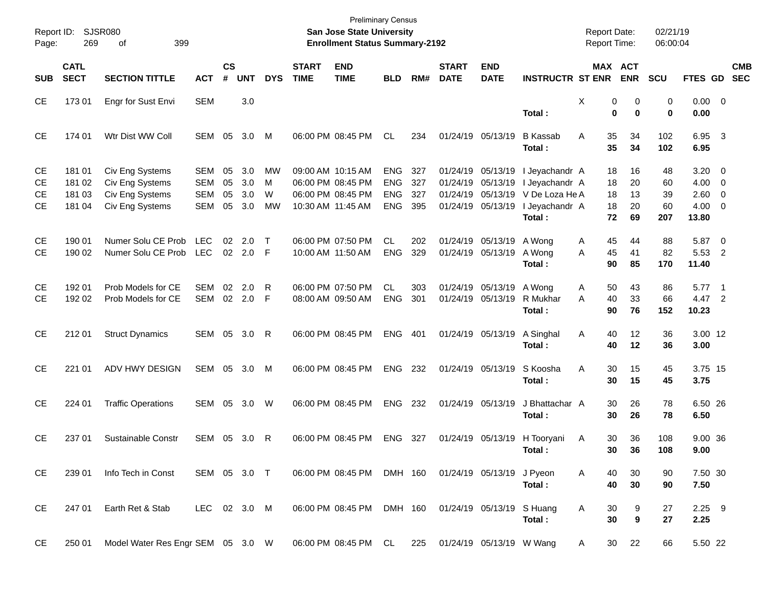| Page:                                     | SJSR080<br>Report ID:<br>269<br>399<br>οf |                                                                          |                                               |                      |                          |                    |                             | <b>Preliminary Census</b><br>San Jose State University<br><b>Enrollment Status Summary-2192</b> |                                                      |                          |                             |                                                                                  |                                                                                | <b>Report Date:</b><br><b>Report Time:</b> |                            | 02/21/19<br>06:00:04        |                                                           |                          |                          |
|-------------------------------------------|-------------------------------------------|--------------------------------------------------------------------------|-----------------------------------------------|----------------------|--------------------------|--------------------|-----------------------------|-------------------------------------------------------------------------------------------------|------------------------------------------------------|--------------------------|-----------------------------|----------------------------------------------------------------------------------|--------------------------------------------------------------------------------|--------------------------------------------|----------------------------|-----------------------------|-----------------------------------------------------------|--------------------------|--------------------------|
| <b>SUB</b>                                | <b>CATL</b><br><b>SECT</b>                | <b>SECTION TITTLE</b>                                                    | <b>ACT</b>                                    | <b>CS</b><br>#       | <b>UNT</b>               | <b>DYS</b>         | <b>START</b><br><b>TIME</b> | <b>END</b><br><b>TIME</b>                                                                       | <b>BLD</b>                                           | RM#                      | <b>START</b><br><b>DATE</b> | <b>END</b><br><b>DATE</b>                                                        | <b>INSTRUCTR ST ENR</b>                                                        |                                            | MAX ACT<br><b>ENR</b>      | <b>SCU</b>                  | FTES GD                                                   |                          | <b>CMB</b><br><b>SEC</b> |
| <b>CE</b>                                 | 17301                                     | Engr for Sust Envi                                                       | <b>SEM</b>                                    |                      | 3.0                      |                    |                             |                                                                                                 |                                                      |                          |                             |                                                                                  | Total:                                                                         | Χ                                          | 0<br>0<br>0<br>0           | 0<br>0                      | $0.00 \t 0$<br>0.00                                       |                          |                          |
| <b>CE</b>                                 | 174 01                                    | Wtr Dist WW Coll                                                         | SEM                                           | 05                   | 3.0                      | M                  |                             | 06:00 PM 08:45 PM                                                                               | <b>CL</b>                                            | 234                      |                             | 01/24/19 05/13/19                                                                | <b>B</b> Kassab<br>Total:                                                      | A<br>35<br>35                              | 34<br>34                   | 102<br>102                  | 6.95 3<br>6.95                                            |                          |                          |
| CЕ<br><b>CE</b><br><b>CE</b><br><b>CE</b> | 181 01<br>181 02<br>181 03<br>181 04      | Civ Eng Systems<br>Civ Eng Systems<br>Civ Eng Systems<br>Civ Eng Systems | <b>SEM</b><br>SEM<br><b>SEM</b><br><b>SEM</b> | 05<br>05<br>05<br>05 | 3.0<br>3.0<br>3.0<br>3.0 | MW<br>М<br>W<br>MW |                             | 09:00 AM 10:15 AM<br>06:00 PM 08:45 PM<br>06:00 PM 08:45 PM<br>10:30 AM 11:45 AM                | <b>ENG</b><br><b>ENG</b><br><b>ENG</b><br><b>ENG</b> | 327<br>327<br>327<br>395 |                             | 01/24/19 05/13/19<br>01/24/19 05/13/19<br>01/24/19 05/13/19<br>01/24/19 05/13/19 | I Jeyachandr A<br>I Jeyachandr A<br>V De Loza He A<br>I Jeyachandr A<br>Total: | 18<br>18<br>18<br>18<br>72                 | 16<br>20<br>13<br>20<br>69 | 48<br>60<br>39<br>60<br>207 | $3.20 \ 0$<br>$4.00 \ 0$<br>2.60 0<br>$4.00 \ 0$<br>13.80 |                          |                          |
| <b>CE</b><br><b>CE</b>                    | 190 01<br>190 02                          | Numer Solu CE Prob<br>Numer Solu CE Prob                                 | <b>LEC</b><br><b>LEC</b>                      | 02 <sub>o</sub>      | 2.0<br>02 2.0 F          | $\top$             |                             | 06:00 PM 07:50 PM<br>10:00 AM 11:50 AM                                                          | CL.<br><b>ENG</b>                                    | 202<br>329               |                             | 01/24/19 05/13/19 A Wong<br>01/24/19 05/13/19                                    | A Wong<br>Total:                                                               | 45<br>A<br>45<br>A<br>90                   | 44<br>41<br>85             | 88<br>82<br>170             | 5.87 0<br>5.53 2<br>11.40                                 |                          |                          |
| <b>CE</b><br><b>CE</b>                    | 192 01<br>192 02                          | Prob Models for CE<br>Prob Models for CE                                 | <b>SEM</b><br>SEM 02 2.0                      |                      | 02 2.0                   | R<br>F             |                             | 06:00 PM 07:50 PM<br>08:00 AM 09:50 AM                                                          | CL<br><b>ENG</b>                                     | 303<br>301               |                             | 01/24/19 05/13/19<br>01/24/19 05/13/19                                           | A Wong<br>R Mukhar<br>Total :                                                  | 50<br>A<br>40<br>A<br>90                   | 43<br>33<br>76             | 86<br>66<br>152             | 5.77<br>4.47 2<br>10.23                                   | $\overline{\phantom{1}}$ |                          |
| <b>CE</b>                                 | 212 01                                    | <b>Struct Dynamics</b>                                                   | SEM 05 3.0                                    |                      |                          | R                  |                             | 06:00 PM 08:45 PM                                                                               | <b>ENG</b>                                           | - 401                    |                             | 01/24/19 05/13/19                                                                | A Singhal<br>Total:                                                            | Α<br>40<br>40                              | 12<br>12                   | 36<br>36                    | 3.00 12<br>3.00                                           |                          |                          |
| <b>CE</b>                                 | 221 01                                    | ADV HWY DESIGN                                                           | SEM 05 3.0                                    |                      |                          | M                  |                             | 06:00 PM 08:45 PM                                                                               | <b>ENG</b>                                           | 232                      |                             | 01/24/19 05/13/19                                                                | S Koosha<br>Total:                                                             | A<br>30<br>30                              | 15<br>15                   | 45<br>45                    | 3.75 15<br>3.75                                           |                          |                          |
| <b>CE</b>                                 | 224 01                                    | <b>Traffic Operations</b>                                                | SEM 05 3.0                                    |                      |                          | W                  |                             | 06:00 PM 08:45 PM                                                                               | <b>ENG</b>                                           | 232                      |                             | 01/24/19 05/13/19                                                                | J Bhattachar A<br>Total:                                                       | 30<br>30                                   | 26<br>26                   | 78<br>78                    | 6.50 26<br>6.50                                           |                          |                          |
| <b>CE</b>                                 | 237 01                                    | Sustainable Constr                                                       | SEM 05                                        |                      | 3.0                      | R                  |                             | 06:00 PM 08:45 PM                                                                               | <b>ENG</b>                                           | 327                      |                             | 01/24/19 05/13/19                                                                | H Tooryani<br>Total :                                                          | Α<br>30<br>30                              | 36<br>36                   | 108<br>108                  | 9.00 36<br>9.00                                           |                          |                          |
| CE.                                       | 239 01                                    | Info Tech in Const                                                       | SEM 05 3.0 T                                  |                      |                          |                    |                             | 06:00 PM 08:45 PM DMH 160 01/24/19 05/13/19 J Pyeon                                             |                                                      |                          |                             |                                                                                  | Total:                                                                         | A<br>40<br>40                              | 30<br>30                   | 90<br>90                    | 7.50 30<br>7.50                                           |                          |                          |
| CE                                        | 247 01                                    | Earth Ret & Stab                                                         | LEC 02 3.0 M                                  |                      |                          |                    |                             | 06:00 PM 08:45 PM DMH 160 01/24/19 05/13/19 S Huang                                             |                                                      |                          |                             |                                                                                  | Total:                                                                         | A<br>30<br>30                              | 9<br>9                     | 27<br>27                    | $2.25$ 9<br>2.25                                          |                          |                          |
| CE                                        | 250 01                                    | Model Water Res Engr SEM 05 3.0 W                                        |                                               |                      |                          |                    |                             | 06:00 PM 08:45 PM CL 225 01/24/19 05/13/19 W Wang                                               |                                                      |                          |                             |                                                                                  |                                                                                | A                                          | 30<br>22                   | 66                          | 5.50 22                                                   |                          |                          |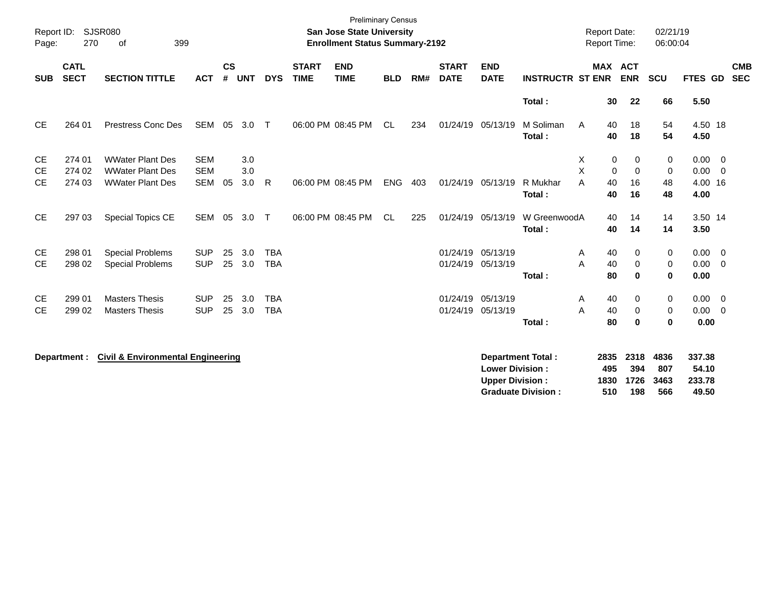| Report ID:<br>Page:    | 270                        | SJSR080<br>399<br>οf                               |                          |                |            |                          |                             | <b>Preliminary Census</b><br>San Jose State University<br><b>Enrollment Status Summary-2192</b> |            |     |                             |                                                  |                                                       | <b>Report Date:</b><br><b>Report Time:</b> |                            |                              | 02/21/19<br>06:00:04       |                                    |                          |
|------------------------|----------------------------|----------------------------------------------------|--------------------------|----------------|------------|--------------------------|-----------------------------|-------------------------------------------------------------------------------------------------|------------|-----|-----------------------------|--------------------------------------------------|-------------------------------------------------------|--------------------------------------------|----------------------------|------------------------------|----------------------------|------------------------------------|--------------------------|
| <b>SUB</b>             | <b>CATL</b><br><b>SECT</b> | <b>SECTION TITTLE</b>                              | <b>ACT</b>               | <b>CS</b><br># | <b>UNT</b> | <b>DYS</b>               | <b>START</b><br><b>TIME</b> | <b>END</b><br><b>TIME</b>                                                                       | <b>BLD</b> | RM# | <b>START</b><br><b>DATE</b> | <b>END</b><br><b>DATE</b>                        | <b>INSTRUCTR ST ENR</b>                               |                                            |                            | MAX ACT<br><b>ENR</b>        | SCU                        | FTES GD                            | <b>CMB</b><br><b>SEC</b> |
|                        |                            |                                                    |                          |                |            |                          |                             |                                                                                                 |            |     |                             |                                                  | Total:                                                |                                            | 30                         | 22                           | 66                         | 5.50                               |                          |
| CE                     | 264 01                     | Prestress Conc Des                                 | SEM 05                   |                | 3.0        | $\top$                   |                             | 06:00 PM 08:45 PM                                                                               | CL.        | 234 | 01/24/19 05/13/19           |                                                  | M Soliman<br>Total:                                   | A                                          | 40<br>40                   | 18<br>18                     | 54<br>54                   | 4.50 18<br>4.50                    |                          |
| <b>CE</b><br><b>CE</b> | 274 01<br>274 02           | <b>WWater Plant Des</b><br><b>WWater Plant Des</b> | <b>SEM</b><br><b>SEM</b> |                | 3.0<br>3.0 |                          |                             |                                                                                                 |            |     |                             |                                                  |                                                       | х<br>X                                     | 0<br>0                     | 0<br>$\mathbf 0$             | 0<br>$\mathbf 0$           | $0.00 \t 0$<br>$0.00 \ 0$          |                          |
| <b>CE</b>              | 274 03                     | <b>WWater Plant Des</b>                            | <b>SEM</b>               | 05             | 3.0        | R                        |                             | 06:00 PM 08:45 PM                                                                               | <b>ENG</b> | 403 |                             | 01/24/19 05/13/19                                | R Mukhar<br>Total:                                    | A                                          | 40<br>40                   | 16<br>16                     | 48<br>48                   | 4.00 16<br>4.00                    |                          |
| <b>CE</b>              | 297 03                     | <b>Special Topics CE</b>                           | SEM 05                   |                | 3.0        | $\top$                   |                             | 06:00 PM 08:45 PM                                                                               | CL         | 225 |                             | 01/24/19 05/13/19                                | W GreenwoodA<br>Total:                                |                                            | 40<br>40                   | 14<br>14                     | 14<br>14                   | 3.50 14<br>3.50                    |                          |
| <b>CE</b><br><b>CE</b> | 298 01<br>298 02           | <b>Special Problems</b><br><b>Special Problems</b> | <b>SUP</b><br><b>SUP</b> | 25<br>25       | 3.0<br>3.0 | <b>TBA</b><br><b>TBA</b> |                             |                                                                                                 |            |     |                             | 01/24/19 05/13/19<br>01/24/19 05/13/19           | Total:                                                | Α<br>A                                     | 40<br>40<br>80             | 0<br>$\mathbf 0$<br>$\bf{0}$ | 0<br>0<br>$\mathbf 0$      | $0.00 \t 0$<br>$0.00 \t 0$<br>0.00 |                          |
| <b>CE</b><br><b>CE</b> | 299 01<br>299 02           | <b>Masters Thesis</b><br><b>Masters Thesis</b>     | <b>SUP</b><br><b>SUP</b> | 25<br>25       | 3.0<br>3.0 | <b>TBA</b><br><b>TBA</b> |                             |                                                                                                 |            |     |                             | 01/24/19 05/13/19<br>01/24/19 05/13/19           | Total:                                                | Α<br>A                                     | 40<br>40<br>80             | 0<br>0<br>$\bf{0}$           | 0<br>0<br>$\mathbf{0}$     | $0.00 \t 0$<br>$0.00 \t 0$<br>0.00 |                          |
|                        | Department :               | <b>Civil &amp; Environmental Engineering</b>       |                          |                |            |                          |                             |                                                                                                 |            |     |                             | <b>Lower Division:</b><br><b>Upper Division:</b> | <b>Department Total:</b><br><b>Graduate Division:</b> |                                            | 2835<br>495<br>1830<br>510 | 2318<br>394<br>1726<br>198   | 4836<br>807<br>3463<br>566 | 337.38<br>54.10<br>233.78<br>49.50 |                          |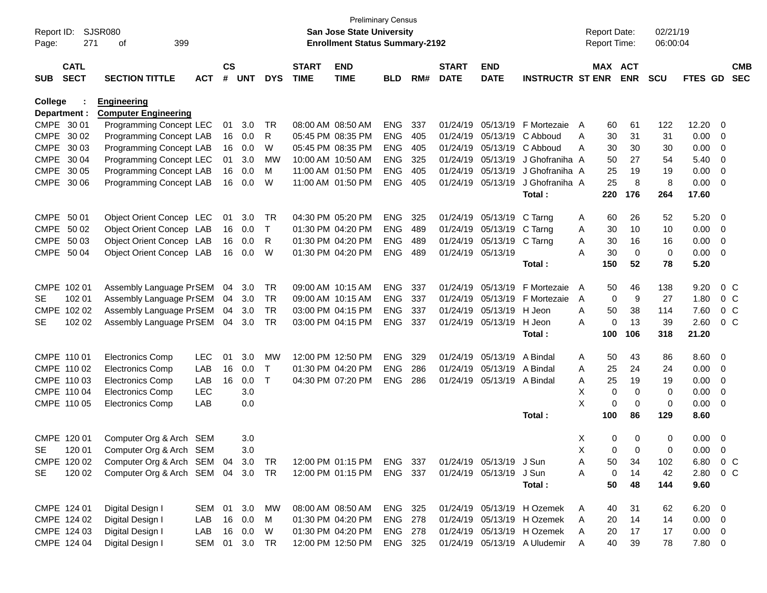| Page:      | Report ID: SJSR080<br>271  | 399<br>οf                            |               |                    |                |              |              | <b>Preliminary Census</b><br><b>San Jose State University</b><br><b>Enrollment Status Summary-2192</b> |            |     |                   |                         |                                                          |        | <b>Report Date:</b><br><b>Report Time:</b> |             | 02/21/19<br>06:00:04 |                            |                         |                |
|------------|----------------------------|--------------------------------------|---------------|--------------------|----------------|--------------|--------------|--------------------------------------------------------------------------------------------------------|------------|-----|-------------------|-------------------------|----------------------------------------------------------|--------|--------------------------------------------|-------------|----------------------|----------------------------|-------------------------|----------------|
|            | <b>CATL</b>                |                                      |               |                    |                |              | <b>START</b> | <b>END</b>                                                                                             |            |     | <b>START</b>      | <b>END</b>              |                                                          |        | MAX ACT                                    |             |                      |                            |                         | <b>CMB</b>     |
| <b>SUB</b> | <b>SECT</b>                | <b>SECTION TITTLE</b>                | <b>ACT</b>    | $\mathsf{cs}$<br># | <b>UNT</b>     | <b>DYS</b>   | <b>TIME</b>  | <b>TIME</b>                                                                                            | <b>BLD</b> | RM# | <b>DATE</b>       | <b>DATE</b>             | <b>INSTRUCTR ST ENR</b>                                  |        |                                            | <b>ENR</b>  | <b>SCU</b>           | FTES GD                    |                         | <b>SEC</b>     |
| College    |                            | <b>Engineering</b>                   |               |                    |                |              |              |                                                                                                        |            |     |                   |                         |                                                          |        |                                            |             |                      |                            |                         |                |
|            | Department :               | <b>Computer Engineering</b>          |               |                    |                |              |              |                                                                                                        |            |     |                   |                         |                                                          |        |                                            |             |                      |                            |                         |                |
|            | CMPE 30 01                 | Programming Concept LEC              |               | 01                 | 3.0            | TR           |              | 08:00 AM 08:50 AM                                                                                      | <b>ENG</b> | 337 | 01/24/19          | 05/13/19                | F Mortezaie                                              | A      | 60                                         | 61          | 122                  | 12.20                      | 0                       |                |
|            | CMPE 30 02                 | Programming Concept LAB              |               | 16                 | 0.0            | R            |              | 05:45 PM 08:35 PM                                                                                      | <b>ENG</b> | 405 | 01/24/19          |                         | 05/13/19 C Abboud                                        | A      | 30                                         | 31          | 31                   | 0.00                       | - 0                     |                |
|            | CMPE 30 03                 | Programming Concept LAB              |               | 16                 | 0.0            | W            |              | 05:45 PM 08:35 PM                                                                                      | <b>ENG</b> | 405 | 01/24/19          | 05/13/19                | C Abboud                                                 | A      | 30                                         | 30          | 30                   | 0.00                       | 0                       |                |
|            | CMPE 30 04                 | Programming Concept LEC              |               | 01                 | 3.0            | МW           |              | 10:00 AM 10:50 AM                                                                                      | <b>ENG</b> | 325 | 01/24/19          | 05/13/19                | J Ghofraniha A                                           |        | 50                                         | 27          | 54                   | 5.40                       | 0                       |                |
|            | CMPE 30 05                 | Programming Concept LAB              |               | 16                 | 0.0            | M            |              | 11:00 AM 01:50 PM                                                                                      | <b>ENG</b> | 405 | 01/24/19          | 05/13/19                | J Ghofraniha A                                           |        | 25                                         | 19          | 19                   | 0.00                       | $\overline{0}$          |                |
|            | CMPE 30 06                 | Programming Concept LAB              |               | 16                 | 0.0            | W            |              | 11:00 AM 01:50 PM                                                                                      | <b>ENG</b> | 405 | 01/24/19          | 05/13/19                | J Ghofraniha A                                           |        | 25                                         | 8           | 8                    | 0.00                       | $\overline{0}$          |                |
|            |                            |                                      |               |                    |                |              |              |                                                                                                        |            |     |                   |                         | Total:                                                   |        | 220                                        | 176         | 264                  | 17.60                      |                         |                |
|            | CMPE 50 01                 | Object Orient Concep LEC             |               | 01                 | 3.0            | TR           |              | 04:30 PM 05:20 PM                                                                                      | <b>ENG</b> | 325 |                   | 01/24/19 05/13/19       | C Tarng                                                  | A      | 60                                         | 26          | 52                   | 5.20                       | 0                       |                |
|            | CMPE 50 02                 | Object Orient Concep LAB             |               | 16                 | 0.0            | T            |              | 01:30 PM 04:20 PM                                                                                      | <b>ENG</b> | 489 | 01/24/19          | 05/13/19                | C Tarng                                                  | A      | 30                                         | 10          | 10                   | 0.00                       | 0                       |                |
|            | CMPE 50 03                 | Object Orient Concep LAB             |               | 16                 | 0.0            | R            |              | 01:30 PM 04:20 PM                                                                                      | <b>ENG</b> | 489 | 01/24/19          | 05/13/19                | C Tarng                                                  | Α      | 30                                         | 16          | 16                   | 0.00                       | $\overline{0}$          |                |
|            | CMPE 50 04                 | Object Orient Concep LAB             |               | 16                 | 0.0            | W            |              | 01:30 PM 04:20 PM                                                                                      | <b>ENG</b> | 489 | 01/24/19 05/13/19 |                         |                                                          | A      | 30                                         | 0           | 0                    | 0.00                       | $\overline{0}$          |                |
|            |                            |                                      |               |                    |                |              |              |                                                                                                        |            |     |                   |                         | Total:                                                   |        | 150                                        | 52          | 78                   | 5.20                       |                         |                |
|            | CMPE 102 01                | Assembly Language PrSEM              |               | 04                 | 3.0            | TR           |              | 09:00 AM 10:15 AM                                                                                      | <b>ENG</b> | 337 | 01/24/19          | 05/13/19                | F Mortezaie                                              | A      | 50                                         | 46          | 138                  | 9.20                       |                         | $0\,C$         |
| SE.        | 102 01                     | Assembly Language PrSEM              |               | 04                 | 3.0            | TR           |              | 09:00 AM 10:15 AM                                                                                      | <b>ENG</b> | 337 | 01/24/19          | 05/13/19                | F Mortezaie                                              | A      | 0                                          | 9           | 27                   | 1.80                       |                         | 0 <sup>C</sup> |
|            | CMPE 102 02                | Assembly Language PrSEM              |               | 04                 | 3.0            | <b>TR</b>    |              | 03:00 PM 04:15 PM                                                                                      | <b>ENG</b> | 337 | 01/24/19          | 05/13/19 H Jeon         |                                                          | A      | 50                                         | 38          | 114                  | 7.60                       |                         | 0 <sup>C</sup> |
| <b>SE</b>  | 102 02                     | Assembly Language PrSEM              |               | 04                 | 3.0            | TR           |              | 03:00 PM 04:15 PM                                                                                      | ENG        | 337 | 01/24/19          | 05/13/19                | H Jeon                                                   | A      | 0                                          | 13          | 39                   | 2.60                       |                         | 0 <sup>C</sup> |
|            |                            |                                      |               |                    |                |              |              |                                                                                                        |            |     |                   |                         | Total:                                                   |        | 100                                        | 106         | 318                  | 21.20                      |                         |                |
|            | CMPE 110 01                | <b>Electronics Comp</b>              | <b>LEC</b>    | 01                 | 3.0            | MW           |              | 12:00 PM 12:50 PM                                                                                      | <b>ENG</b> | 329 | 01/24/19          | 05/13/19                | A Bindal                                                 | A      | 50                                         | 43          | 86                   | 8.60                       | $\overline{\mathbf{0}}$ |                |
|            | CMPE 110 02                | <b>Electronics Comp</b>              | LAB           | 16                 | 0.0            | Τ            |              | 01:30 PM 04:20 PM                                                                                      | <b>ENG</b> | 286 | 01/24/19          | 05/13/19                | A Bindal                                                 | A      | 25                                         | 24          | 24                   | 0.00                       | $\overline{0}$          |                |
|            | CMPE 110 03                | <b>Electronics Comp</b>              | LAB           | 16                 | 0.0            | $\mathsf{T}$ |              | 04:30 PM 07:20 PM                                                                                      | <b>ENG</b> | 286 | 01/24/19          | 05/13/19 A Bindal       |                                                          | A      | 25                                         | 19          | 19                   | 0.00                       | $\overline{0}$          |                |
|            | CMPE 110 04                | <b>Electronics Comp</b>              | <b>LEC</b>    |                    | 3.0            |              |              |                                                                                                        |            |     |                   |                         |                                                          | X      | $\mathbf 0$                                | $\mathbf 0$ | $\mathbf 0$          | 0.00                       | 0                       |                |
|            | CMPE 110 05                | <b>Electronics Comp</b>              | LAB           |                    | 0.0            |              |              |                                                                                                        |            |     |                   |                         |                                                          | X      | 0                                          | 0           | $\mathbf 0$          | 0.00                       | $\overline{0}$          |                |
|            |                            |                                      |               |                    |                |              |              |                                                                                                        |            |     |                   |                         | Total:                                                   |        | 100                                        | 86          | 129                  | 8.60                       |                         |                |
|            | CMPE 120 01                | Computer Org & Arch                  | SEM           |                    | 3.0            |              |              |                                                                                                        |            |     |                   |                         |                                                          | X      | 0                                          | 0           | 0                    | 0.00                       | $\overline{0}$          |                |
| SE         | 120 01                     | Computer Org & Arch SEM              |               |                    | 3.0            |              |              |                                                                                                        |            |     |                   |                         |                                                          | X      | $\Omega$                                   | 0           | 0                    | 0.00                       | $\overline{0}$          |                |
|            | CMPE 120 02                | Computer Org & Arch SEM 04 3.0 TR    |               |                    |                |              |              | 12:00 PM 01:15 PM                                                                                      | ENG 337    |     |                   | 01/24/19 05/13/19 J Sun |                                                          | A      | 50                                         | 34          | 102                  | 6.80 0 C                   |                         |                |
| SE         | 120 02                     | Computer Org & Arch SEM 04 3.0 TR    |               |                    |                |              |              | 12:00 PM 01:15 PM                                                                                      | ENG 337    |     |                   | 01/24/19 05/13/19       | J Sun                                                    | A      | 0                                          | 14          | 42                   | 2.80 0 C                   |                         |                |
|            |                            |                                      |               |                    |                |              |              |                                                                                                        |            |     |                   |                         | Total:                                                   |        | 50                                         | 48          | 144                  | 9.60                       |                         |                |
|            |                            | Digital Design I                     | SEM 01 3.0    |                    |                |              |              | 08:00 AM 08:50 AM                                                                                      | ENG 325    |     |                   |                         |                                                          |        |                                            |             |                      |                            |                         |                |
|            | CMPE 124 01<br>CMPE 124 02 |                                      | LAB           | 16                 |                | MW           |              | 01:30 PM 04:20 PM                                                                                      | ENG 278    |     |                   |                         | 01/24/19 05/13/19 H Ozemek<br>01/24/19 05/13/19 H Ozemek | A      | 40                                         | 31          | 62                   | $6.20 \t 0$                |                         |                |
|            | CMPE 124 03                | Digital Design I<br>Digital Design I | LAB           |                    | 0.0<br>16  0.0 | M<br>W       |              | 01:30 PM 04:20 PM                                                                                      | ENG 278    |     |                   |                         | 01/24/19 05/13/19 H Ozemek                               | A<br>A | 20<br>20                                   | 14<br>17    | 14<br>17             | $0.00 \t 0$<br>$0.00 \t 0$ |                         |                |
|            | CMPE 124 04                | Digital Design I                     | SEM 01 3.0 TR |                    |                |              |              | 12:00 PM 12:50 PM                                                                                      | ENG 325    |     |                   |                         | 01/24/19 05/13/19 A Uludemir                             | A      | 40                                         | 39          | 78                   | 7.80 0                     |                         |                |
|            |                            |                                      |               |                    |                |              |              |                                                                                                        |            |     |                   |                         |                                                          |        |                                            |             |                      |                            |                         |                |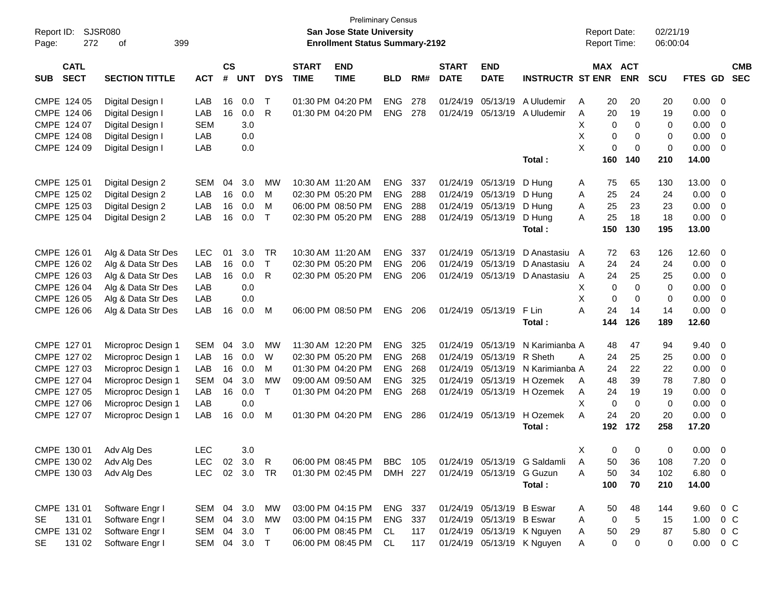| Report ID:<br>Page: | 272                        | <b>SJSR080</b><br>399<br>of |              |                    |            |              |                             | San Jose State University<br><b>Enrollment Status Summary-2192</b> | <b>Preliminary Census</b> |     |                             |                           |                              | <b>Report Date:</b><br><b>Report Time:</b> |                |                       | 02/21/19<br>06:00:04 |               |                          |            |
|---------------------|----------------------------|-----------------------------|--------------|--------------------|------------|--------------|-----------------------------|--------------------------------------------------------------------|---------------------------|-----|-----------------------------|---------------------------|------------------------------|--------------------------------------------|----------------|-----------------------|----------------------|---------------|--------------------------|------------|
| <b>SUB</b>          | <b>CATL</b><br><b>SECT</b> | <b>SECTION TITTLE</b>       | <b>ACT</b>   | $\mathsf{cs}$<br># | <b>UNT</b> | <b>DYS</b>   | <b>START</b><br><b>TIME</b> | <b>END</b><br><b>TIME</b>                                          | <b>BLD</b>                | RM# | <b>START</b><br><b>DATE</b> | <b>END</b><br><b>DATE</b> | <b>INSTRUCTR ST ENR</b>      |                                            |                | MAX ACT<br><b>ENR</b> | <b>SCU</b>           | FTES GD SEC   |                          | <b>CMB</b> |
| CMPE 124 05         |                            | Digital Design I            | LAB          | 16                 | 0.0        | $\mathsf{T}$ |                             | 01:30 PM 04:20 PM                                                  | <b>ENG</b>                | 278 | 01/24/19                    | 05/13/19                  | A Uludemir                   | A                                          | 20             | 20                    | 20                   | 0.00          | - 0                      |            |
| CMPE 124 06         |                            | Digital Design I            | LAB          | 16                 | 0.0        | R            |                             | 01:30 PM 04:20 PM                                                  | <b>ENG</b>                | 278 | 01/24/19                    | 05/13/19                  | A Uludemir                   | A                                          | 20             | 19                    | 19                   | 0.00          | $\overline{\mathbf{0}}$  |            |
| CMPE 124 07         |                            | Digital Design I            | <b>SEM</b>   |                    | 3.0        |              |                             |                                                                    |                           |     |                             |                           |                              | X                                          | 0              | $\mathbf 0$           | 0                    | 0.00          | $\overline{\mathbf{0}}$  |            |
| CMPE 124 08         |                            | Digital Design I            | LAB          |                    | 0.0        |              |                             |                                                                    |                           |     |                             |                           |                              | X                                          | 0              | 0                     | 0                    | 0.00          | $\overline{0}$           |            |
| CMPE 124 09         |                            | Digital Design I            | LAB          |                    | 0.0        |              |                             |                                                                    |                           |     |                             |                           |                              | X                                          | $\mathbf 0$    | 0                     | $\pmb{0}$            | 0.00          | $\overline{\phantom{0}}$ |            |
|                     |                            |                             |              |                    |            |              |                             |                                                                    |                           |     |                             |                           | Total:                       |                                            | 160            | 140                   | 210                  | 14.00         |                          |            |
| CMPE 125 01         |                            | Digital Design 2            | <b>SEM</b>   | 04                 | 3.0        | MW           | 10:30 AM 11:20 AM           |                                                                    | <b>ENG</b>                | 337 |                             | 01/24/19 05/13/19         | D Hung                       | A                                          | 75             | 65                    | 130                  | 13.00         | $\overline{\mathbf{0}}$  |            |
| CMPE 125 02         |                            | Digital Design 2            | LAB          | 16                 | 0.0        | M            |                             | 02:30 PM 05:20 PM                                                  | <b>ENG</b>                | 288 |                             | 01/24/19 05/13/19         | D Hung                       | A                                          | 25             | 24                    | 24                   | $0.00 \t 0$   |                          |            |
| CMPE 125 03         |                            | Digital Design 2            | LAB          | 16                 | 0.0        | м            |                             | 06:00 PM 08:50 PM                                                  | <b>ENG</b>                | 288 | 01/24/19                    | 05/13/19                  | D Hung                       | Α                                          | 25             | 23                    | 23                   | 0.00          | $\overline{0}$           |            |
| CMPE 125 04         |                            | Digital Design 2            | LAB          | 16                 | 0.0        | $\top$       |                             | 02:30 PM 05:20 PM                                                  | <b>ENG</b>                | 288 |                             | 01/24/19 05/13/19         | D Hung                       | A                                          | 25             | 18                    | 18                   | 0.00          | $\overline{\phantom{0}}$ |            |
|                     |                            |                             |              |                    |            |              |                             |                                                                    |                           |     |                             |                           | Total:                       |                                            | 150            | 130                   | 195                  | 13.00         |                          |            |
| CMPE 126 01         |                            | Alg & Data Str Des          | <b>LEC</b>   | 01                 | 3.0        | <b>TR</b>    | 10:30 AM 11:20 AM           |                                                                    | <b>ENG</b>                | 337 | 01/24/19                    | 05/13/19                  | D Anastasiu A                |                                            | 72             | 63                    | 126                  | 12.60         | $\overline{\mathbf{0}}$  |            |
| CMPE 126 02         |                            | Alg & Data Str Des          | LAB          | 16                 | 0.0        | $\mathsf{T}$ |                             | 02:30 PM 05:20 PM                                                  | <b>ENG</b>                | 206 | 01/24/19                    | 05/13/19                  | D Anastasiu                  | A                                          | 24             | 24                    | 24                   | $0.00 \ 0$    |                          |            |
| CMPE 126 03         |                            | Alg & Data Str Des          | LAB          | 16                 | 0.0        | R            |                             | 02:30 PM 05:20 PM                                                  | ENG                       | 206 |                             | 01/24/19 05/13/19         | D Anastasiu                  | A                                          | 24             | 25                    | 25                   | 0.00          | $\overline{\mathbf{0}}$  |            |
| CMPE 126 04         |                            | Alg & Data Str Des          | LAB          |                    | 0.0        |              |                             |                                                                    |                           |     |                             |                           |                              | X                                          | 0              | $\mathbf 0$           | 0                    | 0.00          | $\overline{0}$           |            |
| CMPE 126 05         |                            | Alg & Data Str Des          | LAB          |                    | 0.0        |              |                             |                                                                    |                           |     |                             |                           |                              | X                                          | $\mathbf 0$    | 0                     | 0                    | 0.00          | $\overline{0}$           |            |
| CMPE 126 06         |                            | Alg & Data Str Des          | LAB          | 16                 | 0.0        | M            |                             | 06:00 PM 08:50 PM                                                  | ENG                       | 206 |                             | 01/24/19 05/13/19         | F Lin                        | A                                          | 24             | 14                    | 14                   | 0.00          | $\overline{\phantom{0}}$ |            |
|                     |                            |                             |              |                    |            |              |                             |                                                                    |                           |     |                             |                           | Total:                       |                                            | 144            | 126                   | 189                  | 12.60         |                          |            |
| CMPE 127 01         |                            | Microproc Design 1          | <b>SEM</b>   | 04                 | 3.0        | MW           |                             | 11:30 AM 12:20 PM                                                  | <b>ENG</b>                | 325 | 01/24/19                    | 05/13/19                  | N Karimianba A               |                                            | 48             | 47                    | 94                   | 9.40          | $\overline{\mathbf{0}}$  |            |
| CMPE 127 02         |                            | Microproc Design 1          | LAB          | 16                 | 0.0        | W            |                             | 02:30 PM 05:20 PM                                                  | <b>ENG</b>                | 268 | 01/24/19                    | 05/13/19                  | R Sheth                      | A                                          | 24             | 25                    | 25                   | 0.00          | $\overline{\phantom{0}}$ |            |
| CMPE 127 03         |                            | Microproc Design 1          | LAB          | 16                 | 0.0        | м            |                             | 01:30 PM 04:20 PM                                                  | <b>ENG</b>                | 268 | 01/24/19                    | 05/13/19                  | N Karimianba A               |                                            | 24             | 22                    | 22                   | 0.00          | $\overline{\mathbf{0}}$  |            |
| CMPE 127 04         |                            | Microproc Design 1          | <b>SEM</b>   | 04                 | 3.0        | MW           |                             | 09:00 AM 09:50 AM                                                  | <b>ENG</b>                | 325 | 01/24/19                    | 05/13/19                  | H Ozemek                     | A                                          | 48             | 39                    | 78                   | 7.80          | $\overline{\mathbf{0}}$  |            |
| CMPE 127 05         |                            | Microproc Design 1          | LAB          | 16                 | 0.0        | $\mathsf{T}$ |                             | 01:30 PM 04:20 PM                                                  | ENG                       | 268 | 01/24/19                    |                           | 05/13/19 H Ozemek            | Α                                          | 24             | 19                    | 19                   | 0.00          | $\overline{0}$           |            |
| CMPE 127 06         |                            | Microproc Design 1          | LAB          |                    | 0.0        |              |                             |                                                                    |                           |     |                             |                           |                              | X                                          | 0              | $\mathbf 0$           | 0                    | 0.00          | $\overline{\mathbf{0}}$  |            |
| CMPE 127 07         |                            | Microproc Design 1          | LAB          | 16                 | 0.0        | M            |                             | 01:30 PM 04:20 PM                                                  | <b>ENG</b>                | 286 |                             | 01/24/19 05/13/19         | H Ozemek                     | A                                          | 24             | 20                    | 20                   | 0.00          | $\overline{0}$           |            |
|                     |                            |                             |              |                    |            |              |                             |                                                                    |                           |     |                             |                           | Total:                       |                                            | 192            | 172                   | 258                  | 17.20         |                          |            |
|                     |                            | CMPE 130 01 Adv Alg Des     | LEC          |                    | 3.0        |              |                             |                                                                    |                           |     |                             |                           |                              | X                                          | $\overline{0}$ | $\overline{0}$        | 0                    | $0.00 \t 0$   |                          |            |
| CMPE 130 02         |                            | Adv Alg Des                 | <b>LEC</b>   |                    | 02 3.0     | $\mathsf{R}$ |                             | 06:00 PM 08:45 PM                                                  | <b>BBC</b> 105            |     |                             |                           | 01/24/19 05/13/19 G Saldamli | A                                          | 50             | 36                    | 108                  | $7.20 \t 0$   |                          |            |
| CMPE 130 03         |                            | Adv Alg Des                 | <b>LEC</b>   |                    | 02 3.0 TR  |              |                             | 01:30 PM 02:45 PM                                                  | DMH 227                   |     |                             | 01/24/19 05/13/19 G Guzun |                              | Α                                          | 50             | 34                    | 102                  | 6.80 0        |                          |            |
|                     |                            |                             |              |                    |            |              |                             |                                                                    |                           |     |                             |                           | Total:                       |                                            | 100            | 70                    | 210                  | 14.00         |                          |            |
| CMPE 131 01         |                            | Software Engr I             | SEM 04 3.0   |                    |            | МW           |                             | 03:00 PM 04:15 PM                                                  | ENG 337                   |     |                             | 01/24/19 05/13/19 B Eswar |                              | A                                          | 50             | 48                    | 144                  | 9.60          | $0\,C$                   |            |
| SE.                 | 131 01                     | Software Engr I             | SEM          |                    | 04 3.0     | МW           |                             | 03:00 PM 04:15 PM                                                  | ENG 337                   |     |                             | 01/24/19 05/13/19 B Eswar |                              | Α                                          | 0              | 5                     | 15                   | 1.00          | $0\,$ C                  |            |
| CMPE 131 02         |                            | Software Engr I             | SEM 04 3.0   |                    |            | $\top$       |                             | 06:00 PM 08:45 PM                                                  | CL                        | 117 |                             |                           | 01/24/19 05/13/19 K Nguyen   | A                                          | 50             | 29                    | 87                   | 5.80          | $0\,C$                   |            |
| SE                  | 131 02                     | Software Engr I             | SEM 04 3.0 T |                    |            |              |                             | 06:00 PM 08:45 PM                                                  | CL                        | 117 |                             |                           | 01/24/19 05/13/19 K Nguyen   | A                                          | $\pmb{0}$      | $\pmb{0}$             | 0                    | $0.00 \t 0 C$ |                          |            |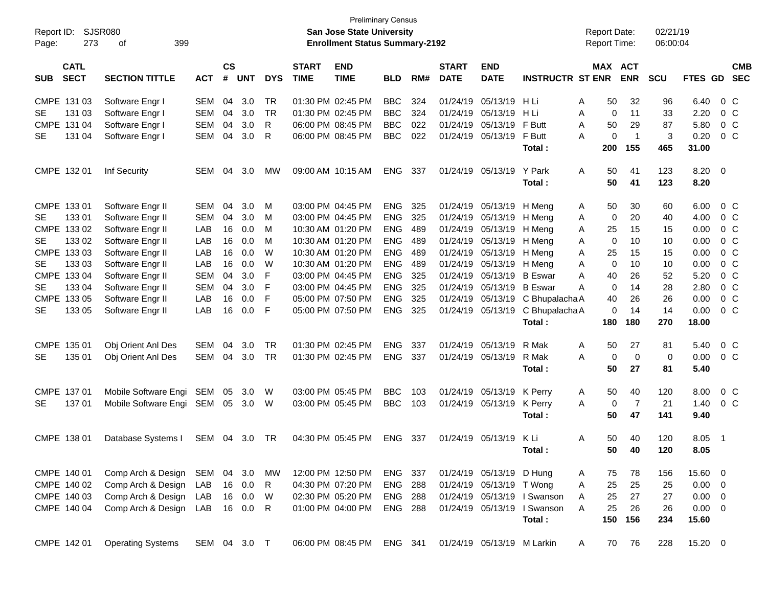| <b>Preliminary Census</b><br>SJSR080<br>Report ID:<br><b>San Jose State University</b> |                            |                          |              |                |            |              |                             |                                       |                |     |                             | <b>Report Date:</b>        |                             | 02/21/19 |                     |                |             |                |                |                          |
|----------------------------------------------------------------------------------------|----------------------------|--------------------------|--------------|----------------|------------|--------------|-----------------------------|---------------------------------------|----------------|-----|-----------------------------|----------------------------|-----------------------------|----------|---------------------|----------------|-------------|----------------|----------------|--------------------------|
| Page:                                                                                  | 273                        | 399<br>οf                |              |                |            |              |                             | <b>Enrollment Status Summary-2192</b> |                |     |                             |                            |                             |          | <b>Report Time:</b> |                | 06:00:04    |                |                |                          |
| <b>SUB</b>                                                                             | <b>CATL</b><br><b>SECT</b> | <b>SECTION TITTLE</b>    | <b>ACT</b>   | <b>CS</b><br># | <b>UNT</b> | <b>DYS</b>   | <b>START</b><br><b>TIME</b> | <b>END</b><br><b>TIME</b>             | <b>BLD</b>     | RM# | <b>START</b><br><b>DATE</b> | <b>END</b><br><b>DATE</b>  | <b>INSTRUCTR ST ENR</b>     |          | MAX ACT             | <b>ENR</b>     | SCU         | <b>FTES GD</b> |                | <b>CMB</b><br><b>SEC</b> |
|                                                                                        | CMPE 131 03                | Software Engr I          | <b>SEM</b>   | 04             | 3.0        | TR           |                             | 01:30 PM 02:45 PM                     | <b>BBC</b>     | 324 | 01/24/19                    | 05/13/19                   | HLi                         | Α        | 50                  | 32             | 96          | 6.40           |                | $0\,C$                   |
| SE                                                                                     | 131 03                     | Software Engr I          | <b>SEM</b>   | 04             | 3.0        | <b>TR</b>    |                             | 01:30 PM 02:45 PM                     | <b>BBC</b>     | 324 | 01/24/19                    | 05/13/19                   | H Li                        | A        | 0                   | 11             | 33          | 2.20           |                | 0 <sup>C</sup>           |
|                                                                                        | CMPE 131 04                | Software Engr I          | <b>SEM</b>   | 04             | 3.0        | R            |                             | 06:00 PM 08:45 PM                     | <b>BBC</b>     | 022 | 01/24/19                    | 05/13/19                   | F Butt                      | A        | 50                  | 29             | 87          | 5.80           |                | $0\,C$                   |
| SE                                                                                     | 131 04                     | Software Engr I          | <b>SEM</b>   | 04             | 3.0        | R            |                             | 06:00 PM 08:45 PM                     | <b>BBC</b>     | 022 | 01/24/19                    | 05/13/19                   | F Butt                      | A        | $\mathbf 0$         | $\overline{1}$ | 3           | 0.20           |                | 0 <sup>C</sup>           |
|                                                                                        |                            |                          |              |                |            |              |                             |                                       |                |     |                             |                            | Total:                      |          | 200                 | 155            | 465         | 31.00          |                |                          |
|                                                                                        | CMPE 132 01                | Inf Security             | SEM          | 04             | 3.0        | <b>MW</b>    |                             | 09:00 AM 10:15 AM                     | ENG            | 337 | 01/24/19                    | 05/13/19                   | Y Park                      | A        | 50                  | 41             | 123         | 8.20           | $\overline{0}$ |                          |
|                                                                                        |                            |                          |              |                |            |              |                             |                                       |                |     |                             |                            | Total:                      |          | 50                  | 41             | 123         | 8.20           |                |                          |
|                                                                                        | CMPE 133 01                | Software Engr II         | <b>SEM</b>   | 04             | 3.0        | M            |                             | 03:00 PM 04:45 PM                     | <b>ENG</b>     | 325 | 01/24/19                    | 05/13/19                   | H Meng                      | A        | 50                  | 30             | 60          | 6.00           |                | 0 <sup>C</sup>           |
| <b>SE</b>                                                                              | 133 01                     | Software Engr II         | <b>SEM</b>   | 04             | 3.0        | м            |                             | 03:00 PM 04:45 PM                     | <b>ENG</b>     | 325 | 01/24/19                    | 05/13/19                   | H Meng                      | Α        | $\mathbf 0$         | 20             | 40          | 4.00           |                | 0 C                      |
|                                                                                        | CMPE 133 02                | Software Engr II         | LAB          | 16             | 0.0        | м            |                             | 10:30 AM 01:20 PM                     | <b>ENG</b>     | 489 | 01/24/19                    | 05/13/19                   | H Meng                      | Α        | 25                  | 15             | 15          | 0.00           |                | 0 C                      |
| SЕ                                                                                     | 133 02                     | Software Engr II         | LAB          | 16             | 0.0        | м            |                             | 10:30 AM 01:20 PM                     | <b>ENG</b>     | 489 | 01/24/19                    | 05/13/19                   | H Meng                      | Α        | 0                   | 10             | 10          | 0.00           |                | $0\,C$                   |
|                                                                                        | CMPE 133 03                | Software Engr II         | LAB          | 16             | 0.0        | W            |                             | 10:30 AM 01:20 PM                     | <b>ENG</b>     | 489 | 01/24/19                    | 05/13/19                   | H Meng                      | Α        | 25                  | 15             | 15          | 0.00           |                | $0\,C$                   |
| SЕ                                                                                     | 133 03                     | Software Engr II         | LAB          | 16             | 0.0        | W            |                             | 10:30 AM 01:20 PM                     | <b>ENG</b>     | 489 | 01/24/19                    | 05/13/19                   | H Meng                      | A        | $\mathbf 0$         | 10             | 10          | 0.00           |                | $0\,C$                   |
|                                                                                        | CMPE 133 04                | Software Engr II         | <b>SEM</b>   | 04             | 3.0        | F            |                             | 03:00 PM 04:45 PM                     | <b>ENG</b>     | 325 | 01/24/19                    | 05/13/19                   | <b>B</b> Eswar              | A        | 40                  | 26             | 52          | 5.20           |                | $0\,C$                   |
| SE                                                                                     | 133 04                     | Software Engr II         | <b>SEM</b>   | 04             | 3.0        | F            |                             | 03:00 PM 04:45 PM                     | <b>ENG</b>     | 325 | 01/24/19                    | 05/13/19                   | <b>B</b> Eswar              | A        | $\mathbf 0$         | 14             | 28          | 2.80           |                | $0\,C$                   |
|                                                                                        | CMPE 133 05                | Software Engr II         | LAB          | 16             | 0.0        | F            |                             | 05:00 PM 07:50 PM                     | <b>ENG</b>     | 325 | 01/24/19                    | 05/13/19                   | C Bhupalacha A              |          | 40                  | 26             | 26          | 0.00           |                | $0\,C$                   |
| SE                                                                                     | 133 05                     | Software Engr II         | LAB          | 16             | 0.0        | F            |                             | 05:00 PM 07:50 PM                     | <b>ENG</b>     | 325 | 01/24/19                    | 05/13/19                   | C Bhupalacha A              |          | 0                   | 14             | 14          | 0.00           |                | 0 C                      |
|                                                                                        |                            |                          |              |                |            |              |                             |                                       |                |     |                             |                            | Total:                      |          | 180                 | 180            | 270         | 18.00          |                |                          |
|                                                                                        | CMPE 135 01                | Obj Orient Anl Des       | <b>SEM</b>   | 04             | 3.0        | TR           |                             | 01:30 PM 02:45 PM                     | <b>ENG</b>     | 337 | 01/24/19                    | 05/13/19                   | R Mak                       | A        | 50                  | 27             | 81          | 5.40           |                | 0 <sup>C</sup>           |
| <b>SE</b>                                                                              | 135 01                     | Obj Orient Anl Des       | SEM          | 04             | 3.0        | <b>TR</b>    |                             | 01:30 PM 02:45 PM                     | <b>ENG</b>     | 337 | 01/24/19                    | 05/13/19                   | R Mak                       | A        | 0                   | $\mathbf 0$    | $\mathbf 0$ | 0.00           |                | 0 C                      |
|                                                                                        |                            |                          |              |                |            |              |                             |                                       |                |     |                             |                            | Total:                      |          | 50                  | 27             | 81          | 5.40           |                |                          |
|                                                                                        | CMPE 137 01                | Mobile Software Engi SEM |              | 05             | 3.0        | W            |                             | 03:00 PM 05:45 PM                     | <b>BBC</b>     | 103 | 01/24/19                    | 05/13/19                   | K Perry                     | A        | 50                  | 40             | 120         | 8.00           |                | 0 <sup>C</sup>           |
| <b>SE</b>                                                                              | 137 01                     | Mobile Software Engi SEM |              | 05             | 3.0        | W            |                             | 03:00 PM 05:45 PM                     | <b>BBC</b>     | 103 |                             | 01/24/19 05/13/19          | K Perry                     | A        | 0                   | $\overline{7}$ | 21          | 1.40           |                | 0 C                      |
|                                                                                        |                            |                          |              |                |            |              |                             |                                       |                |     |                             |                            | Total:                      |          | 50                  | 47             | 141         | 9.40           |                |                          |
|                                                                                        | CMPE 138 01                | Database Systems I       | SEM 04 3.0   |                |            | TR           |                             | 04:30 PM 05:45 PM                     | ENG            | 337 | 01/24/19                    | 05/13/19                   | – K Li                      | A        | 50                  | 40             | 120         | 8.05           | $\overline{1}$ |                          |
|                                                                                        |                            |                          |              |                |            |              |                             |                                       |                |     |                             |                            | Total:                      |          |                     | 50 40          | 120         | 8.05           |                |                          |
|                                                                                        | CMPE 140 01                | Comp Arch & Design       | SEM          |                | 04 3.0     | МW           |                             | 12:00 PM 12:50 PM                     | ENG 337        |     |                             | 01/24/19 05/13/19 D Hung   |                             | A        | 75                  | 78             | 156         | 15.60 0        |                |                          |
|                                                                                        | CMPE 140 02                | Comp Arch & Design       | LAB          |                | 16 0.0     | $\mathsf{R}$ |                             | 04:30 PM 07:20 PM                     | <b>ENG 288</b> |     |                             | 01/24/19 05/13/19 T Wong   |                             | A        | 25                  | 25             | 25          | $0.00 \t 0$    |                |                          |
|                                                                                        | CMPE 140 03                | Comp Arch & Design       | LAB          |                | 16 0.0     | W            |                             | 02:30 PM 05:20 PM                     | <b>ENG 288</b> |     |                             |                            | 01/24/19 05/13/19 I Swanson | A        | 25                  | 27             | 27          | $0.00 \t 0$    |                |                          |
|                                                                                        | CMPE 140 04                | Comp Arch & Design       | LAB          |                | 16 0.0     | R            |                             | 01:00 PM 04:00 PM                     | <b>ENG 288</b> |     |                             |                            | 01/24/19 05/13/19 I Swanson | A        | 25                  | 26             | 26          | $0.00 \t 0$    |                |                          |
|                                                                                        |                            |                          |              |                |            |              |                             |                                       |                |     |                             |                            | Total:                      |          | 150                 | 156            | 234         | 15.60          |                |                          |
|                                                                                        | CMPE 142 01                | <b>Operating Systems</b> | SEM 04 3.0 T |                |            |              |                             | 06:00 PM 08:45 PM                     | ENG 341        |     |                             | 01/24/19 05/13/19 M Larkin |                             | A        | 70                  | 76             | 228         | 15.20 0        |                |                          |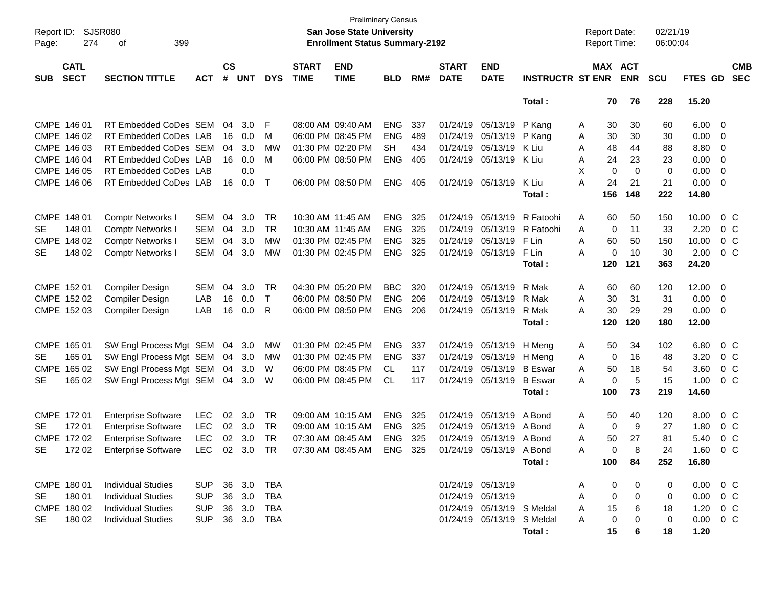| Page:       | <b>SJSR080</b><br>Report ID:<br>274<br>399<br>οf                  |                            |            |                |            |            |                             | <b>San Jose State University</b><br><b>Enrollment Status Summary-2192</b> | <b>Preliminary Census</b> |     |                             |                            |                         |   | <b>Report Date:</b><br><b>Report Time:</b> |             | 02/21/19<br>06:00:04 |               |                         |                          |
|-------------|-------------------------------------------------------------------|----------------------------|------------|----------------|------------|------------|-----------------------------|---------------------------------------------------------------------------|---------------------------|-----|-----------------------------|----------------------------|-------------------------|---|--------------------------------------------|-------------|----------------------|---------------|-------------------------|--------------------------|
| <b>SUB</b>  | <b>CATL</b><br><b>SECT</b><br><b>SECTION TITTLE</b><br><b>ACT</b> |                            |            | <b>CS</b><br># | <b>UNT</b> | <b>DYS</b> | <b>START</b><br><b>TIME</b> | <b>END</b><br><b>TIME</b>                                                 | <b>BLD</b>                | RM# | <b>START</b><br><b>DATE</b> | <b>END</b><br><b>DATE</b>  | <b>INSTRUCTR ST ENR</b> |   | MAX ACT                                    | <b>ENR</b>  | <b>SCU</b>           | FTES GD       |                         | <b>CMB</b><br><b>SEC</b> |
|             |                                                                   |                            |            |                |            |            |                             |                                                                           |                           |     |                             |                            | Total:                  |   | 70                                         | 76          | 228                  | 15.20         |                         |                          |
| CMPE 146 01 |                                                                   | RT Embedded CoDes SEM      |            | 04             | 3.0        | F          |                             | 08:00 AM 09:40 AM                                                         | <b>ENG</b>                | 337 |                             | 01/24/19 05/13/19          | P Kang                  | A | 30                                         | 30          | 60                   | 6.00          | - 0                     |                          |
|             | CMPE 146 02                                                       | RT Embedded CoDes LAB      |            | 16             | 0.0        | м          |                             | 06:00 PM 08:45 PM                                                         | <b>ENG</b>                | 489 |                             | 01/24/19 05/13/19          | P Kang                  | Α | 30                                         | 30          | 30                   | 0.00          | 0                       |                          |
|             | CMPE 146 03                                                       | RT Embedded CoDes SEM      |            | 04             | 3.0        | MW         |                             | 01:30 PM 02:20 PM                                                         | SH.                       | 434 |                             | 01/24/19 05/13/19          | K Liu                   | Α | 48                                         | 44          | 88                   | 8.80          | 0                       |                          |
|             | CMPE 146 04                                                       | RT Embedded CoDes LAB      |            | 16             | 0.0        | M          |                             | 06:00 PM 08:50 PM                                                         | <b>ENG</b>                | 405 | 01/24/19                    | 05/13/19                   | K Liu                   | Α | 24                                         | 23          | 23                   | 0.00          | 0                       |                          |
|             | CMPE 146 05                                                       | RT Embedded CoDes LAB      |            |                | 0.0        |            |                             |                                                                           |                           |     |                             |                            |                         | X | 0                                          | $\mathbf 0$ | 0                    | 0.00          | 0                       |                          |
|             | CMPE 146 06                                                       | RT Embedded CoDes LAB      |            | 16             | 0.0        | Т          |                             | 06:00 PM 08:50 PM                                                         | <b>ENG</b>                | 405 |                             | 01/24/19 05/13/19          | K Liu                   | A | 24                                         | 21          | 21                   | 0.00          | 0                       |                          |
|             |                                                                   |                            |            |                |            |            |                             |                                                                           |                           |     |                             |                            | Total:                  |   | 156                                        | 148         | 222                  | 14.80         |                         |                          |
| CMPE 148 01 |                                                                   | <b>Comptr Networks I</b>   | <b>SEM</b> | 04             | 3.0        | TR         |                             | 10:30 AM 11:45 AM                                                         | <b>ENG</b>                | 325 |                             | 01/24/19 05/13/19          | R Fatoohi               | A | 60                                         | 50          | 150                  | 10.00         |                         | $0\,C$                   |
| <b>SE</b>   | 148 01                                                            | <b>Comptr Networks I</b>   | <b>SEM</b> | 04             | 3.0        | TR         |                             | 10:30 AM 11:45 AM                                                         | <b>ENG</b>                | 325 |                             | 01/24/19 05/13/19          | R Fatoohi               | A | 0                                          | 11          | 33                   | 2.20          |                         | $0\,C$                   |
|             | CMPE 148 02                                                       | Comptr Networks I          | <b>SEM</b> | 04             | 3.0        | МW         |                             | 01:30 PM 02:45 PM                                                         | <b>ENG</b>                | 325 |                             | 01/24/19 05/13/19          | F Lin                   | A | 60                                         | 50          | 150                  | 10.00         |                         | 0 <sup>C</sup>           |
| SE          | 148 02                                                            | Comptr Networks I          | <b>SEM</b> | 04             | 3.0        | MW         |                             | 01:30 PM 02:45 PM                                                         | <b>ENG</b>                | 325 |                             | 01/24/19 05/13/19          | F Lin                   | A | 0                                          | 10          | 30                   | 2.00          |                         | $0\,C$                   |
|             |                                                                   |                            |            |                |            |            |                             |                                                                           |                           |     |                             |                            | Total:                  |   | 120                                        | 121         | 363                  | 24.20         |                         |                          |
| CMPE 152 01 |                                                                   | Compiler Design            | <b>SEM</b> | 04             | 3.0        | TR         |                             | 04:30 PM 05:20 PM                                                         | <b>BBC</b>                | 320 |                             | 01/24/19 05/13/19          | R Mak                   | Α | 60                                         | 60          | 120                  | 12.00         | $\overline{\mathbf{0}}$ |                          |
|             | CMPE 152 02                                                       | Compiler Design            | LAB        | 16             | 0.0        | T          |                             | 06:00 PM 08:50 PM                                                         | <b>ENG</b>                | 206 |                             | 01/24/19 05/13/19          | R Mak                   | A | 30                                         | 31          | 31                   | 0.00          | $\overline{0}$          |                          |
|             | CMPE 152 03                                                       | <b>Compiler Design</b>     | LAB        | 16             | 0.0        | R          |                             | 06:00 PM 08:50 PM                                                         | <b>ENG</b>                | 206 |                             | 01/24/19 05/13/19          | R Mak                   | A | 30                                         | 29          | 29                   | 0.00          | 0                       |                          |
|             |                                                                   |                            |            |                |            |            |                             |                                                                           |                           |     |                             |                            | Total:                  |   | 120                                        | 120         | 180                  | 12.00         |                         |                          |
| CMPE 165 01 |                                                                   | SW Engl Process Mgt SEM    |            | 04             | 3.0        | MW         |                             | 01:30 PM 02:45 PM                                                         | <b>ENG</b>                | 337 |                             | 01/24/19 05/13/19          | H Meng                  | A | 50                                         | 34          | 102                  | 6.80          |                         | $0\,C$                   |
| <b>SE</b>   | 165 01                                                            | SW Engl Process Mgt SEM    |            | 04             | 3.0        | <b>MW</b>  |                             | 01:30 PM 02:45 PM                                                         | <b>ENG</b>                | 337 |                             | 01/24/19 05/13/19          | H Meng                  | A | 0                                          | 16          | 48                   | 3.20          |                         | $0\,C$                   |
| <b>CMPE</b> | 165 02                                                            | SW Engl Process Mgt SEM    |            | 04             | 3.0        | W          |                             | 06:00 PM 08:45 PM                                                         | CL.                       | 117 |                             | 01/24/19 05/13/19          | <b>B</b> Eswar          | A | 50                                         | 18          | 54                   | 3.60          |                         | $0\,C$                   |
| <b>SE</b>   | 165 02                                                            | SW Engl Process Mgt SEM    |            | 04             | 3.0        | W          |                             | 06:00 PM 08:45 PM                                                         | CL                        | 117 |                             | 01/24/19 05/13/19          | <b>B</b> Eswar          | A | 0                                          | 5           | 15                   | 1.00          |                         | $0\,C$                   |
|             |                                                                   |                            |            |                |            |            |                             |                                                                           |                           |     |                             |                            | Total:                  |   | 100                                        | 73          | 219                  | 14.60         |                         |                          |
| CMPE 172 01 |                                                                   | <b>Enterprise Software</b> | <b>LEC</b> | 02             | 3.0        | TR         |                             | 09:00 AM 10:15 AM                                                         | <b>ENG</b>                | 325 |                             | 01/24/19 05/13/19          | A Bond                  | Α | 50                                         | 40          | 120                  | 8.00          |                         | 0 <sup>C</sup>           |
| SE          | 172 01                                                            | <b>Enterprise Software</b> | <b>LEC</b> | 02             | 3.0        | TR         |                             | 09:00 AM 10:15 AM                                                         | <b>ENG</b>                | 325 | 01/24/19                    | 05/13/19                   | A Bond                  | A | 0                                          | 9           | 27                   | 1.80          |                         | 0 <sup>C</sup>           |
|             | CMPE 172 02                                                       | <b>Enterprise Software</b> | <b>LEC</b> | 02             | 3.0        | TR         |                             | 07:30 AM 08:45 AM                                                         | <b>ENG</b>                | 325 |                             | 01/24/19 05/13/19          | A Bond                  | Α | 50                                         | 27          | 81                   | 5.40          |                         | 0 <sup>C</sup>           |
| <b>SE</b>   | 172 02                                                            | <b>Enterprise Software</b> | <b>LEC</b> |                | 02 3.0     | <b>TR</b>  |                             | 07:30 AM 08:45 AM                                                         | <b>ENG</b>                | 325 |                             | 01/24/19 05/13/19 A Bond   |                         | A | $\Omega$                                   | 8           | 24                   | 1.60          |                         | 0 C                      |
|             |                                                                   |                            |            |                |            |            |                             |                                                                           |                           |     |                             |                            | Total:                  |   | 100                                        | 84          | 252                  | 16.80         |                         |                          |
| CMPE 180 01 |                                                                   | <b>Individual Studies</b>  | <b>SUP</b> |                | 36 3.0     | TBA        |                             |                                                                           |                           |     |                             | 01/24/19 05/13/19          |                         | A | 0                                          | 0           | 0                    | $0.00 \t 0 C$ |                         |                          |
| SE          | 180 01                                                            | <b>Individual Studies</b>  | SUP        |                | 36 3.0     | TBA        |                             |                                                                           |                           |     | 01/24/19 05/13/19           |                            |                         | A | 0                                          | 0           | 0                    | 0.00          |                         | 0 C                      |
|             | CMPE 180 02                                                       | <b>Individual Studies</b>  | <b>SUP</b> |                | 36 3.0     | TBA        |                             |                                                                           |                           |     |                             | 01/24/19 05/13/19 S Meldal |                         | A | 15                                         | 6           | 18                   | 1.20          | $0\,$ C                 |                          |
| SE          | 180 02                                                            | <b>Individual Studies</b>  | <b>SUP</b> |                | 36 3.0     | TBA        |                             |                                                                           |                           |     |                             | 01/24/19 05/13/19 S Meldal |                         | A | 0                                          | 0           | 0                    | $0.00 \t 0 C$ |                         |                          |
|             |                                                                   |                            |            |                |            |            |                             |                                                                           |                           |     |                             |                            | Total:                  |   | 15                                         | 6           | 18                   | 1.20          |                         |                          |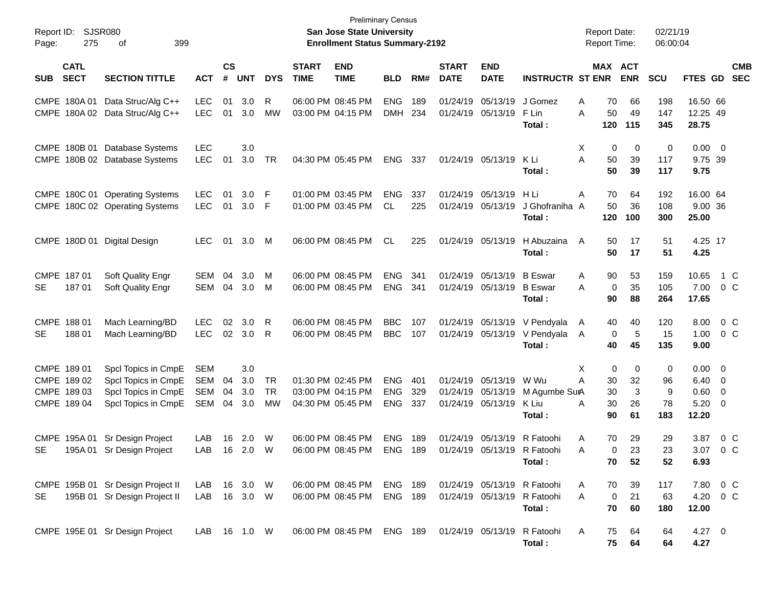| Page:      | Report ID: SJSR080<br>275                                         | 399<br>οf                                                                                |                                        |                |                             |                       |                             | <b>Preliminary Census</b><br>San Jose State University<br><b>Enrollment Status Summary-2192</b> |                                        |                   |                             |                                                             |                                                                      | <b>Report Date:</b><br><b>Report Time:</b> |                           |                          | 02/21/19<br>06:00:04      |                                                        |                                  |                          |
|------------|-------------------------------------------------------------------|------------------------------------------------------------------------------------------|----------------------------------------|----------------|-----------------------------|-----------------------|-----------------------------|-------------------------------------------------------------------------------------------------|----------------------------------------|-------------------|-----------------------------|-------------------------------------------------------------|----------------------------------------------------------------------|--------------------------------------------|---------------------------|--------------------------|---------------------------|--------------------------------------------------------|----------------------------------|--------------------------|
| <b>SUB</b> | <b>CATL</b><br><b>SECT</b><br><b>SECTION TITTLE</b><br><b>ACT</b> |                                                                                          |                                        |                | $\mathsf{cs}$<br><b>UNT</b> | <b>DYS</b>            | <b>START</b><br><b>TIME</b> | <b>END</b><br><b>TIME</b>                                                                       | <b>BLD</b>                             | RM#               | <b>START</b><br><b>DATE</b> | <b>END</b><br><b>DATE</b>                                   | <b>INSTRUCTR ST ENR ENR</b>                                          |                                            |                           | MAX ACT                  | <b>SCU</b>                | <b>FTES GD</b>                                         |                                  | <b>CMB</b><br><b>SEC</b> |
|            | CMPE 180A 01                                                      | Data Struc/Alg C++<br>CMPE 180A 02 Data Struc/Alg C++                                    | <b>LEC</b><br><b>LEC</b>               | 01<br>01       | 3.0<br>3.0                  | R<br>MW               |                             | 06:00 PM 08:45 PM<br>03:00 PM 04:15 PM                                                          | <b>ENG</b><br><b>DMH</b>               | 189<br>234        |                             | 01/24/19 05/13/19<br>01/24/19 05/13/19                      | J Gomez<br>F Lin<br>Total :                                          | A<br>A                                     | 70<br>50<br>120           | 66<br>49<br>115          | 198<br>147<br>345         | 16.50 66<br>12.25 49<br>28.75                          |                                  |                          |
|            |                                                                   | CMPE 180B 01 Database Systems<br>CMPE 180B 02 Database Systems                           | <b>LEC</b><br><b>LEC</b>               | 01             | 3.0<br>3.0                  | TR                    |                             | 04:30 PM 05:45 PM                                                                               | ENG                                    | 337               |                             | 01/24/19 05/13/19                                           | K Li<br>Total :                                                      | X<br>Α                                     | 0<br>50<br>50             | 0<br>39<br>39            | 0<br>117<br>117           | $0.00 \t 0$<br>9.75 39<br>9.75                         |                                  |                          |
|            |                                                                   | CMPE 180C 01 Operating Systems<br>CMPE 180C 02 Operating Systems                         | <b>LEC</b><br><b>LEC</b>               | 01<br>01       | 3.0<br>3.0                  | -F<br>-F              |                             | 01:00 PM 03:45 PM<br>01:00 PM 03:45 PM                                                          | <b>ENG</b><br><b>CL</b>                | 337<br>225        |                             | 01/24/19 05/13/19<br>01/24/19 05/13/19                      | H Li<br>J Ghofraniha A<br>Total :                                    | Α                                          | 70<br>50<br>120           | 64<br>36<br>100          | 192<br>108<br>300         | 16.00 64<br>9.00 36<br>25.00                           |                                  |                          |
|            |                                                                   | CMPE 180D 01 Digital Design                                                              | LEC.                                   | 01             | 3.0                         | M                     |                             | 06:00 PM 08:45 PM                                                                               | CL                                     | 225               |                             | 01/24/19 05/13/19                                           | H Abuzaina<br>Total:                                                 | $\overline{A}$                             | 50<br>50                  | 17<br>17                 | 51<br>51                  | 4.25 17<br>4.25                                        |                                  |                          |
| SE         | CMPE 187 01<br>18701                                              | Soft Quality Engr<br>Soft Quality Engr                                                   | <b>SEM</b><br>SEM                      | 04<br>04       | 3.0<br>3.0                  | M<br>M                |                             | 06:00 PM 08:45 PM<br>06:00 PM 08:45 PM                                                          | <b>ENG</b><br><b>ENG</b>               | 341<br>341        |                             | 01/24/19 05/13/19<br>01/24/19 05/13/19 B Eswar              | <b>B</b> Eswar<br>Total:                                             | A<br>A                                     | 90<br>0<br>90             | 53<br>35<br>88           | 159<br>105<br>264         | 10.65<br>7.00<br>17.65                                 |                                  | 1 C<br>$0\,C$            |
| SE         | CMPE 188 01<br>18801                                              | Mach Learning/BD<br>Mach Learning/BD                                                     | <b>LEC</b><br><b>LEC</b>               | 02             | 3.0<br>02 3.0               | R<br>-R               |                             | 06:00 PM 08:45 PM<br>06:00 PM 08:45 PM                                                          | <b>BBC</b><br><b>BBC</b>               | 107<br>107        |                             | 01/24/19 05/13/19<br>01/24/19 05/13/19                      | V Pendyala<br>V Pendyala<br>Total:                                   | A<br>A                                     | 40<br>0<br>40             | 40<br>5<br>45            | 120<br>15<br>135          | 8.00<br>1.00<br>9.00                                   |                                  | 0 <sup>o</sup><br>$0\,C$ |
|            | CMPE 189 01<br>CMPE 189 02<br>CMPE 189 03<br>CMPE 189 04          | Spcl Topics in CmpE<br>Spcl Topics in CmpE<br>Spcl Topics in CmpE<br>Spcl Topics in CmpE | <b>SEM</b><br>SEM<br><b>SEM</b><br>SEM | 04<br>04<br>04 | 3.0<br>3.0<br>3.0<br>3.0    | TR<br><b>TR</b><br>МW |                             | 01:30 PM 02:45 PM<br>03:00 PM 04:15 PM<br>04:30 PM 05:45 PM                                     | <b>ENG</b><br><b>ENG</b><br><b>ENG</b> | 401<br>329<br>337 |                             | 01/24/19 05/13/19<br>01/24/19 05/13/19<br>01/24/19 05/13/19 | W Wu<br>M Agumbe SurA<br>K Liu<br>Total :                            | X<br>Α<br>Α                                | 0<br>30<br>30<br>30<br>90 | 0<br>32<br>3<br>26<br>61 | 0<br>96<br>9<br>78<br>183 | $0.00 \t 0$<br>$6.40 \quad 0$<br>0.60<br>5.20<br>12.20 | $\overline{0}$<br>$\overline{0}$ |                          |
| SE         | CMPE 195A 01                                                      | Sr Design Project<br>195A 01 Sr Design Project                                           | LAB<br>LAB                             |                | 16 2.0<br>16  2.0  W        | W                     |                             | 06:00 PM 08:45 PM<br>06:00 PM 08:45 PM                                                          | <b>ENG</b><br>ENG 189                  | 189               |                             |                                                             | 01/24/19 05/13/19 R Fatoohi<br>01/24/19 05/13/19 R Fatoohi<br>Total: | Α<br>A                                     | 70<br>$\Omega$<br>70      | 29<br>23<br>52           | 29<br>23<br>52            | 3.87<br>3.07<br>6.93                                   |                                  | $0\,$ C<br>0 C           |
| <b>SE</b>  |                                                                   | CMPE 195B 01 Sr Design Project II<br>195B 01 Sr Design Project II                        | LAB 16 3.0 W<br>LAB 16 3.0 W           |                |                             |                       |                             | 06:00 PM 08:45 PM<br>06:00 PM 08:45 PM                                                          | <b>ENG 189</b><br><b>ENG 189</b>       |                   |                             | 01/24/19 05/13/19                                           | 01/24/19 05/13/19 R Fatoohi<br>R Fatoohi<br>Total:                   | A<br>A                                     | 70<br>0<br>70             | 39<br>21<br>60           | 117<br>63<br>180          | 7.80<br>4.20<br>12.00                                  |                                  | $0\,$ C<br>$0\,C$        |
|            |                                                                   | CMPE 195E 01 Sr Design Project                                                           | LAB 16 1.0 W                           |                |                             |                       |                             | 06:00 PM 08:45 PM ENG 189                                                                       |                                        |                   |                             |                                                             | 01/24/19 05/13/19 R Fatoohi<br>Total:                                | A                                          | 75<br>75                  | 64<br>64                 | 64<br>64                  | 4.27 0<br>4.27                                         |                                  |                          |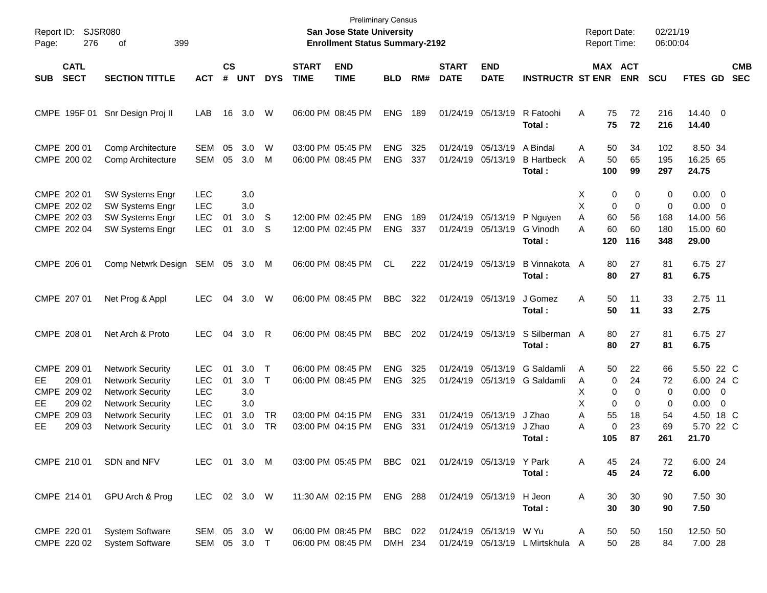| Report ID:<br>Page: | 276                                                           | <b>SJSR080</b><br>399<br>οf                                                                                                         |                                                              |                    |                                 |                                     |                             | <b>Preliminary Census</b><br>San Jose State University<br><b>Enrollment Status Summary-2192</b> |                                        |                   |                             |                                        |                                                      | <b>Report Date:</b><br>Report Time: |                                          |                                        | 02/21/19<br>06:00:04        |                                                                   |                          |
|---------------------|---------------------------------------------------------------|-------------------------------------------------------------------------------------------------------------------------------------|--------------------------------------------------------------|--------------------|---------------------------------|-------------------------------------|-----------------------------|-------------------------------------------------------------------------------------------------|----------------------------------------|-------------------|-----------------------------|----------------------------------------|------------------------------------------------------|-------------------------------------|------------------------------------------|----------------------------------------|-----------------------------|-------------------------------------------------------------------|--------------------------|
| <b>SUB</b>          | <b>CATL</b><br><b>SECT</b>                                    | <b>SECTION TITTLE</b>                                                                                                               | <b>ACT</b>                                                   | $\mathsf{cs}$<br># | <b>UNT</b>                      | <b>DYS</b>                          | <b>START</b><br><b>TIME</b> | <b>END</b><br><b>TIME</b>                                                                       | <b>BLD</b>                             | RM#               | <b>START</b><br><b>DATE</b> | <b>END</b><br><b>DATE</b>              | <b>INSTRUCTR ST ENR</b>                              |                                     |                                          | <b>MAX ACT</b><br><b>ENR</b>           | <b>SCU</b>                  | FTES GD                                                           | <b>CMB</b><br><b>SEC</b> |
|                     |                                                               | CMPE 195F 01 Snr Design Proj II                                                                                                     | LAB                                                          | 16                 | 3.0                             | W                                   |                             | 06:00 PM 08:45 PM                                                                               | <b>ENG</b>                             | 189               |                             | 01/24/19 05/13/19                      | R Fatoohi<br>Total:                                  | A                                   | 75<br>75                                 | 72<br>72                               | 216<br>216                  | $14.40 \quad 0$<br>14.40                                          |                          |
|                     | CMPE 200 01<br>CMPE 200 02                                    | Comp Architecture<br>Comp Architecture                                                                                              | SEM<br><b>SEM</b>                                            | 05<br>05           | 3.0<br>3.0                      | W<br>M                              |                             | 03:00 PM 05:45 PM<br>06:00 PM 08:45 PM                                                          | <b>ENG</b><br><b>ENG</b>               | 325<br>337        |                             | 01/24/19 05/13/19<br>01/24/19 05/13/19 | A Bindal<br><b>B</b> Hartbeck<br>Total:              | A<br>A                              | 50<br>50<br>100                          | 34<br>65<br>99                         | 102<br>195<br>297           | 8.50 34<br>16.25 65<br>24.75                                      |                          |
|                     | CMPE 202 01<br>CMPE 202 02<br>CMPE 202 03<br>CMPE 202 04      | SW Systems Engr<br>SW Systems Engr<br>SW Systems Engr<br>SW Systems Engr                                                            | <b>LEC</b><br><b>LEC</b><br><b>LEC</b><br><b>LEC</b>         | 01<br>01           | 3.0<br>3.0<br>3.0<br>3.0        | S<br>S                              |                             | 12:00 PM 02:45 PM<br>12:00 PM 02:45 PM                                                          | <b>ENG</b><br><b>ENG</b>               | 189<br>337        |                             | 01/24/19 05/13/19<br>01/24/19 05/13/19 | P Nguyen<br>G Vinodh<br>Total:                       | X<br>X<br>A<br>А                    | 0<br>0<br>60<br>60<br>120                | 0<br>$\mathbf 0$<br>56<br>60<br>116    | 0<br>0<br>168<br>180<br>348 | $0.00 \t 0$<br>$0.00 \t 0$<br>14.00 56<br>15.00 60<br>29.00       |                          |
|                     | CMPE 206 01                                                   | Comp Netwrk Design SEM                                                                                                              |                                                              | 05                 | 3.0                             | M                                   |                             | 06:00 PM 08:45 PM                                                                               | CL                                     | 222               |                             | 01/24/19 05/13/19                      | B Vinnakota A<br>Total:                              |                                     | 80<br>80                                 | 27<br>27                               | 81<br>81                    | 6.75 27<br>6.75                                                   |                          |
|                     | CMPE 207 01                                                   | Net Prog & Appl                                                                                                                     | <b>LEC</b>                                                   | 04                 | 3.0                             | W                                   |                             | 06:00 PM 08:45 PM                                                                               | <b>BBC</b>                             | 322               |                             | 01/24/19 05/13/19                      | J Gomez<br>Total:                                    | A                                   | 50<br>50                                 | 11<br>11                               | 33<br>33                    | 2.75 11<br>2.75                                                   |                          |
|                     | CMPE 208 01                                                   | Net Arch & Proto                                                                                                                    | <b>LEC</b>                                                   | 04                 | 3.0                             | R                                   |                             | 06:00 PM 08:45 PM                                                                               | <b>BBC</b>                             | 202               |                             | 01/24/19 05/13/19                      | S Silberman A<br>Total:                              |                                     | 80<br>80                                 | 27<br>27                               | 81<br>81                    | 6.75 27<br>6.75                                                   |                          |
| EE.<br>EE.          | CMPE 209 01<br>209 01<br>CMPE 209 02<br>209 02<br>CMPE 209 03 | <b>Network Security</b><br><b>Network Security</b><br><b>Network Security</b><br><b>Network Security</b><br><b>Network Security</b> | LEC.<br><b>LEC</b><br><b>LEC</b><br><b>LEC</b><br><b>LEC</b> | 01<br>01<br>01     | 3.0<br>3.0<br>3.0<br>3.0<br>3.0 | $\top$<br>$\mathsf{T}$<br><b>TR</b> |                             | 06:00 PM 08:45 PM<br>06:00 PM 08:45 PM<br>03:00 PM 04:15 PM                                     | <b>ENG</b><br><b>ENG</b><br><b>ENG</b> | 325<br>325<br>331 | 01/24/19                    | 05/13/19<br>01/24/19 05/13/19          | G Saldamli<br>01/24/19 05/13/19 G Saldamli<br>J Zhao | A<br>Α<br>х<br>X<br>Α               | 50<br>$\mathbf 0$<br>0<br>$\Omega$<br>55 | 22<br>24<br>$\Omega$<br>$\Omega$<br>18 | 66<br>72<br>0<br>0<br>54    | 5.50 22 C<br>6.00 24 C<br>$0.00 \t 0$<br>$0.00 \t 0$<br>4.50 18 C |                          |
| EE                  | 209 03                                                        | <b>Network Security</b>                                                                                                             | <b>LEC</b>                                                   | 01                 | 3.0                             | <b>TR</b>                           |                             | 03:00 PM 04:15 PM                                                                               | <b>ENG</b>                             | 331               |                             | 01/24/19 05/13/19                      | J Zhao<br>Total:                                     | Α                                   | $\mathbf 0$<br>105                       | 23<br>87                               | 69<br>261                   | 5.70 22 C<br>21.70                                                |                          |
|                     | CMPE 210 01                                                   | SDN and NFV                                                                                                                         | LEC 01 3.0 M                                                 |                    |                                 |                                     |                             | 03:00 PM 05:45 PM BBC 021                                                                       |                                        |                   |                             | 01/24/19 05/13/19 Y Park               | Total:                                               | Α                                   | 45<br>45                                 | 24<br>24                               | 72<br>72                    | 6.00 24<br>6.00                                                   |                          |
|                     | CMPE 214 01                                                   | GPU Arch & Prog                                                                                                                     | LEC 02 3.0 W                                                 |                    |                                 |                                     |                             | 11:30 AM 02:15 PM                                                                               | <b>ENG 288</b>                         |                   |                             | 01/24/19 05/13/19                      | H Jeon<br>Total:                                     | Α                                   | 30<br>30                                 | 30<br>30                               | 90<br>90                    | 7.50 30<br>7.50                                                   |                          |
|                     | CMPE 220 01<br>CMPE 220 02                                    | <b>System Software</b><br><b>System Software</b>                                                                                    | SEM 05 3.0 W<br>SEM 05 3.0 T                                 |                    |                                 |                                     |                             | 06:00 PM 08:45 PM<br>06:00 PM 08:45 PM                                                          | BBC 022<br>DMH 234                     |                   |                             | 01/24/19 05/13/19 W Yu                 | 01/24/19 05/13/19 L Mirtskhula A                     | Α                                   | 50<br>50                                 | 50<br>28                               | 150<br>84                   | 12.50 50<br>7.00 28                                               |                          |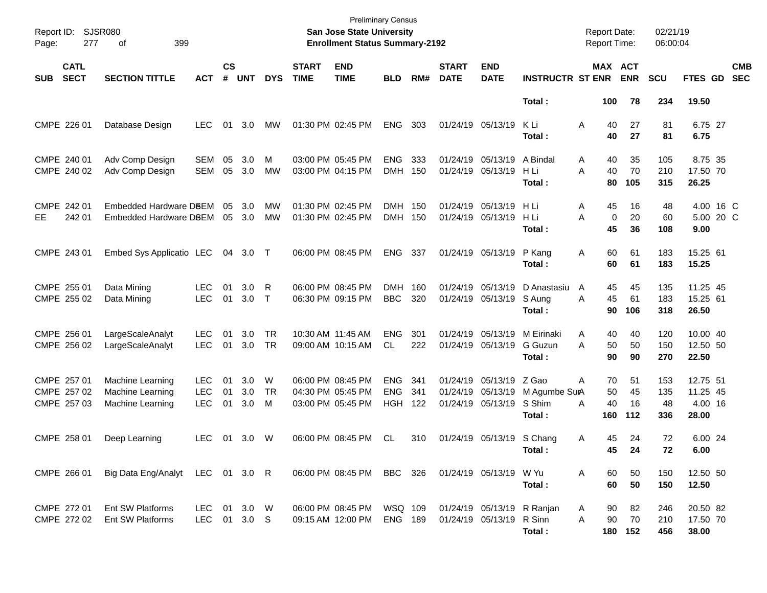| Report ID: SJSR080<br>Page: |                                           |                                                          |                                        |                    |                   | <b>Preliminary Census</b><br>San Jose State University<br><b>Enrollment Status Summary-2192</b> |                             |                                                             |                                        |                   |                             | <b>Report Date:</b><br><b>Report Time:</b>                        |                                                | 02/21/19<br>06:00:04            |                       |                         |                                          |                          |
|-----------------------------|-------------------------------------------|----------------------------------------------------------|----------------------------------------|--------------------|-------------------|-------------------------------------------------------------------------------------------------|-----------------------------|-------------------------------------------------------------|----------------------------------------|-------------------|-----------------------------|-------------------------------------------------------------------|------------------------------------------------|---------------------------------|-----------------------|-------------------------|------------------------------------------|--------------------------|
| <b>SUB</b>                  | <b>CATL</b><br><b>SECT</b>                | <b>SECTION TITTLE</b>                                    | <b>ACT</b>                             | $\mathsf{cs}$<br># | <b>UNT</b>        | <b>DYS</b>                                                                                      | <b>START</b><br><b>TIME</b> | <b>END</b><br><b>TIME</b>                                   | <b>BLD</b>                             | RM#               | <b>START</b><br><b>DATE</b> | <b>END</b><br><b>DATE</b>                                         | <b>INSTRUCTR ST ENR</b>                        | MAX ACT                         | <b>ENR</b>            | <b>SCU</b>              | FTES GD                                  | <b>CMB</b><br><b>SEC</b> |
|                             |                                           |                                                          |                                        |                    |                   |                                                                                                 |                             |                                                             |                                        |                   |                             |                                                                   | Total:                                         | 100                             | 78                    | 234                     | 19.50                                    |                          |
|                             | CMPE 226 01                               | Database Design                                          | <b>LEC</b>                             | 01                 | 3.0               | MW                                                                                              |                             | 01:30 PM 02:45 PM                                           | <b>ENG</b>                             | 303               | 01/24/19 05/13/19           |                                                                   | K Li<br>Total :                                | Α<br>40<br>40                   | 27<br>27              | 81<br>81                | 6.75 27<br>6.75                          |                          |
|                             | CMPE 240 01<br>CMPE 240 02                | Adv Comp Design<br>Adv Comp Design                       | <b>SEM</b><br><b>SEM</b>               | 05<br>05           | 3.0<br>3.0        | M<br>MW                                                                                         |                             | 03:00 PM 05:45 PM<br>03:00 PM 04:15 PM                      | <b>ENG</b><br><b>DMH</b>               | 333<br>150        | 01/24/19 05/13/19           | 01/24/19 05/13/19                                                 | A Bindal<br>H Li<br>Total:                     | Α<br>40<br>A<br>40<br>80        | 35<br>70<br>105       | 105<br>210<br>315       | 8.75 35<br>17.50 70<br>26.25             |                          |
| EE.                         | CMPE 242 01<br>242 01                     | Embedded Hardware D8EM<br>Embedded Hardware DSEM         |                                        | 05<br>05           | 3.0<br>3.0        | МW<br>МW                                                                                        |                             | 01:30 PM 02:45 PM<br>01:30 PM 02:45 PM                      | <b>DMH</b><br><b>DMH</b>               | 150<br>150        | 01/24/19 05/13/19           | 01/24/19 05/13/19                                                 | H Li<br>H Li<br>Total :                        | Α<br>45<br>$\pmb{0}$<br>A<br>45 | 16<br>20<br>36        | 48<br>60<br>108         | 4.00 16 C<br>5.00 20 C<br>9.00           |                          |
|                             | CMPE 243 01                               | Embed Sys Applicatio LEC                                 |                                        | 04                 | 3.0               | $\top$                                                                                          |                             | 06:00 PM 08:45 PM                                           | <b>ENG</b>                             | 337               |                             | 01/24/19 05/13/19                                                 | P Kang<br>Total:                               | 60<br>Α<br>60                   | 61<br>61              | 183<br>183              | 15.25 61<br>15.25                        |                          |
|                             | CMPE 255 01<br>CMPE 255 02                | Data Mining<br>Data Mining                               | LEC.<br><b>LEC</b>                     | 01<br>01           | 3.0<br>3.0        | R<br>$\top$                                                                                     |                             | 06:00 PM 08:45 PM<br>06:30 PM 09:15 PM                      | <b>DMH</b><br><b>BBC</b>               | 160<br>320        | 01/24/19 05/13/19           | 01/24/19 05/13/19                                                 | D Anastasiu<br>S Aung<br>Total:                | A<br>45<br>45<br>A<br>90        | 45<br>61<br>106       | 135<br>183<br>318       | 11.25 45<br>15.25 61<br>26.50            |                          |
|                             | CMPE 256 01<br>CMPE 256 02                | LargeScaleAnalyt<br>LargeScaleAnalyt                     | <b>LEC</b><br><b>LEC</b>               | 01<br>01           | 3.0<br>3.0        | TR<br>TR                                                                                        |                             | 10:30 AM 11:45 AM<br>09:00 AM 10:15 AM                      | <b>ENG</b><br>CL                       | 301<br>222        | 01/24/19 05/13/19           | 01/24/19 05/13/19                                                 | M Eirinaki<br>G Guzun<br>Total:                | Α<br>40<br>A<br>50<br>90        | 40<br>50<br>90        | 120<br>150<br>270       | 10.00 40<br>12.50 50<br>22.50            |                          |
|                             | CMPE 257 01<br>CMPE 257 02<br>CMPE 257 03 | Machine Learning<br>Machine Learning<br>Machine Learning | <b>LEC</b><br><b>LEC</b><br><b>LEC</b> | 01<br>01<br>01     | 3.0<br>3.0<br>3.0 | W<br>TR<br>M                                                                                    |                             | 06:00 PM 08:45 PM<br>04:30 PM 05:45 PM<br>03:00 PM 05:45 PM | <b>ENG</b><br><b>ENG</b><br><b>HGH</b> | 341<br>341<br>122 |                             | 01/24/19 05/13/19 Z Gao<br>01/24/19 05/13/19<br>01/24/19 05/13/19 | M Agumbe SurA<br>S Shim<br>Total :             | Α<br>70<br>50<br>40<br>A<br>160 | 51<br>45<br>16<br>112 | 153<br>135<br>48<br>336 | 12.75 51<br>11.25 45<br>4.00 16<br>28.00 |                          |
|                             | CMPE 258 01                               | Deep Learning                                            | <b>LEC</b>                             | 01                 | 3.0               | W                                                                                               |                             | 06:00 PM 08:45 PM                                           | <b>CL</b>                              | 310               |                             | 01/24/19 05/13/19                                                 | S Chang<br>Total:                              | 45<br>Α<br>45                   | 24<br>24              | 72<br>72                | 6.00 24<br>6.00                          |                          |
|                             | CMPE 266 01                               | Big Data Eng/Analyt LEC 01 3.0 R                         |                                        |                    |                   |                                                                                                 |                             | 06:00 PM 08:45 PM BBC 326                                   |                                        |                   | 01/24/19 05/13/19 W Yu      |                                                                   | Total:                                         | A<br>60<br>60                   | 50<br>50              | 150<br>150              | 12.50 50<br>12.50                        |                          |
|                             | CMPE 272 01<br>CMPE 272 02                | Ent SW Platforms<br>Ent SW Platforms                     | LEC 01 3.0 W<br>LEC 01 3.0 S           |                    |                   |                                                                                                 |                             | 06:00 PM 08:45 PM<br>09:15 AM 12:00 PM                      | WSQ 109<br>ENG 189                     |                   |                             | 01/24/19 05/13/19                                                 | 01/24/19 05/13/19 R Ranjan<br>R Sinn<br>Total: | 90<br>A<br>90<br>A              | 82<br>70<br>180 152   | 246<br>210<br>456       | 20.50 82<br>17.50 70<br>38.00            |                          |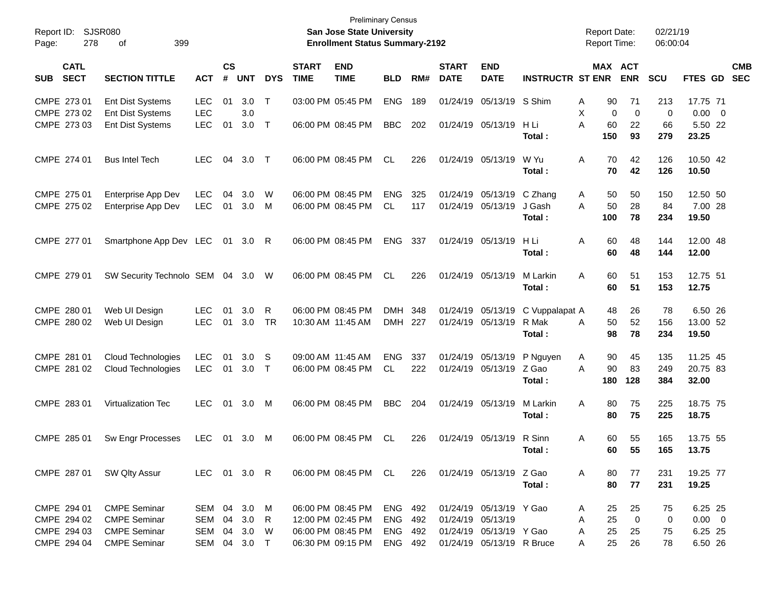| Page:      | Report ID: SJSR080<br>278                                                        | 399<br>of                       |              |    |                             |              |                             | <b>Preliminary Census</b><br>San Jose State University<br><b>Enrollment Status Summary-2192</b> |            |     |                             |                           |                         | <b>Report Date:</b><br><b>Report Time:</b> |             | 02/21/19<br>06:00:04 |                  |            |
|------------|----------------------------------------------------------------------------------|---------------------------------|--------------|----|-----------------------------|--------------|-----------------------------|-------------------------------------------------------------------------------------------------|------------|-----|-----------------------------|---------------------------|-------------------------|--------------------------------------------|-------------|----------------------|------------------|------------|
| <b>SUB</b> | <b>CATL</b><br><b>SECT</b><br><b>SECTION TITTLE</b><br><b>ACT</b><br>CMPE 273 01 |                                 |              |    | $\mathsf{cs}$<br><b>UNT</b> | <b>DYS</b>   | <b>START</b><br><b>TIME</b> | <b>END</b><br><b>TIME</b>                                                                       | <b>BLD</b> | RM# | <b>START</b><br><b>DATE</b> | <b>END</b><br><b>DATE</b> | <b>INSTRUCTR ST ENR</b> | MAX ACT                                    | <b>ENR</b>  | <b>SCU</b>           | FTES GD SEC      | <b>CMB</b> |
|            |                                                                                  | <b>Ent Dist Systems</b>         | <b>LEC</b>   | 01 | 3.0                         | $\mathsf{T}$ |                             | 03:00 PM 05:45 PM                                                                               | <b>ENG</b> | 189 |                             | 01/24/19 05/13/19 S Shim  |                         | 90<br>Α                                    | 71          | 213                  | 17.75 71         |            |
|            | CMPE 273 02                                                                      | Ent Dist Systems                | <b>LEC</b>   |    | 3.0                         |              |                             |                                                                                                 |            |     |                             |                           |                         | X<br>$\Omega$                              | $\mathbf 0$ | 0                    | $0.00 \t 0$      |            |
|            | CMPE 273 03                                                                      | Ent Dist Systems                | <b>LEC</b>   | 01 | 3.0                         | $\top$       |                             | 06:00 PM 08:45 PM                                                                               | <b>BBC</b> | 202 |                             | 01/24/19 05/13/19         | H Li<br>Total:          | A<br>60<br>150                             | 22<br>93    | 66<br>279            | 5.50 22<br>23.25 |            |
|            | CMPE 274 01                                                                      | <b>Bus Intel Tech</b>           | <b>LEC</b>   | 04 | 3.0                         | $\top$       |                             | 06:00 PM 08:45 PM                                                                               | CL         | 226 |                             | 01/24/19 05/13/19         | W Yu                    | 70<br>A                                    | 42          | 126                  | 10.50 42         |            |
|            |                                                                                  |                                 |              |    |                             |              |                             |                                                                                                 |            |     |                             |                           | Total:                  | 70                                         | 42          | 126                  | 10.50            |            |
|            | CMPE 275 01                                                                      | Enterprise App Dev              | <b>LEC</b>   | 04 | 3.0                         | W            |                             | 06:00 PM 08:45 PM                                                                               | <b>ENG</b> | 325 |                             | 01/24/19 05/13/19         | C Zhang                 | 50<br>A                                    | 50          | 150                  | 12.50 50         |            |
|            | CMPE 275 02                                                                      | Enterprise App Dev              | <b>LEC</b>   | 01 | 3.0                         | M            |                             | 06:00 PM 08:45 PM                                                                               | <b>CL</b>  | 117 |                             | 01/24/19 05/13/19         | J Gash                  | A<br>50                                    | 28          | 84                   | 7.00 28          |            |
|            |                                                                                  |                                 |              |    |                             |              |                             |                                                                                                 |            |     |                             |                           | Total:                  | 100                                        | 78          | 234                  | 19.50            |            |
|            | CMPE 277 01                                                                      | Smartphone App Dev LEC          |              | 01 | $3.0 \quad R$               |              |                             | 06:00 PM 08:45 PM                                                                               | <b>ENG</b> | 337 |                             | 01/24/19 05/13/19         | H Li                    | 60<br>Α                                    | 48          | 144                  | 12.00 48         |            |
|            |                                                                                  |                                 |              |    |                             |              |                             |                                                                                                 |            |     |                             |                           | Total:                  | 60                                         | 48          | 144                  | 12.00            |            |
|            | CMPE 279 01                                                                      | SW Security Technolo SEM 04 3.0 |              |    |                             | W            |                             | 06:00 PM 08:45 PM                                                                               | CL         | 226 |                             | 01/24/19 05/13/19         | M Larkin                | 60<br>A                                    | 51          | 153                  | 12.75 51         |            |
|            |                                                                                  |                                 |              |    |                             |              |                             |                                                                                                 |            |     |                             |                           | Total:                  | 60                                         | 51          | 153                  | 12.75            |            |
|            | CMPE 280 01                                                                      | Web UI Design                   | LEC.         | 01 | 3.0                         | R            |                             | 06:00 PM 08:45 PM                                                                               | <b>DMH</b> | 348 |                             | 01/24/19 05/13/19         | C Vuppalapat A          | 48                                         | 26          | 78                   | 6.50 26          |            |
|            | CMPE 280 02                                                                      | Web UI Design                   | <b>LEC</b>   | 01 | 3.0                         | <b>TR</b>    |                             | 10:30 AM 11:45 AM                                                                               | DMH 227    |     |                             | 01/24/19 05/13/19         | R Mak                   | 50<br>Α                                    | 52          | 156                  | 13.00 52         |            |
|            |                                                                                  |                                 |              |    |                             |              |                             |                                                                                                 |            |     |                             |                           | Total:                  | 98                                         | 78          | 234                  | 19.50            |            |
|            | CMPE 281 01                                                                      | Cloud Technologies              | <b>LEC</b>   | 01 | 3.0                         | S            |                             | 09:00 AM 11:45 AM                                                                               | <b>ENG</b> | 337 |                             | 01/24/19 05/13/19         | P Nguyen                | 90<br>A                                    | 45          | 135                  | 11.25 45         |            |
|            | CMPE 281 02                                                                      | Cloud Technologies              | <b>LEC</b>   | 01 | 3.0                         | $\top$       |                             | 06:00 PM 08:45 PM                                                                               | <b>CL</b>  | 222 |                             | 01/24/19 05/13/19         | Z Gao                   | 90<br>A                                    | 83          | 249                  | 20.75 83         |            |
|            |                                                                                  |                                 |              |    |                             |              |                             |                                                                                                 |            |     |                             |                           | Total:                  | 180                                        | 128         | 384                  | 32.00            |            |
|            | CMPE 283 01                                                                      | <b>Virtualization Tec</b>       | <b>LEC</b>   | 01 | 3.0                         | M            |                             | 06:00 PM 08:45 PM                                                                               | <b>BBC</b> | 204 |                             | 01/24/19 05/13/19         | M Larkin                | A<br>80                                    | 75          | 225                  | 18.75 75         |            |
|            |                                                                                  |                                 |              |    |                             |              |                             |                                                                                                 |            |     |                             |                           | Total:                  | 80                                         | 75          | 225                  | 18.75            |            |
|            | CMPE 285 01                                                                      | Sw Engr Processes               | <b>LEC</b>   | 01 | 3.0                         | M            |                             | 06:00 PM 08:45 PM                                                                               | CL         | 226 |                             | 01/24/19 05/13/19 R Sinn  |                         | 60<br>Α                                    | 55          | 165                  | 13.75 55         |            |
|            |                                                                                  |                                 |              |    |                             |              |                             |                                                                                                 |            |     |                             |                           | Total:                  | 60                                         | 55          | 165                  | 13.75            |            |
|            | CMPE 287 01                                                                      | SW Qlty Assur                   | LEC 01 3.0 R |    |                             |              |                             | 06:00 PM 08:45 PM CL                                                                            |            | 226 |                             | 01/24/19 05/13/19 Z Gao   |                         | Α<br>80                                    | 77          | 231                  | 19.25 77         |            |
|            |                                                                                  |                                 |              |    |                             |              |                             |                                                                                                 |            |     |                             |                           | Total:                  | 80                                         | 77          | 231                  | 19.25            |            |
|            | CMPE 294 01                                                                      | <b>CMPE Seminar</b>             | SEM          |    | 04 3.0                      | M            |                             | 06:00 PM 08:45 PM                                                                               | ENG 492    |     |                             | 01/24/19 05/13/19 Y Gao   |                         | 25<br>Α                                    | 25          | 75                   | 6.25 25          |            |
|            | CMPE 294 02                                                                      | <b>CMPE Seminar</b>             | SEM          |    | 04 3.0                      | R            |                             | 12:00 PM 02:45 PM                                                                               | ENG        | 492 |                             | 01/24/19 05/13/19         |                         | 25<br>Α                                    | $\mathbf 0$ | 0                    | $0.00 \t 0$      |            |
|            | CMPE 294 03                                                                      | <b>CMPE Seminar</b>             | SEM          |    | 04 3.0                      | - W          |                             | 06:00 PM 08:45 PM                                                                               | ENG 492    |     |                             | 01/24/19 05/13/19 Y Gao   |                         | 25<br>Α                                    | 25          | 75                   | 6.25 25          |            |
|            | CMPE 294 04                                                                      | <b>CMPE Seminar</b>             | SEM          |    | 04 3.0 T                    |              |                             | 06:30 PM 09:15 PM                                                                               | ENG 492    |     |                             | 01/24/19 05/13/19 R Bruce |                         | 25<br>A                                    | 26          | 78                   | 6.50 26          |            |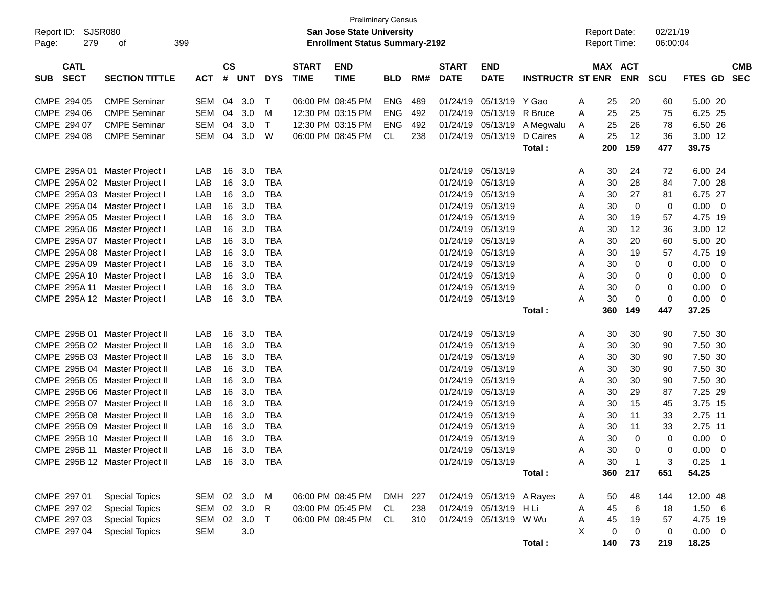| Report ID:<br>279<br>Page:               | SJSR080<br>399<br>οf           |                |                             |            |            |                             | San Jose State University<br><b>Enrollment Status Summary-2192</b> | <b>Preliminary Census</b> |     |                             |                           |                         |   | <b>Report Date:</b><br><b>Report Time:</b> |                | 02/21/19<br>06:00:04 |             |                          |                          |
|------------------------------------------|--------------------------------|----------------|-----------------------------|------------|------------|-----------------------------|--------------------------------------------------------------------|---------------------------|-----|-----------------------------|---------------------------|-------------------------|---|--------------------------------------------|----------------|----------------------|-------------|--------------------------|--------------------------|
| <b>CATL</b><br><b>SECT</b><br><b>SUB</b> | <b>SECTION TITTLE</b>          | <b>ACT</b>     | $\mathbf{c}\mathbf{s}$<br># | <b>UNT</b> | <b>DYS</b> | <b>START</b><br><b>TIME</b> | <b>END</b><br><b>TIME</b>                                          | <b>BLD</b>                | RM# | <b>START</b><br><b>DATE</b> | <b>END</b><br><b>DATE</b> | <b>INSTRUCTR ST ENR</b> |   | MAX ACT                                    | <b>ENR</b>     | <b>SCU</b>           | FTES GD     |                          | <b>CMB</b><br><b>SEC</b> |
| CMPE 294 05                              | <b>CMPE Seminar</b>            | <b>SEM</b>     | 04                          | 3.0        | Т          |                             | 06:00 PM 08:45 PM                                                  | <b>ENG</b>                | 489 | 01/24/19                    | 05/13/19                  | Y Gao                   | A | 25                                         | 20             | 60                   | 5.00 20     |                          |                          |
| CMPE 294 06                              | <b>CMPE Seminar</b>            | <b>SEM</b>     | 04                          | 3.0        | м          |                             | 12:30 PM 03:15 PM                                                  | <b>ENG</b>                | 492 | 01/24/19                    | 05/13/19                  | R Bruce                 | A | 25                                         | 25             | 75                   | 6.25 25     |                          |                          |
| CMPE 294 07                              | <b>CMPE Seminar</b>            | <b>SEM</b>     | 04                          | 3.0        | Т          |                             | 12:30 PM 03:15 PM                                                  | <b>ENG</b>                | 492 | 01/24/19                    | 05/13/19                  | A Megwalu               | A | 25                                         | 26             | 78                   | 6.50 26     |                          |                          |
| CMPE 294 08                              | <b>CMPE Seminar</b>            | <b>SEM</b>     | 04                          | 3.0        | W          |                             | 06:00 PM 08:45 PM                                                  | CL                        | 238 | 01/24/19                    | 05/13/19                  | D Caires                | A | 25                                         | 12             | 36                   | 3.00 12     |                          |                          |
|                                          |                                |                |                             |            |            |                             |                                                                    |                           |     |                             |                           | Total:                  |   | 200                                        | 159            | 477                  | 39.75       |                          |                          |
| CMPE 295A 01                             | Master Project I               | LAB            | 16                          | 3.0        | <b>TBA</b> |                             |                                                                    |                           |     | 01/24/19                    | 05/13/19                  |                         | A | 30                                         | 24             | 72                   | 6.00 24     |                          |                          |
| CMPE 295A 02                             | Master Project I               | LAB            | 16                          | 3.0        | <b>TBA</b> |                             |                                                                    |                           |     | 01/24/19                    | 05/13/19                  |                         | Α | 30                                         | 28             | 84                   | 7.00 28     |                          |                          |
| CMPE 295A03                              | Master Project I               | LAB            | 16                          | 3.0        | <b>TBA</b> |                             |                                                                    |                           |     | 01/24/19                    | 05/13/19                  |                         | Α | 30                                         | 27             | 81                   | 6.75 27     |                          |                          |
|                                          | CMPE 295A 04 Master Project I  | LAB            | 16                          | 3.0        | <b>TBA</b> |                             |                                                                    |                           |     | 01/24/19                    | 05/13/19                  |                         | Α | 30                                         | 0              | 0                    | 0.00        | $\overline{\phantom{0}}$ |                          |
| CMPE 295A 05                             | Master Project I               | LAB            | 16                          | 3.0        | <b>TBA</b> |                             |                                                                    |                           |     | 01/24/19                    | 05/13/19                  |                         | Α | 30                                         | 19             | 57                   | 4.75 19     |                          |                          |
| CMPE 295A 06                             | Master Project I               | LAB            | 16                          | 3.0        | <b>TBA</b> |                             |                                                                    |                           |     | 01/24/19                    | 05/13/19                  |                         | Α | 30                                         | 12             | 36                   | 3.00 12     |                          |                          |
| CMPE 295A 07                             | Master Project I               | LAB            | 16                          | 3.0        | <b>TBA</b> |                             |                                                                    |                           |     | 01/24/19                    | 05/13/19                  |                         | Α | 30                                         | 20             | 60                   | 5.00 20     |                          |                          |
| CMPE 295A 08                             | Master Project I               | LAB            | 16                          | 3.0        | <b>TBA</b> |                             |                                                                    |                           |     | 01/24/19                    | 05/13/19                  |                         | Α | 30                                         | 19             | 57                   | 4.75 19     |                          |                          |
| CMPE 295A 09                             | Master Project I               | LAB            | 16                          | 3.0        | <b>TBA</b> |                             |                                                                    |                           |     | 01/24/19                    | 05/13/19                  |                         | Α | 30                                         | 0              | 0                    | 0.00        | - 0                      |                          |
| CMPE 295A 10                             | Master Project I               | LAB            | 16                          | 3.0        | <b>TBA</b> |                             |                                                                    |                           |     | 01/24/19                    | 05/13/19                  |                         | Α | 30                                         | 0              | 0                    | 0.00        | 0                        |                          |
| CMPE 295A 11                             | Master Project I               | LAB            | 16                          | 3.0        | <b>TBA</b> |                             |                                                                    |                           |     | 01/24/19                    | 05/13/19                  |                         | Α | 30                                         | 0              | 0                    | 0.00        | 0                        |                          |
|                                          | CMPE 295A 12 Master Project I  | LAB            | 16                          | 3.0        | <b>TBA</b> |                             |                                                                    |                           |     |                             | 01/24/19 05/13/19         |                         | A | 30                                         | 0              | 0                    | 0.00        | - 0                      |                          |
|                                          |                                |                |                             |            |            |                             |                                                                    |                           |     |                             |                           | Total:                  |   | 360                                        | 149            | 447                  | 37.25       |                          |                          |
| CMPE 295B 01                             | Master Project II              | LAB            | 16                          | 3.0        | <b>TBA</b> |                             |                                                                    |                           |     |                             | 01/24/19 05/13/19         |                         | A | 30                                         | 30             | 90                   | 7.50 30     |                          |                          |
|                                          | CMPE 295B 02 Master Project II | LAB            | 16                          | 3.0        | <b>TBA</b> |                             |                                                                    |                           |     | 01/24/19                    | 05/13/19                  |                         | Α | 30                                         | 30             | 90                   | 7.50 30     |                          |                          |
|                                          | CMPE 295B 03 Master Project II | LAB            | 16                          | 3.0        | <b>TBA</b> |                             |                                                                    |                           |     | 01/24/19                    | 05/13/19                  |                         | Α | 30                                         | 30             | 90                   | 7.50 30     |                          |                          |
|                                          | CMPE 295B 04 Master Project II | LAB            | 16                          | 3.0        | <b>TBA</b> |                             |                                                                    |                           |     | 01/24/19                    | 05/13/19                  |                         | Α | 30                                         | 30             | 90                   | 7.50 30     |                          |                          |
|                                          | CMPE 295B 05 Master Project II | LAB            | 16                          | 3.0        | <b>TBA</b> |                             |                                                                    |                           |     | 01/24/19                    | 05/13/19                  |                         | Α | 30                                         | 30             | 90                   | 7.50 30     |                          |                          |
|                                          | CMPE 295B 06 Master Project II | LAB            | 16                          | 3.0        | <b>TBA</b> |                             |                                                                    |                           |     | 01/24/19                    | 05/13/19                  |                         | Α | 30                                         | 29             | 87                   | 7.25 29     |                          |                          |
|                                          | CMPE 295B 07 Master Project II | LAB            | 16                          | 3.0        | <b>TBA</b> |                             |                                                                    |                           |     | 01/24/19                    | 05/13/19                  |                         | Α | 30                                         | 15             | 45                   | 3.75 15     |                          |                          |
|                                          | CMPE 295B 08 Master Project II | LAB            | 16                          | 3.0        | <b>TBA</b> |                             |                                                                    |                           |     | 01/24/19                    | 05/13/19                  |                         | Α | 30                                         | 11             | 33                   | 2.75 11     |                          |                          |
|                                          | CMPE 295B 09 Master Project II | LAB            | 16                          | 3.0        | <b>TBA</b> |                             |                                                                    |                           |     | 01/24/19                    | 05/13/19                  |                         | Α | 30                                         | 11             | 33                   | 2.75 11     |                          |                          |
|                                          | CMPE 295B 10 Master Project II | LAB            | 16                          | 3.0        | <b>TBA</b> |                             |                                                                    |                           |     |                             | 01/24/19 05/13/19         |                         | A | 30                                         | 0              | 0                    | 0.00        | 0                        |                          |
|                                          | CMPE 295B 11 Master Project II | LAB            |                             | 16 3.0     | <b>TBA</b> |                             |                                                                    |                           |     |                             | 01/24/19 05/13/19         |                         | Α | 30                                         | 0              | 0                    | 0.00        | 0                        |                          |
|                                          | CMPE 295B 12 Master Project II | LAB 16 3.0 TBA |                             |            |            |                             |                                                                    |                           |     |                             | 01/24/19 05/13/19         |                         | A | 30                                         | $\overline{1}$ | 3                    | $0.25$ 1    |                          |                          |
|                                          |                                |                |                             |            |            |                             |                                                                    |                           |     |                             |                           | Total:                  |   | 360                                        | 217            | 651                  | 54.25       |                          |                          |
| CMPE 297 01                              | <b>Special Topics</b>          | SEM            |                             | 02 3.0     | M          |                             | 06:00 PM 08:45 PM                                                  | DMH 227                   |     |                             | 01/24/19 05/13/19 A Rayes |                         | A | 50                                         | 48             | 144                  | 12.00 48    |                          |                          |
| CMPE 297 02                              | <b>Special Topics</b>          | <b>SEM</b>     | $02\,$                      | 3.0        | R          |                             | 03:00 PM 05:45 PM                                                  | CL                        | 238 |                             | 01/24/19 05/13/19 H Li    |                         | A | 45                                         | 6              | 18                   | $1.50\ 6$   |                          |                          |
| CMPE 297 03                              | <b>Special Topics</b>          | SEM            |                             | 02 3.0     | $\top$     |                             | 06:00 PM 08:45 PM                                                  | CL                        | 310 |                             | 01/24/19 05/13/19 W Wu    |                         | A | 45                                         | 19             | 57                   | 4.75 19     |                          |                          |
| CMPE 297 04                              | <b>Special Topics</b>          | <b>SEM</b>     |                             | 3.0        |            |                             |                                                                    |                           |     |                             |                           |                         | Х | 0                                          | 0              | 0                    | $0.00 \t 0$ |                          |                          |
|                                          |                                |                |                             |            |            |                             |                                                                    |                           |     |                             |                           | Total:                  |   | 140                                        | 73             | 219                  | 18.25       |                          |                          |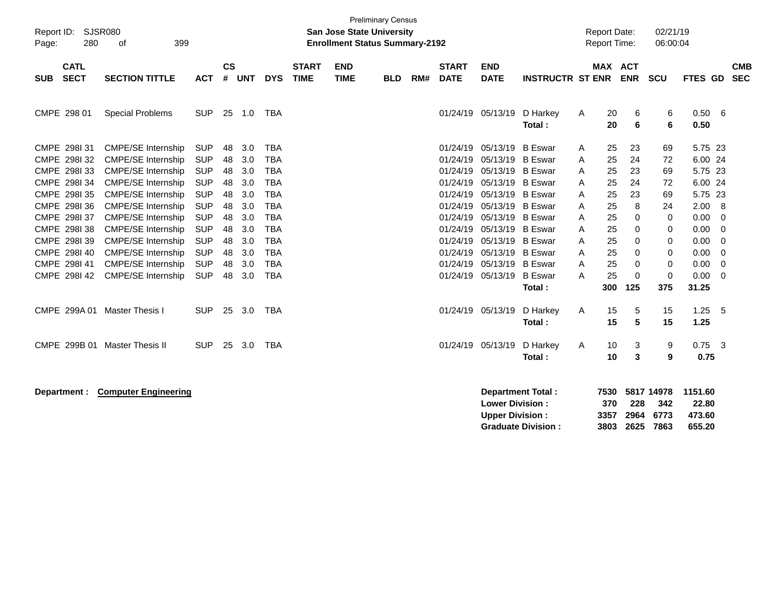| Report ID:<br>Page: | <b>SJSR080</b><br>280      | 399                           |            |                    |            |            | <b>San Jose State University</b><br><b>Enrollment Status Summary-2192</b> | <b>Preliminary Census</b> |            |     |                             |                                                  |                                                | <b>Report Date:</b><br><b>Report Time:</b> |                             | 02/21/19<br>06:00:04 |                                   |                                      |                         |                          |
|---------------------|----------------------------|-------------------------------|------------|--------------------|------------|------------|---------------------------------------------------------------------------|---------------------------|------------|-----|-----------------------------|--------------------------------------------------|------------------------------------------------|--------------------------------------------|-----------------------------|----------------------|-----------------------------------|--------------------------------------|-------------------------|--------------------------|
| <b>SUB</b>          | <b>CATL</b><br><b>SECT</b> | <b>SECTION TITTLE</b>         | <b>ACT</b> | $\mathsf{cs}$<br># | <b>UNT</b> | <b>DYS</b> | <b>START</b><br><b>TIME</b>                                               | <b>END</b><br><b>TIME</b> | <b>BLD</b> | RM# | <b>START</b><br><b>DATE</b> | <b>END</b><br><b>DATE</b>                        | <b>INSTRUCTR ST ENR</b>                        |                                            | <b>MAX ACT</b>              | <b>ENR</b>           | <b>SCU</b>                        | FTES GD                              |                         | <b>CMB</b><br><b>SEC</b> |
|                     | CMPE 298 01                | <b>Special Problems</b>       | <b>SUP</b> | 25                 | 1.0        | <b>TBA</b> |                                                                           |                           |            |     |                             | 01/24/19 05/13/19                                | D Harkey<br>Total:                             | A                                          | 20<br>20                    | 6<br>6               | 6<br>6                            | 0.50 6<br>0.50                       |                         |                          |
|                     | CMPE 298131                | <b>CMPE/SE Internship</b>     | <b>SUP</b> | 48                 | 3.0        | <b>TBA</b> |                                                                           |                           |            |     | 01/24/19                    | 05/13/19 B Eswar                                 |                                                | A                                          | 25                          | 23                   | 69                                | 5.75 23                              |                         |                          |
|                     | CMPE 298132                | <b>CMPE/SE Internship</b>     | <b>SUP</b> | 48                 | 3.0        | <b>TBA</b> |                                                                           |                           |            |     | 01/24/19                    | 05/13/19 B Eswar                                 |                                                | Α                                          | 25                          | 24                   | 72                                | 6.00 24                              |                         |                          |
|                     | CMPE 2981 33               | <b>CMPE/SE Internship</b>     | <b>SUP</b> | 48                 | 3.0        | <b>TBA</b> |                                                                           |                           |            |     | 01/24/19                    | 05/13/19 B Eswar                                 |                                                | A                                          | 25                          | 23                   | 69                                | 5.75 23                              |                         |                          |
|                     | CMPE 298134                | <b>CMPE/SE Internship</b>     | <b>SUP</b> | 48                 | 3.0        | <b>TBA</b> |                                                                           |                           |            |     | 01/24/19                    | 05/13/19 B Eswar                                 |                                                | Α                                          | 25                          | 24                   | 72                                | 6.00 24                              |                         |                          |
|                     | CMPE 2981 35               | <b>CMPE/SE Internship</b>     | <b>SUP</b> | 48                 | 3.0        | <b>TBA</b> |                                                                           |                           |            |     | 01/24/19                    | 05/13/19 B Eswar                                 |                                                | A                                          | 25                          | 23                   | 69                                | 5.75 23                              |                         |                          |
|                     | CMPE 298136                | CMPE/SE Internship            | <b>SUP</b> | 48                 | 3.0        | <b>TBA</b> |                                                                           |                           |            |     | 01/24/19                    | 05/13/19 B Eswar                                 |                                                | A                                          | 25                          | 8                    | 24                                | 2.00                                 | - 8                     |                          |
|                     | CMPE 298137                | CMPE/SE Internship            | <b>SUP</b> | 48                 | 3.0        | <b>TBA</b> |                                                                           |                           |            |     | 01/24/19                    | 05/13/19 B Eswar                                 |                                                | A                                          | 25                          | 0                    | $\mathbf 0$                       | 0.00                                 | $\overline{0}$          |                          |
|                     | CMPE 298138                | CMPE/SE Internship            | <b>SUP</b> | 48                 | 3.0        | <b>TBA</b> |                                                                           |                           |            |     | 01/24/19                    | 05/13/19 B Eswar                                 |                                                | A                                          | 25                          | 0                    | 0                                 | 0.00                                 | 0                       |                          |
|                     | CMPE 298I 39               | <b>CMPE/SE Internship</b>     | <b>SUP</b> | 48                 | 3.0        | <b>TBA</b> |                                                                           |                           |            |     | 01/24/19                    | 05/13/19 B Eswar                                 |                                                | A                                          | 25                          | 0                    | 0                                 | 0.00                                 | - 0                     |                          |
|                     | CMPE 298140                | <b>CMPE/SE Internship</b>     | <b>SUP</b> | 48                 | 3.0        | <b>TBA</b> |                                                                           |                           |            |     | 01/24/19                    | 05/13/19 B Eswar                                 |                                                | A                                          | 25                          | 0                    | 0                                 | 0.00                                 | 0                       |                          |
|                     | CMPE 298I 41               | <b>CMPE/SE Internship</b>     | <b>SUP</b> | 48                 | 3.0        | <b>TBA</b> |                                                                           |                           |            |     | 01/24/19                    | 05/13/19 B Eswar                                 |                                                | A                                          | 25                          | 0                    | $\mathbf 0$                       | 0.00                                 | $\overline{0}$          |                          |
|                     | CMPE 2981 42               | <b>CMPE/SE Internship</b>     | <b>SUP</b> | 48                 | 3.0        | <b>TBA</b> |                                                                           |                           |            |     |                             | 01/24/19 05/13/19 B Eswar                        | Total:                                         | A                                          | 25<br>300                   | $\mathbf 0$<br>125   | $\mathbf 0$<br>375                | 0.00<br>31.25                        | $\overline{\mathbf{0}}$ |                          |
|                     | CMPE 299A 01               | Master Thesis I               | <b>SUP</b> | 25                 | 3.0        | <b>TBA</b> |                                                                           |                           |            |     |                             | 01/24/19 05/13/19                                | D Harkey<br>Total:                             | Α                                          | 15<br>15                    | 5<br>5               | 15<br>15                          | 1.25<br>1.25                         | 5                       |                          |
|                     |                            | CMPE 299B 01 Master Thesis II | <b>SUP</b> | 25                 | 3.0        | TBA        |                                                                           |                           |            |     |                             | 01/24/19 05/13/19                                | D Harkey<br>Total:                             | A                                          | 10<br>10                    | 3<br>3               | 9<br>9                            | $0.75$ 3<br>0.75                     |                         |                          |
|                     | Department :               | <b>Computer Engineering</b>   |            |                    |            |            |                                                                           |                           |            |     |                             | <b>Lower Division:</b><br><b>Upper Division:</b> | Department Total:<br><b>Graduate Division:</b> |                                            | 7530<br>370<br>3357<br>3803 | 228<br>2964<br>2625  | 5817 14978<br>342<br>6773<br>7863 | 1151.60<br>22.80<br>473.60<br>655.20 |                         |                          |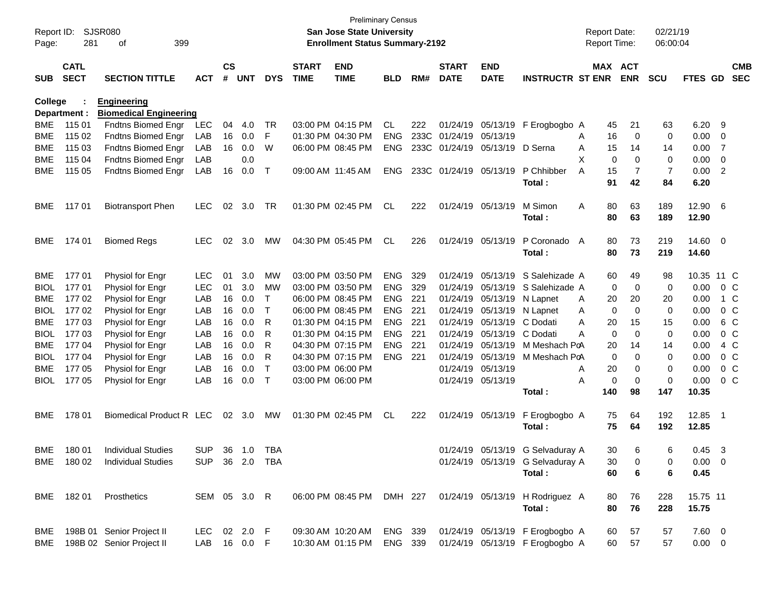| Report ID:<br>Page: | 281                        | <b>SJSR080</b><br>399<br>οf   |                |               |        |            |                             | <b>Preliminary Census</b><br><b>San Jose State University</b><br><b>Enrollment Status Summary-2192</b> |            |     |                             |                           |                                                           |   | <b>Report Date:</b><br><b>Report Time:</b> |            | 02/21/19<br>06:00:04 |                 |                |                          |
|---------------------|----------------------------|-------------------------------|----------------|---------------|--------|------------|-----------------------------|--------------------------------------------------------------------------------------------------------|------------|-----|-----------------------------|---------------------------|-----------------------------------------------------------|---|--------------------------------------------|------------|----------------------|-----------------|----------------|--------------------------|
| <b>SUB</b>          | <b>CATL</b><br><b>SECT</b> | <b>SECTION TITTLE</b>         | <b>ACT</b>     | $\mathsf{cs}$ | # UNT  | <b>DYS</b> | <b>START</b><br><b>TIME</b> | <b>END</b><br><b>TIME</b>                                                                              | <b>BLD</b> | RM# | <b>START</b><br><b>DATE</b> | <b>END</b><br><b>DATE</b> | <b>INSTRUCTR ST ENR</b>                                   |   | MAX ACT                                    | <b>ENR</b> | <b>SCU</b>           | FTES GD         |                | <b>CMB</b><br><b>SEC</b> |
| <b>College</b>      |                            | <b>Engineering</b>            |                |               |        |            |                             |                                                                                                        |            |     |                             |                           |                                                           |   |                                            |            |                      |                 |                |                          |
|                     | Department :               | <b>Biomedical Engineering</b> |                |               |        |            |                             |                                                                                                        |            |     |                             |                           |                                                           |   |                                            |            |                      |                 |                |                          |
| <b>BME</b>          | 115 01                     | Fndtns Biomed Engr            | LEC            | 04            | 4.0    | TR         |                             | 03:00 PM 04:15 PM                                                                                      | CL.        | 222 | 01/24/19                    | 05/13/19                  | F Erogbogbo A                                             |   | 45                                         | 21         | 63                   | 6.20            | - 9            |                          |
| <b>BME</b>          | 115 02                     | Fndtns Biomed Engr            | LAB            | 16            | 0.0    | F          |                             | 01:30 PM 04:30 PM                                                                                      | <b>ENG</b> |     | 233C 01/24/19               | 05/13/19                  |                                                           | A | 16                                         | 0          | 0                    | 0.00            | 0              |                          |
| <b>BME</b>          | 115 03                     | Fndtns Biomed Engr            | LAB            | 16            | 0.0    | W          |                             | 06:00 PM 08:45 PM                                                                                      | <b>ENG</b> |     | 233C 01/24/19               | 05/13/19                  | D Serna                                                   | A | 15                                         | 14         | 14                   | 0.00            | $\overline{7}$ |                          |
| <b>BME</b>          | 115 04                     | <b>Fndtns Biomed Engr</b>     | LAB            |               | 0.0    |            |                             |                                                                                                        |            |     |                             |                           |                                                           | х | 0                                          | $\Omega$   | 0                    | 0.00            | 0              |                          |
| <b>BME</b>          | 115 05                     | Fndtns Biomed Engr            | LAB            | 16            | 0.0    | $\top$     | 09:00 AM 11:45 AM           |                                                                                                        | <b>ENG</b> |     | 233C 01/24/19               | 05/13/19                  | P Chhibber                                                | A | 15                                         | 7          | $\overline{7}$       | 0.00            | 2              |                          |
|                     |                            |                               |                |               |        |            |                             |                                                                                                        |            |     |                             |                           | Total:                                                    |   | 91                                         | 42         | 84                   | 6.20            |                |                          |
| <b>BME</b>          | 117 01                     | <b>Biotransport Phen</b>      | <b>LEC</b>     | 02            | 3.0    | TR         |                             | 01:30 PM 02:45 PM                                                                                      | CL         | 222 | 01/24/19                    | 05/13/19                  | M Simon                                                   | Α | 80                                         | 63         | 189                  | 12.90           | - 6            |                          |
|                     |                            |                               |                |               |        |            |                             |                                                                                                        |            |     |                             |                           | Total:                                                    |   | 80                                         | 63         | 189                  | 12.90           |                |                          |
| <b>BME</b>          | 174 01                     | <b>Biomed Regs</b>            | <b>LEC</b>     | 02            | 3.0    | MW         |                             | 04:30 PM 05:45 PM                                                                                      | CL         | 226 | 01/24/19                    | 05/13/19                  | P Coronado                                                | A | 80                                         | 73         | 219                  | 14.60 0         |                |                          |
|                     |                            |                               |                |               |        |            |                             |                                                                                                        |            |     |                             |                           | Total:                                                    |   | 80                                         | 73         | 219                  | 14.60           |                |                          |
| <b>BME</b>          | 17701                      | Physiol for Engr              | LEC            | 01            | 3.0    | MW         |                             | 03:00 PM 03:50 PM                                                                                      | <b>ENG</b> | 329 | 01/24/19                    | 05/13/19                  | S Salehizade A                                            |   | 60                                         | 49         | 98                   | 10.35 11 C      |                |                          |
| <b>BIOL</b>         | 17701                      | Physiol for Engr              | <b>LEC</b>     | 01            | 3.0    | MW         |                             | 03:00 PM 03:50 PM                                                                                      | <b>ENG</b> | 329 | 01/24/19                    | 05/13/19                  | S Salehizade A                                            |   | 0                                          | 0          | 0                    | 0.00            |                | $0\,C$                   |
| <b>BME</b>          | 17702                      | Physiol for Engr              | LAB            | 16            | 0.0    | T          |                             | 06:00 PM 08:45 PM                                                                                      | <b>ENG</b> | 221 | 01/24/19                    | 05/13/19                  | N Lapnet                                                  | A | 20                                         | 20         | 20                   | 0.00            |                | 1 C                      |
| <b>BIOL</b>         | 17702                      | Physiol for Engr              | LAB            | 16            | 0.0    | T          |                             | 06:00 PM 08:45 PM                                                                                      | <b>ENG</b> | 221 | 01/24/19                    |                           | 05/13/19 N Lapnet                                         | A | 0                                          | 0          | 0                    | 0.00            |                | $0\,C$                   |
| <b>BME</b>          | 177 03                     | Physiol for Engr              | LAB            | 16            | 0.0    | R          |                             | 01:30 PM 04:15 PM                                                                                      | <b>ENG</b> | 221 | 01/24/19                    | 05/13/19                  | C Dodati                                                  | A | 20                                         | 15         | 15                   | 0.00            |                | 6 C                      |
| <b>BIOL</b>         | 177 03                     | Physiol for Engr              | LAB            | 16            | 0.0    | R          | 01:30 PM 04:15 PM           |                                                                                                        | <b>ENG</b> | 221 | 01/24/19                    | 05/13/19                  | C Dodati                                                  | A | 0                                          | 0          | 0                    | 0.00            |                | $0\,C$                   |
| <b>BME</b>          | 177 04                     | Physiol for Engr              | LAB            | 16            | 0.0    | R          |                             | 04:30 PM 07:15 PM                                                                                      | <b>ENG</b> | 221 | 01/24/19                    | 05/13/19                  | M Meshach PoA                                             |   | 20                                         | 14         | 14                   | 0.00            |                | 4 C                      |
| <b>BIOL</b>         | 177 04                     | Physiol for Engr              | LAB            | 16            | 0.0    | R          |                             | 04:30 PM 07:15 PM                                                                                      | <b>ENG</b> | 221 | 01/24/19                    | 05/13/19                  | M Meshach PoA                                             |   | 0                                          | 0          | 0                    | 0.00            |                | $0\,C$                   |
| <b>BME</b>          | 177 05                     | Physiol for Engr              | LAB            | 16            | 0.0    | $\top$     |                             | 03:00 PM 06:00 PM                                                                                      |            |     | 01/24/19                    | 05/13/19                  |                                                           | Α | 20                                         | 0          | 0                    | 0.00            |                | $0\,C$                   |
| <b>BIOL</b>         | 17705                      | Physiol for Engr              | LAB            | 16            | 0.0    | $\top$     | 03:00 PM 06:00 PM           |                                                                                                        |            |     | 01/24/19                    | 05/13/19                  |                                                           | A | 0                                          | 0          | 0                    | 0.00            |                | $0\,C$                   |
|                     |                            |                               |                |               |        |            |                             |                                                                                                        |            |     |                             |                           | Total:                                                    |   | 140                                        | 98         | 147                  | 10.35           |                |                          |
| <b>BME</b>          | 178 01                     | Biomedical Product R LEC      |                |               | 02 3.0 | MW         |                             | 01:30 PM 02:45 PM                                                                                      | CL.        | 222 |                             | 01/24/19 05/13/19         | F Erogbogbo A                                             |   | 75                                         | 64         | 192                  | 12.85           | - 1            |                          |
|                     |                            |                               |                |               |        |            |                             |                                                                                                        |            |     |                             |                           | Total:                                                    |   | 75                                         | 64         | 192                  | 12.85           |                |                          |
| <b>BME</b>          | 180 01                     | <b>Individual Studies</b>     | <b>SUP</b>     |               | 36 1.0 | <b>TBA</b> |                             |                                                                                                        |            |     |                             |                           | 01/24/19 05/13/19 G Selvaduray A                          |   | 30                                         | 6          | 6                    | 0.45            | 3              |                          |
|                     | BME 180 02                 | <b>Individual Studies</b>     | SUP 36 2.0 TBA |               |        |            |                             |                                                                                                        |            |     |                             |                           | 01/24/19 05/13/19 G Selvaduray A                          |   | 30                                         | 0          | 0                    | $0.00 \quad 0$  |                |                          |
|                     |                            |                               |                |               |        |            |                             |                                                                                                        |            |     |                             |                           | Total:                                                    |   | 60                                         | 6          | 6                    | 0.45            |                |                          |
|                     | BME 18201                  | Prosthetics                   | SEM 05 3.0 R   |               |        |            |                             |                                                                                                        |            |     |                             |                           | 06:00 PM 08:45 PM DMH 227 01/24/19 05/13/19 H Rodriguez A |   | 80                                         | 76         | 228                  | 15.75 11        |                |                          |
|                     |                            |                               |                |               |        |            |                             |                                                                                                        |            |     |                             |                           | Total:                                                    |   | 80                                         | 76         | 228                  | 15.75           |                |                          |
| BME                 |                            | 198B 01 Senior Project II     | LEC 02 2.0 F   |               |        |            |                             | 09:30 AM 10:20 AM                                                                                      | ENG 339    |     |                             |                           | 01/24/19 05/13/19 F Erogbogbo A                           |   | 60                                         | 57         | 57                   | 7.60 0          |                |                          |
|                     |                            | BME 198B 02 Senior Project II | LAB 16 0.0 F   |               |        |            |                             | 10:30 AM 01:15 PM                                                                                      | ENG 339    |     |                             |                           | 01/24/19 05/13/19 F Erogbogbo A                           |   | 60                                         | 57         | 57                   | $0.00\quad$ $0$ |                |                          |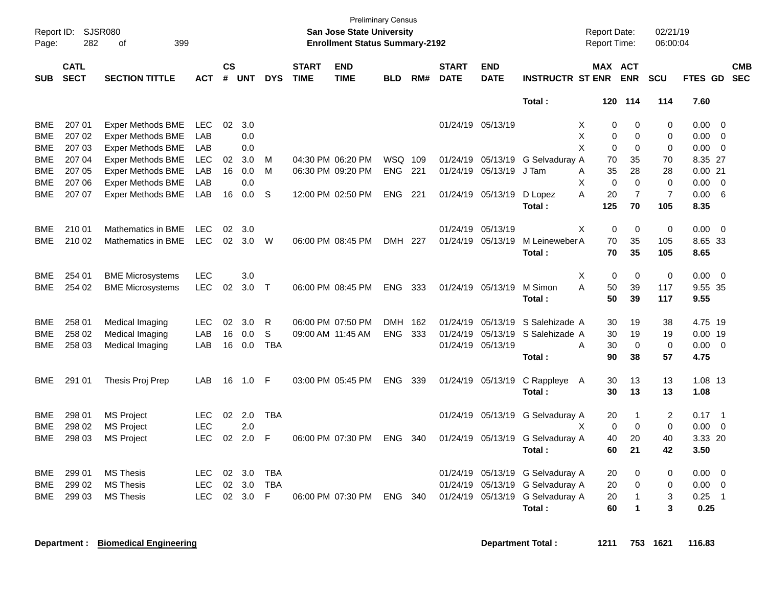| Page:      | Report ID: SJSR080<br>282<br>399<br>οf<br><b>CATL</b> |                          |            |                |            |             |                             | <b>Preliminary Census</b><br><b>San Jose State University</b><br><b>Enrollment Status Summary-2192</b> |            |       |                             |                           |                         | <b>Report Date:</b><br>Report Time: |                | 02/21/19<br>06:00:04 |                |                          |
|------------|-------------------------------------------------------|--------------------------|------------|----------------|------------|-------------|-----------------------------|--------------------------------------------------------------------------------------------------------|------------|-------|-----------------------------|---------------------------|-------------------------|-------------------------------------|----------------|----------------------|----------------|--------------------------|
| <b>SUB</b> | <b>SECT</b>                                           | <b>SECTION TITTLE</b>    | <b>ACT</b> | <b>CS</b><br># | <b>UNT</b> | <b>DYS</b>  | <b>START</b><br><b>TIME</b> | <b>END</b><br><b>TIME</b>                                                                              | <b>BLD</b> | RM#   | <b>START</b><br><b>DATE</b> | <b>END</b><br><b>DATE</b> | <b>INSTRUCTR ST ENR</b> | MAX ACT                             | <b>ENR</b>     | <b>SCU</b>           | FTES GD        | <b>CMB</b><br><b>SEC</b> |
|            |                                                       |                          |            |                |            |             |                             |                                                                                                        |            |       |                             |                           | Total:                  | 120                                 | 114            | 114                  | 7.60           |                          |
| <b>BME</b> | 207 01                                                | <b>Exper Methods BME</b> | <b>LEC</b> | 02             | 3.0        |             |                             |                                                                                                        |            |       |                             | 01/24/19 05/13/19         |                         | X<br>0                              | $\Omega$       | 0                    | $0.00 \quad 0$ |                          |
| <b>BME</b> | 207 02                                                | <b>Exper Methods BME</b> | LAB        |                | 0.0        |             |                             |                                                                                                        |            |       |                             |                           |                         | X<br>0                              | $\mathbf 0$    | 0                    | 0.00           | $\overline{\mathbf{0}}$  |
| <b>BME</b> | 207 03                                                | Exper Methods BME        | LAB        |                | 0.0        |             |                             |                                                                                                        |            |       |                             |                           |                         | X<br>$\Omega$                       | $\Omega$       | 0                    | 0.00           | $\overline{\mathbf{0}}$  |
| <b>BME</b> | 207 04                                                | <b>Exper Methods BME</b> | <b>LEC</b> | 02             | 3.0        | M           |                             | 04:30 PM 06:20 PM                                                                                      | WSQ 109    |       |                             | 01/24/19 05/13/19         | G Selvaduray A          | 70                                  | 35             | 70                   | 8.35 27        |                          |
| <b>BME</b> | 207 05                                                | Exper Methods BME        | <b>LAB</b> | 16             | 0.0        | M           |                             | 06:30 PM 09:20 PM                                                                                      | <b>ENG</b> | 221   |                             | 01/24/19 05/13/19         | J Tam                   | 35<br>Α                             | 28             | 28                   | 0.0021         |                          |
| <b>BME</b> | 207 06                                                | <b>Exper Methods BME</b> | LAB        |                | 0.0        |             |                             |                                                                                                        |            |       |                             |                           |                         | X<br>$\Omega$                       | $\Omega$       | $\mathbf 0$          | 0.00           | $\overline{\mathbf{0}}$  |
| BME        | 207 07                                                | Exper Methods BME        | LAB        | 16             | 0.0        | S           |                             | 12:00 PM 02:50 PM                                                                                      | ENG.       | 221   |                             | 01/24/19 05/13/19         | D Lopez                 | A<br>20                             | $\overline{7}$ | $\overline{7}$       | 0.00           | - 6                      |
|            |                                                       |                          |            |                |            |             |                             |                                                                                                        |            |       |                             |                           | Total:                  | 125                                 | 70             | 105                  | 8.35           |                          |
| <b>BME</b> | 210 01                                                | Mathematics in BME       | <b>LEC</b> | 02             | 3.0        |             |                             |                                                                                                        |            |       |                             | 01/24/19 05/13/19         |                         | X<br>$\mathbf 0$                    | $\Omega$       | 0                    | 0.00           | $\overline{\mathbf{0}}$  |
| <b>BME</b> | 210 02                                                | Mathematics in BME       | <b>LEC</b> | 02             | 3.0        | W           |                             | 06:00 PM 08:45 PM                                                                                      | DMH 227    |       |                             | 01/24/19 05/13/19         | M Leineweber A          | 70                                  | 35             | 105                  | 8.65 33        |                          |
|            |                                                       |                          |            |                |            |             |                             |                                                                                                        |            |       |                             |                           | Total:                  | 70                                  | 35             | 105                  | 8.65           |                          |
| <b>BME</b> | 254 01                                                | <b>BME Microsystems</b>  | LEC        |                | 3.0        |             |                             |                                                                                                        |            |       |                             |                           |                         | х<br>0                              | 0              | $\pmb{0}$            | 0.00           | $\overline{\phantom{0}}$ |
| <b>BME</b> | 254 02                                                | <b>BME Microsystems</b>  | <b>LEC</b> | 02             | 3.0        | $\top$      |                             | 06:00 PM 08:45 PM                                                                                      | ENG.       | 333   |                             | 01/24/19 05/13/19         | M Simon                 | A<br>50                             | 39             | 117                  | 9.55 35        |                          |
|            |                                                       |                          |            |                |            |             |                             |                                                                                                        |            |       |                             |                           | Total:                  | 50                                  | 39             | 117                  | 9.55           |                          |
| <b>BME</b> | 258 01                                                | Medical Imaging          | <b>LEC</b> | 02             | 3.0        | R           |                             | 06:00 PM 07:50 PM                                                                                      | <b>DMH</b> | - 162 |                             | 01/24/19 05/13/19         | S Salehizade A          | 30                                  | 19             | 38                   | 4.75 19        |                          |
| <b>BME</b> | 258 02                                                | Medical Imaging          | LAB        | 16             | 0.0        | $\mathbb S$ |                             | 09:00 AM 11:45 AM                                                                                      | <b>ENG</b> | 333   |                             | 01/24/19 05/13/19         | S Salehizade A          | 30                                  | 19             | 19                   | $0.00$ 19      |                          |
| BME        | 258 03                                                | Medical Imaging          | LAB        | 16             | 0.0        | <b>TBA</b>  |                             |                                                                                                        |            |       |                             | 01/24/19 05/13/19         |                         | 30<br>A                             | $\mathbf 0$    | $\mathbf 0$          | $0.00 \t 0$    |                          |
|            |                                                       |                          |            |                |            |             |                             |                                                                                                        |            |       |                             |                           | Total:                  | 90                                  | 38             | 57                   | 4.75           |                          |
| BME        | 291 01                                                | Thesis Proj Prep         | LAB        | 16             | 1.0        | F           |                             | 03:00 PM 05:45 PM                                                                                      | <b>ENG</b> | 339   |                             | 01/24/19 05/13/19         | C Rappleye A            | 30                                  | 13             | 13                   | 1.08 13        |                          |
|            |                                                       |                          |            |                |            |             |                             |                                                                                                        |            |       |                             |                           | Total:                  | 30                                  | 13             | 13                   | 1.08           |                          |
| <b>BME</b> | 298 01                                                | <b>MS Project</b>        | LEC        | 02             | 2.0        | <b>TBA</b>  |                             |                                                                                                        |            |       |                             | 01/24/19 05/13/19         | G Selvaduray A          | 20                                  | 1              | $\overline{c}$       | $0.17 \quad 1$ |                          |
| <b>BME</b> | 298 02                                                | <b>MS Project</b>        | LEC        |                | 2.0        |             |                             |                                                                                                        |            |       |                             |                           |                         | $\mathbf 0$<br>X                    | $\mathbf 0$    | $\mathbf 0$          | 0.00           | $\overline{\phantom{0}}$ |
| <b>BME</b> | 298 03                                                | <b>MS Project</b>        | LEC        | 02             | 2.0        | F           |                             | 06:00 PM 07:30 PM                                                                                      | <b>ENG</b> | 340   |                             | 01/24/19 05/13/19         | G Selvaduray A          | 40                                  | 20             | 40                   | 3.33 20        |                          |
|            |                                                       |                          |            |                |            |             |                             |                                                                                                        |            |       |                             |                           | Total:                  | 60                                  | 21             | 42                   | 3.50           |                          |
| <b>BME</b> | 299 01                                                | <b>MS Thesis</b>         | LEC        | 02             | 3.0        | <b>TBA</b>  |                             |                                                                                                        |            |       |                             | 01/24/19 05/13/19         | G Selvaduray A          | 20                                  | $\Omega$       | 0                    | 0.00           | $\overline{\mathbf{0}}$  |
| <b>BME</b> | 299 02                                                | <b>MS Thesis</b>         | LEC        | 02             | 3.0        | <b>TBA</b>  |                             |                                                                                                        |            |       |                             | 01/24/19 05/13/19         | G Selvaduray A          | 20                                  | 0              | 0                    | 0.00           | $\overline{0}$           |
| <b>BME</b> | 299 03                                                | <b>MS Thesis</b>         | LEC        | 02             | 3.0        | F           |                             | 06:00 PM 07:30 PM                                                                                      | ENG.       | -340  |                             | 01/24/19 05/13/19         | G Selvaduray A          | 20                                  | 1              | 3                    | 0.25           | $\overline{1}$           |
|            |                                                       |                          |            |                |            |             |                             |                                                                                                        |            |       |                             |                           | <b>Total</b> :          | 60                                  | 1              | 3                    | 0.25           |                          |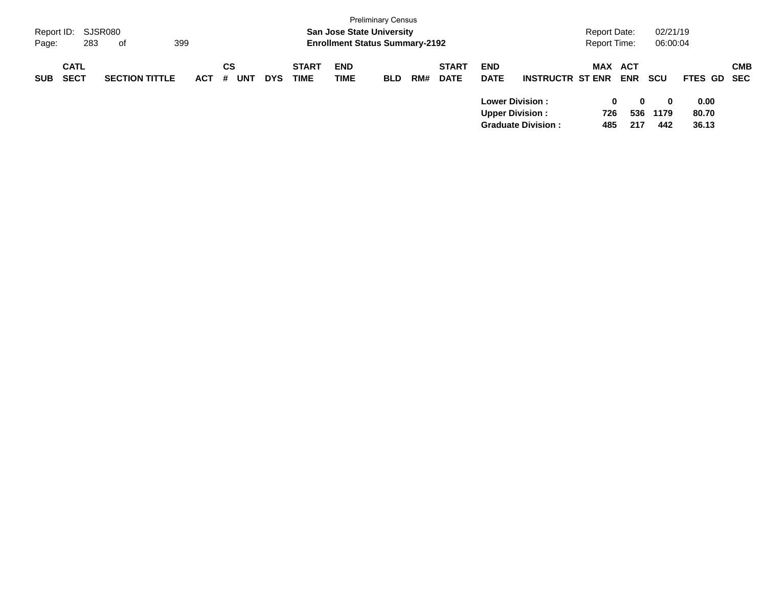| Report ID:<br>Page: | 283                        | SJSR080<br>399<br>of  |            |                |            |                             | <b>San Jose State University</b><br><b>Enrollment Status Summary-2192</b> | <b>Preliminary Census</b> |     |                             |                                                  |                           | Report Date:<br><b>Report Time:</b> |                          | 02/21/19<br>06:00:04    |                        |            |
|---------------------|----------------------------|-----------------------|------------|----------------|------------|-----------------------------|---------------------------------------------------------------------------|---------------------------|-----|-----------------------------|--------------------------------------------------|---------------------------|-------------------------------------|--------------------------|-------------------------|------------------------|------------|
| <b>SUB</b>          | <b>CATL</b><br><b>SECT</b> | <b>SECTION TITTLE</b> | <b>ACT</b> | CS<br>UNT<br># | <b>DYS</b> | <b>START</b><br><b>TIME</b> | <b>END</b><br><b>TIME</b>                                                 | <b>BLD</b>                | RM# | <b>START</b><br><b>DATE</b> | <b>END</b><br><b>DATE</b>                        | <b>INSTRUCTR ST ENR</b>   | <b>MAX</b>                          | <b>ACT</b><br><b>ENR</b> | <b>SCU</b>              | FTES GD SEC            | <b>CMB</b> |
|                     |                            |                       |            |                |            |                             |                                                                           |                           |     |                             | <b>Lower Division:</b><br><b>Upper Division:</b> | <b>Graduate Division:</b> | 0<br>726<br>485                     | 0<br>536<br>217          | $\bf{0}$<br>1179<br>442 | 0.00<br>80.70<br>36.13 |            |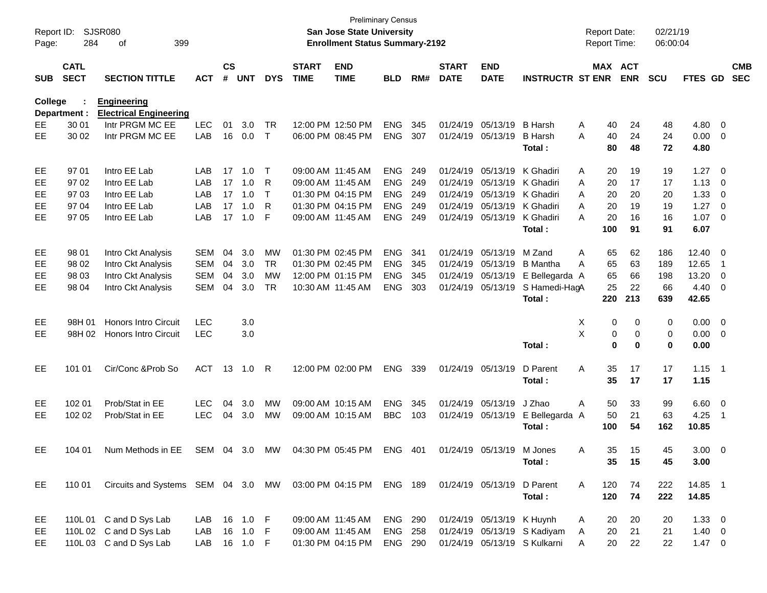| Report ID:     |                            | SJSR080                                             |               |                    |            |              |                             | <b>Preliminary Census</b><br><b>San Jose State University</b> |                |     |                             |                            |                              |   | <b>Report Date:</b> |            | 02/21/19   |             |                          |                          |
|----------------|----------------------------|-----------------------------------------------------|---------------|--------------------|------------|--------------|-----------------------------|---------------------------------------------------------------|----------------|-----|-----------------------------|----------------------------|------------------------------|---|---------------------|------------|------------|-------------|--------------------------|--------------------------|
| Page:          | 284                        | 399<br>οf                                           |               |                    |            |              |                             | <b>Enrollment Status Summary-2192</b>                         |                |     |                             |                            |                              |   | <b>Report Time:</b> |            | 06:00:04   |             |                          |                          |
| <b>SUB</b>     | <b>CATL</b><br><b>SECT</b> | <b>SECTION TITTLE</b>                               | <b>ACT</b>    | $\mathsf{cs}$<br># | <b>UNT</b> | <b>DYS</b>   | <b>START</b><br><b>TIME</b> | <b>END</b><br><b>TIME</b>                                     | <b>BLD</b>     | RM# | <b>START</b><br><b>DATE</b> | <b>END</b><br><b>DATE</b>  | <b>INSTRUCTR ST ENR</b>      |   | MAX ACT             | <b>ENR</b> | <b>SCU</b> | FTES GD     |                          | <b>CMB</b><br><b>SEC</b> |
| <b>College</b> | Department :               | <b>Engineering</b><br><b>Electrical Engineering</b> |               |                    |            |              |                             |                                                               |                |     |                             |                            |                              |   |                     |            |            |             |                          |                          |
| EE             | 30 01                      | Intr PRGM MC EE                                     | <b>LEC</b>    | 01                 | 3.0        | <b>TR</b>    |                             | 12:00 PM 12:50 PM                                             | <b>ENG</b>     | 345 | 01/24/19                    | 05/13/19                   | <b>B</b> Harsh               | A | 40                  | 24         | 48         | 4.80        | $\overline{\phantom{0}}$ |                          |
| EE             | 30 02                      | Intr PRGM MC EE                                     | LAB           | 16                 | 0.0        | $\mathsf{T}$ |                             | 06:00 PM 08:45 PM                                             | <b>ENG</b>     | 307 | 01/24/19                    | 05/13/19                   | <b>B</b> Harsh               | Α | 40                  | 24         | 24         | 0.00        | $\overline{\mathbf{0}}$  |                          |
|                |                            |                                                     |               |                    |            |              |                             |                                                               |                |     |                             |                            | Total:                       |   | 80                  | 48         | 72         | 4.80        |                          |                          |
| EE             | 97 01                      | Intro EE Lab                                        | LAB           | 17                 | 1.0        | $\top$       |                             | 09:00 AM 11:45 AM                                             | <b>ENG</b>     | 249 | 01/24/19                    | 05/13/19                   | K Ghadiri                    | A | 20                  | 19         | 19         | 1.27        | $\overline{\mathbf{0}}$  |                          |
| EE             | 97 02                      | Intro EE Lab                                        | LAB           | 17                 | 1.0        | R            | 09:00 AM 11:45 AM           |                                                               | <b>ENG</b>     | 249 | 01/24/19                    | 05/13/19                   | K Ghadiri                    | A | 20                  | 17         | 17         | 1.13        | 0                        |                          |
| EE             | 97 03                      | Intro EE Lab                                        | LAB           | 17                 | 1.0        | T            |                             | 01:30 PM 04:15 PM                                             | <b>ENG</b>     | 249 | 01/24/19                    | 05/13/19                   | K Ghadiri                    | A | 20                  | 20         | 20         | 1.33        | 0                        |                          |
| EE             | 97 04                      | Intro EE Lab                                        | LAB           | 17                 | 1.0        | R            |                             | 01:30 PM 04:15 PM                                             | <b>ENG</b>     | 249 | 01/24/19                    | 05/13/19                   | K Ghadiri                    | Α | 20                  | 19         | 19         | 1.27        | $\overline{\mathbf{0}}$  |                          |
| EE             | 97 05                      | Intro EE Lab                                        | LAB           | 17                 | 1.0        | F            |                             | 09:00 AM 11:45 AM                                             | <b>ENG</b>     | 249 | 01/24/19                    | 05/13/19                   | K Ghadiri                    | Α | 20                  | 16         | 16         | 1.07        | $\overline{\phantom{0}}$ |                          |
|                |                            |                                                     |               |                    |            |              |                             |                                                               |                |     |                             |                            | Total:                       |   | 100                 | 91         | 91         | 6.07        |                          |                          |
| EE             | 98 01                      | Intro Ckt Analysis                                  | <b>SEM</b>    | 04                 | 3.0        | <b>MW</b>    |                             | 01:30 PM 02:45 PM                                             | <b>ENG</b>     | 341 | 01/24/19                    | 05/13/19                   | M Zand                       | Α | 65                  | 62         | 186        | 12.40       | $\overline{\phantom{0}}$ |                          |
| EE             | 98 02                      | Intro Ckt Analysis                                  | <b>SEM</b>    | 04                 | 3.0        | <b>TR</b>    |                             | 01:30 PM 02:45 PM                                             | <b>ENG</b>     | 345 | 01/24/19                    | 05/13/19                   | <b>B</b> Mantha              | A | 65                  | 63         | 189        | 12.65       | $\overline{1}$           |                          |
| EE             | 98 03                      | Intro Ckt Analysis                                  | <b>SEM</b>    | 04                 | 3.0        | <b>MW</b>    |                             | 12:00 PM 01:15 PM                                             | <b>ENG</b>     | 345 | 01/24/19                    | 05/13/19                   | E Bellegarda A               |   | 65                  | 66         | 198        | 13.20       | 0                        |                          |
| EE             | 98 04                      | Intro Ckt Analysis                                  | <b>SEM</b>    | 04                 | 3.0        | <b>TR</b>    |                             | 10:30 AM 11:45 AM                                             | <b>ENG</b>     | 303 | 01/24/19                    | 05/13/19                   | S Hamedi-HagA                |   | 25                  | 22         | 66         | 4.40        | - 0                      |                          |
|                |                            |                                                     |               |                    |            |              |                             |                                                               |                |     |                             |                            | Total:                       |   | 220                 | 213        | 639        | 42.65       |                          |                          |
| EE             | 98H 01                     | <b>Honors Intro Circuit</b>                         | <b>LEC</b>    |                    | 3.0        |              |                             |                                                               |                |     |                             |                            |                              | Χ | 0                   | 0          | 0          | 0.00        | $\overline{\phantom{0}}$ |                          |
| EE             | 98H 02                     | <b>Honors Intro Circuit</b>                         | <b>LEC</b>    |                    | 3.0        |              |                             |                                                               |                |     |                             |                            |                              | X | 0                   | 0          | 0          | 0.00        | $\overline{\phantom{0}}$ |                          |
|                |                            |                                                     |               |                    |            |              |                             |                                                               |                |     |                             |                            | Total:                       |   | 0                   | 0          | 0          | 0.00        |                          |                          |
|                |                            |                                                     |               |                    |            |              |                             |                                                               |                |     |                             |                            |                              |   |                     |            |            |             |                          |                          |
| EE             | 101 01                     | Cir/Conc & Prob So                                  | <b>ACT</b>    | 13                 | 1.0        | $\mathsf{R}$ |                             | 12:00 PM 02:00 PM                                             | <b>ENG</b>     | 339 |                             | 01/24/19 05/13/19          | D Parent                     | Α | 35                  | 17         | 17         | 1.15        | $\overline{\phantom{0}}$ |                          |
|                |                            |                                                     |               |                    |            |              |                             |                                                               |                |     |                             |                            | Total:                       |   | 35                  | 17         | 17         | 1.15        |                          |                          |
| EE             | 102 01                     | Prob/Stat in EE                                     | <b>LEC</b>    | 04                 | 3.0        | MW           |                             | 09:00 AM 10:15 AM                                             | <b>ENG</b>     | 345 | 01/24/19                    | 05/13/19                   | J Zhao                       | A | 50                  | 33         | 99         | 6.60        | $\overline{\phantom{0}}$ |                          |
| EE             | 102 02                     | Prob/Stat in EE                                     | <b>LEC</b>    | 04                 | 3.0        | MW           |                             | 09:00 AM 10:15 AM                                             | <b>BBC</b>     | 103 |                             | 01/24/19 05/13/19          | E Bellegarda A               |   | 50                  | 21         | 63         | 4.25        | $\overline{1}$           |                          |
|                |                            |                                                     |               |                    |            |              |                             |                                                               |                |     |                             |                            | Total:                       |   | 100                 | 54         | 162        | 10.85       |                          |                          |
| EE             | 104 01                     | Num Methods in EE                                   | SEM 04 3.0 MW |                    |            |              |                             | 04:30 PM 05:45 PM                                             | ENG 401        |     |                             | 01/24/19 05/13/19 M Jones  |                              | A | 35.                 | 15         | 45         | $3.00 \t 0$ |                          |                          |
|                |                            |                                                     |               |                    |            |              |                             |                                                               |                |     |                             |                            | Total:                       |   | 35                  | 15         | 45         | 3.00        |                          |                          |
|                |                            |                                                     |               |                    |            |              |                             |                                                               |                |     |                             |                            |                              |   |                     |            |            |             |                          |                          |
| EE             | 110 01                     | Circuits and Systems SEM 04 3.0 MW                  |               |                    |            |              |                             | 03:00 PM 04:15 PM                                             | <b>ENG 189</b> |     |                             | 01/24/19 05/13/19 D Parent |                              | A | 120                 | 74         | 222        | 14.85 1     |                          |                          |
|                |                            |                                                     |               |                    |            |              |                             |                                                               |                |     |                             |                            | Total:                       |   | 120                 | 74         | 222        | 14.85       |                          |                          |
| EE             |                            | 110L 01 C and D Sys Lab                             | LAB           |                    | 16 1.0 F   |              |                             | 09:00 AM 11:45 AM                                             | ENG 290        |     |                             | 01/24/19 05/13/19 K Huynh  |                              | A | 20                  | 20         | 20         | $1.33 \ 0$  |                          |                          |
| EE             |                            | 110L 02 C and D Sys Lab                             | LAB           | 16                 | 1.0        | -F           |                             | 09:00 AM 11:45 AM                                             | ENG            | 258 |                             |                            | 01/24/19 05/13/19 S Kadiyam  | A | 20                  | 21         | 21         | $1.40 \ 0$  |                          |                          |
| EE.            |                            | 110L 03 C and D Sys Lab                             | LAB           |                    | 16  1.0  F |              |                             | 01:30 PM 04:15 PM                                             | ENG 290        |     |                             |                            | 01/24/19 05/13/19 S Kulkarni | A | 20                  | 22         | 22         | $1.47 \t 0$ |                          |                          |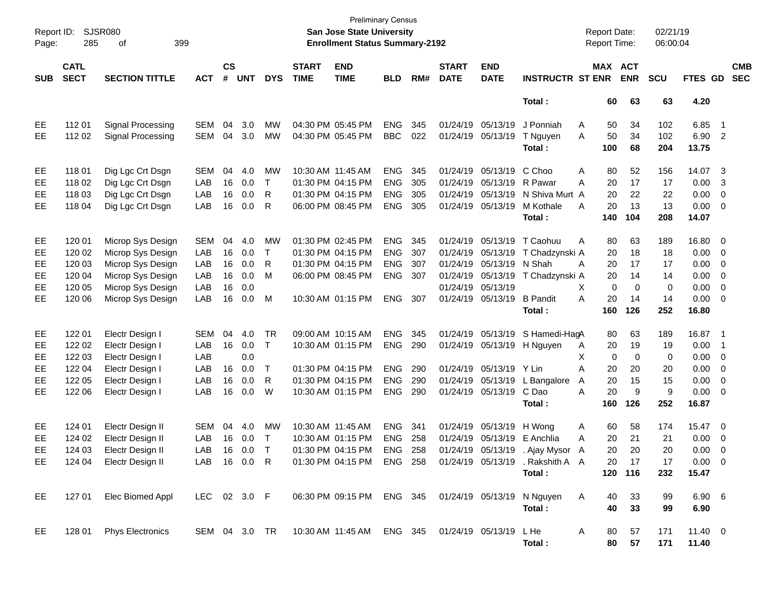| Page:      | Report ID:<br><b>SJSR080</b><br>285<br>399<br>οf |                                      |            |                    |            |              |                             | <b>Preliminary Census</b><br>San Jose State University<br><b>Enrollment Status Summary-2192</b>     |            |     |                             |                           |                                                            | <b>Report Date:</b><br><b>Report Time:</b> |             | 02/21/19<br>06:00:04 |                 |                          |                          |
|------------|--------------------------------------------------|--------------------------------------|------------|--------------------|------------|--------------|-----------------------------|-----------------------------------------------------------------------------------------------------|------------|-----|-----------------------------|---------------------------|------------------------------------------------------------|--------------------------------------------|-------------|----------------------|-----------------|--------------------------|--------------------------|
| <b>SUB</b> | <b>CATL</b><br><b>SECT</b>                       | <b>SECTION TITTLE</b>                | <b>ACT</b> | $\mathsf{cs}$<br># | <b>UNT</b> | <b>DYS</b>   | <b>START</b><br><b>TIME</b> | <b>END</b><br><b>TIME</b>                                                                           | <b>BLD</b> | RM# | <b>START</b><br><b>DATE</b> | <b>END</b><br><b>DATE</b> | <b>INSTRUCTR ST ENR</b>                                    | MAX ACT                                    | <b>ENR</b>  | <b>SCU</b>           | <b>FTES GD</b>  |                          | <b>CMB</b><br><b>SEC</b> |
|            |                                                  |                                      |            |                    |            |              |                             |                                                                                                     |            |     |                             |                           | Total:                                                     | 60                                         | 63          | 63                   | 4.20            |                          |                          |
| EE         | 11201                                            | Signal Processing                    | <b>SEM</b> | 04                 | 3.0        | MW           |                             | 04:30 PM 05:45 PM                                                                                   | <b>ENG</b> | 345 |                             | 01/24/19 05/13/19         | J Ponniah                                                  | 50<br>A                                    | 34          | 102                  | 6.85            | $\overline{\phantom{1}}$ |                          |
| EE.        | 112 02                                           | Signal Processing                    | <b>SEM</b> | 04                 | 3.0        | <b>MW</b>    |                             | 04:30 PM 05:45 PM                                                                                   | <b>BBC</b> | 022 |                             | 01/24/19 05/13/19         | T Nguyen<br>Total:                                         | 50<br>A<br>100                             | 34<br>68    | 102<br>204           | 6.90 2<br>13.75 |                          |                          |
| EE         | 11801                                            | Dig Lgc Crt Dsgn                     | <b>SEM</b> | 04                 | 4.0        | MW           |                             | 10:30 AM 11:45 AM                                                                                   | <b>ENG</b> | 345 |                             | 01/24/19 05/13/19         | C Choo                                                     | A<br>80                                    | 52          | 156                  | 14.07 3         |                          |                          |
| EE         | 118 02                                           | Dig Lgc Crt Dsgn                     | LAB        | 16                 | 0.0        | $\top$       |                             | 01:30 PM 04:15 PM                                                                                   | <b>ENG</b> | 305 |                             | 01/24/19 05/13/19         | R Pawar                                                    | 20<br>Α                                    | 17          | 17                   | 0.00            | -3                       |                          |
| EE         | 118 03                                           | Dig Lgc Crt Dsgn                     | LAB        | 16                 | 0.0        | R            |                             | 01:30 PM 04:15 PM                                                                                   | <b>ENG</b> | 305 |                             | 01/24/19 05/13/19         | N Shiva Murt A                                             | 20                                         | 22          | 22                   | 0.00            | $\overline{\phantom{0}}$ |                          |
| EE.        | 118 04                                           | Dig Lgc Crt Dsgn                     | LAB        | 16                 | 0.0        | R            |                             | 06:00 PM 08:45 PM                                                                                   | <b>ENG</b> | 305 |                             | 01/24/19 05/13/19         | M Kothale                                                  | 20<br>A                                    | 13          | 13                   | $0.00 \t 0$     |                          |                          |
|            |                                                  |                                      |            |                    |            |              |                             |                                                                                                     |            |     |                             |                           | Total:                                                     | 140                                        | 104         | 208                  | 14.07           |                          |                          |
| EE         | 120 01                                           | Microp Sys Design                    | <b>SEM</b> | 04                 | 4.0        | <b>MW</b>    |                             | 01:30 PM 02:45 PM                                                                                   | <b>ENG</b> | 345 |                             | 01/24/19 05/13/19         | T Caohuu                                                   | Α<br>80                                    | 63          | 189                  | 16.80 0         |                          |                          |
| EE         | 120 02                                           | Microp Sys Design                    | LAB        | 16                 | 0.0        | $\mathsf{T}$ |                             | 01:30 PM 04:15 PM                                                                                   | <b>ENG</b> | 307 |                             | 01/24/19 05/13/19         | T Chadzynski A                                             | 20                                         | 18          | 18                   | $0.00 \t 0$     |                          |                          |
| EE         | 120 03                                           | Microp Sys Design                    | LAB        | 16                 | 0.0        | R            |                             | 01:30 PM 04:15 PM                                                                                   | <b>ENG</b> | 307 |                             | 01/24/19 05/13/19         | N Shah                                                     | 20<br>A                                    | 17          | 17                   | 0.00            | $\overline{\phantom{0}}$ |                          |
| EE         | 120 04                                           | Microp Sys Design                    | LAB        | 16                 | 0.0        | M            |                             | 06:00 PM 08:45 PM                                                                                   | <b>ENG</b> | 307 |                             | 01/24/19 05/13/19         | T Chadzynski A                                             | 20                                         | 14          | 14                   | 0.00            | $\overline{\phantom{0}}$ |                          |
| EE         | 120 05                                           | Microp Sys Design                    | LAB        | 16                 | 0.0        |              |                             |                                                                                                     |            |     |                             | 01/24/19 05/13/19         |                                                            | $\mathbf 0$<br>X                           | $\mathbf 0$ | 0                    | 0.00            | $\overline{\phantom{0}}$ |                          |
| EE         | 120 06                                           | Microp Sys Design                    | LAB        | 16                 | 0.0        | M            |                             | 10:30 AM 01:15 PM                                                                                   | <b>ENG</b> | 307 |                             | 01/24/19 05/13/19         | <b>B</b> Pandit                                            | 20<br>A                                    | 14          | 14                   | $0.00 \t 0$     |                          |                          |
|            |                                                  |                                      |            |                    |            |              |                             |                                                                                                     |            |     |                             |                           | Total:                                                     | 160                                        | 126         | 252                  | 16.80           |                          |                          |
| EE         | 122 01                                           | Electr Design I                      | <b>SEM</b> | 04                 | 4.0        | TR           |                             | 09:00 AM 10:15 AM                                                                                   | <b>ENG</b> | 345 |                             | 01/24/19 05/13/19         | S Hamedi-HagA                                              | 80                                         | 63          | 189                  | 16.87 1         |                          |                          |
| EE         | 122 02                                           | Electr Design I                      | LAB        | 16                 | 0.0        | $\top$       |                             | 10:30 AM 01:15 PM                                                                                   | <b>ENG</b> | 290 |                             | 01/24/19 05/13/19         | H Nguyen                                                   | 20<br>A                                    | 19          | 19                   | 0.00            | $\overline{\phantom{1}}$ |                          |
| EE         | 122 03                                           | Electr Design I                      | LAB        |                    | 0.0        |              |                             |                                                                                                     |            |     |                             |                           |                                                            | X<br>0                                     | $\mathbf 0$ | 0                    | 0.00            | $\overline{\phantom{0}}$ |                          |
| EE         | 122 04                                           | Electr Design I                      | LAB        | 16                 | 0.0        | $\top$       |                             | 01:30 PM 04:15 PM                                                                                   | <b>ENG</b> | 290 |                             | 01/24/19 05/13/19 Y Lin   |                                                            | Α<br>20                                    | 20          | 20                   | 0.00            | $\overline{\phantom{0}}$ |                          |
| EE         | 122 05                                           | Electr Design I                      | LAB        | 16                 | 0.0        | R            |                             | 01:30 PM 04:15 PM                                                                                   | <b>ENG</b> | 290 |                             | 01/24/19 05/13/19         | L Bangalore                                                | 20<br>A                                    | 15          | 15                   | 0.00            | $\overline{\phantom{0}}$ |                          |
| EE         | 122 06                                           | Electr Design I                      | LAB        | 16                 | 0.0        | W            |                             | 10:30 AM 01:15 PM                                                                                   | <b>ENG</b> | 290 |                             | 01/24/19 05/13/19         | C Dao                                                      | 20<br>A                                    | 9           | 9                    | $0.00 \t 0$     |                          |                          |
|            |                                                  |                                      |            |                    |            |              |                             |                                                                                                     |            |     |                             |                           | Total:                                                     | 160                                        | 126         | 252                  | 16.87           |                          |                          |
|            |                                                  |                                      |            |                    |            |              |                             | 10:30 AM 11:45 AM                                                                                   |            |     |                             |                           |                                                            |                                            |             |                      |                 |                          |                          |
| EE         | 124 01                                           | Electr Design II                     | <b>SEM</b> | 04                 | 4.0        | MW           |                             | 10:30 AM 01:15 PM                                                                                   | <b>ENG</b> | 341 |                             | 01/24/19 05/13/19         | H Wong<br>E Anchlia                                        | 60<br>A                                    | 58          | 174                  | 15.47 0         |                          |                          |
| EE         | 124 02                                           | Electr Design II                     | LAB        | 16                 | 0.0        | $\mathsf T$  |                             |                                                                                                     | <b>ENG</b> | 258 |                             | 01/24/19 05/13/19         |                                                            | 20<br>Α                                    | 21          | 21                   | 0.00            | $\overline{\phantom{0}}$ |                          |
| <b>EE</b>  | 124 03                                           | Electr Design II                     | LAB        |                    | 16 0.0     | $\top$       |                             | 01:30 PM 04:15 PM                                                                                   | ENG        | 258 |                             | 01/24/19 05/13/19         | . Ajay Mysor A                                             | 20                                         | 20          | 20                   | $0.00 \quad 0$  |                          |                          |
| EE         |                                                  | 124 04 Electr Design II LAB 16 0.0 R |            |                    |            |              |                             |                                                                                                     |            |     |                             |                           | 01:30 PM 04:15 PM ENG 258 01/24/19 05/13/19 . Rakshith A A |                                            | 20 17       | 17                   | $0.00 \t 0$     |                          |                          |
|            |                                                  |                                      |            |                    |            |              |                             |                                                                                                     |            |     |                             |                           | Total:                                                     |                                            | 120 116     | 232                  | 15.47           |                          |                          |
| EE         |                                                  | 127 01 Elec Biomed Appl              |            |                    |            |              |                             |                                                                                                     |            |     |                             |                           |                                                            | $\mathsf{A}$<br>40                         | 33          | 99                   | 6.90 6          |                          |                          |
|            |                                                  |                                      |            |                    |            |              |                             |                                                                                                     |            |     |                             |                           | Total:                                                     | 40                                         | 33          | 99                   | 6.90            |                          |                          |
| EE         |                                                  | 128 01 Phys Electronics              |            |                    |            |              |                             | SEM 04 3.0 TR              10:30 AM              11:45 AM    ENG    345    01/24/19    05/13/19 LHe |            |     |                             |                           |                                                            | A<br>80                                    | 57          | 171                  | $11.40 \t 0$    |                          |                          |
|            |                                                  |                                      |            |                    |            |              |                             |                                                                                                     |            |     |                             |                           | Total:                                                     |                                            | 80 57       | 171                  | 11.40           |                          |                          |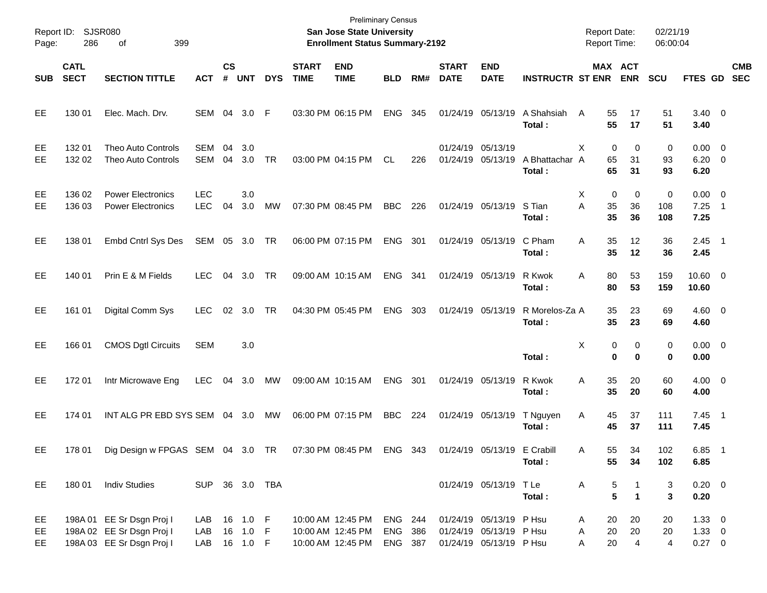| Page:           | Report ID: SJSR080<br>286  | 399<br>οf                                                                              |                          |                |                                    |            |                             | <b>Preliminary Census</b><br>San Jose State University<br><b>Enrollment Status Summary-2192</b> |                               |     |                             |                                                                               |                          | <b>Report Date:</b><br><b>Report Time:</b> |                                                  | 02/21/19<br>06:00:04    |                                         |                          |            |
|-----------------|----------------------------|----------------------------------------------------------------------------------------|--------------------------|----------------|------------------------------------|------------|-----------------------------|-------------------------------------------------------------------------------------------------|-------------------------------|-----|-----------------------------|-------------------------------------------------------------------------------|--------------------------|--------------------------------------------|--------------------------------------------------|-------------------------|-----------------------------------------|--------------------------|------------|
| <b>SUB</b>      | <b>CATL</b><br><b>SECT</b> | <b>SECTION TITTLE</b>                                                                  | <b>ACT</b>               | <b>CS</b><br># | <b>UNT</b>                         | <b>DYS</b> | <b>START</b><br><b>TIME</b> | <b>END</b><br><b>TIME</b>                                                                       | <b>BLD</b>                    | RM# | <b>START</b><br><b>DATE</b> | <b>END</b><br><b>DATE</b>                                                     | <b>INSTRUCTR ST ENR</b>  |                                            | <b>MAX ACT</b><br><b>ENR</b>                     | <b>SCU</b>              | FTES GD SEC                             |                          | <b>CMB</b> |
| EE              | 130 01                     | Elec. Mach. Drv.                                                                       | SEM 04 3.0 F             |                |                                    |            |                             | 03:30 PM 06:15 PM                                                                               | ENG                           | 345 |                             | 01/24/19 05/13/19                                                             | A Shahsiah<br>Total:     | 55<br>A<br>55                              | 17<br>17                                         | 51<br>51                | $3.40 \ 0$<br>3.40                      |                          |            |
| EE<br><b>EE</b> | 132 01<br>132 02           | <b>Theo Auto Controls</b><br>Theo Auto Controls                                        | <b>SEM</b><br>SEM        | 04<br>04       | 3.0<br>3.0                         | TR         |                             | 03:00 PM 04:15 PM                                                                               | CL                            | 226 |                             | 01/24/19 05/13/19<br>01/24/19 05/13/19                                        | A Bhattachar A<br>Total: | 0<br>X<br>65<br>65                         | 0<br>31<br>31                                    | $\mathbf 0$<br>93<br>93 | $0.00 \t 0$<br>$6.20 \quad 0$<br>6.20   |                          |            |
| EE<br>EE        | 136 02<br>136 03           | <b>Power Electronics</b><br><b>Power Electronics</b>                                   | <b>LEC</b><br><b>LEC</b> | 04             | 3.0<br>3.0                         | MW         |                             | 07:30 PM 08:45 PM                                                                               | <b>BBC</b>                    | 226 |                             | 01/24/19 05/13/19                                                             | S Tian<br>Total:         | X<br>0<br>A<br>35<br>35                    | 0<br>36<br>36                                    | 0<br>108<br>108         | $0.00 \t 0$<br>7.25<br>7.25             | $\overline{\phantom{1}}$ |            |
| EE              | 138 01                     | Embd Cntrl Sys Des                                                                     | SEM 05 3.0 TR            |                |                                    |            |                             | 06:00 PM 07:15 PM                                                                               | ENG                           | 301 |                             | 01/24/19 05/13/19                                                             | C Pham<br>Total:         | 35<br>A<br>35                              | 12<br>12                                         | 36<br>36                | $2.45$ 1<br>2.45                        |                          |            |
| EE              | 140 01                     | Prin E & M Fields                                                                      | <b>LEC</b>               | 04             | 3.0                                | TR         |                             | 09:00 AM 10:15 AM                                                                               | ENG                           | 341 |                             | 01/24/19 05/13/19                                                             | R Kwok<br>Total:         | 80<br>A<br>80                              | 53<br>53                                         | 159<br>159              | $10.60 \t 0$<br>10.60                   |                          |            |
| EE              | 161 01                     | Digital Comm Sys                                                                       | <b>LEC</b>               | 02             | 3.0                                | TR         |                             | 04:30 PM 05:45 PM                                                                               | ENG                           | 303 |                             | 01/24/19 05/13/19                                                             | R Morelos-Za A<br>Total: | 35<br>35                                   | 23<br>23                                         | 69<br>69                | $4.60 \ 0$<br>4.60                      |                          |            |
| EE              | 166 01                     | <b>CMOS Dgtl Circuits</b>                                                              | <b>SEM</b>               |                | 3.0                                |            |                             |                                                                                                 |                               |     |                             |                                                                               | Total:                   | X<br>$\bf{0}$                              | 0<br>0<br>$\bf{0}$                               | 0<br>0                  | $0.00 \t 0$<br>0.00                     |                          |            |
| EE              | 17201                      | Intr Microwave Eng                                                                     | <b>LEC</b>               | 04             | 3.0                                | MW         |                             | 09:00 AM 10:15 AM                                                                               | ENG                           | 301 |                             | 01/24/19 05/13/19                                                             | R Kwok<br>Total:         | 35<br>A<br>35                              | 20<br>20                                         | 60<br>60                | $4.00 \ 0$<br>4.00                      |                          |            |
| EE              | 174 01                     | INT ALG PR EBD SYS SEM 04 3.0                                                          |                          |                |                                    | MW         |                             | 06:00 PM 07:15 PM                                                                               | <b>BBC</b>                    | 224 |                             | 01/24/19 05/13/19                                                             | T Nguyen<br>Total:       | Α<br>45<br>45                              | 37<br>37                                         | 111<br>111              | $7.45$ 1<br>7.45                        |                          |            |
| EE              | 178 01                     | Dig Design w FPGAS SEM 04 3.0 TR 07:30 PM 08:45 PM ENG 343 01/24/19 05/13/19 E Crabill |                          |                |                                    |            |                             |                                                                                                 |                               |     |                             |                                                                               | Total:                   | Α<br>55<br>55                              | 34<br>34                                         | 102<br>102              | $6.85$ 1<br>6.85                        |                          |            |
| EE              | 180 01                     | <b>Indiv Studies</b>                                                                   | SUP 36 3.0 TBA           |                |                                    |            |                             |                                                                                                 |                               |     |                             | 01/24/19 05/13/19 TLe                                                         | Total:                   | A                                          | 5<br>1<br>$\overline{5}$<br>$\blacktriangleleft$ | 3<br>3                  | $0.20 \ 0$<br>0.20                      |                          |            |
| EE<br>EE<br>EE  |                            | 198A 01 EE Sr Dsgn Proj I<br>198A 02 EE Sr Dsgn Proj I<br>198A 03 EE Sr Dsgn Proj I    | LAB<br>LAB<br>LAB        |                | 16 1.0 F<br>16 1.0 F<br>16  1.0  F |            |                             | 10:00 AM 12:45 PM<br>10:00 AM 12:45 PM<br>10:00 AM 12:45 PM                                     | ENG 244<br>ENG 386<br>ENG 387 |     |                             | 01/24/19 05/13/19 P Hsu<br>01/24/19 05/13/19 P Hsu<br>01/24/19 05/13/19 P Hsu |                          | 20<br>A<br>20<br>Α<br>20<br>A              | 20<br>20<br>$\overline{4}$                       | 20<br>20<br>4           | $1.33 \ 0$<br>$1.33 \ 0$<br>$0.27 \t 0$ |                          |            |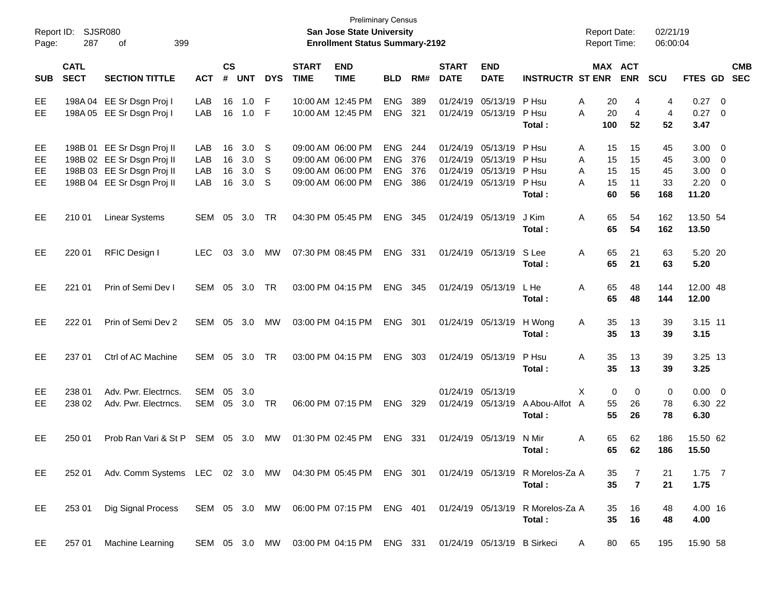| Report ID:<br>Page:   | 287                        | SJSR080<br>399<br>οf                                                                                                 |                          |                      |                          |                      |                             | <b>Preliminary Census</b><br><b>San Jose State University</b><br><b>Enrollment Status Summary-2192</b> |                                                      |                          |                                              |                                              |                                                                                    | <b>Report Date:</b><br><b>Report Time:</b>     |                            | 02/21/19<br>06:00:04        |                                                          |                         |                          |
|-----------------------|----------------------------|----------------------------------------------------------------------------------------------------------------------|--------------------------|----------------------|--------------------------|----------------------|-----------------------------|--------------------------------------------------------------------------------------------------------|------------------------------------------------------|--------------------------|----------------------------------------------|----------------------------------------------|------------------------------------------------------------------------------------|------------------------------------------------|----------------------------|-----------------------------|----------------------------------------------------------|-------------------------|--------------------------|
| <b>SUB</b>            | <b>CATL</b><br><b>SECT</b> | <b>SECTION TITTLE</b>                                                                                                | <b>ACT</b>               | $\mathsf{cs}$<br>#   | <b>UNT</b>               | <b>DYS</b>           | <b>START</b><br><b>TIME</b> | <b>END</b><br><b>TIME</b>                                                                              | <b>BLD</b>                                           | RM#                      | <b>START</b><br><b>DATE</b>                  | <b>END</b><br><b>DATE</b>                    | <b>INSTRUCTR ST ENR</b>                                                            |                                                | MAX ACT<br><b>ENR</b>      | <b>SCU</b>                  | FTES GD                                                  |                         | <b>CMB</b><br><b>SEC</b> |
| EE<br>EE.             |                            | 198A 04 EE Sr Dsgn Proj I<br>198A 05 EE Sr Dsgn Proj I                                                               | LAB<br>LAB               | 16<br>16             | 1.0<br>1.0               | F<br>-F              |                             | 10:00 AM 12:45 PM<br>10:00 AM 12:45 PM                                                                 | <b>ENG</b><br><b>ENG</b>                             | 389<br>321               | 01/24/19<br>01/24/19                         | 05/13/19<br>05/13/19                         | P Hsu<br>P Hsu<br>Total :                                                          | Α<br>20<br>A<br>20<br>100                      | 4<br>4<br>52               | 4<br>4<br>52                | $0.27$ 0<br>$0.27$ 0<br>3.47                             |                         |                          |
| EE<br>EE<br>EE<br>EE. |                            | 198B 01 EE Sr Dsgn Proj II<br>198B 02 EE Sr Dsgn Proj II<br>198B 03 EE Sr Dsgn Proj II<br>198B 04 EE Sr Dsgn Proj II | LAB<br>LAB<br>LAB<br>LAB | 16<br>16<br>16<br>16 | 3.0<br>3.0<br>3.0<br>3.0 | -S<br>-S<br>-S<br>-S |                             | 09:00 AM 06:00 PM<br>09:00 AM 06:00 PM<br>09:00 AM 06:00 PM<br>09:00 AM 06:00 PM                       | <b>ENG</b><br><b>ENG</b><br><b>ENG</b><br><b>ENG</b> | 244<br>376<br>376<br>386 | 01/24/19<br>01/24/19<br>01/24/19<br>01/24/19 | 05/13/19<br>05/13/19<br>05/13/19<br>05/13/19 | P Hsu<br>P Hsu<br>P Hsu<br>P Hsu<br>Total :                                        | 15<br>Α<br>A<br>15<br>A<br>15<br>A<br>15<br>60 | 15<br>15<br>15<br>11<br>56 | 45<br>45<br>45<br>33<br>168 | $3.00 \ 0$<br>$3.00 \ 0$<br>3.00<br>$2.20 \t 0$<br>11.20 | $\overline{\mathbf{0}}$ |                          |
| EE.                   | 210 01                     | <b>Linear Systems</b>                                                                                                | SEM                      | 05                   | 3.0                      | <b>TR</b>            |                             | 04:30 PM 05:45 PM                                                                                      | <b>ENG</b>                                           | 345                      |                                              | 01/24/19 05/13/19                            | J Kim<br>Total :                                                                   | 65<br>A<br>65                                  | 54<br>54                   | 162<br>162                  | 13.50 54<br>13.50                                        |                         |                          |
| EE.                   | 220 01                     | RFIC Design I                                                                                                        | <b>LEC</b>               | 03                   | 3.0                      | MW                   |                             | 07:30 PM 08:45 PM                                                                                      | <b>ENG</b>                                           | 331                      |                                              | 01/24/19 05/13/19                            | S Lee<br>Total :                                                                   | 65<br>A<br>65                                  | 21<br>21                   | 63<br>63                    | 5.20 20<br>5.20                                          |                         |                          |
| EE.                   | 221 01                     | Prin of Semi Dev I                                                                                                   | SEM                      | 05                   | 3.0                      | <b>TR</b>            |                             | 03:00 PM 04:15 PM                                                                                      | ENG                                                  | 345                      |                                              | 01/24/19 05/13/19                            | L He<br>Total :                                                                    | 65<br>A<br>65                                  | 48<br>48                   | 144<br>144                  | 12.00 48<br>12.00                                        |                         |                          |
| EE.                   | 222 01                     | Prin of Semi Dev 2                                                                                                   | SEM                      | 05                   | 3.0                      | MW                   |                             | 03:00 PM 04:15 PM                                                                                      | ENG                                                  | 301                      |                                              | 01/24/19 05/13/19                            | H Wong<br>Total:                                                                   | 35<br>A<br>35                                  | 13<br>13                   | 39<br>39                    | 3.15 11<br>3.15                                          |                         |                          |
| EE.                   | 237 01                     | Ctrl of AC Machine                                                                                                   | SEM                      | 05                   | 3.0                      | <b>TR</b>            |                             | 03:00 PM 04:15 PM                                                                                      | <b>ENG</b>                                           | 303                      |                                              | 01/24/19 05/13/19                            | P Hsu<br>Total:                                                                    | A<br>35<br>35                                  | 13<br>13                   | 39<br>39                    | 3.25 13<br>3.25                                          |                         |                          |
| EE.<br>EE.            | 238 01<br>238 02           | Adv. Pwr. Electrncs.<br>Adv. Pwr. Electrncs.                                                                         | <b>SEM</b><br><b>SEM</b> | 05<br>05             | 3.0<br>3.0               | <b>TR</b>            |                             | 06:00 PM 07:15 PM                                                                                      | <b>ENG</b>                                           | 329                      |                                              | 01/24/19 05/13/19<br>01/24/19 05/13/19       | A Abou-Alfot A<br>Total:                                                           | X<br>0<br>55<br>55                             | $\mathbf 0$<br>26<br>26    | $\mathbf 0$<br>78<br>78     | $0.00 \t 0$<br>6.30 22<br>6.30                           |                         |                          |
| EE.                   | 250 01                     | Prob Ran Vari & St P                                                                                                 | SEM                      | 05                   | 3.0                      | МW                   |                             | 01:30 PM 02:45 PM                                                                                      | <b>ENG</b>                                           | 331                      |                                              | 01/24/19 05/13/19                            | N Mir<br>Total:                                                                    | 65<br>A<br>65                                  | 62<br>62                   | 186<br>186                  | 15.50 62<br>15.50                                        |                         |                          |
| EE                    | 252 01                     | Adv. Comm Systems LEC 02 3.0 MW 04:30 PM 05:45 PM ENG 301 01/24/19 05/13/19 R Morelos-Za A                           |                          |                      |                          |                      |                             |                                                                                                        |                                                      |                          |                                              |                                              | Total:                                                                             | 35<br>35                                       | 7<br>$\overline{7}$        | 21<br>21                    | $1.75$ 7<br>1.75                                         |                         |                          |
| EE                    | 253 01                     | Dig Signal Process                                                                                                   |                          |                      |                          |                      |                             |                                                                                                        |                                                      |                          |                                              |                                              | SEM 05 3.0 MW 06:00 PM 07:15 PM ENG 401 01/24/19 05/13/19 R Morelos-Za A<br>Total: | 35<br>35                                       | 16<br>16                   | 48<br>48                    | 4.00 16<br>4.00                                          |                         |                          |
| EE                    | 257 01                     | Machine Learning                                                                                                     |                          |                      |                          |                      |                             | SEM 05 3.0 MW 03:00 PM 04:15 PM ENG 331 01/24/19 05/13/19 B Sirkeci                                    |                                                      |                          |                                              |                                              |                                                                                    | 80<br>A                                        | 65                         | 195                         | 15.90 58                                                 |                         |                          |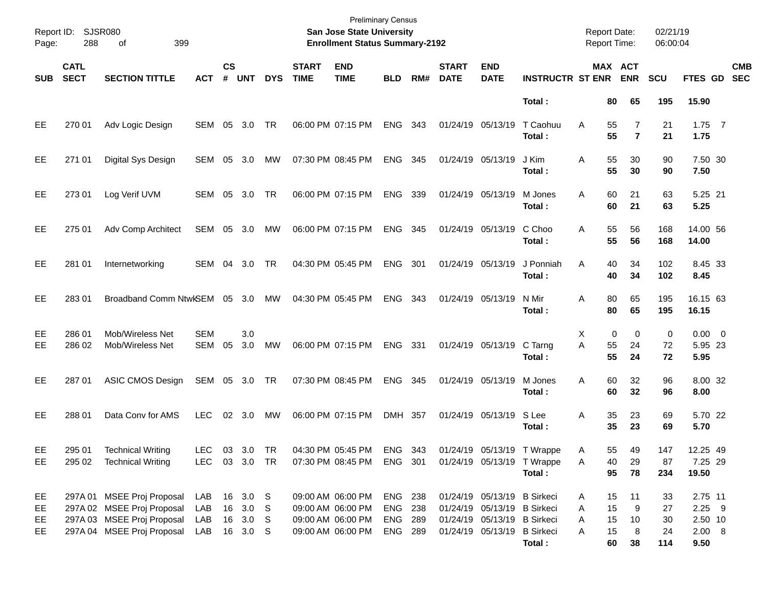| Page:                | Report ID: SJSR080<br>288  | 399<br>οf                                                                                                           |                          |                    |                                            |            |                             | <b>Preliminary Census</b><br><b>San Jose State University</b><br><b>Enrollment Status Summary-2192</b> |                                          |     |                             |                                                                                                                          |                                                                    | <b>Report Date:</b><br>Report Time:            |                                  | 02/21/19<br>06:00:04        |                                                  |                          |
|----------------------|----------------------------|---------------------------------------------------------------------------------------------------------------------|--------------------------|--------------------|--------------------------------------------|------------|-----------------------------|--------------------------------------------------------------------------------------------------------|------------------------------------------|-----|-----------------------------|--------------------------------------------------------------------------------------------------------------------------|--------------------------------------------------------------------|------------------------------------------------|----------------------------------|-----------------------------|--------------------------------------------------|--------------------------|
| <b>SUB</b>           | <b>CATL</b><br><b>SECT</b> | <b>SECTION TITTLE</b>                                                                                               | <b>ACT</b>               | $\mathsf{cs}$<br># | <b>UNT</b>                                 | <b>DYS</b> | <b>START</b><br><b>TIME</b> | <b>END</b><br><b>TIME</b>                                                                              | <b>BLD</b>                               | RM# | <b>START</b><br><b>DATE</b> | <b>END</b><br><b>DATE</b>                                                                                                | <b>INSTRUCTR ST ENR</b>                                            | MAX ACT                                        | <b>ENR</b>                       | <b>SCU</b>                  | FTES GD                                          | <b>CMB</b><br><b>SEC</b> |
|                      |                            |                                                                                                                     |                          |                    |                                            |            |                             |                                                                                                        |                                          |     |                             |                                                                                                                          | Total:                                                             | 80                                             | 65                               | 195                         | 15.90                                            |                          |
| EE                   | 270 01                     | Adv Logic Design                                                                                                    | SEM                      | 05                 | 3.0                                        | <b>TR</b>  |                             | 06:00 PM 07:15 PM                                                                                      | <b>ENG</b>                               | 343 | 01/24/19 05/13/19           |                                                                                                                          | T Caohuu<br>Total:                                                 | 55<br>A<br>55                                  | $\overline{7}$<br>$\overline{7}$ | 21<br>21                    | $1.75$ 7<br>1.75                                 |                          |
| EE                   | 271 01                     | Digital Sys Design                                                                                                  | SEM                      | 05                 | 3.0                                        | MW         |                             | 07:30 PM 08:45 PM                                                                                      | <b>ENG</b>                               | 345 | 01/24/19 05/13/19           |                                                                                                                          | J Kim<br>Total:                                                    | 55<br>A<br>55                                  | 30<br>30                         | 90<br>90                    | 7.50 30<br>7.50                                  |                          |
| EE                   | 273 01                     | Log Verif UVM                                                                                                       | SEM 05                   |                    | 3.0                                        | <b>TR</b>  |                             | 06:00 PM 07:15 PM                                                                                      | <b>ENG</b>                               | 339 | 01/24/19 05/13/19           |                                                                                                                          | M Jones<br>Total:                                                  | 60<br>A<br>60                                  | 21<br>21                         | 63<br>63                    | 5.25 21<br>5.25                                  |                          |
| EE                   | 275 01                     | Adv Comp Architect                                                                                                  | SEM                      | 05                 | 3.0                                        | МW         |                             | 06:00 PM 07:15 PM                                                                                      | <b>ENG</b>                               | 345 | 01/24/19 05/13/19           |                                                                                                                          | C Choo<br>Total:                                                   | 55<br>A<br>55                                  | 56<br>56                         | 168<br>168                  | 14.00 56<br>14.00                                |                          |
| EE                   | 281 01                     | Internetworking                                                                                                     | SEM                      | 04                 | 3.0                                        | <b>TR</b>  |                             | 04:30 PM 05:45 PM                                                                                      | <b>ENG</b>                               | 301 | 01/24/19 05/13/19           |                                                                                                                          | J Ponniah<br>Total:                                                | 40<br>A<br>40                                  | 34<br>34                         | 102<br>102                  | 8.45 33<br>8.45                                  |                          |
| EE                   | 283 01                     | Broadband Comm NtwKSEM                                                                                              |                          | 05                 | 3.0                                        | МW         |                             | 04:30 PM 05:45 PM                                                                                      | <b>ENG</b>                               | 343 | 01/24/19 05/13/19           |                                                                                                                          | N Mir<br>Total:                                                    | 80<br>A<br>80                                  | 65<br>65                         | 195<br>195                  | 16.15 63<br>16.15                                |                          |
| EE<br>EE             | 286 01<br>286 02           | Mob/Wireless Net<br>Mob/Wireless Net                                                                                | <b>SEM</b><br>SEM        | 05                 | 3.0<br>3.0                                 | MW         |                             | 06:00 PM 07:15 PM                                                                                      | <b>ENG</b>                               | 331 | 01/24/19 05/13/19           |                                                                                                                          | C Tarng<br>Total:                                                  | 0<br>Х<br>A<br>55<br>55                        | 0<br>24<br>24                    | 0<br>72<br>72               | $0.00 \t 0$<br>5.95 23<br>5.95                   |                          |
| EE                   | 287 01                     | <b>ASIC CMOS Design</b>                                                                                             | SEM 05 3.0 TR            |                    |                                            |            |                             | 07:30 PM 08:45 PM                                                                                      | <b>ENG</b>                               | 345 | 01/24/19 05/13/19           |                                                                                                                          | M Jones<br>Total:                                                  | 60<br>A<br>60                                  | 32<br>32                         | 96<br>96                    | 8.00 32<br>8.00                                  |                          |
| EE                   | 288 01                     | Data Conv for AMS                                                                                                   | <b>LEC</b>               | 02                 | 3.0                                        | MW         |                             | 06:00 PM 07:15 PM                                                                                      | DMH 357                                  |     |                             | 01/24/19 05/13/19                                                                                                        | S Lee<br>Total:                                                    | 35<br>Α<br>35                                  | 23<br>23                         | 69<br>69                    | 5.70 22<br>5.70                                  |                          |
| EE<br>EE             | 295 01<br>295 02           | <b>Technical Writing</b><br><b>Technical Writing</b>                                                                | <b>LEC</b><br><b>LEC</b> |                    | 03 3.0<br>03 3.0 TR                        | TR         |                             | 04:30 PM 05:45 PM<br>07:30 PM 08:45 PM                                                                 | ENG 343<br>ENG 301                       |     |                             |                                                                                                                          | 01/24/19 05/13/19 T Wrappe<br>01/24/19 05/13/19 T Wrappe<br>Total: | 55<br>A<br>40<br>Α<br>95                       | 49<br>29<br>78                   | 147<br>87<br>234            | 12.25 49<br>7.25 29<br>19.50                     |                          |
| EE<br>EE<br>EE<br>EE | 297A 01                    | <b>MSEE Proj Proposal</b><br>297A 02 MSEE Proj Proposal<br>297A 03 MSEE Proj Proposal<br>297A 04 MSEE Proj Proposal | LAB<br>LAB<br>LAB<br>LAB |                    | 16 3.0 S<br>16 3.0<br>16 3.0 S<br>16 3.0 S | <b>S</b>   |                             | 09:00 AM 06:00 PM<br>09:00 AM 06:00 PM<br>09:00 AM 06:00 PM<br>09:00 AM 06:00 PM                       | ENG 238<br>ENG 238<br>ENG 289<br>ENG 289 |     |                             | 01/24/19 05/13/19 B Sirkeci<br>01/24/19 05/13/19 B Sirkeci<br>01/24/19 05/13/19 B Sirkeci<br>01/24/19 05/13/19 B Sirkeci | Total:                                                             | 15<br>A<br>15<br>Α<br>15<br>A<br>15<br>A<br>60 | 11<br>9<br>10<br>8<br>38         | 33<br>27<br>30<br>24<br>114 | 2.75 11<br>$2.25$ 9<br>2.50 10<br>2.00 8<br>9.50 |                          |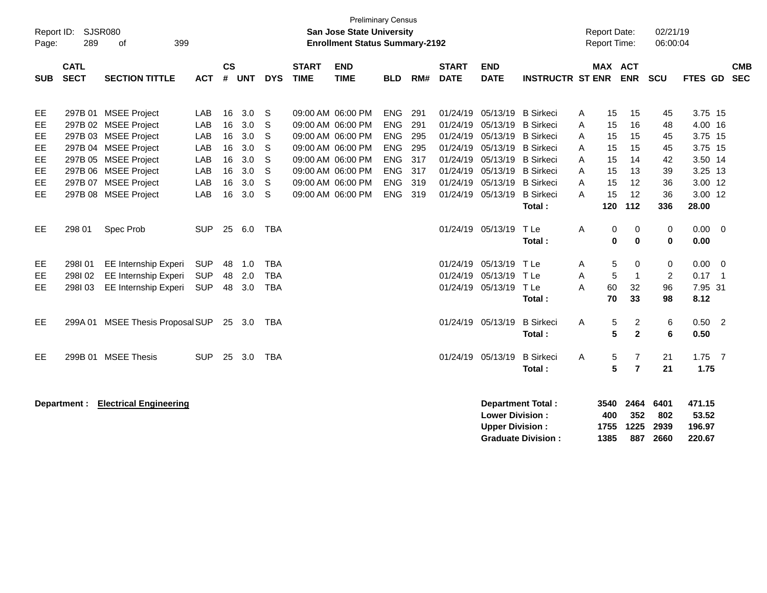| Report ID:<br>Page:                            | 289                        | <b>SJSR080</b><br>of<br>399                                                                                                                                                                  |                                                      |                                              |                                                      |                                        |                             | <b>Preliminary Census</b><br>San Jose State University<br><b>Enrollment Status Summary-2192</b>                                                                      |                                                                                                       |                                                      |                                                                                              |                                                                                                                  |                                                                                                                      |                                      | <b>Report Date:</b><br><b>Report Time:</b>   |                                              | 02/21/19<br>06:00:04                         |                                                                                      |                                  |                          |
|------------------------------------------------|----------------------------|----------------------------------------------------------------------------------------------------------------------------------------------------------------------------------------------|------------------------------------------------------|----------------------------------------------|------------------------------------------------------|----------------------------------------|-----------------------------|----------------------------------------------------------------------------------------------------------------------------------------------------------------------|-------------------------------------------------------------------------------------------------------|------------------------------------------------------|----------------------------------------------------------------------------------------------|------------------------------------------------------------------------------------------------------------------|----------------------------------------------------------------------------------------------------------------------|--------------------------------------|----------------------------------------------|----------------------------------------------|----------------------------------------------|--------------------------------------------------------------------------------------|----------------------------------|--------------------------|
| <b>SUB</b>                                     | <b>CATL</b><br><b>SECT</b> | <b>SECTION TITTLE</b>                                                                                                                                                                        | <b>ACT</b>                                           | $\mathsf{cs}$<br>#                           | <b>UNT</b>                                           | <b>DYS</b>                             | <b>START</b><br><b>TIME</b> | <b>END</b><br><b>TIME</b>                                                                                                                                            | <b>BLD</b>                                                                                            | RM#                                                  | <b>START</b><br><b>DATE</b>                                                                  | <b>END</b><br><b>DATE</b>                                                                                        | <b>INSTRUCTR ST ENR</b>                                                                                              |                                      | <b>MAX ACT</b>                               | <b>ENR</b>                                   | SCU                                          | <b>FTES GD</b>                                                                       |                                  | <b>CMB</b><br><b>SEC</b> |
| EE<br>EE<br>EE.<br>EE<br>EE<br>EE<br>EE<br>EE. |                            | 297B 01 MSEE Project<br>297B 02 MSEE Project<br>297B 03 MSEE Project<br>297B 04 MSEE Project<br>297B 05 MSEE Project<br>297B 06 MSEE Project<br>297B 07 MSEE Project<br>297B 08 MSEE Project | LAB<br>LAB<br>LAB<br>LAB<br>LAB<br>LAB<br>LAB<br>LAB | 16<br>16<br>16<br>16<br>16<br>16<br>16<br>16 | 3.0<br>3.0<br>3.0<br>3.0<br>3.0<br>3.0<br>3.0<br>3.0 | S<br>S<br>S<br>S<br>S<br>S<br>S<br>S   |                             | 09:00 AM 06:00 PM<br>09:00 AM 06:00 PM<br>09:00 AM 06:00 PM<br>09:00 AM 06:00 PM<br>09:00 AM 06:00 PM<br>09:00 AM 06:00 PM<br>09:00 AM 06:00 PM<br>09:00 AM 06:00 PM | <b>ENG</b><br><b>ENG</b><br><b>ENG</b><br><b>ENG</b><br><b>ENG</b><br><b>ENG</b><br><b>ENG</b><br>ENG | 291<br>291<br>295<br>295<br>317<br>317<br>319<br>319 | 01/24/19<br>01/24/19<br>01/24/19<br>01/24/19<br>01/24/19<br>01/24/19<br>01/24/19<br>01/24/19 | 05/13/19<br>05/13/19<br>05/13/19<br>05/13/19<br>05/13/19<br>05/13/19 B Sirkeci<br>05/13/19 B Sirkeci<br>05/13/19 | <b>B</b> Sirkeci<br><b>B</b> Sirkeci<br><b>B</b> Sirkeci<br><b>B</b> Sirkeci<br><b>B</b> Sirkeci<br><b>B</b> Sirkeci | A<br>A<br>A<br>A<br>A<br>A<br>A<br>A | 15<br>15<br>15<br>15<br>15<br>15<br>15<br>15 | 15<br>16<br>15<br>15<br>14<br>13<br>12<br>12 | 45<br>48<br>45<br>45<br>42<br>39<br>36<br>36 | 3.75 15<br>4.00 16<br>3.75 15<br>3.75 15<br>3.50 14<br>3.25 13<br>3.00 12<br>3.00 12 |                                  |                          |
| EE.                                            | 298 01                     | Spec Prob                                                                                                                                                                                    | <b>SUP</b>                                           |                                              | 25 6.0                                               | TBA                                    |                             |                                                                                                                                                                      |                                                                                                       |                                                      |                                                                                              | 01/24/19 05/13/19                                                                                                | Total:<br>T Le<br>Total:                                                                                             | A                                    | 120<br>0<br>0                                | 112<br>0<br>$\bf{0}$                         | 336<br>0<br>0                                | 28.00<br>0.00<br>0.00                                                                | $\overline{0}$                   |                          |
| EE<br>EE<br>EE.                                | 298I01<br>298102<br>298103 | <b>EE Internship Experi</b><br>EE Internship Experi<br>EE Internship Experi                                                                                                                  | <b>SUP</b><br><b>SUP</b><br><b>SUP</b>               | 48<br>48<br>48                               | 1.0<br>2.0<br>3.0                                    | <b>TBA</b><br><b>TBA</b><br><b>TBA</b> |                             |                                                                                                                                                                      |                                                                                                       |                                                      | 01/24/19<br>01/24/19                                                                         | 05/13/19<br>05/13/19<br>01/24/19 05/13/19                                                                        | TLe<br>TLe<br>T Le<br>Total:                                                                                         | Α<br>A<br>A                          | 5<br>5<br>60<br>70                           | 0<br>$\mathbf{1}$<br>32<br>33                | 0<br>$\overline{2}$<br>96<br>98              | 0.00<br>0.17<br>7.95 31<br>8.12                                                      | $\overline{0}$<br>$\overline{1}$ |                          |
| EE.                                            |                            | 299A 01 MSEE Thesis Proposal SUP                                                                                                                                                             |                                                      |                                              | 25 3.0                                               | TBA                                    |                             |                                                                                                                                                                      |                                                                                                       |                                                      |                                                                                              | 01/24/19 05/13/19                                                                                                | <b>B</b> Sirkeci<br>Total:                                                                                           | A                                    | 5<br>5                                       | $\overline{c}$<br>$\mathbf{2}$               | 6<br>6                                       | 0.50<br>0.50                                                                         | $\overline{\phantom{0}}^2$       |                          |
| EE.                                            |                            | 299B 01 MSEE Thesis                                                                                                                                                                          | <b>SUP</b>                                           | 25                                           | 3.0                                                  | <b>TBA</b>                             |                             |                                                                                                                                                                      |                                                                                                       |                                                      |                                                                                              | 01/24/19 05/13/19                                                                                                | <b>B</b> Sirkeci<br>Total:                                                                                           | A                                    | 5<br>5                                       | 7<br>$\overline{7}$                          | 21<br>21                                     | 1.75<br>1.75                                                                         | $\overline{7}$                   |                          |
|                                                | Department :               | <b>Electrical Engineering</b>                                                                                                                                                                |                                                      |                                              |                                                      |                                        |                             |                                                                                                                                                                      |                                                                                                       |                                                      |                                                                                              | <b>Lower Division:</b><br><b>Upper Division:</b>                                                                 | <b>Department Total:</b><br><b>Graduate Division:</b>                                                                |                                      | 3540<br>400<br>1755<br>1385                  | 2464<br>352<br>1225<br>887                   | 6401<br>802<br>2939<br>2660                  | 471.15<br>53.52<br>196.97<br>220.67                                                  |                                  |                          |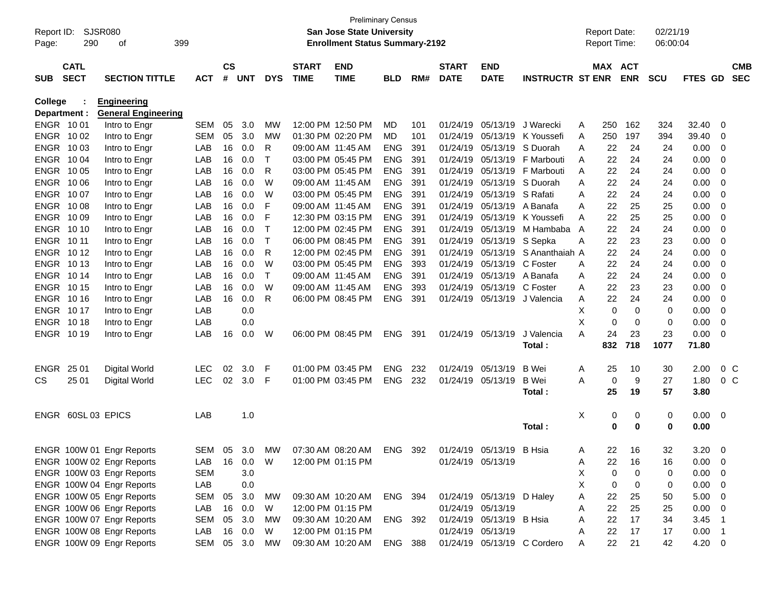| Report ID:     | SJSR080            |                            |               |               |            |              |                   | <b>Preliminary Census</b><br><b>San Jose State University</b> |            |     |                   |                           |                             |   | <b>Report Date:</b> |             | 02/21/19   |             |                          |            |
|----------------|--------------------|----------------------------|---------------|---------------|------------|--------------|-------------------|---------------------------------------------------------------|------------|-----|-------------------|---------------------------|-----------------------------|---|---------------------|-------------|------------|-------------|--------------------------|------------|
| Page:          | 290                | 399<br>of                  |               |               |            |              |                   | <b>Enrollment Status Summary-2192</b>                         |            |     |                   |                           |                             |   | <b>Report Time:</b> |             | 06:00:04   |             |                          |            |
|                | <b>CATL</b>        |                            |               | $\mathsf{cs}$ |            |              | <b>START</b>      | <b>END</b>                                                    |            |     | <b>START</b>      | <b>END</b>                |                             |   | MAX ACT             |             |            |             |                          | <b>CMB</b> |
| <b>SUB</b>     | <b>SECT</b>        | <b>SECTION TITTLE</b>      | <b>ACT</b>    | #             | <b>UNT</b> | <b>DYS</b>   | <b>TIME</b>       | <b>TIME</b>                                                   | <b>BLD</b> | RM# | <b>DATE</b>       | <b>DATE</b>               | <b>INSTRUCTR ST ENR</b>     |   |                     | <b>ENR</b>  | <b>SCU</b> | FTES GD     |                          | <b>SEC</b> |
| <b>College</b> |                    | <b>Engineering</b>         |               |               |            |              |                   |                                                               |            |     |                   |                           |                             |   |                     |             |            |             |                          |            |
| Department :   |                    | <b>General Engineering</b> |               |               |            |              |                   |                                                               |            |     |                   |                           |                             |   |                     |             |            |             |                          |            |
| ENGR 1001      |                    | Intro to Engr              | <b>SEM</b>    | 05            | 3.0        | MW           | 12:00 PM 12:50 PM |                                                               | MD.        | 101 | 01/24/19          | 05/13/19                  | J Warecki                   | A | 250                 | 162         | 324        | 32.40       | 0                        |            |
| ENGR 1002      |                    | Intro to Engr              | <b>SEM</b>    | 05            | 3.0        | MW           | 01:30 PM 02:20 PM |                                                               | MD.        | 101 | 01/24/19          |                           | 05/13/19 K Youssefi         | A | 250                 | 197         | 394        | 39.40       | 0                        |            |
| ENGR 1003      |                    | Intro to Engr              | LAB           | 16            | 0.0        | R            | 09:00 AM 11:45 AM |                                                               | <b>ENG</b> | 391 | 01/24/19          | 05/13/19                  | S Duorah                    | A | 22                  | 24          | 24         | 0.00        | 0                        |            |
| ENGR 1004      |                    | Intro to Engr              | LAB           | 16            | 0.0        | Т            | 03:00 PM 05:45 PM |                                                               | <b>ENG</b> | 391 | 01/24/19          |                           | 05/13/19 F Marbouti         | A | 22                  | 24          | 24         | 0.00        | 0                        |            |
| ENGR 1005      |                    | Intro to Engr              | LAB           | 16            | 0.0        | R            | 03:00 PM 05:45 PM |                                                               | <b>ENG</b> | 391 | 01/24/19          |                           | 05/13/19 F Marbouti         | A | 22                  | 24          | 24         | 0.00        | 0                        |            |
| ENGR 1006      |                    | Intro to Engr              | LAB           | 16            | 0.0        | W            | 09:00 AM 11:45 AM |                                                               | <b>ENG</b> | 391 | 01/24/19          |                           | 05/13/19 S Duorah           | A | 22                  | 24          | 24         | 0.00        | 0                        |            |
| ENGR 1007      |                    | Intro to Engr              | LAB           | 16            | 0.0        | W            | 03:00 PM 05:45 PM |                                                               | <b>ENG</b> | 391 | 01/24/19          | 05/13/19 S Rafati         |                             | A | 22                  | 24          | 24         | 0.00        | 0                        |            |
| ENGR 1008      |                    | Intro to Engr              | LAB           | 16            | 0.0        | F            | 09:00 AM 11:45 AM |                                                               | <b>ENG</b> | 391 | 01/24/19          | 05/13/19 A Banafa         |                             | A | 22                  | 25          | 25         | 0.00        | 0                        |            |
| ENGR 10 09     |                    | Intro to Engr              | LAB           | 16            | 0.0        | F            | 12:30 PM 03:15 PM |                                                               | <b>ENG</b> | 391 | 01/24/19          | 05/13/19                  | K Youssefi                  | A | 22                  | 25          | 25         | 0.00        | 0                        |            |
| ENGR 1010      |                    | Intro to Engr              | LAB           | 16            | 0.0        | $\mathsf T$  | 12:00 PM 02:45 PM |                                                               | <b>ENG</b> | 391 | 01/24/19          | 05/13/19                  | M Hambaba A                 |   | 22                  | 24          | 24         | 0.00        | 0                        |            |
| ENGR 10 11     |                    | Intro to Engr              | LAB           | 16            | 0.0        | $\mathsf{T}$ | 06:00 PM 08:45 PM |                                                               | <b>ENG</b> | 391 | 01/24/19          | 05/13/19                  | S Sepka                     | A | 22                  | 23          | 23         | 0.00        | 0                        |            |
| ENGR 1012      |                    | Intro to Engr              | LAB           | 16            | 0.0        | R            | 12:00 PM 02:45 PM |                                                               | <b>ENG</b> | 391 | 01/24/19          | 05/13/19                  | S Ananthaiah A              |   | 22                  | 24          | 24         | 0.00        | 0                        |            |
| ENGR 1013      |                    | Intro to Engr              | LAB           | 16            | 0.0        | W            | 03:00 PM 05:45 PM |                                                               | <b>ENG</b> | 393 | 01/24/19          | 05/13/19                  | C Foster                    | A | 22                  | 24          | 24         | 0.00        | 0                        |            |
| ENGR 1014      |                    | Intro to Engr              | LAB           | 16            | 0.0        | $\mathsf{T}$ | 09:00 AM 11:45 AM |                                                               | <b>ENG</b> | 391 | 01/24/19          | 05/13/19 A Banafa         |                             | A | 22                  | 24          | 24         | 0.00        | 0                        |            |
| ENGR 1015      |                    | Intro to Engr              | LAB           | 16            | 0.0        | W            | 09:00 AM 11:45 AM |                                                               | <b>ENG</b> | 393 | 01/24/19          | 05/13/19 C Foster         |                             | A | 22                  | 23          | 23         | 0.00        | 0                        |            |
| ENGR 1016      |                    | Intro to Engr              | LAB           | 16            | 0.0        | R            | 06:00 PM 08:45 PM |                                                               | <b>ENG</b> | 391 | 01/24/19          |                           | 05/13/19 J Valencia         | A | 22                  | 24          | 24         | 0.00        | 0                        |            |
| ENGR 1017      |                    | Intro to Engr              | LAB           |               | 0.0        |              |                   |                                                               |            |     |                   |                           |                             | X | 0                   | 0           | 0          | 0.00        | 0                        |            |
| ENGR 1018      |                    | Intro to Engr              | LAB           |               | 0.0        |              |                   |                                                               |            |     |                   |                           |                             | X | 0                   | $\mathbf 0$ | 0          | 0.00        | 0                        |            |
| ENGR 1019      |                    | Intro to Engr              | LAB           | 16            | 0.0        | W            | 06:00 PM 08:45 PM |                                                               | <b>ENG</b> | 391 | 01/24/19          | 05/13/19                  | J Valencia                  | Α | 24                  | 23          | 23         | 0.00        | $\mathbf 0$              |            |
|                |                    |                            |               |               |            |              |                   |                                                               |            |     |                   |                           | Total :                     |   | 832                 | 718         | 1077       | 71.80       |                          |            |
| <b>ENGR</b>    | 25 01              | Digital World              | <b>LEC</b>    | 02            | 3.0        | F            | 01:00 PM 03:45 PM |                                                               | <b>ENG</b> | 232 | 01/24/19          | 05/13/19                  | <b>B</b> Wei                | A | 25                  | 10          | 30         | 2.00        | 0 <sup>C</sup>           |            |
| CS.            | 25 01              | Digital World              | <b>LEC</b>    | 02            | 3.0        | F            | 01:00 PM 03:45 PM |                                                               | <b>ENG</b> | 232 | 01/24/19          | 05/13/19                  | <b>B</b> Wei                | A | 0                   | 9           | 27         | 1.80        | 0 <sup>o</sup>           |            |
|                |                    |                            |               |               |            |              |                   |                                                               |            |     |                   |                           | Total :                     |   | 25                  | 19          | 57         | 3.80        |                          |            |
|                | ENGR 60SL 03 EPICS |                            | LAB           |               | 1.0        |              |                   |                                                               |            |     |                   |                           |                             | X | 0                   | 0           | 0          | 0.00        | 0                        |            |
|                |                    |                            |               |               |            |              |                   |                                                               |            |     |                   |                           | Total:                      |   | 0                   | 0           | 0          | 0.00        |                          |            |
|                |                    | ENGR 100W 01 Engr Reports  | <b>SFM</b>    |               | 05 3.0     | MW           |                   | 07:30 AM 08:20 AM                                             | <b>ENG</b> | 392 | 01/24/19          | 05/13/19 B Hsia           |                             | A | 22                  | 16          | 32         | 3.20        | $\Omega$                 |            |
|                |                    | ENGR 100W 02 Engr Reports  | LAB           |               | 16  0.0    | W            |                   | 12:00 PM 01:15 PM                                             |            |     |                   | 01/24/19 05/13/19         |                             | A | 22                  | 16          | 16         | 0.00        | 0                        |            |
|                |                    | ENGR 100W 03 Engr Reports  | SEM           |               | 3.0        |              |                   |                                                               |            |     |                   |                           |                             | X | 0                   | 0           | 0          | 0.00        | $\overline{0}$           |            |
|                |                    | ENGR 100W 04 Engr Reports  | LAB           |               | 0.0        |              |                   |                                                               |            |     |                   |                           |                             | X | 0                   | 0           | 0          | 0.00        | 0                        |            |
|                |                    | ENGR 100W 05 Engr Reports  | SEM           | 05            | 3.0        | МW           |                   | 09:30 AM 10:20 AM ENG 394                                     |            |     |                   | 01/24/19 05/13/19 D Haley |                             | A | 22                  | 25          | 50         | 5.00        | $\overline{0}$           |            |
|                |                    | ENGR 100W 06 Engr Reports  | LAB           |               | 16 0.0     | W            | 12:00 PM 01:15 PM |                                                               |            |     | 01/24/19 05/13/19 |                           |                             | A | 22                  | 25          | 25         | $0.00 \t 0$ |                          |            |
|                |                    | ENGR 100W 07 Engr Reports  | SEM           | 05            | 3.0        | МW           |                   | 09:30 AM 10:20 AM                                             | ENG 392    |     |                   | 01/24/19 05/13/19 B Hsia  |                             | A | 22                  | 17          | 34         | 3.45        | $\overline{\phantom{1}}$ |            |
|                |                    | ENGR 100W 08 Engr Reports  | LAB           |               | 16 0.0     | W            | 12:00 PM 01:15 PM |                                                               |            |     | 01/24/19 05/13/19 |                           |                             | A | 22                  | 17          | 17         | $0.00$ 1    |                          |            |
|                |                    | ENGR 100W 09 Engr Reports  | SEM 05 3.0 MW |               |            |              |                   | 09:30 AM 10:20 AM ENG 388                                     |            |     |                   |                           | 01/24/19 05/13/19 C Cordero | A | 22                  | 21          | 42         | $4.20 \ 0$  |                          |            |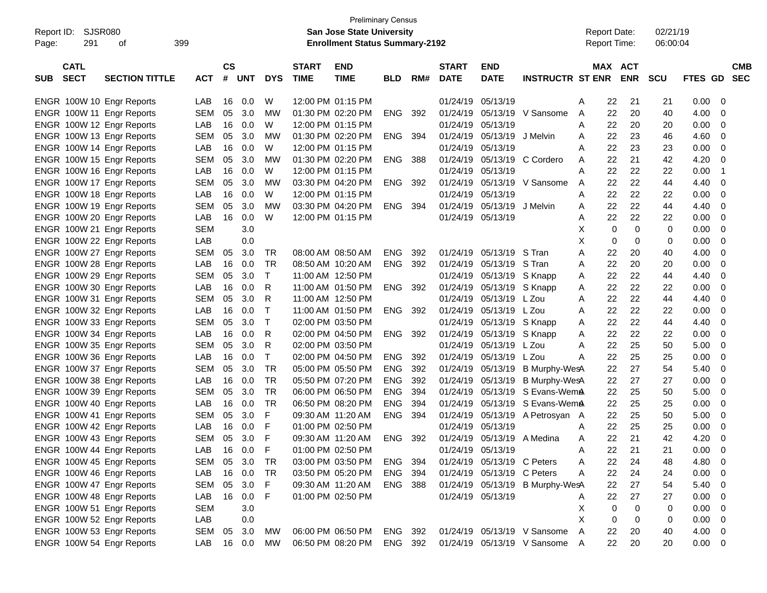|                           |                       |            |               |            |            |                   | <b>Preliminary Census</b>             |                |      |                   |                            |                                 |   |                     |             |            |             |             |
|---------------------------|-----------------------|------------|---------------|------------|------------|-------------------|---------------------------------------|----------------|------|-------------------|----------------------------|---------------------------------|---|---------------------|-------------|------------|-------------|-------------|
| SJSR080<br>Report ID:     |                       |            |               |            |            |                   | San Jose State University             |                |      |                   |                            |                                 |   | <b>Report Date:</b> |             | 02/21/19   |             |             |
| 291<br>Page:              | 399<br>οf             |            |               |            |            |                   | <b>Enrollment Status Summary-2192</b> |                |      |                   |                            |                                 |   | <b>Report Time:</b> |             | 06:00:04   |             |             |
|                           |                       |            |               |            |            |                   |                                       |                |      |                   |                            |                                 |   |                     |             |            |             |             |
| <b>CATL</b>               |                       |            | $\mathsf{cs}$ |            |            | <b>START</b>      | <b>END</b>                            |                |      | <b>START</b>      | <b>END</b>                 |                                 |   | MAX ACT             |             |            |             | <b>CMB</b>  |
| <b>SECT</b><br><b>SUB</b> | <b>SECTION TITTLE</b> | <b>ACT</b> | #             | <b>UNT</b> | <b>DYS</b> | <b>TIME</b>       | <b>TIME</b>                           | <b>BLD</b>     | RM#  | <b>DATE</b>       | <b>DATE</b>                | <b>INSTRUCTR ST ENR ENR</b>     |   |                     |             | <b>SCU</b> | FTES GD SEC |             |
|                           |                       |            |               |            |            |                   |                                       |                |      |                   |                            |                                 |   |                     |             |            |             |             |
| ENGR 100W 10 Engr Reports |                       | LAB        | 16            | 0.0        | W          | 12:00 PM 01:15 PM |                                       |                |      | 01/24/19          | 05/13/19                   |                                 | A | 22                  | 21          | 21         | 0.00        | 0           |
| ENGR 100W 11 Engr Reports |                       | <b>SEM</b> | 05            | 3.0        | MW         | 01:30 PM 02:20 PM |                                       | <b>ENG</b>     | 392  | 01/24/19          |                            | 05/13/19 V Sansome              | A | 22                  | 20          | 40         | 4.00        | 0           |
| ENGR 100W 12 Engr Reports |                       | LAB        | 16            | 0.0        | W          | 12:00 PM 01:15 PM |                                       |                |      | 01/24/19          | 05/13/19                   |                                 | A | 22                  | 20          | 20         | 0.00        | 0           |
| ENGR 100W 13 Engr Reports |                       | <b>SEM</b> | 05            | 3.0        | MW         | 01:30 PM 02:20 PM |                                       | ENG            | 394  | 01/24/19          | 05/13/19                   | J Melvin                        | A | 22                  | 23          | 46         | 4.60        | 0           |
| ENGR 100W 14 Engr Reports |                       | LAB        | 16            | 0.0        | W          | 12:00 PM 01:15 PM |                                       |                |      | 01/24/19          | 05/13/19                   |                                 | A | 22                  | 23          | 23         | 0.00        | 0           |
| ENGR 100W 15 Engr Reports |                       | <b>SEM</b> | 05            | 3.0        | МW         | 01:30 PM 02:20 PM |                                       | ENG            | 388  | 01/24/19          |                            | 05/13/19 C Cordero              | A | 22                  | 21          | 42         | 4.20        | 0           |
| ENGR 100W 16 Engr Reports |                       | LAB        | 16            | 0.0        | W          | 12:00 PM 01:15 PM |                                       |                |      | 01/24/19          | 05/13/19                   |                                 | A | 22                  | 22          | 22         | 0.00        | -1          |
| ENGR 100W 17 Engr Reports |                       | <b>SEM</b> | 05            | 3.0        | MW         | 03:30 PM 04:20 PM |                                       | ENG            | 392  | 01/24/19          |                            | 05/13/19 V Sansome              | A | 22                  | 22          | 44         | 4.40        | 0           |
| ENGR 100W 18 Engr Reports |                       | LAB        | 16            | 0.0        | W          | 12:00 PM 01:15 PM |                                       |                |      | 01/24/19          | 05/13/19                   |                                 | A | 22                  | 22          | 22         | 0.00        | 0           |
| ENGR 100W 19 Engr Reports |                       | <b>SEM</b> | 05            | 3.0        | МW         | 03:30 PM 04:20 PM |                                       | ENG            | 394  | 01/24/19          | 05/13/19                   | J Melvin                        | A | 22                  | 22          | 44         | 4.40        | 0           |
| ENGR 100W 20 Engr Reports |                       | LAB        | 16            | 0.0        | W          | 12:00 PM 01:15 PM |                                       |                |      | 01/24/19 05/13/19 |                            |                                 | A | 22                  | 22          | 22         | 0.00        | 0           |
| ENGR 100W 21 Engr Reports |                       | <b>SEM</b> |               | 3.0        |            |                   |                                       |                |      |                   |                            |                                 | X | 0                   | 0           | 0          | 0.00        | 0           |
| ENGR 100W 22 Engr Reports |                       | LAB        |               | 0.0        |            |                   |                                       |                |      |                   |                            |                                 | х | 0                   | 0           | 0          | 0.00        | 0           |
| ENGR 100W 27 Engr Reports |                       | <b>SEM</b> | 05            | 3.0        | TR.        | 08:00 AM 08:50 AM |                                       | <b>ENG</b>     | 392  | 01/24/19          | 05/13/19                   | S Tran                          | A | 22                  | 20          | 40         | 4.00        | 0           |
| ENGR 100W 28 Engr Reports |                       | LAB        | 16            | 0.0        | TR         | 08:50 AM 10:20 AM |                                       | ENG            | 392  | 01/24/19          | 05/13/19                   | S Tran                          | Α | 22                  | 20          | 20         | 0.00        | 0           |
| ENGR 100W 29 Engr Reports |                       | <b>SEM</b> | 05            | 3.0        | $\top$     | 11:00 AM 12:50 PM |                                       |                |      | 01/24/19          | 05/13/19 S Knapp           |                                 | Α | 22                  | 22          | 44         | 4.40        | 0           |
| ENGR 100W 30 Engr Reports |                       | LAB        | 16            | 0.0        | R          | 11:00 AM 01:50 PM |                                       | ENG 392        |      | 01/24/19          | 05/13/19 S Knapp           |                                 | Α | 22                  | 22          | 22         | 0.00        | 0           |
| ENGR 100W 31 Engr Reports |                       | <b>SEM</b> | 05            | 3.0        | R          | 11:00 AM 12:50 PM |                                       |                |      | 01/24/19          | 05/13/19                   | L Zou                           | A | 22                  | 22          | 44         | 4.40        | 0           |
| ENGR 100W 32 Engr Reports |                       | LAB        | 16            | 0.0        | Т          | 11:00 AM 01:50 PM |                                       | ENG 392        |      | 01/24/19          | 05/13/19                   | L Zou                           | Α | 22                  | 22          | 22         | 0.00        | 0           |
| ENGR 100W 33 Engr Reports |                       | <b>SEM</b> | 05            | 3.0        | $\top$     | 02:00 PM 03:50 PM |                                       |                |      | 01/24/19          | 05/13/19 S Knapp           |                                 | A | 22                  | 22          | 44         | 4.40        | 0           |
| ENGR 100W 34 Engr Reports |                       | LAB        | 16            | 0.0        | R          |                   | 02:00 PM 04:50 PM                     | ENG            | -392 | 01/24/19          | 05/13/19 S Knapp           |                                 | Α | 22                  | 22          | 22         | 0.00        | 0           |
| ENGR 100W 35 Engr Reports |                       | <b>SEM</b> | 05            | 3.0        | R          | 02:00 PM 03:50 PM |                                       |                |      | 01/24/19          | 05/13/19                   | L Zou                           | A | 22                  | 25          | 50         | 5.00        | 0           |
| ENGR 100W 36 Engr Reports |                       | LAB        | 16            | 0.0        | Т          |                   | 02:00 PM 04:50 PM                     | ENG            | 392  | 01/24/19          | 05/13/19                   | L Zou                           | A | 22                  | 25          | 25         | 0.00        | 0           |
| ENGR 100W 37 Engr Reports |                       | <b>SEM</b> | 05            | 3.0        | <b>TR</b>  |                   | 05:00 PM 05:50 PM                     | <b>ENG</b>     | 392  | 01/24/19          | 05/13/19                   | B Murphy-WesA                   |   | 22                  | 27          | 54         | 5.40        | 0           |
| ENGR 100W 38 Engr Reports |                       | LAB        | 16            | 0.0        | <b>TR</b>  |                   | 05:50 PM 07:20 PM                     | <b>ENG</b>     | 392  | 01/24/19          | 05/13/19                   | B Murphy-WesA                   |   | 22                  | 27          | 27         | 0.00        | 0           |
| ENGR 100W 39 Engr Reports |                       | <b>SEM</b> | 05            | 3.0        | <b>TR</b>  |                   | 06:00 PM 06:50 PM                     | <b>ENG</b>     | 394  | 01/24/19          | 05/13/19                   | S Evans-WemA                    |   | 22                  | 25          | 50         | 5.00        | 0           |
| ENGR 100W 40 Engr Reports |                       | LAB        | 16            | 0.0        | <b>TR</b>  | 06:50 PM 08:20 PM |                                       | <b>ENG</b>     | 394  | 01/24/19          | 05/13/19                   | S Evans-WemA                    |   | 22                  | 25          | 25         | 0.00        | 0           |
| ENGR 100W 41 Engr Reports |                       | <b>SEM</b> | 05            | 3.0        | F          | 09:30 AM 11:20 AM |                                       | <b>ENG</b>     | 394  | 01/24/19          |                            | 05/13/19 A Petrosyan A          |   | 22                  | 25          | 50         | 5.00        | 0           |
| ENGR 100W 42 Engr Reports |                       | LAB        | 16            | 0.0        | F          | 01:00 PM 02:50 PM |                                       |                |      | 01/24/19          | 05/13/19                   |                                 | A | 22                  | 25          | 25         | 0.00        | 0           |
| ENGR 100W 43 Engr Reports |                       | <b>SEM</b> | 05            | 3.0        | F          | 09:30 AM 11:20 AM |                                       | ENG            | 392  |                   | 01/24/19 05/13/19 A Medina |                                 | A | 22                  | 21          | 42         | 4.20        | 0           |
| ENGR 100W 44 Engr Reports |                       | LAB        |               | 16 0.0     | -F         |                   | 01:00 PM 02:50 PM                     |                |      |                   | 01/24/19 05/13/19          |                                 | Α | 22                  | 21          | 21         | 0.00        | $\mathbf 0$ |
| ENGR 100W 45 Engr Reports |                       | SEM        | 05            | 3.0        | -TR        |                   | 03:00 PM 03:50 PM                     | ENG 394        |      |                   | 01/24/19 05/13/19 C Peters |                                 | Α | 22                  | 24          | 48         | 4.80        | 0           |
| ENGR 100W 46 Engr Reports |                       | LAB        |               | 16 0.0     | TR         |                   | 03:50 PM 05:20 PM                     | ENG 394        |      |                   | 01/24/19 05/13/19 C Peters |                                 | A | 22                  | 24          | 24         | 0.00        | 0           |
| ENGR 100W 47 Engr Reports |                       | <b>SEM</b> | 05            | 3.0        | F.         |                   | 09:30 AM 11:20 AM                     | <b>ENG 388</b> |      |                   |                            | 01/24/19 05/13/19 B Murphy-WesA |   | 22                  | 27          | 54         | 5.40        | 0           |
| ENGR 100W 48 Engr Reports |                       | LAB        |               | 16 0.0     | F.         |                   | 01:00 PM 02:50 PM                     |                |      | 01/24/19 05/13/19 |                            |                                 | A | 22                  | 27          | 27         | 0.00        | 0           |
| ENGR 100W 51 Engr Reports |                       | <b>SEM</b> |               | 3.0        |            |                   |                                       |                |      |                   |                            |                                 | Χ | 0                   | $\mathbf 0$ | 0          | 0.00        | 0           |
| ENGR 100W 52 Engr Reports |                       | LAB        |               | 0.0        |            |                   |                                       |                |      |                   |                            |                                 | X | 0                   | 0           | 0          | 0.00        | 0           |
| ENGR 100W 53 Engr Reports |                       | SEM        | 05            | 3.0        | МW         |                   | 06:00 PM 06:50 PM ENG 392             |                |      |                   |                            | 01/24/19 05/13/19 V Sansome     | A | 22                  | 20          | 40         | 4.00        | 0           |
| ENGR 100W 54 Engr Reports |                       | LAB        |               | 16 0.0     | MW         |                   | 06:50 PM 08:20 PM ENG 392             |                |      |                   |                            | 01/24/19 05/13/19 V Sansome A   |   | 22                  | 20          | 20         | $0.00 \t 0$ |             |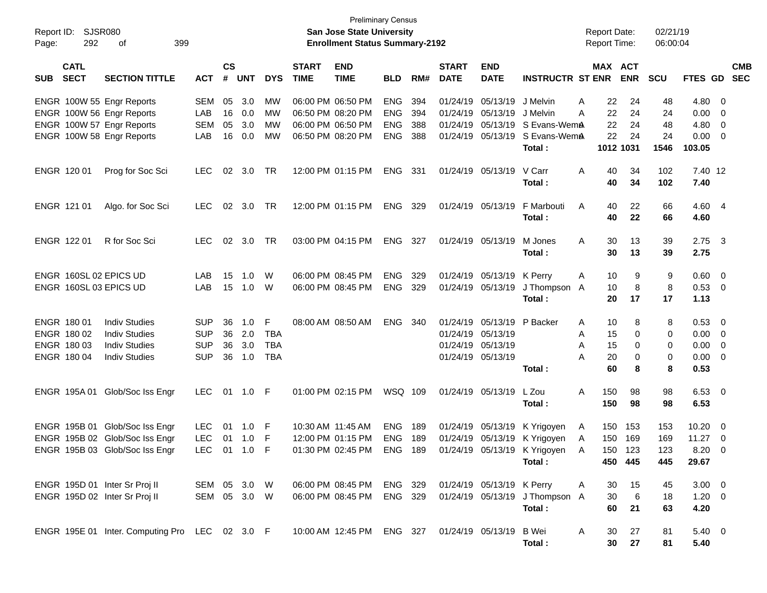| Report ID:<br>Page: | SJSR080<br>292             | 399<br>оf                                              |                   |                    |                |            |                             | <b>Preliminary Census</b><br>San Jose State University<br><b>Enrollment Status Summary-2192</b> |                          |            |                             |                               |                                                        |              | <b>Report Date:</b><br>Report Time: |                       | 02/21/19<br>06:00:04 |                   |                          |                          |
|---------------------|----------------------------|--------------------------------------------------------|-------------------|--------------------|----------------|------------|-----------------------------|-------------------------------------------------------------------------------------------------|--------------------------|------------|-----------------------------|-------------------------------|--------------------------------------------------------|--------------|-------------------------------------|-----------------------|----------------------|-------------------|--------------------------|--------------------------|
| SUB                 | <b>CATL</b><br><b>SECT</b> | <b>SECTION TITTLE</b>                                  | <b>ACT</b>        | $\mathsf{cs}$<br># | <b>UNT</b>     | <b>DYS</b> | <b>START</b><br><b>TIME</b> | <b>END</b><br><b>TIME</b>                                                                       | <b>BLD</b>               | RM#        | <b>START</b><br><b>DATE</b> | <b>END</b><br><b>DATE</b>     | <b>INSTRUCTR ST ENR</b>                                |              |                                     | MAX ACT<br><b>ENR</b> | <b>SCU</b>           | FTES GD           |                          | <b>CMB</b><br><b>SEC</b> |
|                     |                            | ENGR 100W 55 Engr Reports<br>ENGR 100W 56 Engr Reports | <b>SEM</b><br>LAB | 05<br>16           | 3.0<br>0.0     | MW<br>МW   |                             | 06:00 PM 06:50 PM<br>06:50 PM 08:20 PM                                                          | <b>ENG</b><br><b>ENG</b> | 394<br>394 | 01/24/19                    | 01/24/19 05/13/19<br>05/13/19 | J Melvin<br>J Melvin                                   | A<br>Α       | 22<br>22                            | 24<br>24              | 48<br>24             | $4.80\ 0$<br>0.00 | $\overline{\phantom{0}}$ |                          |
|                     |                            | ENGR 100W 57 Engr Reports                              | <b>SEM</b>        | 05                 | 3.0            | МW         |                             | 06:00 PM 06:50 PM                                                                               | ENG                      | 388        | 01/24/19                    | 05/13/19                      | S Evans-WemA                                           |              | 22                                  | 24                    | 48                   | 4.80              | $\overline{\mathbf{0}}$  |                          |
|                     |                            | ENGR 100W 58 Engr Reports                              | LAB               | 16                 | 0.0            | <b>MW</b>  |                             | 06:50 PM 08:20 PM                                                                               | <b>ENG</b>               | 388        | 01/24/19                    | 05/13/19                      | S Evans-WemA<br>Total:                                 |              | 22                                  | 24<br>1012 1031       | 24<br>1546           | 0.00<br>103.05    | $\overline{\phantom{0}}$ |                          |
|                     | ENGR 120 01                | Prog for Soc Sci                                       | <b>LEC</b>        | 02                 | 3.0            | TR         |                             | 12:00 PM 01:15 PM                                                                               | ENG                      | 331        |                             | 01/24/19 05/13/19             | V Carr<br>Total:                                       | A            | 40<br>40                            | 34<br>34              | 102<br>102           | 7.40 12<br>7.40   |                          |                          |
|                     | ENGR 121 01                | Algo. for Soc Sci                                      | <b>LEC</b>        | 02                 | 3.0            | TR         |                             | 12:00 PM 01:15 PM                                                                               | ENG                      | 329        |                             | 01/24/19 05/13/19             | F Marbouti<br>Total:                                   | A            | 40<br>40                            | 22<br>22              | 66<br>66             | 4.60 4<br>4.60    |                          |                          |
|                     | ENGR 122 01                | R for Soc Sci                                          | <b>LEC</b>        |                    | $02 \quad 3.0$ | <b>TR</b>  |                             | 03:00 PM 04:15 PM                                                                               | ENG                      | 327        |                             | 01/24/19 05/13/19             | M Jones<br>Total:                                      | A            | 30<br>30                            | 13<br>13              | 39<br>39             | $2.75$ 3<br>2.75  |                          |                          |
|                     |                            | ENGR 160SL 02 EPICS UD                                 | LAB               | 15                 | 1.0            | W          |                             | 06:00 PM 08:45 PM                                                                               | <b>ENG</b>               | 329        |                             | 01/24/19 05/13/19             | K Perry                                                | A            | 10                                  | 9                     | 9                    | 0.60              | $\overline{\phantom{0}}$ |                          |
|                     |                            | ENGR 160SL 03 EPICS UD                                 | LAB               | 15                 | 1.0            | W          |                             | 06:00 PM 08:45 PM                                                                               | <b>ENG</b>               | 329        |                             | 01/24/19 05/13/19             | J Thompson A                                           |              | 10                                  | 8                     | 8                    | 0.53 0            |                          |                          |
|                     |                            |                                                        |                   |                    |                |            |                             |                                                                                                 |                          |            |                             |                               | Total:                                                 |              | 20                                  | 17                    | 17                   | 1.13              |                          |                          |
|                     | ENGR 180 01                | <b>Indiv Studies</b>                                   | <b>SUP</b>        | 36                 | 1.0            | F          |                             | 08:00 AM 08:50 AM                                                                               | <b>ENG</b>               | -340       |                             | 01/24/19 05/13/19             | P Backer                                               | Α            | 10                                  | 8                     | 8                    | 0.53              | $\overline{\phantom{0}}$ |                          |
|                     | ENGR 180 02                | <b>Indiv Studies</b>                                   | <b>SUP</b>        | 36                 | 2.0            | <b>TBA</b> |                             |                                                                                                 |                          |            |                             | 01/24/19 05/13/19             |                                                        | Α            | 15                                  | 0                     | 0                    | 0.00              | $\overline{\phantom{0}}$ |                          |
|                     | ENGR 180 03                | <b>Indiv Studies</b>                                   | <b>SUP</b>        | 36                 | 3.0            | <b>TBA</b> |                             |                                                                                                 |                          |            |                             | 01/24/19 05/13/19             |                                                        | A            | 15                                  | 0                     | 0                    | 0.00              | $\overline{\phantom{0}}$ |                          |
|                     | ENGR 180 04                | <b>Indiv Studies</b>                                   | <b>SUP</b>        | 36                 | 1.0            | <b>TBA</b> |                             |                                                                                                 |                          |            |                             | 01/24/19 05/13/19             |                                                        | А            | 20                                  | 0                     | 0                    | 0.00              | $\overline{\phantom{0}}$ |                          |
|                     |                            |                                                        |                   |                    |                |            |                             |                                                                                                 |                          |            |                             |                               | Total:                                                 |              | 60                                  | 8                     | 8                    | 0.53              |                          |                          |
|                     |                            | ENGR 195A 01 Glob/Soc Iss Engr                         | <b>LEC</b>        |                    | 01 1.0 F       |            |                             | 01:00 PM 02:15 PM                                                                               | WSQ 109                  |            |                             | 01/24/19 05/13/19             | L Zou                                                  | A            | 150                                 | 98                    | 98                   | $6.53 \quad 0$    |                          |                          |
|                     |                            |                                                        |                   |                    |                |            |                             |                                                                                                 |                          |            |                             |                               | Total:                                                 |              | 150                                 | 98                    | 98                   | 6.53              |                          |                          |
|                     |                            | ENGR 195B 01 Glob/Soc Iss Engr                         | <b>LEC</b>        | 01                 | 1.0            | -F         |                             | 10:30 AM 11:45 AM                                                                               | <b>ENG</b>               | 189        |                             | 01/24/19 05/13/19             | K Yrigoyen                                             | A            | 150                                 | 153                   | 153                  | 10.20             | $\overline{\phantom{0}}$ |                          |
|                     |                            | ENGR 195B 02 Glob/Soc Iss Engr                         | <b>LEC</b>        |                    | 01 1.0         | F          |                             | 12:00 PM 01:15 PM                                                                               | <b>ENG</b>               | 189        |                             | 01/24/19 05/13/19             | K Yrigoyen                                             | A            | 150                                 | 169                   | 169                  | 11.27             | $\overline{\phantom{0}}$ |                          |
|                     |                            | ENGR 195B 03 Glob/Soc Iss Engr                         | LEC 01 1.0 F      |                    |                |            |                             |                                                                                                 |                          |            |                             |                               | 01:30 PM 02:45 PM ENG 189 01/24/19 05/13/19 K Yrigoyen | <sub>A</sub> |                                     | 150 123               | 123                  | 8.20 0            |                          |                          |
|                     |                            |                                                        |                   |                    |                |            |                             |                                                                                                 |                          |            |                             |                               | Total :                                                |              |                                     | 450 445               | 445                  | 29.67             |                          |                          |
|                     |                            | ENGR 195D 01 Inter Sr Proj II                          | SEM 05 3.0 W      |                    |                |            |                             | 06:00 PM 08:45 PM ENG 329                                                                       |                          |            |                             | 01/24/19 05/13/19 K Perry     |                                                        | A            | 30                                  | 15                    | 45                   | $3.00 \ 0$        |                          |                          |
|                     |                            | ENGR 195D 02 Inter Sr Proj II                          | SEM 05 3.0 W      |                    |                |            |                             | 06:00 PM 08:45 PM ENG 329                                                                       |                          |            |                             |                               | 01/24/19 05/13/19 J Thompson A                         |              | 30                                  | 6                     | 18                   | $1.20 \t 0$       |                          |                          |
|                     |                            |                                                        |                   |                    |                |            |                             |                                                                                                 |                          |            |                             |                               | Total:                                                 |              | 60                                  | 21                    | 63                   | 4.20              |                          |                          |
|                     |                            | ENGR 195E 01 Inter. Computing Pro LEC 02 3.0 F         |                   |                    |                |            |                             | 10:00 AM 12:45 PM ENG 327 01/24/19 05/13/19                                                     |                          |            |                             |                               | B Wei<br>Total:                                        | A            | 30<br>30                            | 27<br>27              | 81<br>81             | 5.40 0<br>5.40    |                          |                          |
|                     |                            |                                                        |                   |                    |                |            |                             |                                                                                                 |                          |            |                             |                               |                                                        |              |                                     |                       |                      |                   |                          |                          |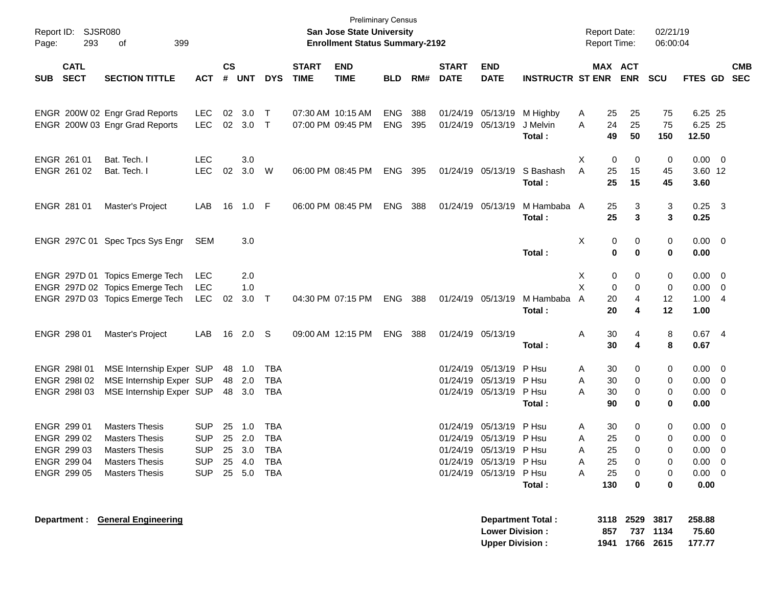| Report ID:<br>Page: | 293                        | SJSR080<br>399<br>οf             |                |                |            |            |                             | <b>Preliminary Census</b><br>San Jose State University<br><b>Enrollment Status Summary-2192</b> |            |     |                             |                           |                          |                | <b>Report Date:</b><br><b>Report Time:</b> |                | 02/21/19<br>06:00:04 |                 |                          |            |
|---------------------|----------------------------|----------------------------------|----------------|----------------|------------|------------|-----------------------------|-------------------------------------------------------------------------------------------------|------------|-----|-----------------------------|---------------------------|--------------------------|----------------|--------------------------------------------|----------------|----------------------|-----------------|--------------------------|------------|
| <b>SUB</b>          | <b>CATL</b><br><b>SECT</b> | <b>SECTION TITTLE</b>            | <b>ACT</b>     | <b>CS</b><br># | <b>UNT</b> | <b>DYS</b> | <b>START</b><br><b>TIME</b> | <b>END</b><br><b>TIME</b>                                                                       | <b>BLD</b> | RM# | <b>START</b><br><b>DATE</b> | <b>END</b><br><b>DATE</b> | <b>INSTRUCTR ST ENR</b>  |                | MAX ACT                                    | <b>ENR</b>     | <b>SCU</b>           | FTES GD SEC     |                          | <b>CMB</b> |
|                     |                            |                                  |                |                |            |            |                             |                                                                                                 |            |     |                             |                           |                          |                |                                            |                |                      |                 |                          |            |
|                     |                            | ENGR 200W 02 Engr Grad Reports   | <b>LEC</b>     | 02             | 3.0        | $\top$     | 07:30 AM 10:15 AM           |                                                                                                 | ENG        | 388 |                             | 01/24/19 05/13/19         | M Highby                 | A              | 25                                         | 25             | 75                   | 6.25 25         |                          |            |
|                     |                            | ENGR 200W 03 Engr Grad Reports   | LEC            |                | 02 3.0     | $\top$     | 07:00 PM 09:45 PM           |                                                                                                 | <b>ENG</b> | 395 |                             | 01/24/19 05/13/19         | J Melvin                 | Α              | 24                                         | 25             | 75                   | 6.25 25         |                          |            |
|                     |                            |                                  |                |                |            |            |                             |                                                                                                 |            |     |                             |                           | Total:                   |                | 49                                         | 50             | 150                  | 12.50           |                          |            |
|                     | ENGR 261 01                | Bat. Tech. I                     | <b>LEC</b>     |                | 3.0        |            |                             |                                                                                                 |            |     |                             |                           |                          | X              | 0                                          | 0              | 0                    | $0.00 \t 0$     |                          |            |
|                     | ENGR 261 02                | Bat. Tech. I                     | <b>LEC</b>     | 02             | 3.0        | W          | 06:00 PM 08:45 PM           |                                                                                                 | <b>ENG</b> | 395 |                             | 01/24/19 05/13/19         | S Bashash                | A              | 25                                         | 15             | 45                   | 3.60 12         |                          |            |
|                     |                            |                                  |                |                |            |            |                             |                                                                                                 |            |     |                             |                           | Total:                   |                | 25                                         | 15             | 45                   | 3.60            |                          |            |
|                     | ENGR 281 01                | Master's Project                 | LAB            | 16             | 1.0 F      |            | 06:00 PM 08:45 PM           |                                                                                                 | ENG        | 388 |                             | 01/24/19 05/13/19         | M Hambaba A              |                | 25                                         | 3              | 3                    | $0.25$ 3        |                          |            |
|                     |                            |                                  |                |                |            |            |                             |                                                                                                 |            |     |                             |                           | Total:                   |                | 25                                         | 3              | 3                    | 0.25            |                          |            |
|                     |                            | ENGR 297C 01 Spec Tpcs Sys Engr  | SEM            |                | 3.0        |            |                             |                                                                                                 |            |     |                             |                           |                          | Χ              | 0                                          | 0              | 0                    | $0.00 \t 0$     |                          |            |
|                     |                            |                                  |                |                |            |            |                             |                                                                                                 |            |     |                             |                           | Total:                   |                | $\bf{0}$                                   | $\bf{0}$       | 0                    | 0.00            |                          |            |
|                     |                            | ENGR 297D 01 Topics Emerge Tech  | <b>LEC</b>     |                | 2.0        |            |                             |                                                                                                 |            |     |                             |                           |                          | X              | 0                                          | 0              | 0                    | $0.00 \t 0$     |                          |            |
|                     |                            | ENGR 297D 02 Topics Emerge Tech  | <b>LEC</b>     |                | 1.0        |            |                             |                                                                                                 |            |     |                             |                           |                          | X              | 0                                          | 0              | 0                    | $0.00 \t 0$     |                          |            |
|                     |                            | ENGR 297D 03 Topics Emerge Tech  | LEC            | 02             | 3.0        | $\top$     | 04:30 PM 07:15 PM           |                                                                                                 | <b>ENG</b> | 388 |                             | 01/24/19 05/13/19         | M Hambaba                | $\overline{A}$ | 20                                         | 4              | 12                   | 1.004           |                          |            |
|                     |                            |                                  |                |                |            |            |                             |                                                                                                 |            |     |                             |                           | Total:                   |                | 20                                         | 4              | 12                   | 1.00            |                          |            |
|                     | ENGR 298 01                | Master's Project                 | LAB            | 16             | 2.0        | -S         | 09:00 AM 12:15 PM           |                                                                                                 | <b>ENG</b> | 388 |                             | 01/24/19 05/13/19         |                          | Α              | 30                                         | 4              | 8                    | 0.674           |                          |            |
|                     |                            |                                  |                |                |            |            |                             |                                                                                                 |            |     |                             |                           | Total:                   |                | 30                                         | 4              | 8                    | 0.67            |                          |            |
|                     | ENGR 298101                | MSE Internship Exper SUP         |                | 48             | 1.0        | TBA        |                             |                                                                                                 |            |     |                             | 01/24/19 05/13/19         | P Hsu                    | Α              | 30                                         | 0              | 0                    | $0.00 \t 0$     |                          |            |
|                     | ENGR 298102                | MSE Internship Exper SUP         |                | 48             | 2.0        | TBA        |                             |                                                                                                 |            |     |                             | 01/24/19 05/13/19         | P Hsu                    | Α              | 30                                         | 0              | 0                    | $0.00 \t 0$     |                          |            |
|                     | ENGR 298103                | MSE Internship Exper SUP         |                | 48             | 3.0        | TBA        |                             |                                                                                                 |            |     |                             | 01/24/19 05/13/19         | P Hsu                    | A              | 30                                         | 0              | 0                    | $0.00 \t 0$     |                          |            |
|                     |                            |                                  |                |                |            |            |                             |                                                                                                 |            |     |                             |                           | Total:                   |                | 90                                         | 0              | 0                    | 0.00            |                          |            |
|                     | ENGR 299 01                | <b>Masters Thesis</b>            | <b>SUP</b>     | 25             | 1.0        | TBA        |                             |                                                                                                 |            |     |                             | 01/24/19 05/13/19         | P Hsu                    | Α              | 30                                         | 0              | 0                    | $0.00 \t 0$     |                          |            |
|                     | ENGR 299 02                | <b>Masters Thesis</b>            | <b>SUP</b>     |                | 25 2.0     | <b>TBA</b> |                             |                                                                                                 |            |     |                             | 01/24/19 05/13/19 P Hsu   |                          | Α              | 25                                         | 0              | 0                    | 0.00            | $\overline{\phantom{0}}$ |            |
|                     | ENGR 299 03                | Masters Thesis                   | <b>SUP</b>     |                | 25 3.0 TBA |            |                             |                                                                                                 |            |     |                             | 01/24/19 05/13/19 PHsu    |                          | Α              | 25                                         | 0              | 0                    | $0.00 \t 0$     |                          |            |
|                     | ENGR 299 04                | <b>Masters Thesis</b>            | <b>SUP</b>     |                | 25 4.0     | TBA        |                             |                                                                                                 |            |     |                             | 01/24/19 05/13/19 PHsu    |                          | A              | 25                                         | 0              | 0                    | $0.00 \quad 0$  |                          |            |
|                     | ENGR 299 05                | <b>Masters Thesis</b>            | SUP 25 5.0 TBA |                |            |            |                             |                                                                                                 |            |     |                             | 01/24/19 05/13/19 P Hsu   |                          | A              | 25                                         | 0              | 0                    | $0.00 \quad 0$  |                          |            |
|                     |                            |                                  |                |                |            |            |                             |                                                                                                 |            |     |                             |                           | Total:                   |                | 130                                        | 0              | 0                    | 0.00            |                          |            |
|                     |                            | Department : General Engineering |                |                |            |            |                             |                                                                                                 |            |     |                             | <b>Lower Division:</b>    | <b>Department Total:</b> |                | 857                                        | 3118 2529      | 3817<br>737 1134     | 258.88<br>75.60 |                          |            |
|                     |                            |                                  |                |                |            |            |                             |                                                                                                 |            |     |                             | <b>Upper Division:</b>    |                          |                |                                            | 1941 1766 2615 |                      | 177.77          |                          |            |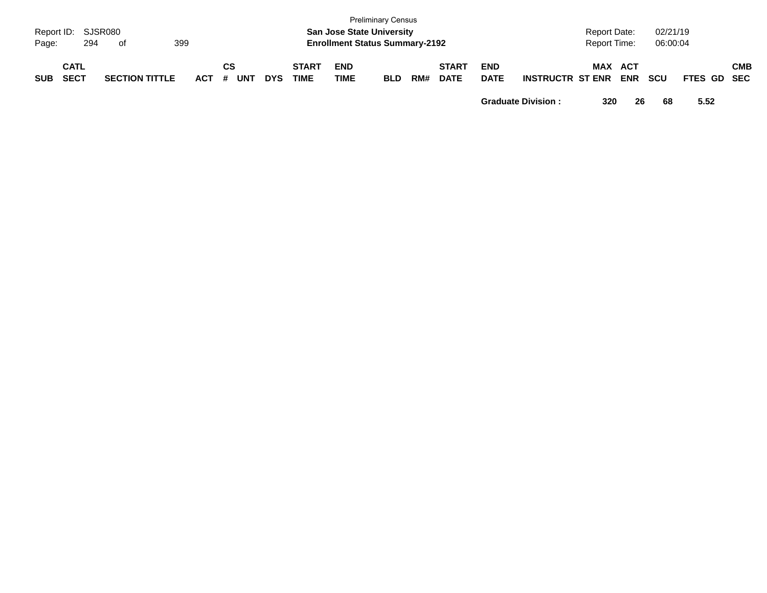| Page:      | Report ID: SJSR080<br>294  | . of                  | 399   |                  |            |                      |                           | <b>Preliminary Census</b><br><b>San Jose State University</b><br><b>Enrollment Status Summary-2192</b> |     |                             |                           |                         | <b>Report Date:</b><br><b>Report Time:</b> |                   | 02/21/19<br>06:00:04 |             |            |
|------------|----------------------------|-----------------------|-------|------------------|------------|----------------------|---------------------------|--------------------------------------------------------------------------------------------------------|-----|-----------------------------|---------------------------|-------------------------|--------------------------------------------|-------------------|----------------------|-------------|------------|
| <b>SUB</b> | <b>CATL</b><br><b>SECT</b> | <b>SECTION TITTLE</b> | ACT # | СS<br><b>UNT</b> | <b>DYS</b> | <b>START</b><br>TIME | <b>END</b><br><b>TIME</b> | <b>BLD</b>                                                                                             | RM# | <b>START</b><br><b>DATE</b> | <b>END</b><br><b>DATE</b> | <b>INSTRUCTR ST ENR</b> | MAX                                        | ACT<br><b>ENR</b> | <b>SCU</b>           | FTES GD SEC | <b>CMB</b> |

**Graduate Division : 320 26 68 5.52**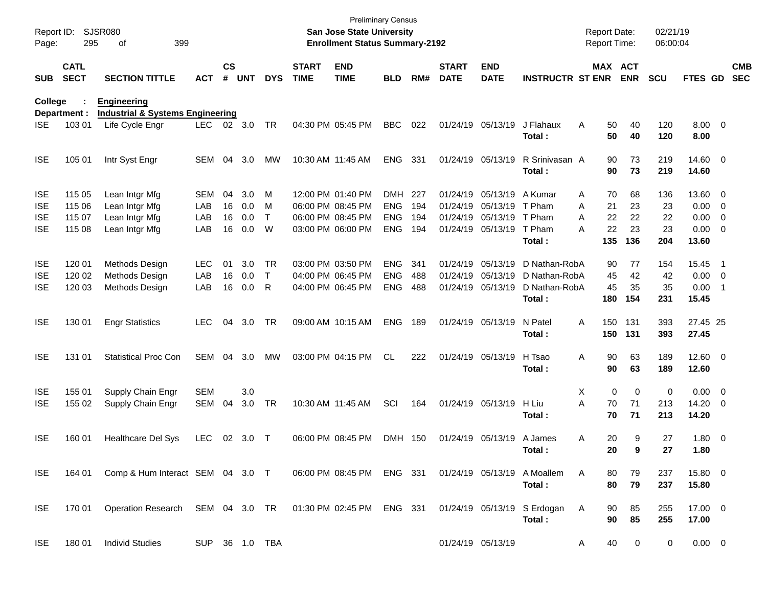| Report ID:<br>Page:                                  | 295                                  | SJSR080<br>399<br>οf                                                 |                                 |                      |                          |                             |                             | <b>San Jose State University</b><br><b>Enrollment Status Summary-2192</b>        | <b>Preliminary Census</b>                     |                          |                             |                                                                                  |                                                           | <b>Report Date:</b><br>Report Time:             |                             | 02/21/19<br>06:00:04         |                                          |                                                                      |                          |
|------------------------------------------------------|--------------------------------------|----------------------------------------------------------------------|---------------------------------|----------------------|--------------------------|-----------------------------|-----------------------------|----------------------------------------------------------------------------------|-----------------------------------------------|--------------------------|-----------------------------|----------------------------------------------------------------------------------|-----------------------------------------------------------|-------------------------------------------------|-----------------------------|------------------------------|------------------------------------------|----------------------------------------------------------------------|--------------------------|
| <b>SUB</b>                                           | <b>CATL</b><br><b>SECT</b>           | <b>SECTION TITTLE</b>                                                | <b>ACT</b>                      | $\mathsf{cs}$<br>#   | <b>UNT</b>               | <b>DYS</b>                  | <b>START</b><br><b>TIME</b> | <b>END</b><br><b>TIME</b>                                                        | <b>BLD</b>                                    | RM#                      | <b>START</b><br><b>DATE</b> | <b>END</b><br><b>DATE</b>                                                        | <b>INSTRUCTR ST ENR</b>                                   |                                                 | MAX ACT<br><b>ENR</b>       | <b>SCU</b>                   | FTES GD                                  |                                                                      | <b>CMB</b><br><b>SEC</b> |
| <b>College</b>                                       | Department :                         | <b>Engineering</b><br><b>Industrial &amp; Systems Engineering</b>    |                                 |                      |                          |                             |                             |                                                                                  |                                               |                          |                             |                                                                                  |                                                           |                                                 |                             |                              |                                          |                                                                      |                          |
| ISE.                                                 | 103 01                               | Life Cycle Engr                                                      | LEC.                            |                      | 02 3.0                   | TR                          |                             | 04:30 PM 05:45 PM                                                                | <b>BBC</b>                                    | 022                      |                             | 01/24/19 05/13/19                                                                | J Flahaux<br>Total:                                       | Α<br>50<br>50                                   | 40<br>40                    | 120<br>120                   | $8.00 \t 0$<br>8.00                      |                                                                      |                          |
| <b>ISE</b>                                           | 105 01                               | Intr Syst Engr                                                       | <b>SEM</b>                      | 04                   | 3.0                      | MW                          |                             | 10:30 AM 11:45 AM                                                                | <b>ENG</b>                                    | 331                      |                             | 01/24/19 05/13/19                                                                | R Srinivasan A<br>Total:                                  | 90<br>90                                        | 73<br>73                    | 219<br>219                   | 14.60 0<br>14.60                         |                                                                      |                          |
| <b>ISE</b><br><b>ISE</b><br><b>ISE</b><br><b>ISE</b> | 115 05<br>115 06<br>115 07<br>115 08 | Lean Intgr Mfg<br>Lean Intgr Mfg<br>Lean Intgr Mfg<br>Lean Intgr Mfg | <b>SEM</b><br>LAB<br>LAB<br>LAB | 04<br>16<br>16<br>16 | 3.0<br>0.0<br>0.0<br>0.0 | M<br>м<br>$\mathsf{T}$<br>W |                             | 12:00 PM 01:40 PM<br>06:00 PM 08:45 PM<br>06:00 PM 08:45 PM<br>03:00 PM 06:00 PM | DMH<br><b>ENG</b><br><b>ENG</b><br><b>ENG</b> | 227<br>194<br>194<br>194 |                             | 01/24/19 05/13/19<br>01/24/19 05/13/19<br>01/24/19 05/13/19<br>01/24/19 05/13/19 | A Kumar<br>T Pham<br>T Pham<br>T Pham<br>Total:           | 70<br>Α<br>21<br>A<br>A<br>22<br>22<br>А<br>135 | 68<br>23<br>22<br>23<br>136 | 136<br>23<br>22<br>23<br>204 | 13.60 0<br>0.00<br>0.00<br>0.00<br>13.60 | $\overline{\mathbf{0}}$<br>$\overline{0}$<br>$\overline{\mathbf{0}}$ |                          |
| <b>ISE</b><br><b>ISE</b><br><b>ISE</b>               | 120 01<br>120 02<br>120 03           | Methods Design<br>Methods Design<br>Methods Design                   | <b>LEC</b><br>LAB<br>LAB        | 01<br>16<br>16       | 3.0<br>0.0<br>0.0        | TR<br>$\mathsf{T}$<br>R     |                             | 03:00 PM 03:50 PM<br>04:00 PM 06:45 PM<br>04:00 PM 06:45 PM                      | <b>ENG</b><br><b>ENG</b><br><b>ENG</b>        | 341<br>488<br>488        |                             | 01/24/19 05/13/19<br>01/24/19 05/13/19<br>01/24/19 05/13/19                      | D Nathan-RobA<br>D Nathan-RobA<br>D Nathan-RobA<br>Total: | 90<br>45<br>45<br>180                           | 77<br>42<br>35<br>154       | 154<br>42<br>35<br>231       | 15.45<br>0.00<br>0.00<br>15.45           | - 1<br>$\overline{\phantom{0}}$<br>-1                                |                          |
| <b>ISE</b>                                           | 130 01                               | <b>Engr Statistics</b>                                               | <b>LEC</b>                      | 04                   | 3.0                      | TR                          |                             | 09:00 AM 10:15 AM                                                                | <b>ENG</b>                                    | 189                      |                             | 01/24/19 05/13/19                                                                | N Patel<br>Total:                                         | Α<br>150<br>150                                 | 131<br>131                  | 393<br>393                   | 27.45 25<br>27.45                        |                                                                      |                          |
| <b>ISE</b>                                           | 131 01                               | <b>Statistical Proc Con</b>                                          | <b>SEM</b>                      | 04                   | 3.0                      | МW                          |                             | 03:00 PM 04:15 PM                                                                | CL.                                           | 222                      |                             | 01/24/19 05/13/19                                                                | H Tsao<br>Total:                                          | Α<br>90<br>90                                   | 63<br>63                    | 189<br>189                   | $12.60$ 0<br>12.60                       |                                                                      |                          |
| <b>ISE</b><br><b>ISE</b>                             | 155 01<br>155 02                     | Supply Chain Engr<br>Supply Chain Engr                               | <b>SEM</b><br><b>SEM</b>        | 04                   | 3.0<br>3.0               | TR                          |                             | 10:30 AM 11:45 AM                                                                | SCI                                           | 164                      |                             | 01/24/19 05/13/19                                                                | H Liu<br>Total:                                           | X<br>0<br>A<br>70<br>70                         | 0<br>71<br>71               | 0<br>213<br>213              | 0.00<br>14.20<br>14.20                   | $\overline{\phantom{0}}$<br>$\overline{\mathbf{0}}$                  |                          |
| <b>ISE</b>                                           | 160 01                               | <b>Healthcare Del Sys</b>                                            | <b>LEC</b>                      | 02                   | 3.0                      | $\top$                      |                             | 06:00 PM 08:45 PM                                                                | <b>DMH</b>                                    | 150                      |                             | 01/24/19 05/13/19                                                                | A James<br>Total :                                        | 20<br>Α<br>20                                   | 9<br>q                      | 27<br>27                     | 1.80 0<br>1.80                           |                                                                      |                          |
| ISE.                                                 | 164 01                               | Comp & Hum Interact SEM 04 3.0 T                                     |                                 |                      |                          |                             |                             | 06:00 PM 08:45 PM ENG 331                                                        |                                               |                          |                             |                                                                                  | 01/24/19 05/13/19 A Moallem<br>Total:                     | 80<br>A<br>80                                   | 79<br>79                    | 237<br>237                   | 15.80 0<br>15.80                         |                                                                      |                          |
| <b>ISE</b>                                           | 170 01                               | Operation Research SEM 04 3.0 TR 01:30 PM 02:45 PM ENG 331           |                                 |                      |                          |                             |                             |                                                                                  |                                               |                          |                             |                                                                                  | 01/24/19 05/13/19 S Erdogan<br>Total:                     | A<br>90<br>90                                   | 85<br>85                    | 255<br>255                   | 17.00 0<br>17.00                         |                                                                      |                          |
| <b>ISE</b>                                           | 180 01                               | <b>Individ Studies</b>                                               |                                 |                      |                          | SUP 36 1.0 TBA              |                             |                                                                                  |                                               |                          |                             | 01/24/19 05/13/19                                                                |                                                           | A<br>40                                         | 0                           | 0                            | $0.00 \t 0$                              |                                                                      |                          |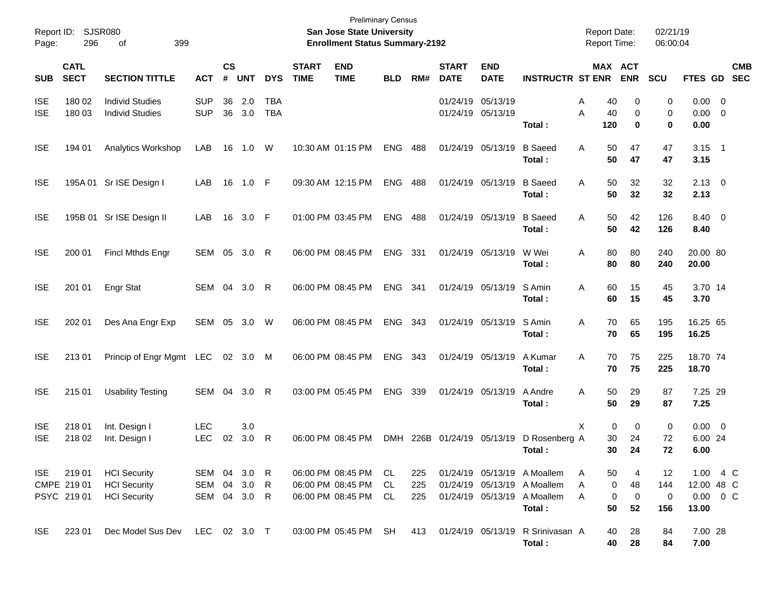| Report ID:<br>Page:      | 296                                 | SJSR080<br>399<br>οf                                              |                                        |                |            |                          |                             | <b>Preliminary Census</b><br>San Jose State University<br><b>Enrollment Status Summary-2192</b> |                 |                   |                             |                                        |                                                                                                     | <b>Report Date:</b><br><b>Report Time:</b> |                    | 02/21/19<br>06:00:04  |                                                          |                                                    |                          |
|--------------------------|-------------------------------------|-------------------------------------------------------------------|----------------------------------------|----------------|------------|--------------------------|-----------------------------|-------------------------------------------------------------------------------------------------|-----------------|-------------------|-----------------------------|----------------------------------------|-----------------------------------------------------------------------------------------------------|--------------------------------------------|--------------------|-----------------------|----------------------------------------------------------|----------------------------------------------------|--------------------------|
| <b>SUB</b>               | <b>CATL</b><br><b>SECT</b>          | <b>SECTION TITTLE</b>                                             | <b>ACT</b>                             | <b>CS</b><br># | <b>UNT</b> | <b>DYS</b>               | <b>START</b><br><b>TIME</b> | <b>END</b><br><b>TIME</b>                                                                       | <b>BLD</b>      | RM#               | <b>START</b><br><b>DATE</b> | <b>END</b><br><b>DATE</b>              | <b>INSTRUCTR ST ENR</b>                                                                             | MAX ACT                                    | <b>ENR</b>         | SCU                   | FTES GD                                                  |                                                    | <b>CMB</b><br><b>SEC</b> |
| <b>ISE</b><br><b>ISE</b> | 180 02<br>180 03                    | <b>Individ Studies</b><br><b>Individ Studies</b>                  | <b>SUP</b><br><b>SUP</b>               | 36<br>36       | 2.0<br>3.0 | <b>TBA</b><br><b>TBA</b> |                             |                                                                                                 |                 |                   |                             | 01/24/19 05/13/19<br>01/24/19 05/13/19 | Total:                                                                                              | Α<br>40<br>Α<br>40<br>120                  | 0<br>0<br>0        | 0<br>0<br>0           | 0.00<br>0.00<br>0.00                                     | $\overline{\mathbf{0}}$<br>$\overline{\mathbf{0}}$ |                          |
| <b>ISE</b>               | 194 01                              | <b>Analytics Workshop</b>                                         | LAB                                    | 16             | 1.0        | W                        |                             | 10:30 AM 01:15 PM                                                                               | <b>ENG</b>      | 488               |                             | 01/24/19 05/13/19                      | <b>B</b> Saeed<br>Total:                                                                            | Α<br>50<br>50                              | 47<br>47           | 47<br>47              | $3.15$ 1<br>3.15                                         |                                                    |                          |
| <b>ISE</b>               |                                     | 195A 01 Sr ISE Design I                                           | LAB                                    | 16             | 1.0 F      |                          |                             | 09:30 AM 12:15 PM                                                                               | <b>ENG</b>      | 488               |                             | 01/24/19 05/13/19                      | <b>B</b> Saeed<br>Total:                                                                            | Α<br>50<br>50                              | 32<br>32           | 32<br>32              | $2.13 \quad 0$<br>2.13                                   |                                                    |                          |
| <b>ISE</b>               |                                     | 195B 01 Sr ISE Design II                                          | LAB                                    | 16             | 3.0        | - F                      |                             | 01:00 PM 03:45 PM                                                                               | <b>ENG</b>      | 488               |                             | 01/24/19 05/13/19                      | <b>B</b> Saeed<br>Total:                                                                            | Α<br>50<br>50                              | 42<br>42           | 126<br>126            | 8.40 0<br>8.40                                           |                                                    |                          |
| <b>ISE</b>               | 200 01                              | <b>Fincl Mthds Engr</b>                                           | SEM                                    | 05             | 3.0        | R                        |                             | 06:00 PM 08:45 PM                                                                               | <b>ENG</b>      | 331               | 01/24/19 05/13/19           |                                        | W Wei<br>Total:                                                                                     | 80<br>Α<br>80                              | 80<br>80           | 240<br>240            | 20.00 80<br>20.00                                        |                                                    |                          |
| <b>ISE</b>               | 201 01                              | Engr Stat                                                         | SEM                                    | 04             | 3.0        | R                        |                             | 06:00 PM 08:45 PM                                                                               | <b>ENG</b>      | 341               |                             | 01/24/19 05/13/19                      | S Amin<br>Total:                                                                                    | Α<br>60<br>60                              | 15<br>15           | 45<br>45              | 3.70 14<br>3.70                                          |                                                    |                          |
| <b>ISE</b>               | 202 01                              | Des Ana Engr Exp                                                  | SEM                                    | 05             | 3.0        | W                        |                             | 06:00 PM 08:45 PM                                                                               | <b>ENG</b>      | 343               |                             | 01/24/19 05/13/19                      | S Amin<br>Total:                                                                                    | Α<br>70<br>70                              | 65<br>65           | 195<br>195            | 16.25 65<br>16.25                                        |                                                    |                          |
| <b>ISE</b>               | 21301                               | Princip of Engr Mgmt LEC                                          |                                        |                | 02 3.0 M   |                          |                             | 06:00 PM 08:45 PM                                                                               | <b>ENG</b>      | 343               |                             | 01/24/19 05/13/19                      | A Kumar<br>Total:                                                                                   | Α<br>70<br>70                              | 75<br>75           | 225<br>225            | 18.70 74<br>18.70                                        |                                                    |                          |
| <b>ISE</b>               | 215 01                              | <b>Usability Testing</b>                                          | SEM                                    | 04             | 3.0        | R                        |                             | 03:00 PM 05:45 PM                                                                               | <b>ENG</b>      | 339               |                             | 01/24/19 05/13/19                      | A Andre<br>Total:                                                                                   | 50<br>Α<br>50                              | 29<br>29           | 87<br>87              | 7.25 29<br>7.25                                          |                                                    |                          |
| <b>ISE</b><br><b>ISE</b> | 218 01<br>218 02                    | Int. Design I<br>Int. Design I                                    | <b>LEC</b><br><b>LEC</b>               | 02             | 3.0<br>3.0 | R                        |                             | 06:00 PM 08:45 PM                                                                               |                 | DMH 226B          | 01/24/19 05/13/19           |                                        | D Rosenberg A<br>Total:                                                                             | Χ<br>0<br>30<br>30                         | 0<br>24<br>24      | 0<br>72<br>72         | $0.00 \t 0$<br>6.00 24<br>6.00                           |                                                    |                          |
| ISE.                     | 219 01<br>CMPE 219 01<br>PSYC 21901 | <b>HCI</b> Security<br><b>HCI</b> Security<br><b>HCI</b> Security | SEM 04 3.0 R<br>SEM 04<br>SEM 04 3.0 R |                | 3.0        | R                        |                             | 06:00 PM 08:45 PM<br>06:00 PM 08:45 PM<br>06:00 PM 08:45 PM                                     | CL.<br>CL<br>CL | 225<br>225<br>225 |                             |                                        | 01/24/19 05/13/19 A Moallem<br>01/24/19 05/13/19 A Moallem<br>01/24/19 05/13/19 A Moallem<br>Total: | 50<br>A<br>0<br>A<br>0<br>A<br>50          | 4<br>48<br>0<br>52 | 12<br>144<br>0<br>156 | $1.00 \t 4 \t C$<br>12.00 48 C<br>$0.00 \t 0 C$<br>13.00 |                                                    |                          |
| ISE.                     | 223 01                              | Dec Model Sus Dev LEC 02 3.0 T                                    |                                        |                |            |                          |                             | 03:00 PM 05:45 PM SH                                                                            |                 | 413               |                             | 01/24/19 05/13/19                      | R Srinivasan A<br>Total:                                                                            | 40<br>40                                   | 28<br>28           | 84<br>84              | 7.00 28<br>7.00                                          |                                                    |                          |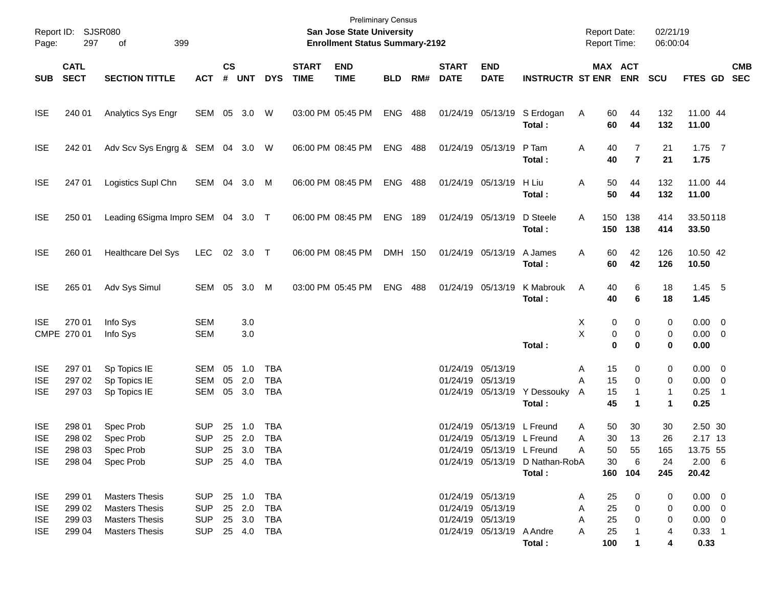| Page:                                                | Report ID: SJSR080<br>297            | 399<br>of                                                                                        |                                                                      |                    |                             |                                        |                             | <b>Preliminary Census</b><br>San Jose State University<br><b>Enrollment Status Summary-2192</b> |            |     |                                        |                                                                                          |                                                       |                  |                             | <b>Report Date:</b><br><b>Report Time:</b>                                       | 02/21/19<br>06:00:04                        |                                                                        |                          |            |
|------------------------------------------------------|--------------------------------------|--------------------------------------------------------------------------------------------------|----------------------------------------------------------------------|--------------------|-----------------------------|----------------------------------------|-----------------------------|-------------------------------------------------------------------------------------------------|------------|-----|----------------------------------------|------------------------------------------------------------------------------------------|-------------------------------------------------------|------------------|-----------------------------|----------------------------------------------------------------------------------|---------------------------------------------|------------------------------------------------------------------------|--------------------------|------------|
| <b>SUB</b>                                           | <b>CATL</b><br><b>SECT</b>           | <b>SECTION TITTLE</b>                                                                            | <b>ACT</b>                                                           | $\mathsf{cs}$<br># | <b>UNT</b>                  | <b>DYS</b>                             | <b>START</b><br><b>TIME</b> | <b>END</b><br><b>TIME</b>                                                                       | <b>BLD</b> | RM# | <b>START</b><br><b>DATE</b>            | <b>END</b><br><b>DATE</b>                                                                | <b>INSTRUCTR ST ENR</b>                               |                  |                             | MAX ACT<br><b>ENR</b>                                                            | <b>SCU</b>                                  | FTES GD SEC                                                            |                          | <b>CMB</b> |
| <b>ISE</b>                                           | 240 01                               | Analytics Sys Engr                                                                               | SEM 05 3.0                                                           |                    |                             | W                                      |                             | 03:00 PM 05:45 PM                                                                               | ENG        | 488 |                                        | 01/24/19 05/13/19                                                                        | S Erdogan<br>Total:                                   | A                | 60<br>60                    | 44<br>44                                                                         | 132<br>132                                  | 11.00 44<br>11.00                                                      |                          |            |
| <b>ISE</b>                                           | 242 01                               | Adv Scv Sys Engrg & SEM 04 3.0 W                                                                 |                                                                      |                    |                             |                                        |                             | 06:00 PM 08:45 PM                                                                               | <b>ENG</b> | 488 |                                        | 01/24/19 05/13/19                                                                        | P Tam<br>Total:                                       | Α                | 40<br>40                    | 7<br>$\overline{7}$                                                              | 21<br>21                                    | $1.75$ 7<br>1.75                                                       |                          |            |
| <b>ISE</b>                                           | 247 01                               | Logistics Supl Chn                                                                               | SEM 04 3.0                                                           |                    |                             | M                                      |                             | 06:00 PM 08:45 PM                                                                               | <b>ENG</b> | 488 |                                        | 01/24/19 05/13/19                                                                        | H Liu<br>Total:                                       | Α                | 50<br>50                    | 44<br>44                                                                         | 132<br>132                                  | 11.00 44<br>11.00                                                      |                          |            |
| <b>ISE</b>                                           | 250 01                               | Leading 6Sigma Impro SEM 04 3.0 T                                                                |                                                                      |                    |                             |                                        |                             | 06:00 PM 08:45 PM                                                                               | <b>ENG</b> | 189 |                                        | 01/24/19 05/13/19                                                                        | D Steele<br>Total:                                    | Α                | 150<br>150                  | 138<br>138                                                                       | 414<br>414                                  | 33.50118<br>33.50                                                      |                          |            |
| <b>ISE</b>                                           | 260 01                               | Healthcare Del Sys                                                                               | <b>LEC</b>                                                           |                    | 02 3.0 T                    |                                        |                             | 06:00 PM 08:45 PM                                                                               | DMH 150    |     |                                        | 01/24/19 05/13/19                                                                        | A James<br>Total:                                     | Α                | 60<br>60                    | 42<br>42                                                                         | 126<br>126                                  | 10.50 42<br>10.50                                                      |                          |            |
| <b>ISE</b>                                           | 265 01                               | Adv Sys Simul                                                                                    | SEM 05                                                               |                    | 3.0                         | M                                      |                             | 03:00 PM 05:45 PM                                                                               | <b>ENG</b> | 488 |                                        | 01/24/19 05/13/19                                                                        | K Mabrouk<br>Total:                                   | A                | 40<br>40                    | 6<br>6                                                                           | 18<br>18                                    | $1.45$ 5<br>1.45                                                       |                          |            |
| <b>ISE</b>                                           | 270 01<br>CMPE 270 01                | Info Sys<br>Info Sys                                                                             | <b>SEM</b><br><b>SEM</b>                                             |                    | 3.0<br>3.0                  |                                        |                             |                                                                                                 |            |     |                                        |                                                                                          | Total:                                                | Х<br>X           | 0<br>0<br>$\mathbf 0$       | 0<br>0<br>0                                                                      | 0<br>0<br>0                                 | $0.00 \t 0$<br>$0.00 \t 0$<br>0.00                                     |                          |            |
| <b>ISE</b><br><b>ISE</b><br><b>ISE</b>               | 297 01<br>297 02<br>297 03           | Sp Topics IE<br>Sp Topics IE<br>Sp Topics IE                                                     | SEM<br><b>SEM</b><br><b>SEM</b>                                      | 05<br>05<br>05     | 1.0<br>2.0<br>3.0           | <b>TBA</b><br><b>TBA</b><br><b>TBA</b> |                             |                                                                                                 |            |     | 01/24/19 05/13/19<br>01/24/19 05/13/19 | 01/24/19 05/13/19                                                                        | Y Dessouky<br>Total:                                  | A<br>A<br>A      | 15<br>15<br>15<br>45        | 0<br>0<br>1<br>1                                                                 | 0<br>0<br>1<br>1                            | $0.00 \t 0$<br>$0.00 \t 0$<br>0.25<br>0.25                             | $\overline{\phantom{1}}$ |            |
| <b>ISE</b><br><b>ISE</b><br><b>ISE</b><br><b>ISE</b> | 298 01<br>298 02<br>298 03           | Spec Prob<br>Spec Prob<br>Spec Prob<br>298 04 Spec Prob                                          | <b>SUP</b><br><b>SUP</b><br>SUP<br>SUP 25 4.0 TBA                    | 25                 | 1.0<br>25 2.0<br>25 3.0 TBA | TBA<br><b>TBA</b>                      |                             |                                                                                                 |            |     |                                        | 01/24/19 05/13/19<br>01/24/19 05/13/19 L Freund<br>01/24/19 05/13/19 L Freund            | L Freund<br>01/24/19 05/13/19 D Nathan-RobA<br>Total: | Α<br>Α<br>Α      | 50<br>30<br>50<br>30        | 30<br>13<br>55<br>$6\overline{6}$<br>160 104                                     | 30<br>26<br>165<br>24<br>245                | 2.50 30<br>2.17 13<br>13.75 55<br>$2.00\quad 6$<br>20.42               |                          |            |
| <b>ISE</b><br><b>ISE</b><br><b>ISE</b><br><b>ISE</b> | 299 01<br>299 02<br>299 03<br>299 04 | <b>Masters Thesis</b><br><b>Masters Thesis</b><br><b>Masters Thesis</b><br><b>Masters Thesis</b> | SUP 25 1.0 TBA<br>SUP 25 2.0 TBA<br>SUP 25 3.0 TBA<br>SUP 25 4.0 TBA |                    |                             |                                        |                             |                                                                                                 |            |     |                                        | 01/24/19 05/13/19<br>01/24/19 05/13/19<br>01/24/19 05/13/19<br>01/24/19 05/13/19 A Andre | Total:                                                | A<br>A<br>A<br>A | 25<br>25<br>25<br>25<br>100 | $\overline{\mathbf{0}}$<br>$\overline{0}$<br>$\overline{0}$<br>$\mathbf{1}$<br>1 | $\mathbf{0}$<br>$\mathbf{0}$<br>0<br>4<br>4 | $0.00 \quad 0$<br>$0.00 \quad 0$<br>$0.00 \quad 0$<br>$0.33$ 1<br>0.33 |                          |            |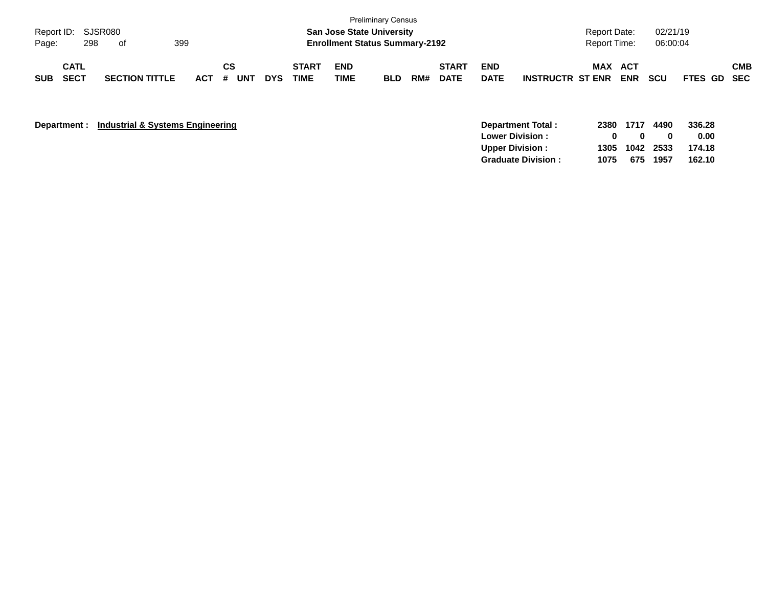| Page:      | Report ID: SJSR080         | 298 | of                    | 399 |         |           |            |                      | <b>San Jose State University</b><br><b>Enrollment Status Summary-2192</b> | <b>Preliminary Census</b> |     |                             |                           |                         | <b>Report Date:</b><br><b>Report Time:</b> |                   | 02/21/19<br>06:00:04 |             |            |
|------------|----------------------------|-----|-----------------------|-----|---------|-----------|------------|----------------------|---------------------------------------------------------------------------|---------------------------|-----|-----------------------------|---------------------------|-------------------------|--------------------------------------------|-------------------|----------------------|-------------|------------|
| <b>SUB</b> | <b>CATL</b><br><b>SECT</b> |     | <b>SECTION TITTLE</b> |     | $ACT$ # | CS<br>UNT | <b>DYS</b> | <b>START</b><br>TIME | <b>END</b><br><b>TIME</b>                                                 | <b>BLD</b>                | RM# | <b>START</b><br><b>DATE</b> | <b>END</b><br><b>DATE</b> | <b>INSTRUCTR ST ENR</b> | <b>MAX</b>                                 | ACT<br><b>ENR</b> | <b>SCU</b>           | FTES GD SEC | <b>CMB</b> |

**Department : Industrial & Systems Engineering** 

| Department Total:         |      |                |          | 2380 1717 4490 336.28 |
|---------------------------|------|----------------|----------|-----------------------|
| <b>Lower Division:</b>    | -0   | $\mathbf{u}$   | o        | 0.00                  |
| Upper Division:           |      | 1305 1042 2533 |          | 174.18                |
| <b>Graduate Division:</b> | 1075 |                | 675 1957 | 162.10                |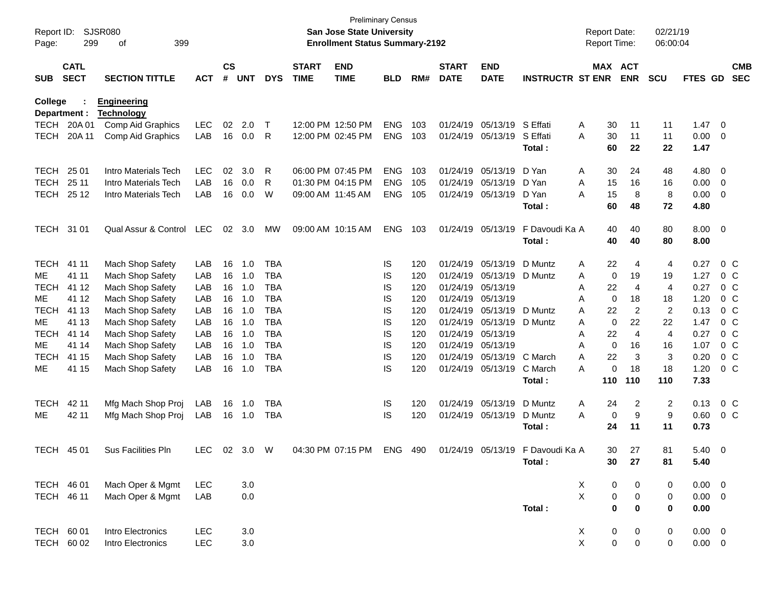| Report ID:<br>Page: | 299                        | <b>SJSR080</b><br>399<br>οf            |            |                               |            |            |                             | <b>Preliminary Census</b><br><b>San Jose State University</b><br><b>Enrollment Status Summary-2192</b> |            |     |                             |                           |                                  | <b>Report Date:</b><br><b>Report Time:</b> |                     |                       | 02/21/19<br>06:00:04 |              |                         |                          |
|---------------------|----------------------------|----------------------------------------|------------|-------------------------------|------------|------------|-----------------------------|--------------------------------------------------------------------------------------------------------|------------|-----|-----------------------------|---------------------------|----------------------------------|--------------------------------------------|---------------------|-----------------------|----------------------|--------------|-------------------------|--------------------------|
| <b>SUB</b>          | <b>CATL</b><br><b>SECT</b> | <b>SECTION TITTLE</b>                  | <b>ACT</b> | $\mathsf{CS}\phantom{0}$<br># | <b>UNT</b> | <b>DYS</b> | <b>START</b><br><b>TIME</b> | <b>END</b><br><b>TIME</b>                                                                              | <b>BLD</b> | RM# | <b>START</b><br><b>DATE</b> | <b>END</b><br><b>DATE</b> | <b>INSTRUCTR ST ENR</b>          |                                            |                     | MAX ACT<br><b>ENR</b> | <b>SCU</b>           | FTES GD      |                         | <b>CMB</b><br><b>SEC</b> |
| <b>College</b>      | Department :               | <b>Engineering</b>                     |            |                               |            |            |                             |                                                                                                        |            |     |                             |                           |                                  |                                            |                     |                       |                      |              |                         |                          |
| <b>TECH</b>         | 20A 01                     | <b>Technology</b><br>Comp Aid Graphics | LEC        | 02                            | 2.0        | $\top$     |                             | 12:00 PM 12:50 PM                                                                                      | <b>ENG</b> | 103 | 01/24/19                    | 05/13/19                  | S Effati                         | Α                                          | 30                  | 11                    | 11                   | 1.47         | $\overline{\mathbf{0}}$ |                          |
| <b>TECH</b>         | 20A 11                     | Comp Aid Graphics                      | LAB        | 16                            | 0.0        | R          |                             | 12:00 PM 02:45 PM                                                                                      | <b>ENG</b> | 103 | 01/24/19                    | 05/13/19                  | S Effati                         | A                                          | 30                  | 11                    | 11                   | 0.00         | $\overline{\mathbf{0}}$ |                          |
|                     |                            |                                        |            |                               |            |            |                             |                                                                                                        |            |     |                             |                           | Total:                           |                                            | 60                  | 22                    | 22                   | 1.47         |                         |                          |
| <b>TECH</b>         | 25 01                      | Intro Materials Tech                   | <b>LEC</b> | 02                            | 3.0        | R          |                             | 06:00 PM 07:45 PM                                                                                      | <b>ENG</b> | 103 | 01/24/19                    | 05/13/19                  | D Yan                            | Α                                          | 30                  | 24                    | 48                   | 4.80         | 0                       |                          |
| <b>TECH</b>         | 25 11                      | Intro Materials Tech                   | LAB        | 16                            | 0.0        | R          |                             | 01:30 PM 04:15 PM                                                                                      | <b>ENG</b> | 105 | 01/24/19                    | 05/13/19                  | D Yan                            | A                                          | 15                  | 16                    | 16                   | 0.00         | $\overline{0}$          |                          |
| <b>TECH</b>         | 25 12                      | Intro Materials Tech                   | LAB        | 16                            | 0.0        | W          | 09:00 AM 11:45 AM           |                                                                                                        | <b>ENG</b> | 105 | 01/24/19                    | 05/13/19                  | D Yan                            | A                                          | 15                  | 8                     | 8                    | 0.00         | 0                       |                          |
|                     |                            |                                        |            |                               |            |            |                             |                                                                                                        |            |     |                             |                           | Total:                           |                                            | 60                  | 48                    | 72                   | 4.80         |                         |                          |
| TECH 31 01          |                            | Qual Assur & Control                   | <b>LEC</b> | 02                            | 3.0        | MW         |                             | 09:00 AM 10:15 AM                                                                                      | <b>ENG</b> | 103 | 01/24/19                    | 05/13/19                  | F Davoudi Ka A                   |                                            | 40                  | 40                    | 80                   | 8.00         | $\overline{\mathbf{0}}$ |                          |
|                     |                            |                                        |            |                               |            |            |                             |                                                                                                        |            |     |                             |                           | Total:                           |                                            | 40                  | 40                    | 80                   | 8.00         |                         |                          |
| <b>TECH</b>         | 41 11                      | Mach Shop Safety                       | LAB        | 16                            | 1.0        | <b>TBA</b> |                             |                                                                                                        | IS         | 120 | 01/24/19                    | 05/13/19                  | D Muntz                          | A                                          | 22                  | 4                     | 4                    | 0.27         |                         | $0\,C$                   |
| ME                  | 41 11                      | Mach Shop Safety                       | LAB        | 16                            | 1.0        | <b>TBA</b> |                             |                                                                                                        | IS         | 120 | 01/24/19                    | 05/13/19                  | D Muntz                          | A                                          | 0                   | 19                    | 19                   | 1.27         |                         | $0\,C$                   |
| <b>TECH</b>         | 41 12                      | Mach Shop Safety                       | LAB        | 16                            | 1.0        | <b>TBA</b> |                             |                                                                                                        | IS         | 120 | 01/24/19                    | 05/13/19                  |                                  | A                                          | 22                  | 4                     | 4                    | 0.27         |                         | 0 <sup>C</sup>           |
| ME                  | 41 12                      | Mach Shop Safety                       | LAB        | 16                            | 1.0        | <b>TBA</b> |                             |                                                                                                        | IS         | 120 | 01/24/19                    | 05/13/19                  |                                  | A                                          | 0                   | 18                    | 18                   | 1.20         |                         | 0 <sup>C</sup>           |
| <b>TECH</b>         | 41 13                      | Mach Shop Safety                       | LAB        | 16                            | 1.0        | <b>TBA</b> |                             |                                                                                                        | IS         | 120 | 01/24/19                    | 05/13/19                  | D Muntz                          | Α                                          | 22                  | $\overline{2}$        | 2                    | 0.13         |                         | $0\,C$                   |
| ME                  | 41 13                      | Mach Shop Safety                       | LAB        | 16                            | 1.0        | <b>TBA</b> |                             |                                                                                                        | IS         | 120 | 01/24/19                    | 05/13/19                  | D Muntz                          | A                                          | 0                   | 22                    | 22                   | 1.47         |                         | 0 <sup>C</sup>           |
| <b>TECH</b>         | 41 14                      | Mach Shop Safety                       | LAB        | 16                            | 1.0        | <b>TBA</b> |                             |                                                                                                        | IS         | 120 | 01/24/19                    | 05/13/19                  |                                  | A                                          | 22                  | $\overline{4}$        | 4                    | 0.27         |                         | 0 <sup>C</sup>           |
| ME                  | 41 14                      | Mach Shop Safety                       | LAB        | 16                            | 1.0        | <b>TBA</b> |                             |                                                                                                        | IS         | 120 | 01/24/19                    | 05/13/19                  |                                  | A                                          | 0                   | 16                    | 16                   | 1.07         |                         | 0 <sup>C</sup>           |
| <b>TECH</b>         | 41 15                      | Mach Shop Safety                       | LAB        | 16                            | 1.0        | <b>TBA</b> |                             |                                                                                                        | IS         | 120 | 01/24/19                    | 05/13/19                  | C March                          | A                                          | 22                  | 3                     | 3                    | 0.20         |                         | 0 <sup>C</sup>           |
| ME                  | 41 15                      | Mach Shop Safety                       | LAB        | 16                            | 1.0        | <b>TBA</b> |                             |                                                                                                        | IS         | 120 | 01/24/19                    | 05/13/19                  | C March<br>Total:                | A                                          | 0<br>110            | 18<br>110             | 18<br>110            | 1.20<br>7.33 |                         | 0 <sup>C</sup>           |
| <b>TECH</b>         | 42 11                      | Mfg Mach Shop Proj                     | LAB        | 16                            | 1.0        | <b>TBA</b> |                             |                                                                                                        | IS         | 120 | 01/24/19                    | 05/13/19                  | D Muntz                          | Α                                          | 24                  | 2                     | 2                    | 0.13         |                         | $0\,C$                   |
| ME                  | 42 11                      | Mfg Mach Shop Proj                     | LAB        | 16                            | 1.0        | <b>TBA</b> |                             |                                                                                                        | IS         | 120 | 01/24/19                    | 05/13/19                  | D Muntz                          | A                                          | 0                   | 9                     | 9                    | 0.60         |                         | 0 <sup>C</sup>           |
|                     |                            |                                        |            |                               |            |            |                             |                                                                                                        |            |     |                             |                           | Total:                           |                                            | 24                  | 11                    | 11                   | 0.73         |                         |                          |
| <b>TECH</b>         | 45 01                      | Sus Facilities Pln                     | LEC        |                               | 02 3.0     | W          |                             | 04:30 PM 07:15 PM                                                                                      | ENG 490    |     |                             |                           | 01/24/19 05/13/19 F Davoudi Ka A |                                            | 30.                 | 27                    | 81                   | 5.40 0       |                         |                          |
|                     |                            |                                        |            |                               |            |            |                             |                                                                                                        |            |     |                             |                           | Total:                           |                                            | 30                  | 27                    | 81                   | 5.40         |                         |                          |
| TECH 46 01          |                            | Mach Oper & Mgmt                       | <b>LEC</b> |                               | 3.0        |            |                             |                                                                                                        |            |     |                             |                           |                                  | X                                          | 0                   | 0                     | 0                    | $0.00 \t 0$  |                         |                          |
| TECH 46 11          |                            | Mach Oper & Mgmt                       | LAB        |                               | 0.0        |            |                             |                                                                                                        |            |     |                             |                           |                                  | X                                          | 0                   | $\pmb{0}$             | 0                    | $0.00 \t 0$  |                         |                          |
|                     |                            |                                        |            |                               |            |            |                             |                                                                                                        |            |     |                             |                           | Total:                           |                                            | $\bf{0}$            | 0                     | $\bf{0}$             | 0.00         |                         |                          |
| TECH 60 01          |                            | Intro Electronics                      | <b>LEC</b> |                               | 3.0        |            |                             |                                                                                                        |            |     |                             |                           |                                  | X                                          | 0                   | 0                     | 0                    | $0.00 \t 0$  |                         |                          |
|                     | TECH 60 02                 | Intro Electronics                      | LEC        |                               | $3.0\,$    |            |                             |                                                                                                        |            |     |                             |                           |                                  | X                                          | $\mathsf{O}\xspace$ | $\pmb{0}$             | 0                    | $0.00 \t 0$  |                         |                          |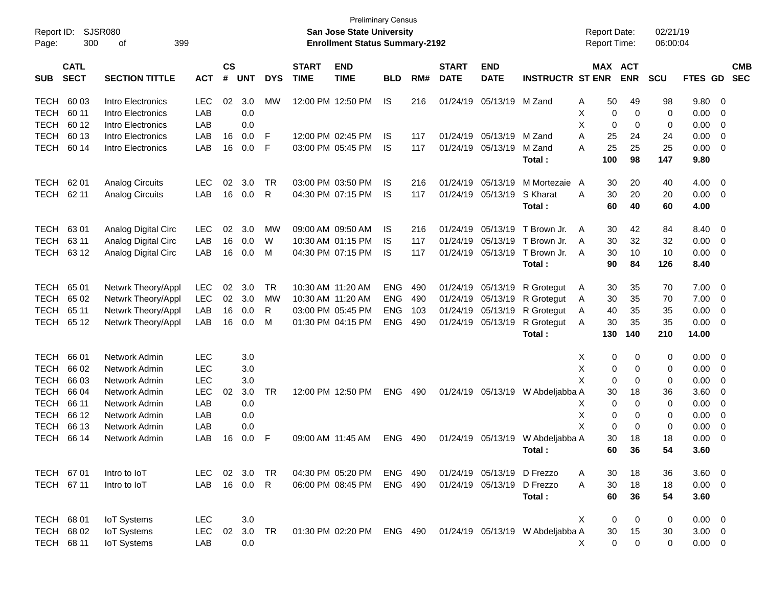| Report ID:  |                            | <b>SJSR080</b>         |            |                |            |            |                             | <b>Preliminary Census</b><br><b>San Jose State University</b> |            |     |                             |                           |                                  | <b>Report Date:</b> |           |                       | 02/21/19   |                 |                |                          |
|-------------|----------------------------|------------------------|------------|----------------|------------|------------|-----------------------------|---------------------------------------------------------------|------------|-----|-----------------------------|---------------------------|----------------------------------|---------------------|-----------|-----------------------|------------|-----------------|----------------|--------------------------|
| Page:       | 300                        | 399<br>of              |            |                |            |            |                             | <b>Enrollment Status Summary-2192</b>                         |            |     |                             |                           |                                  | Report Time:        |           |                       | 06:00:04   |                 |                |                          |
| <b>SUB</b>  | <b>CATL</b><br><b>SECT</b> | <b>SECTION TITTLE</b>  | <b>ACT</b> | <b>CS</b><br># | <b>UNT</b> | <b>DYS</b> | <b>START</b><br><b>TIME</b> | <b>END</b><br><b>TIME</b>                                     | <b>BLD</b> | RM# | <b>START</b><br><b>DATE</b> | <b>END</b><br><b>DATE</b> | <b>INSTRUCTR ST ENR</b>          |                     |           | MAX ACT<br><b>ENR</b> | <b>SCU</b> | <b>FTES GD</b>  |                | <b>CMB</b><br><b>SEC</b> |
| <b>TECH</b> | 60 03                      | Intro Electronics      | <b>LEC</b> | 02             | 3.0        | MW         |                             | 12:00 PM 12:50 PM                                             | IS.        | 216 | 01/24/19                    | 05/13/19                  | M Zand                           | Α                   | 50        | 49                    | 98         | 9.80            | - 0            |                          |
| <b>TECH</b> | 60 11                      | Intro Electronics      | LAB        |                | 0.0        |            |                             |                                                               |            |     |                             |                           |                                  | X                   | 0         | 0                     | 0          | 0.00            | 0              |                          |
| <b>TECH</b> | 60 12                      | Intro Electronics      | LAB        |                | 0.0        |            |                             |                                                               |            |     |                             |                           |                                  | X                   | 0         | 0                     | 0          | 0.00            | 0              |                          |
| <b>TECH</b> | 60 13                      | Intro Electronics      | LAB        | 16             | 0.0        | F          |                             | 12:00 PM 02:45 PM                                             | IS         | 117 | 01/24/19                    | 05/13/19                  | M Zand                           | A                   | 25        | 24                    | 24         | 0.00            | $\mathbf 0$    |                          |
| <b>TECH</b> | 60 14                      | Intro Electronics      | LAB        | 16             | 0.0        | F          |                             | 03:00 PM 05:45 PM                                             | IS         | 117 | 01/24/19                    | 05/13/19                  | M Zand                           | A                   | 25        | 25                    | 25         | 0.00            | $\overline{0}$ |                          |
|             |                            |                        |            |                |            |            |                             |                                                               |            |     |                             |                           | Total:                           |                     | 100       | 98                    | 147        | 9.80            |                |                          |
| <b>TECH</b> | 62 01                      | <b>Analog Circuits</b> | <b>LEC</b> | 02             | 3.0        | TR         |                             | 03:00 PM 03:50 PM                                             | IS         | 216 | 01/24/19                    | 05/13/19                  | M Mortezaie                      | A                   | 30        | 20                    | 40         | 4.00            | - 0            |                          |
| <b>TECH</b> | 62 11                      | <b>Analog Circuits</b> | LAB        | 16             | 0.0        | R          |                             | 04:30 PM 07:15 PM                                             | IS         | 117 | 01/24/19                    | 05/13/19                  | S Kharat                         | A                   | 30        | 20                    | 20         | 0.00            | - 0            |                          |
|             |                            |                        |            |                |            |            |                             |                                                               |            |     |                             |                           | Total:                           |                     | 60        | 40                    | 60         | 4.00            |                |                          |
| <b>TECH</b> | 6301                       | Analog Digital Circ    | <b>LEC</b> | 02             | 3.0        | MW         |                             | 09:00 AM 09:50 AM                                             | IS         | 216 | 01/24/19                    | 05/13/19                  | T Brown Jr.                      | A                   | 30        | 42                    | 84         | 8.40            | - 0            |                          |
| <b>TECH</b> | 63 11                      | Analog Digital Circ    | LAB        | 16             | 0.0        | W          |                             | 10:30 AM 01:15 PM                                             | IS         | 117 | 01/24/19                    | 05/13/19                  | T Brown Jr.                      | A                   | 30        | 32                    | 32         | 0.00            | 0              |                          |
| <b>TECH</b> | 63 12                      | Analog Digital Circ    | LAB        | 16             | 0.0        | M          |                             | 04:30 PM 07:15 PM                                             | IS         | 117 | 01/24/19                    | 05/13/19                  | T Brown Jr.                      | A                   | 30        | 10                    | 10         | 0.00            | $\overline{0}$ |                          |
|             |                            |                        |            |                |            |            |                             |                                                               |            |     |                             |                           | Total:                           |                     | 90        | 84                    | 126        | 8.40            |                |                          |
| <b>TECH</b> | 65 01                      | Netwrk Theory/Appl     | <b>LEC</b> | 02             | 3.0        | TR         | 10:30 AM 11:20 AM           |                                                               | ENG        | 490 | 01/24/19                    | 05/13/19                  | R Grotegut                       | A                   | 30        | 35                    | 70         | 7.00            | 0              |                          |
| <b>TECH</b> | 65 02                      | Netwrk Theory/Appl     | LEC        | 02             | 3.0        | МW         | 10:30 AM 11:20 AM           |                                                               | <b>ENG</b> | 490 | 01/24/19                    | 05/13/19                  | R Grotegut                       | A                   | 30        | 35                    | 70         | 7.00            | 0              |                          |
| <b>TECH</b> | 65 11                      | Netwrk Theory/Appl     | LAB        | 16             | 0.0        | R          |                             | 03:00 PM 05:45 PM                                             | <b>ENG</b> | 103 | 01/24/19                    | 05/13/19                  | R Grotegut                       | A                   | 40        | 35                    | 35         | 0.00            | $\overline{0}$ |                          |
| TECH        | 65 12                      | Netwrk Theory/Appl     | LAB        | 16             | 0.0        | M          |                             | 01:30 PM 04:15 PM                                             | <b>ENG</b> | 490 | 01/24/19                    | 05/13/19                  | R Grotegut                       | Α                   | 30        | 35                    | 35         | 0.00            | 0              |                          |
|             |                            |                        |            |                |            |            |                             |                                                               |            |     |                             |                           | Total:                           |                     | 130       | 140                   | 210        | 14.00           |                |                          |
| <b>TECH</b> | 66 01                      | Network Admin          | <b>LEC</b> |                | 3.0        |            |                             |                                                               |            |     |                             |                           |                                  | Х                   | 0         | 0                     | 0          | 0.00            | - 0            |                          |
| <b>TECH</b> | 66 02                      | Network Admin          | <b>LEC</b> |                | 3.0        |            |                             |                                                               |            |     |                             |                           |                                  | Χ                   | 0         | 0                     | 0          | 0.00            | 0              |                          |
| <b>TECH</b> | 66 03                      | Network Admin          | <b>LEC</b> |                | 3.0        |            |                             |                                                               |            |     |                             |                           |                                  | X                   | 0         | 0                     | 0          | 0.00            | $\mathbf 0$    |                          |
| <b>TECH</b> | 66 04                      | Network Admin          | LEC        | 02             | 3.0        | <b>TR</b>  |                             | 12:00 PM 12:50 PM                                             | <b>ENG</b> | 490 | 01/24/19                    | 05/13/19                  | W Abdeljabba A                   |                     | 30        | 18                    | 36         | 3.60            | 0              |                          |
| <b>TECH</b> | 66 11                      | Network Admin          | LAB        |                | 0.0        |            |                             |                                                               |            |     |                             |                           |                                  | X                   | 0         | 0                     | 0          | 0.00            | 0              |                          |
| <b>TECH</b> | 66 12                      | Network Admin          | LAB        |                | 0.0        |            |                             |                                                               |            |     |                             |                           |                                  | Χ                   | 0         | 0                     | 0          | 0.00            | 0              |                          |
| <b>TECH</b> | 66 13                      | Network Admin          | LAB        |                | 0.0        |            |                             |                                                               |            |     |                             |                           |                                  | X                   | 0         | 0                     | 0          | 0.00            | $\mathbf 0$    |                          |
| <b>TECH</b> | 66 14                      | Network Admin          | LAB        | 16             | 0.0        | F          | 09:00 AM 11:45 AM           |                                                               | <b>ENG</b> | 490 |                             |                           | 01/24/19 05/13/19 W Abdeljabba A |                     | 30        | 18                    | 18         | 0.00            | $\mathbf 0$    |                          |
|             |                            |                        |            |                |            |            |                             |                                                               |            |     |                             |                           | Total:                           |                     | 60        | 36                    | 54         | 3.60            |                |                          |
| TECH 67 01  |                            | Intro to IoT           | LEC.       |                | 02 3.0     | TR         |                             | 04:30 PM 05:20 PM                                             | ENG 490    |     |                             | 01/24/19 05/13/19         | D Frezzo                         | A                   | 30        | 18                    | 36         | 3.60 0          |                |                          |
| TECH 67 11  |                            | Intro to IoT           | LAB        |                | 16 0.0     | R          |                             | 06:00 PM 08:45 PM                                             | ENG 490    |     |                             | 01/24/19 05/13/19         | D Frezzo                         | A                   | 30        | 18                    | 18         | $0.00 \t 0$     |                |                          |
|             |                            |                        |            |                |            |            |                             |                                                               |            |     |                             |                           | Total:                           |                     | 60        | 36                    | 54         | 3.60            |                |                          |
| TECH 68 01  |                            | <b>IoT Systems</b>     | <b>LEC</b> |                | 3.0        |            |                             |                                                               |            |     |                             |                           |                                  | X                   | 0         | 0                     | 0          | 0.00 0          |                |                          |
|             | TECH 68 02                 | <b>IoT Systems</b>     | <b>LEC</b> | 02             | 3.0        | <b>TR</b>  |                             | 01:30 PM 02:20 PM                                             | ENG 490    |     |                             |                           | 01/24/19 05/13/19 W Abdeljabba A |                     | 30        | 15                    | 30         | $3.00 \ 0$      |                |                          |
|             | TECH 68 11                 | <b>IoT Systems</b>     | LAB        |                | 0.0        |            |                             |                                                               |            |     |                             |                           |                                  | X.                  | $\pmb{0}$ | $\mathbf 0$           | $\pmb{0}$  | $0.00\quad$ $0$ |                |                          |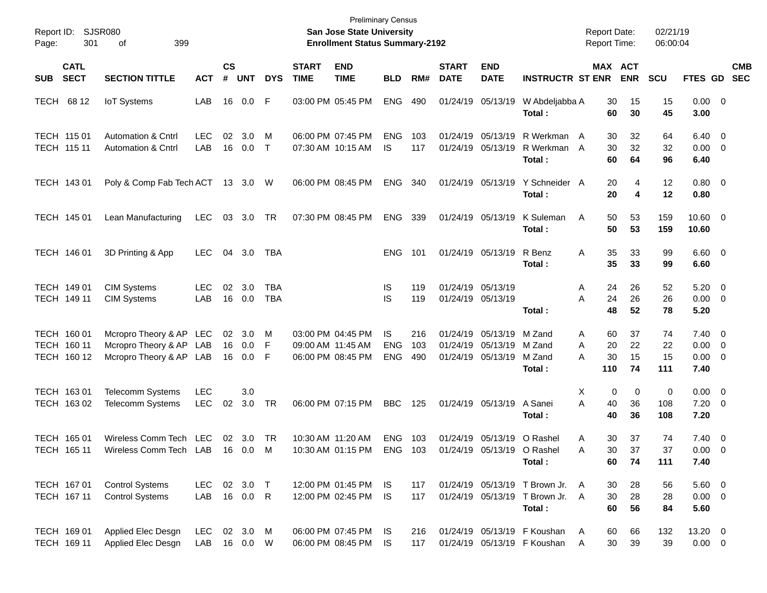| Report ID:<br>Page:                       | SJSR080<br>301<br>399<br>οf                                                   |                          |                |                                  |                   |                             | San Jose State University<br><b>Enrollment Status Summary-2192</b> | <b>Preliminary Census</b>       |                   |                             |                                                             |                                                                    | <b>Report Date:</b><br><b>Report Time:</b> |                       | 02/21/19<br>06:00:04  |                                                      |                          |
|-------------------------------------------|-------------------------------------------------------------------------------|--------------------------|----------------|----------------------------------|-------------------|-----------------------------|--------------------------------------------------------------------|---------------------------------|-------------------|-----------------------------|-------------------------------------------------------------|--------------------------------------------------------------------|--------------------------------------------|-----------------------|-----------------------|------------------------------------------------------|--------------------------|
| <b>CATL</b><br><b>SECT</b><br><b>SUB</b>  | <b>SECTION TITTLE</b>                                                         | <b>ACT</b>               | <b>CS</b><br># | <b>UNT</b>                       | <b>DYS</b>        | <b>START</b><br><b>TIME</b> | <b>END</b><br><b>TIME</b>                                          | <b>BLD</b>                      | RM#               | <b>START</b><br><b>DATE</b> | <b>END</b><br><b>DATE</b>                                   | <b>INSTRUCTR ST ENR</b>                                            |                                            | MAX ACT<br><b>ENR</b> | <b>SCU</b>            | <b>FTES GD</b>                                       | <b>CMB</b><br><b>SEC</b> |
| TECH 68 12                                | <b>IoT</b> Systems                                                            | LAB                      | 16             | $0.0\,$                          | F                 |                             | 03:00 PM 05:45 PM                                                  | <b>ENG</b>                      | 490               |                             | 01/24/19 05/13/19                                           | W Abdeljabba A<br>Total:                                           | 30<br>60                                   | 15<br>30              | 15<br>45              | $0.00 \t 0$<br>3.00                                  |                          |
| TECH 115 01<br>TECH 115 11                | <b>Automation &amp; Cntrl</b><br><b>Automation &amp; Cntrl</b>                | <b>LEC</b><br>LAB        | 02             | 3.0<br>16 0.0                    | M<br>$\top$       |                             | 06:00 PM 07:45 PM<br>07:30 AM 10:15 AM                             | <b>ENG</b><br><b>IS</b>         | 103<br>117        |                             | 01/24/19 05/13/19<br>01/24/19 05/13/19                      | R Werkman A<br>R Werkman A<br>Total:                               | 30<br>30<br>60                             | 32<br>32<br>64        | 64<br>32<br>96        | $6.40 \quad 0$<br>$0.00 \t 0$<br>6.40                |                          |
| TECH 143 01                               | Poly & Comp Fab Tech ACT 13 3.0 W                                             |                          |                |                                  |                   |                             | 06:00 PM 08:45 PM                                                  | <b>ENG</b>                      | 340               |                             | 01/24/19 05/13/19                                           | Y Schneider A<br>Total:                                            | 20<br>20                                   | 4<br>4                | 12<br>12              | $0.80 \ 0$<br>0.80                                   |                          |
| TECH 145 01                               | Lean Manufacturing                                                            | <b>LEC</b>               |                | 03 3.0                           | TR                |                             | 07:30 PM 08:45 PM                                                  | <b>ENG</b>                      | 339               |                             | 01/24/19 05/13/19                                           | K Suleman<br>Total:                                                | A<br>50<br>50                              | 53<br>53              | 159<br>159            | $10.60 \t 0$<br>10.60                                |                          |
| TECH 146 01                               | 3D Printing & App                                                             | <b>LEC</b>               | 04             | 3.0                              | TBA               |                             |                                                                    | <b>ENG</b>                      | 101               |                             | 01/24/19 05/13/19                                           | R Benz<br>Total :                                                  | A<br>35<br>35                              | 33<br>33              | 99<br>99              | $6.60$ 0<br>6.60                                     |                          |
| TECH 149 01<br>TECH 149 11                | <b>CIM Systems</b><br><b>CIM Systems</b>                                      | <b>LEC</b><br>LAB        | 02             | 3.0<br>16 0.0                    | TBA<br><b>TBA</b> |                             |                                                                    | IS<br>IS                        | 119<br>119        |                             | 01/24/19 05/13/19<br>01/24/19 05/13/19                      | Total :                                                            | 24<br>A<br>24<br>Α<br>48                   | 26<br>26<br>52        | 52<br>26<br>78        | $5.20 \ 0$<br>$0.00 \t 0$<br>5.20                    |                          |
| TECH 160 01<br>TECH 160 11<br>TECH 160 12 | Mcropro Theory & AP LEC<br>Mcropro Theory & AP LAB<br>Mcropro Theory & AP LAB |                          | 16             | $02 \quad 3.0$<br>0.0<br>16  0.0 | M<br>F<br>F       |                             | 03:00 PM 04:45 PM<br>09:00 AM 11:45 AM<br>06:00 PM 08:45 PM        | IS.<br><b>ENG</b><br><b>ENG</b> | 216<br>103<br>490 |                             | 01/24/19 05/13/19<br>01/24/19 05/13/19<br>01/24/19 05/13/19 | M Zand<br>M Zand<br>M Zand<br>Total:                               | 60<br>A<br>20<br>A<br>30<br>А<br>110       | 37<br>22<br>15<br>74  | 74<br>22<br>15<br>111 | $7.40 \quad 0$<br>$0.00 \t 0$<br>$0.00 \t 0$<br>7.40 |                          |
| TECH 163 01<br>TECH 163 02                | <b>Telecomm Systems</b><br><b>Telecomm Systems</b>                            | <b>LEC</b><br><b>LEC</b> | 02             | 3.0<br>3.0                       | TR                |                             | 06:00 PM 07:15 PM                                                  | <b>BBC</b>                      | 125               |                             | 01/24/19 05/13/19                                           | A Sanei<br>Total:                                                  | Х<br>A<br>40<br>40                         | 0<br>0<br>36<br>36    | 0<br>108<br>108       | $0.00 \t 0$<br>$7.20 \t 0$<br>7.20                   |                          |
| TECH 165 01<br>TECH 165 11                | Wireless Comm Tech LEC<br>Wireless Comm Tech LAB 16 0.0 M                     |                          |                | 02 3.0                           | TR                |                             | 10:30 AM 11:20 AM<br>10:30 AM 01:15 PM                             | <b>ENG</b>                      | 103<br>ENG 103    |                             |                                                             | 01/24/19 05/13/19 O Rashel<br>01/24/19 05/13/19 O Rashel<br>Total: | 30<br>Α<br>A<br>60                         | 37<br>30<br>37<br>74  | 74<br>37<br>111       | $7.40 \quad 0$<br>$0.00 \quad 0$<br>7.40             |                          |
| TECH 167 01<br>TECH 167 11                | <b>Control Systems</b><br><b>Control Systems</b>                              | LEC<br>LAB               |                | 02 3.0 T<br>16  0.0  R           |                   |                             | 12:00 PM 01:45 PM<br>12:00 PM 02:45 PM                             | IS.<br><b>IS</b>                | 117<br>117        |                             | 01/24/19 05/13/19                                           | 01/24/19 05/13/19 T Brown Jr.<br>T Brown Jr.<br>Total:             | A<br>30<br>30<br>A<br>60                   | 28<br>28<br>56        | 56<br>28<br>84        | $5.60$ 0<br>$0.00 \t 0$<br>5.60                      |                          |
| TECH 169 01<br>TECH 169 11                | Applied Elec Desgn<br>Applied Elec Desgn                                      | <b>LEC</b><br>LAB        |                | 02 3.0<br>16  0.0  W             | M                 |                             | 06:00 PM 07:45 PM<br>06:00 PM 08:45 PM                             | IS.<br>IS.                      | 216<br>117        |                             |                                                             | 01/24/19 05/13/19 F Koushan<br>01/24/19 05/13/19 F Koushan         | 60<br>A<br>30<br>Α                         | 66<br>39              | 132<br>39             | 13.20 0<br>$0.00 \t 0$                               |                          |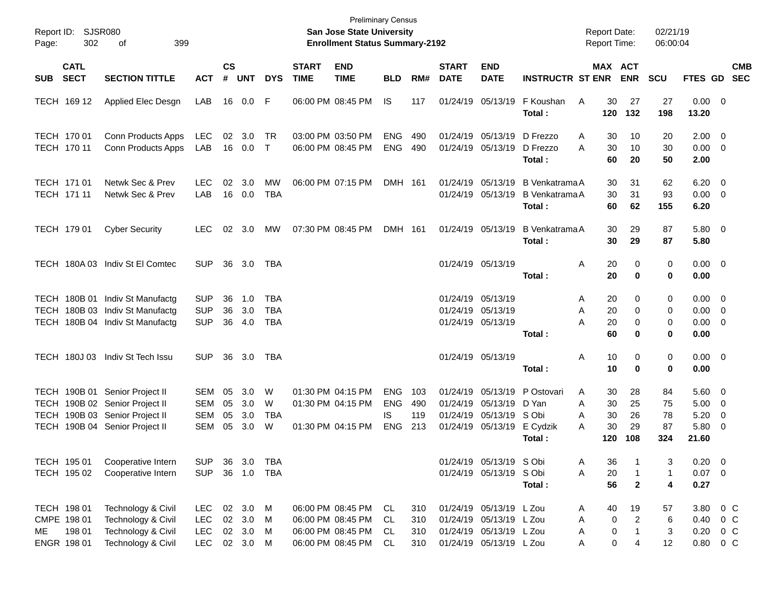| Report ID:<br>302<br>Page:                                 | SJSR080<br>399<br>οf                                                                                                                 |                                                      |                      |                                            |                                        |                             | <b>Preliminary Census</b><br>San Jose State University<br><b>Enrollment Status Summary-2192</b> |                                               |                          |                                  |                                                                                                          |                                                              | <b>Report Date:</b><br><b>Report Time:</b>      |                                                       | 02/21/19<br>06:00:04        |                                                             |                                                     |            |
|------------------------------------------------------------|--------------------------------------------------------------------------------------------------------------------------------------|------------------------------------------------------|----------------------|--------------------------------------------|----------------------------------------|-----------------------------|-------------------------------------------------------------------------------------------------|-----------------------------------------------|--------------------------|----------------------------------|----------------------------------------------------------------------------------------------------------|--------------------------------------------------------------|-------------------------------------------------|-------------------------------------------------------|-----------------------------|-------------------------------------------------------------|-----------------------------------------------------|------------|
| <b>CATL</b><br><b>SECT</b><br><b>SUB</b>                   | <b>SECTION TITTLE</b>                                                                                                                | <b>ACT</b>                                           | <b>CS</b><br>#       | <b>UNT</b>                                 | <b>DYS</b>                             | <b>START</b><br><b>TIME</b> | <b>END</b><br><b>TIME</b>                                                                       | <b>BLD</b>                                    | RM#                      | <b>START</b><br><b>DATE</b>      | <b>END</b><br><b>DATE</b>                                                                                | <b>INSTRUCTR ST ENR</b>                                      |                                                 | MAX ACT<br><b>ENR</b>                                 | <b>SCU</b>                  | FTES GD SEC                                                 |                                                     | <b>CMB</b> |
| TECH 169 12                                                | Applied Elec Desgn                                                                                                                   | LAB                                                  | 16                   | 0.0 F                                      |                                        |                             | 06:00 PM 08:45 PM                                                                               | IS.                                           | 117                      |                                  | 01/24/19 05/13/19                                                                                        | F Koushan<br>Total:                                          | 30<br>A<br>120                                  | 27<br>132                                             | 27<br>198                   | $0.00 \t 0$<br>13.20                                        |                                                     |            |
| TECH 170 01<br>TECH 170 11                                 | Conn Products Apps<br>Conn Products Apps                                                                                             | LEC<br>LAB                                           | 02                   | 3.0<br>16 0.0                              | TR<br>$\top$                           |                             | 03:00 PM 03:50 PM<br>06:00 PM 08:45 PM                                                          | <b>ENG</b><br><b>ENG</b>                      | 490<br>490               |                                  | 01/24/19 05/13/19 D Frezzo<br>01/24/19 05/13/19 D Frezzo                                                 | Total:                                                       | 30<br>Α<br>30<br>A<br>60                        | 10<br>10<br>20                                        | 20<br>30<br>50              | $2.00 \t 0$<br>$0.00 \t 0$<br>2.00                          |                                                     |            |
| TECH 171 01<br>TECH 171 11                                 | Netwk Sec & Prev<br>Netwk Sec & Prev                                                                                                 | <b>LEC</b><br>LAB                                    | 02<br>16             | 3.0<br>0.0                                 | МW<br><b>TBA</b>                       |                             | 06:00 PM 07:15 PM                                                                               | <b>DMH 161</b>                                |                          |                                  | 01/24/19 05/13/19                                                                                        | 01/24/19 05/13/19 B Venkatrama A<br>B Venkatrama A<br>Total: | 30<br>30<br>60                                  | 31<br>31<br>62                                        | 62<br>93<br>155             | $6.20 \quad 0$<br>$0.00 \t 0$<br>6.20                       |                                                     |            |
| TECH 179 01                                                | <b>Cyber Security</b>                                                                                                                | <b>LEC</b>                                           |                      | $02 \quad 3.0$                             | МW                                     |                             | 07:30 PM 08:45 PM                                                                               | DMH 161                                       |                          |                                  | 01/24/19 05/13/19                                                                                        | <b>B</b> Venkatrama A<br>Total:                              | 30<br>30                                        | 29<br>29                                              | 87<br>87                    | 5.80 0<br>5.80                                              |                                                     |            |
|                                                            | TECH 180A 03 Indiv St El Comtec                                                                                                      | <b>SUP</b>                                           | 36                   | 3.0                                        | TBA                                    |                             |                                                                                                 |                                               |                          |                                  | 01/24/19 05/13/19                                                                                        | Total:                                                       | 20<br>Α<br>20                                   | 0<br>$\bf{0}$                                         | 0<br>0                      | $0.00 \t 0$<br>0.00                                         |                                                     |            |
|                                                            | TECH 180B 01 Indiv St Manufactg<br>TECH 180B 03 Indiv St Manufactg<br>TECH 180B 04 Indiv St Manufactg                                | <b>SUP</b><br><b>SUP</b><br><b>SUP</b>               | 36<br>36<br>36       | 1.0<br>3.0<br>4.0                          | <b>TBA</b><br><b>TBA</b><br><b>TBA</b> |                             |                                                                                                 |                                               |                          |                                  | 01/24/19 05/13/19<br>01/24/19 05/13/19<br>01/24/19 05/13/19                                              | Total:                                                       | 20<br>Α<br>20<br>Α<br>A<br>20<br>60             | 0<br>0<br>0<br>$\bf{0}$                               | 0<br>0<br>0<br>0            | $0.00 \t 0$<br>$0.00 \t 0$<br>$0.00 \t 0$<br>0.00           |                                                     |            |
|                                                            | TECH 180J 03 Indiv St Tech Issu                                                                                                      | <b>SUP</b>                                           | 36                   | 3.0                                        | TBA                                    |                             |                                                                                                 |                                               |                          |                                  | 01/24/19 05/13/19                                                                                        | Total:                                                       | Α<br>10<br>10                                   | 0<br>$\bf{0}$                                         | 0<br>0                      | $0.00 \t 0$<br>0.00                                         |                                                     |            |
|                                                            | TECH 190B 01 Senior Project II<br>TECH 190B 02 Senior Project II<br>TECH 190B 03 Senior Project II<br>TECH 190B 04 Senior Project II | SEM<br>SEM<br>SEM<br><b>SEM</b>                      | 05<br>05<br>05<br>05 | 3.0<br>3.0<br>3.0<br>3.0                   | W<br>W<br><b>TBA</b><br>W              |                             | 01:30 PM 04:15 PM<br>01:30 PM 04:15 PM<br>01:30 PM 04:15 PM                                     | <b>ENG</b><br><b>ENG</b><br>IS.<br><b>ENG</b> | 103<br>490<br>119<br>213 | 01/24/19<br>01/24/19<br>01/24/19 | 05/13/19 D Yan<br>05/13/19 S Obi<br>01/24/19 05/13/19                                                    | 05/13/19 P Ostovari<br>E Cydzik<br>Total:                    | 30<br>A<br>30<br>Α<br>30<br>Α<br>30<br>Α<br>120 | 28<br>25<br>26<br>29<br>108                           | 84<br>75<br>78<br>87<br>324 | $5.60 \quad 0$<br>$5.00 \t 0$<br>5.20<br>5.80<br>21.60      | $\overline{\mathbf{0}}$<br>$\overline{\phantom{0}}$ |            |
| TECH 195 01<br>TECH 195 02                                 | Cooperative Intern<br>Cooperative Intern                                                                                             | <b>SUP</b><br><b>SUP</b>                             | 36                   | 3.0<br>36 1.0                              | <b>TBA</b><br>TBA                      |                             |                                                                                                 |                                               |                          |                                  | 01/24/19 05/13/19 S Obi<br>01/24/19 05/13/19 S Obi                                                       | Total:                                                       | 36<br>A<br>20<br>A<br>56                        | $\mathbf{1}$<br>$\mathbf{2}$                          | 3<br>$\mathbf{1}$<br>4      | $0.20 \ 0$<br>$0.07$ 0<br>0.27                              |                                                     |            |
| TECH 198 01<br>CMPE 198 01<br>198 01<br>ME.<br>ENGR 198 01 | Technology & Civil<br>Technology & Civil<br>Technology & Civil<br>Technology & Civil                                                 | <b>LEC</b><br><b>LEC</b><br><b>LEC</b><br><b>LEC</b> |                      | 02 3.0 M<br>02 3.0<br>02 3.0 M<br>02 3.0 M | M                                      |                             | 06:00 PM 08:45 PM<br>06:00 PM 08:45 PM<br>06:00 PM 08:45 PM<br>06:00 PM 08:45 PM                | CL<br>CL<br>CL<br>CL                          | 310<br>310<br>310<br>310 |                                  | 01/24/19 05/13/19 L Zou<br>01/24/19 05/13/19 L Zou<br>01/24/19 05/13/19 L Zou<br>01/24/19 05/13/19 L Zou |                                                              | 40<br>A<br>Α<br>Α<br>Α                          | 19<br>$\overline{2}$<br>$\pmb{0}$<br>0<br>1<br>0<br>4 | 57<br>6<br>3<br>12          | 3.80 0 C<br>$0.40 \quad 0 \quad C$<br>0.20<br>$0.80 \t 0 C$ | $0\,$ C                                             |            |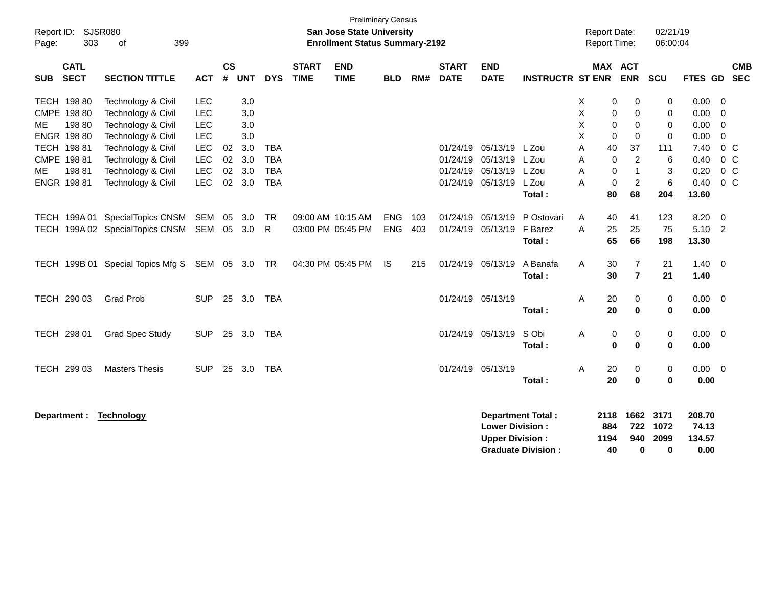| Report ID:<br>303<br>Page:                                                                                            | <b>Preliminary Census</b><br><b>SJSR080</b><br><b>San Jose State University</b><br><b>Enrollment Status Summary-2192</b><br>399<br>of<br><b>CS</b><br><b>START</b><br><b>END</b><br><b>START</b><br><b>END</b> |                                                                                                |                          |                                                      |                                                      |             |                                                             |                                 |                   |                   |                                                                         |                                                       |                                      |                                                                 | <b>Report Date:</b><br>Report Time:                                                            | 02/21/19<br>06:00:04                                                            |                                                              |                                                                                                                |  |
|-----------------------------------------------------------------------------------------------------------------------|----------------------------------------------------------------------------------------------------------------------------------------------------------------------------------------------------------------|------------------------------------------------------------------------------------------------|--------------------------|------------------------------------------------------|------------------------------------------------------|-------------|-------------------------------------------------------------|---------------------------------|-------------------|-------------------|-------------------------------------------------------------------------|-------------------------------------------------------|--------------------------------------|-----------------------------------------------------------------|------------------------------------------------------------------------------------------------|---------------------------------------------------------------------------------|--------------------------------------------------------------|----------------------------------------------------------------------------------------------------------------|--|
| <b>CATL</b><br><b>SECT</b><br><b>SUB</b>                                                                              | <b>SECTION TITTLE</b>                                                                                                                                                                                          | <b>ACT</b>                                                                                     | #                        | <b>UNT</b>                                           | <b>DYS</b>                                           | <b>TIME</b> | <b>TIME</b>                                                 | <b>BLD</b>                      | RM#               | <b>DATE</b>       | <b>DATE</b>                                                             | <b>INSTRUCTR ST ENR</b>                               |                                      | MAX ACT                                                         | <b>ENR</b>                                                                                     | SCU                                                                             | FTES GD SEC                                                  | <b>CMB</b>                                                                                                     |  |
| TECH 198 80<br>CMPE 198 80<br>198 80<br>ME<br>ENGR 198 80<br>TECH 198 81<br>CMPE 198 81<br>19881<br>ME<br>ENGR 198 81 | Technology & Civil<br>Technology & Civil<br>Technology & Civil<br>Technology & Civil<br>Technology & Civil<br>Technology & Civil<br>Technology & Civil<br>Technology & Civil                                   | <b>LEC</b><br><b>LEC</b><br><b>LEC</b><br><b>LEC</b><br>LEC<br>LEC<br><b>LEC</b><br><b>LEC</b> | 02<br>02<br>$02\,$<br>02 | 3.0<br>3.0<br>3.0<br>3.0<br>3.0<br>3.0<br>3.0<br>3.0 | <b>TBA</b><br><b>TBA</b><br><b>TBA</b><br><b>TBA</b> |             |                                                             |                                 |                   | 01/24/19          | 05/13/19<br>01/24/19 05/13/19<br>01/24/19 05/13/19<br>01/24/19 05/13/19 | L Zou<br>L Zou<br>L Zou<br>L Zou                      | X<br>Χ<br>X<br>X<br>A<br>A<br>A<br>A | 0<br>$\pmb{0}$<br>$\mathbf 0$<br>0<br>40<br>$\pmb{0}$<br>0<br>0 | 0<br>0<br>$\mathbf 0$<br>$\mathbf 0$<br>37<br>$\overline{c}$<br>$\mathbf{1}$<br>$\overline{2}$ | 0<br>$\mathbf 0$<br>$\Omega$<br>$\mathbf 0$<br>111<br>6<br>3<br>$6\phantom{1}6$ | 0.00<br>0.00<br>0.00<br>0.00<br>7.40<br>0.40<br>0.20<br>0.40 | - 0<br>$\overline{0}$<br>$\overline{0}$<br>$\mathbf 0$<br>$0\,C$<br>$0\,C$<br>0 <sup>C</sup><br>0 <sup>C</sup> |  |
| TECH 199A 01                                                                                                          | SpecialTopics CNSM SEM<br>TECH 199A 02 SpecialTopics CNSM SEM 05 3.0<br>TECH 199B 01 Special Topics Mfg S SEM 05 3.0 TR                                                                                        |                                                                                                | 05                       | 3.0                                                  | TR<br>$\mathsf{R}$                                   |             | 09:00 AM 10:15 AM<br>03:00 PM 05:45 PM<br>04:30 PM 05:45 PM | <b>ENG</b><br><b>ENG</b><br>IS. | 103<br>403<br>215 |                   | 01/24/19 05/13/19<br>01/24/19 05/13/19<br>01/24/19 05/13/19             | Total:<br>P Ostovari<br>F Barez<br>Total:<br>A Banafa | Α<br>A<br>A                          | 80<br>40<br>25<br>65<br>30                                      | 68<br>41<br>25<br>66<br>7                                                                      | 204<br>123<br>75<br>198<br>21                                                   | 13.60<br>8.20<br>5.10 2<br>13.30<br>$1.40 \ 0$               | $\overline{\mathbf{0}}$                                                                                        |  |
| TECH 290 03                                                                                                           | <b>Grad Prob</b>                                                                                                                                                                                               | <b>SUP</b>                                                                                     |                          | 25 3.0                                               | TBA                                                  |             |                                                             |                                 |                   | 01/24/19 05/13/19 |                                                                         | Total:<br>Total:                                      | A                                    | 30<br>20<br>20                                                  | $\overline{7}$<br>0<br>$\bf{0}$                                                                | 21<br>0<br>0                                                                    | 1.40<br>$0.00 \t 0$<br>0.00                                  |                                                                                                                |  |
| TECH 298 01<br>TECH 299 03                                                                                            | <b>Grad Spec Study</b><br><b>Masters Thesis</b>                                                                                                                                                                | <b>SUP</b><br><b>SUP</b>                                                                       | 25<br>25                 | 3.0<br>3.0                                           | TBA<br>TBA                                           |             |                                                             |                                 |                   | 01/24/19 05/13/19 | 01/24/19 05/13/19                                                       | S Obi<br>Total:<br>Total:                             | A<br>A                               | 0<br>$\bf{0}$<br>20<br>20                                       | 0<br>$\bf{0}$<br>0<br>0                                                                        | $\pmb{0}$<br>0<br>$\,0\,$<br>0                                                  | $0.00 \t 0$<br>0.00<br>0.00 0<br>0.00                        |                                                                                                                |  |
| Department :                                                                                                          | Technology                                                                                                                                                                                                     |                                                                                                |                          |                                                      |                                                      |             |                                                             |                                 |                   |                   | <b>Lower Division:</b><br><b>Upper Division:</b>                        | <b>Department Total:</b><br><b>Graduate Division:</b> |                                      | 2118<br>884<br>1194<br>40                                       | 1662<br>722<br>940<br>0                                                                        | 3171<br>1072<br>2099<br>0                                                       | 208.70<br>74.13<br>134.57<br>0.00                            |                                                                                                                |  |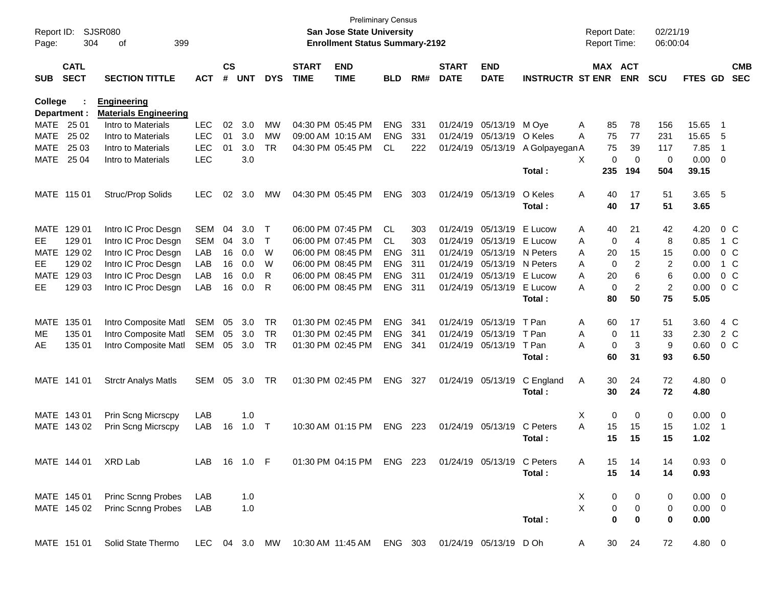| Report ID:  | 304                        | SJSR080<br>399<br>οf         |               |                    |            |              |                             | <b>San Jose State University</b><br><b>Enrollment Status Summary-2192</b> | <b>Preliminary Census</b> |     |                             |                            |                         | <b>Report Date:</b><br><b>Report Time:</b> |                       | 02/21/19<br>06:00:04 |                |                         |                          |
|-------------|----------------------------|------------------------------|---------------|--------------------|------------|--------------|-----------------------------|---------------------------------------------------------------------------|---------------------------|-----|-----------------------------|----------------------------|-------------------------|--------------------------------------------|-----------------------|----------------------|----------------|-------------------------|--------------------------|
| Page:       |                            |                              |               |                    |            |              |                             |                                                                           |                           |     |                             |                            |                         |                                            |                       |                      |                |                         |                          |
| <b>SUB</b>  | <b>CATL</b><br><b>SECT</b> | <b>SECTION TITTLE</b>        | <b>ACT</b>    | $\mathsf{cs}$<br># | <b>UNT</b> | <b>DYS</b>   | <b>START</b><br><b>TIME</b> | <b>END</b><br><b>TIME</b>                                                 | <b>BLD</b>                | RM# | <b>START</b><br><b>DATE</b> | <b>END</b><br><b>DATE</b>  | <b>INSTRUCTR ST ENR</b> |                                            | MAX ACT<br><b>ENR</b> | <b>SCU</b>           | <b>FTES GD</b> |                         | <b>CMB</b><br><b>SEC</b> |
| College     |                            | <b>Engineering</b>           |               |                    |            |              |                             |                                                                           |                           |     |                             |                            |                         |                                            |                       |                      |                |                         |                          |
|             | Department :               | <b>Materials Engineering</b> |               |                    |            |              |                             |                                                                           |                           |     |                             |                            |                         |                                            |                       |                      |                |                         |                          |
| MATE        | 25 01                      | Intro to Materials           | <b>LEC</b>    | 02                 | 3.0        | <b>MW</b>    |                             | 04:30 PM 05:45 PM                                                         | <b>ENG</b>                | 331 | 01/24/19                    | 05/13/19                   | M Ove                   | Α<br>85                                    | 78                    | 156                  | 15.65          | -1                      |                          |
| <b>MATE</b> | 25 02                      | Intro to Materials           | <b>LEC</b>    | 01                 | 3.0        | <b>MW</b>    |                             | 09:00 AM 10:15 AM                                                         | <b>ENG</b>                | 331 | 01/24/19                    | 05/13/19                   | O Keles                 | 75<br>A                                    | 77                    | 231                  | 15.65          | 5                       |                          |
| <b>MATE</b> | 25 03                      | Intro to Materials           | <b>LEC</b>    | 01                 | 3.0        | <b>TR</b>    |                             | 04:30 PM 05:45 PM                                                         | CL                        | 222 | 01/24/19                    | 05/13/19                   | A Golpayegan A          | 75                                         | 39                    | 117                  | 7.85           | $\overline{1}$          |                          |
| <b>MATE</b> | 25 04                      | Intro to Materials           | <b>LEC</b>    |                    | 3.0        |              |                             |                                                                           |                           |     |                             |                            |                         | X<br>0                                     | $\mathbf 0$           | 0                    | 0.00           | $\overline{0}$          |                          |
|             |                            |                              |               |                    |            |              |                             |                                                                           |                           |     |                             |                            | Total:                  | 235                                        | 194                   | 504                  | 39.15          |                         |                          |
|             | MATE 115 01                | Struc/Prop Solids            | <b>LEC</b>    | 02                 | 3.0        | MW           |                             | 04:30 PM 05:45 PM                                                         | <b>ENG</b>                | 303 | 01/24/19                    | 05/13/19                   | O Keles                 | A<br>40                                    | 17                    | 51                   | 3.65           | $-5$                    |                          |
|             |                            |                              |               |                    |            |              |                             |                                                                           |                           |     |                             |                            | Total:                  | 40                                         | 17                    | 51                   | 3.65           |                         |                          |
| <b>MATE</b> | 129 01                     | Intro IC Proc Desgn          | <b>SEM</b>    | 04                 | 3.0        | $\mathsf T$  |                             | 06:00 PM 07:45 PM                                                         | <b>CL</b>                 | 303 | 01/24/19                    | 05/13/19                   | E Lucow                 | Α<br>40                                    | 21                    | 42                   | 4.20           |                         | 0 <sup>C</sup>           |
| EE          | 129 01                     | Intro IC Proc Desgn          | <b>SEM</b>    | 04                 | 3.0        | $\mathsf{T}$ |                             | 06:00 PM 07:45 PM                                                         | <b>CL</b>                 | 303 | 01/24/19                    | 05/13/19                   | E Lucow                 | A<br>0                                     | $\overline{4}$        | 8                    | 0.85           |                         | 1 C                      |
| <b>MATE</b> | 129 02                     | Intro IC Proc Desgn          | LAB           | 16                 | 0.0        | W            |                             | 06:00 PM 08:45 PM                                                         | <b>ENG</b>                | 311 | 01/24/19                    | 05/13/19                   | N Peters                | 20<br>A                                    | 15                    | 15                   | 0.00           |                         | 0 <sup>C</sup>           |
| EE          | 129 02                     | Intro IC Proc Desgn          | LAB           | 16                 | 0.0        | W            |                             | 06:00 PM 08:45 PM                                                         | <b>ENG</b>                | 311 | 01/24/19                    | 05/13/19                   | N Peters                | $\mathbf 0$<br>A                           | $\overline{2}$        | 2                    | 0.00           |                         | 1 C                      |
| <b>MATE</b> | 129 03                     | Intro IC Proc Desgn          | LAB           | 16                 | 0.0        | R            |                             | 06:00 PM 08:45 PM                                                         | <b>ENG</b>                | 311 | 01/24/19                    | 05/13/19                   | E Lucow                 | 20<br>A                                    | 6                     | 6                    | 0.00           |                         | 0 <sup>C</sup>           |
| EE          | 129 03                     | Intro IC Proc Desgn          | LAB           | 16                 | 0.0        | R            |                             | 06:00 PM 08:45 PM                                                         | <b>ENG</b>                | 311 | 01/24/19                    | 05/13/19                   | E Lucow                 | $\mathbf 0$<br>Α                           | $\overline{2}$        | $\overline{c}$       | 0.00           |                         | 0 <sup>C</sup>           |
|             |                            |                              |               |                    |            |              |                             |                                                                           |                           |     |                             |                            | Total:                  | 80                                         | 50                    | 75                   | 5.05           |                         |                          |
| <b>MATE</b> | 135 01                     | Intro Composite Matl         | <b>SEM</b>    | 05                 | 3.0        | <b>TR</b>    |                             | 01:30 PM 02:45 PM                                                         | <b>ENG</b>                | 341 | 01/24/19                    | 05/13/19                   | T Pan                   | Α<br>60                                    | 17                    | 51                   | 3.60           |                         | 4 C                      |
| ME.         | 135 01                     | Intro Composite Matl         | <b>SEM</b>    | 05                 | 3.0        | <b>TR</b>    |                             | 01:30 PM 02:45 PM                                                         | <b>ENG</b>                | 341 | 01/24/19                    | 05/13/19                   | T Pan                   | A<br>0                                     | 11                    | 33                   | 2.30           |                         | 2 C                      |
| AE          | 135 01                     | Intro Composite Matl         | <b>SEM</b>    | 05                 | 3.0        | <b>TR</b>    |                             | 01:30 PM 02:45 PM                                                         | <b>ENG</b>                | 341 | 01/24/19                    | 05/13/19                   | T Pan                   | A<br>$\Omega$                              | 3                     | 9                    | 0.60           |                         | 0 <sup>C</sup>           |
|             |                            |                              |               |                    |            |              |                             |                                                                           |                           |     |                             |                            | Total:                  | 60                                         | 31                    | 93                   | 6.50           |                         |                          |
|             | MATE 141 01                | <b>Strctr Analys Matls</b>   | <b>SEM</b>    | 05                 | 3.0        | <b>TR</b>    |                             | 01:30 PM 02:45 PM                                                         | <b>ENG</b>                | 327 | 01/24/19                    | 05/13/19                   | C England               | 30<br>A                                    | 24                    | 72                   | 4.80           | $\overline{\mathbf{0}}$ |                          |
|             |                            |                              |               |                    |            |              |                             |                                                                           |                           |     |                             |                            | Total:                  | 30                                         | 24                    | 72                   | 4.80           |                         |                          |
|             | MATE 143 01                | Prin Scng Micrscpy           | LAB           |                    | 1.0        |              |                             |                                                                           |                           |     |                             |                            |                         | Χ                                          | 0<br>0                | 0                    | 0.00           | $\overline{0}$          |                          |
|             | MATE 143 02                | Prin Scng Micrscpy           | LAB           | 16                 | 1.0        | $\top$       |                             | 10:30 AM 01:15 PM                                                         | <b>ENG</b>                | 223 | 01/24/19                    | 05/13/19                   | C Peters                | A<br>15                                    | 15                    | 15                   | 1.02           | $\overline{1}$          |                          |
|             |                            |                              |               |                    |            |              |                             |                                                                           |                           |     |                             |                            | Total:                  | 15                                         | 15                    | 15                   | 1.02           |                         |                          |
|             | MATE 144 01                | XRD Lab                      | LAB 16 1.0 F  |                    |            |              |                             | 01:30 PM 04:15 PM ENG 223                                                 |                           |     |                             | 01/24/19 05/13/19 C Peters |                         | 15<br>Α                                    | 14                    | 14                   | 0.93 0         |                         |                          |
|             |                            |                              |               |                    |            |              |                             |                                                                           |                           |     |                             |                            | Total:                  | 15                                         | 14                    | 14                   | 0.93           |                         |                          |
|             | MATE 145 01                | <b>Princ Scnng Probes</b>    | LAB           |                    | 1.0        |              |                             |                                                                           |                           |     |                             |                            |                         | X                                          | 0<br>0                | 0                    | $0.00 \quad 0$ |                         |                          |
|             | MATE 145 02                | Princ Scnng Probes           | LAB           |                    | 1.0        |              |                             |                                                                           |                           |     |                             |                            |                         | X                                          | 0<br>$\pmb{0}$        | 0                    | $0.00 \t 0$    |                         |                          |
|             |                            |                              |               |                    |            |              |                             |                                                                           |                           |     |                             |                            | Total:                  |                                            | 0<br>$\mathbf 0$      | 0                    | 0.00           |                         |                          |
|             | MATE 151 01                | Solid State Thermo           | LEC 04 3.0 MW |                    |            |              |                             | 10:30 AM 11:45 AM                                                         | ENG 303                   |     |                             | 01/24/19 05/13/19          | D Oh                    | 30<br>A                                    | 24                    | 72                   | 4.80 0         |                         |                          |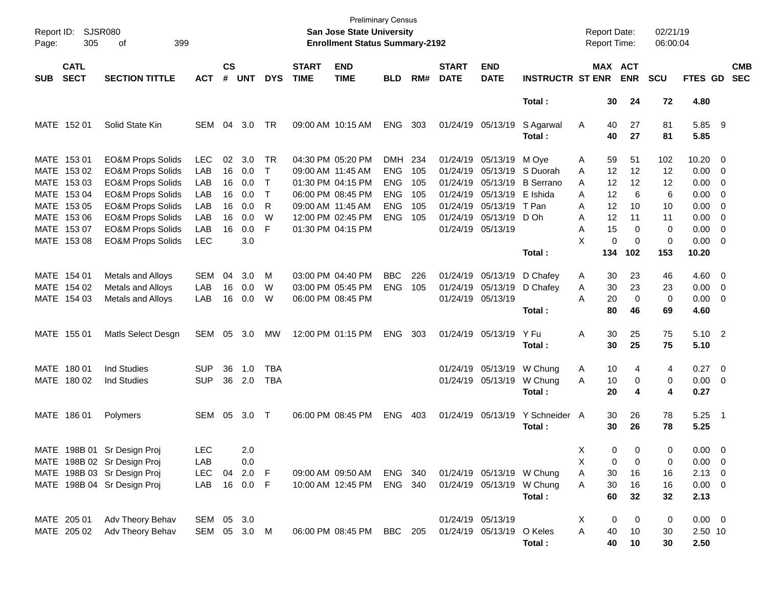| Page:       | Report ID: SJSR080<br>305  | 399<br>of                    |              |                    |            |            |                             | <b>Preliminary Census</b><br>San Jose State University<br><b>Enrollment Status Summary-2192</b> |            |     |                             |                           |                         |    | <b>Report Date:</b><br><b>Report Time:</b> |             | 02/21/19<br>06:00:04 |                  |                          |                          |
|-------------|----------------------------|------------------------------|--------------|--------------------|------------|------------|-----------------------------|-------------------------------------------------------------------------------------------------|------------|-----|-----------------------------|---------------------------|-------------------------|----|--------------------------------------------|-------------|----------------------|------------------|--------------------------|--------------------------|
| <b>SUB</b>  | <b>CATL</b><br><b>SECT</b> | <b>SECTION TITTLE</b>        | <b>ACT</b>   | $\mathsf{cs}$<br># | <b>UNT</b> | <b>DYS</b> | <b>START</b><br><b>TIME</b> | <b>END</b><br><b>TIME</b>                                                                       | <b>BLD</b> | RM# | <b>START</b><br><b>DATE</b> | <b>END</b><br><b>DATE</b> | <b>INSTRUCTR ST ENR</b> |    | MAX ACT                                    | <b>ENR</b>  | <b>SCU</b>           | FTES GD          |                          | <b>CMB</b><br><b>SEC</b> |
|             |                            |                              |              |                    |            |            |                             |                                                                                                 |            |     |                             |                           | Total:                  |    | 30                                         | 24          | 72                   | 4.80             |                          |                          |
|             | MATE 152 01                | Solid State Kin              | SEM          | 04                 | 3.0        | TR         | 09:00 AM 10:15 AM           |                                                                                                 | <b>ENG</b> | 303 |                             | 01/24/19 05/13/19         | S Agarwal<br>Total:     | A  | 40<br>40                                   | 27<br>27    | 81<br>81             | 5.85 9<br>5.85   |                          |                          |
|             | MATE 153 01                | <b>EO&amp;M Props Solids</b> | <b>LEC</b>   | 02                 | 3.0        | TR         | 04:30 PM 05:20 PM           |                                                                                                 | DMH 234    |     |                             | 01/24/19 05/13/19         | M Oye                   | A  | 59                                         | 51          | 102                  | $10.20 \t 0$     |                          |                          |
|             | MATE 153 02                | <b>EO&amp;M Props Solids</b> | LAB          | 16                 | 0.0        | $\top$     | 09:00 AM 11:45 AM           |                                                                                                 | <b>ENG</b> | 105 | 01/24/19                    | 05/13/19                  | S Duorah                | A  | 12                                         | 12          | 12                   | $0.00 \t 0$      |                          |                          |
|             | MATE 153 03                | <b>EO&amp;M Props Solids</b> | LAB          | 16                 | 0.0        | $\top$     |                             | 01:30 PM 04:15 PM                                                                               | <b>ENG</b> | 105 | 01/24/19                    | 05/13/19                  | <b>B</b> Serrano        | A  | 12                                         | 12          | 12                   | $0.00 \t 0$      |                          |                          |
|             | MATE 153 04                | <b>EO&amp;M Props Solids</b> | LAB          | 16                 | 0.0        | $\top$     | 06:00 PM 08:45 PM           |                                                                                                 | <b>ENG</b> | 105 | 01/24/19                    | 05/13/19                  | E Ishida                | A  | 12                                         | 6           | 6                    | $0.00 \t 0$      |                          |                          |
|             | MATE 153 05                | <b>EO&amp;M Props Solids</b> | LAB          | 16                 | 0.0        | R          | 09:00 AM 11:45 AM           |                                                                                                 | <b>ENG</b> | 105 |                             | 01/24/19 05/13/19         | T Pan                   | A  | 12                                         | 10          | 10                   | 0.00             | $\overline{\phantom{0}}$ |                          |
|             | MATE 153 06                | <b>EO&amp;M Props Solids</b> | LAB          | 16                 | 0.0        | W          |                             | 12:00 PM 02:45 PM                                                                               | <b>ENG</b> | 105 |                             | 01/24/19 05/13/19         | D Oh                    | Α  | 12                                         | 11          | 11                   | 0.00             | $\overline{\phantom{0}}$ |                          |
|             | MATE 153 07                | <b>EO&amp;M Props Solids</b> | LAB          | 16                 | 0.0        | F          | 01:30 PM 04:15 PM           |                                                                                                 |            |     | 01/24/19 05/13/19           |                           |                         | A  | 15                                         | 0           | 0                    | $0.00 \t 0$      |                          |                          |
|             | MATE 153 08                | <b>EO&amp;M Props Solids</b> | <b>LEC</b>   |                    | 3.0        |            |                             |                                                                                                 |            |     |                             |                           |                         | X  | 0                                          | $\mathbf 0$ | 0                    | $0.00 \t 0$      |                          |                          |
|             |                            |                              |              |                    |            |            |                             |                                                                                                 |            |     |                             |                           | Total:                  |    | 134                                        | 102         | 153                  | 10.20            |                          |                          |
|             | MATE 154 01                | <b>Metals and Alloys</b>     | <b>SEM</b>   | 04                 | 3.0        | M          | 03:00 PM 04:40 PM           |                                                                                                 | <b>BBC</b> | 226 |                             | 01/24/19 05/13/19         | D Chafey                | A  | 30                                         | 23          | 46                   | $4.60$ 0         |                          |                          |
|             | MATE 154 02                | Metals and Alloys            | LAB          | 16                 | 0.0        | W          |                             | 03:00 PM 05:45 PM                                                                               | <b>ENG</b> | 105 | 01/24/19 05/13/19           |                           | D Chafey                | A  | 30                                         | 23          | 23                   | $0.00 \t 0$      |                          |                          |
|             | MATE 154 03                | Metals and Alloys            | LAB          | 16                 | 0.0        | W          | 06:00 PM 08:45 PM           |                                                                                                 |            |     |                             | 01/24/19 05/13/19         |                         | Α  | 20                                         | $\mathbf 0$ | 0                    | $0.00 \t 0$      |                          |                          |
|             |                            |                              |              |                    |            |            |                             |                                                                                                 |            |     |                             |                           | Total:                  |    | 80                                         | 46          | 69                   | 4.60             |                          |                          |
|             | MATE 155 01                | Matls Select Desgn           | SEM          | 05                 | 3.0        | МW         | 12:00 PM 01:15 PM           |                                                                                                 | <b>ENG</b> | 303 |                             | 01/24/19 05/13/19         | Y Fu                    | Α  | 30                                         | 25          | 75                   | 5.10 2           |                          |                          |
|             |                            |                              |              |                    |            |            |                             |                                                                                                 |            |     |                             |                           | Total:                  |    | 30                                         | 25          | 75                   | 5.10             |                          |                          |
|             | MATE 180 01                | <b>Ind Studies</b>           | <b>SUP</b>   | 36                 | 1.0        | <b>TBA</b> |                             |                                                                                                 |            |     |                             | 01/24/19 05/13/19         | W Chung                 | A  | 10                                         | 4           | 4                    | $0.27$ 0         |                          |                          |
|             | MATE 180 02                | <b>Ind Studies</b>           | <b>SUP</b>   | 36                 | 2.0        | <b>TBA</b> |                             |                                                                                                 |            |     |                             | 01/24/19 05/13/19         | W Chung                 | A  | 10                                         | 0           | 0                    | $0.00 \t 0$      |                          |                          |
|             |                            |                              |              |                    |            |            |                             |                                                                                                 |            |     |                             |                           | Total:                  |    | 20                                         | 4           | 4                    | 0.27             |                          |                          |
|             |                            |                              |              |                    |            |            |                             |                                                                                                 |            |     |                             |                           |                         |    |                                            |             |                      |                  |                          |                          |
|             | MATE 186 01                | Polymers                     | SEM          | 05                 | 3.0        | $\top$     | 06:00 PM 08:45 PM           |                                                                                                 | <b>ENG</b> | 403 |                             | 01/24/19 05/13/19         | Y Schneider A<br>Total: |    | 30<br>30                                   | 26<br>26    | 78<br>78             | $5.25$ 1<br>5.25 |                          |                          |
|             |                            |                              |              |                    |            |            |                             |                                                                                                 |            |     |                             |                           |                         |    |                                            |             |                      |                  |                          |                          |
| <b>MATE</b> |                            | 198B 01 Sr Design Proj       | <b>LEC</b>   |                    | 2.0        |            |                             |                                                                                                 |            |     |                             |                           |                         | X  | $\Omega$                                   | $\Omega$    | 0                    | $0.00 \t 0$      |                          |                          |
|             |                            | MATE 198B 02 Sr Design Proj  | LAB          |                    | 0.0        |            |                             |                                                                                                 |            |     |                             |                           |                         | Х  | 0                                          | 0           | 0                    | $0.00 \t 0$      |                          |                          |
|             |                            | MATE 198B 03 Sr Design Proj  | LEC          |                    | 04 2.0 F   |            |                             | 09:00 AM 09:50 AM ENG 340                                                                       |            |     |                             | 01/24/19 05/13/19 W Chung |                         | A  | 30                                         | 16          | 16                   | $2.13 \ 0$       |                          |                          |
|             |                            | MATE 198B 04 Sr Design Proj  | LAB          |                    | 16  0.0  F |            |                             | 10:00 AM 12:45 PM                                                                               | ENG 340    |     |                             | 01/24/19 05/13/19 W Chung |                         | A  | 30                                         | 16          | 16                   | $0.00 \t 0$      |                          |                          |
|             |                            |                              |              |                    |            |            |                             |                                                                                                 |            |     |                             |                           | Total:                  |    | 60                                         | 32          | 32                   | 2.13             |                          |                          |
|             | MATE 205 01                | Adv Theory Behav             | SEM 05 3.0   |                    |            |            |                             |                                                                                                 |            |     | 01/24/19 05/13/19           |                           |                         | X. | 0                                          | 0           | 0                    | $0.00 \t 0$      |                          |                          |
|             | MATE 205 02                | Adv Theory Behav             | SEM 05 3.0 M |                    |            |            |                             | 06:00 PM 08:45 PM                                                                               | BBC 205    |     |                             | 01/24/19 05/13/19 O Keles |                         | Α  | 40                                         | 10          | 30                   | 2.50 10          |                          |                          |
|             |                            |                              |              |                    |            |            |                             |                                                                                                 |            |     |                             |                           | Total:                  |    | 40                                         | 10          | 30                   | 2.50             |                          |                          |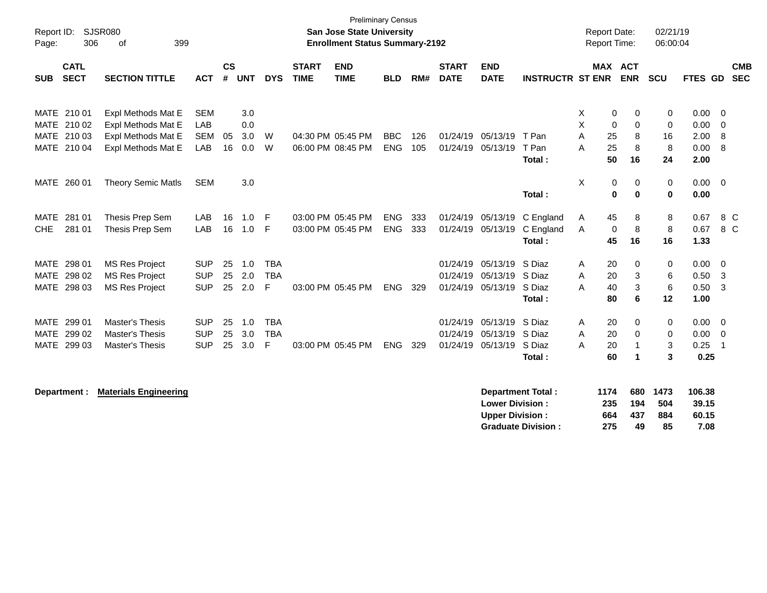| Report ID:<br>Page:                           | <b>SJSR080</b><br>306<br>399<br>of             |                          |                |            |                          |                             | <b>Preliminary Census</b><br>San Jose State University<br><b>Enrollment Status Summary-2192</b> |                          |            |                             |                                                  |                                                       |        | <b>Report Date:</b><br>Report Time: |                         | 02/21/19<br>06:00:04       |                                  |                                                    |                          |
|-----------------------------------------------|------------------------------------------------|--------------------------|----------------|------------|--------------------------|-----------------------------|-------------------------------------------------------------------------------------------------|--------------------------|------------|-----------------------------|--------------------------------------------------|-------------------------------------------------------|--------|-------------------------------------|-------------------------|----------------------------|----------------------------------|----------------------------------------------------|--------------------------|
| <b>CATL</b><br><b>SECT</b><br><b>SUB</b>      | <b>SECTION TITTLE</b>                          | <b>ACT</b>               | <b>CS</b><br># | <b>UNT</b> | <b>DYS</b>               | <b>START</b><br><b>TIME</b> | <b>END</b><br><b>TIME</b>                                                                       | <b>BLD</b>               | RM#        | <b>START</b><br><b>DATE</b> | <b>END</b><br><b>DATE</b>                        | <b>INSTRUCTR ST ENR</b>                               |        | MAX ACT                             | <b>ENR</b>              | <b>SCU</b>                 | <b>FTES GD</b>                   |                                                    | <b>CMB</b><br><b>SEC</b> |
| MATE 210 01<br><b>MATE</b><br>210 02          | Expl Methods Mat E<br>Expl Methods Mat E       | <b>SEM</b><br>LAB        |                | 3.0<br>0.0 |                          |                             |                                                                                                 |                          |            |                             |                                                  |                                                       | Χ<br>X | $\mathbf 0$<br>$\mathbf 0$          | 0<br>$\mathbf 0$        | $\mathbf 0$<br>$\mathbf 0$ | 0.00<br>0.00                     | $\overline{0}$<br>0                                |                          |
| 210 03<br><b>MATE</b><br>MATE<br>210 04       | Expl Methods Mat E<br>Expl Methods Mat E       | <b>SEM</b><br>LAB        | 05<br>16       | 3.0<br>0.0 | W<br>W                   |                             | 04:30 PM 05:45 PM<br>06:00 PM 08:45 PM                                                          | <b>BBC</b><br>ENG        | 126<br>105 | 01/24/19                    | 01/24/19 05/13/19<br>05/13/19                    | T Pan<br>T Pan                                        | A<br>A | 25<br>25                            | 8<br>8                  | 16<br>8                    | 2.00<br>0.00                     | 8<br>- 8                                           |                          |
| MATE<br>260 01                                | <b>Theory Semic Matls</b>                      | <b>SEM</b>               |                | 3.0        |                          |                             |                                                                                                 |                          |            |                             |                                                  | Total:                                                | X      | 50<br>0                             | 16<br>0                 | 24<br>0                    | 2.00<br>0.00                     | $\overline{0}$                                     |                          |
|                                               |                                                |                          |                |            |                          |                             |                                                                                                 |                          |            |                             |                                                  | Total:                                                |        | $\mathbf 0$                         | $\bf{0}$                | $\mathbf 0$                | 0.00                             |                                                    |                          |
| <b>MATE</b><br>281 01<br>281 01<br><b>CHE</b> | Thesis Prep Sem<br>Thesis Prep Sem             | LAB<br>LAB               | 16<br>16       | 1.0<br>1.0 | -F<br>F                  |                             | 03:00 PM 05:45 PM<br>03:00 PM 05:45 PM                                                          | <b>ENG</b><br><b>ENG</b> | 333<br>333 |                             | 01/24/19 05/13/19<br>01/24/19 05/13/19           | C England<br>C England<br>Total:                      | A<br>A | 45<br>$\mathbf 0$<br>45             | 8<br>$\, 8$<br>16       | 8<br>8<br>16               | 0.67<br>0.67<br>1.33             | 8 C<br>8 C                                         |                          |
| <b>MATE</b><br>298 01                         | <b>MS Res Project</b>                          | <b>SUP</b>               | 25             | 1.0        | <b>TBA</b>               |                             |                                                                                                 |                          |            |                             | 01/24/19 05/13/19                                | S Diaz<br>S Diaz                                      | Α      | 20                                  | 0                       | 0                          | 0.00                             | $\overline{\mathbf{0}}$                            |                          |
| 298 02<br><b>MATE</b><br>MATE 298 03          | <b>MS Res Project</b><br><b>MS Res Project</b> | <b>SUP</b><br><b>SUP</b> | 25<br>25       | 2.0<br>2.0 | <b>TBA</b><br>F          |                             | 03:00 PM 05:45 PM                                                                               | ENG                      | 329        | 01/24/19                    | 05/13/19<br>01/24/19 05/13/19                    | S Diaz<br>Total:                                      | A<br>Α | 20<br>40<br>80                      | 3<br>3<br>6             | 6<br>6<br>12               | 0.50<br>0.50<br>1.00             | $\overline{\mathbf{3}}$<br>$\overline{\mathbf{3}}$ |                          |
| MATE 299 01<br>MATE 299 02                    | Master's Thesis<br><b>Master's Thesis</b>      | <b>SUP</b><br><b>SUP</b> | 25<br>25       | 1.0<br>3.0 | <b>TBA</b><br><b>TBA</b> |                             |                                                                                                 |                          |            | 01/24/19<br>01/24/19        | 05/13/19<br>05/13/19                             | S Diaz<br>S Diaz                                      | A<br>A | 20<br>20                            | 0<br>0                  | $\mathbf 0$<br>0           | 0.00<br>0.00                     | $\overline{\mathbf{0}}$<br>$\overline{\mathbf{0}}$ |                          |
| MATE 299 03                                   | <b>Master's Thesis</b>                         | <b>SUP</b>               | 25             | 3.0        | F                        |                             | 03:00 PM 05:45 PM                                                                               | ENG                      | 329        |                             | 01/24/19 05/13/19                                | S Diaz<br>Total:                                      | А      | 20<br>60                            | -1<br>1                 | 3<br>3                     | 0.25<br>0.25                     | $\overline{\mathbf{1}}$                            |                          |
| Department :                                  | <b>Materials Engineering</b>                   |                          |                |            |                          |                             |                                                                                                 |                          |            |                             | <b>Lower Division:</b><br><b>Upper Division:</b> | <b>Department Total:</b><br><b>Graduate Division:</b> |        | 1174<br>235<br>664<br>275           | 680<br>194<br>437<br>49 | 1473<br>504<br>884<br>85   | 106.38<br>39.15<br>60.15<br>7.08 |                                                    |                          |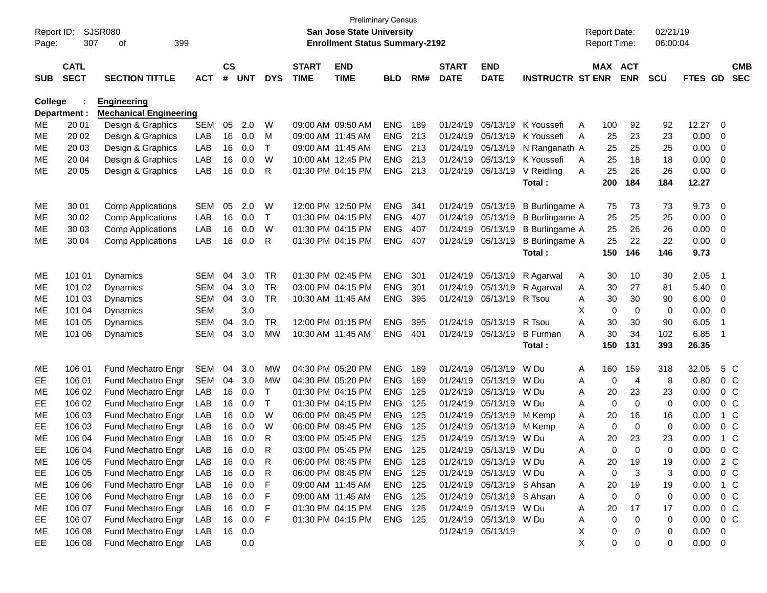| Report ID:<br>Page: | 307                        | <b>SJSR080</b><br>399<br>of   |            |                    |            |              |                             | <b>Preliminary Census</b><br><b>San Jose State University</b><br><b>Enrollment Status Summary-2192</b> |            |     |                             |                           |                         |   | <b>Report Date:</b><br>Report Time: |                | 02/21/19<br>06:00:04 |             |                |                          |
|---------------------|----------------------------|-------------------------------|------------|--------------------|------------|--------------|-----------------------------|--------------------------------------------------------------------------------------------------------|------------|-----|-----------------------------|---------------------------|-------------------------|---|-------------------------------------|----------------|----------------------|-------------|----------------|--------------------------|
| <b>SUB</b>          | <b>CATL</b><br><b>SECT</b> | <b>SECTION TITTLE</b>         | <b>ACT</b> | $\mathsf{cs}$<br># | <b>UNT</b> | <b>DYS</b>   | <b>START</b><br><b>TIME</b> | <b>END</b><br><b>TIME</b>                                                                              | <b>BLD</b> | RM# | <b>START</b><br><b>DATE</b> | <b>END</b><br><b>DATE</b> | <b>INSTRUCTR ST ENR</b> |   | MAX ACT                             | <b>ENR</b>     | <b>SCU</b>           | FTES GD     |                | <b>CMB</b><br><b>SEC</b> |
| College             |                            | <b>Engineering</b>            |            |                    |            |              |                             |                                                                                                        |            |     |                             |                           |                         |   |                                     |                |                      |             |                |                          |
|                     | Department :               | <b>Mechanical Engineering</b> |            |                    |            |              |                             |                                                                                                        |            |     |                             |                           |                         |   |                                     |                |                      |             |                |                          |
| MЕ                  | 20 01                      | Design & Graphics             | <b>SEM</b> | 05                 | 2.0        | W            |                             | 09:00 AM 09:50 AM                                                                                      | <b>ENG</b> | 189 | 01/24/19                    | 05/13/19                  | K Youssefi              | A | 100                                 | 92             | 92                   | 12.27       | 0              |                          |
| ME                  | 20 02                      | Design & Graphics             | LAB        | 16                 | 0.0        | м            |                             | 09:00 AM 11:45 AM                                                                                      | <b>ENG</b> | 213 | 01/24/19                    | 05/13/19                  | K Youssefi              | A | 25                                  | 23             | 23                   | 0.00        | 0              |                          |
| ME                  | 20 03                      | Design & Graphics             | LAB        | 16                 | 0.0        | T            |                             | 09:00 AM 11:45 AM                                                                                      | <b>ENG</b> | 213 | 01/24/19                    | 05/13/19                  | N Ranganath A           |   | 25                                  | 25             | 25                   | 0.00        | 0              |                          |
| ME                  | 20 04                      | Design & Graphics             | LAB        | 16                 | 0.0        | W            |                             | 10:00 AM 12:45 PM                                                                                      | <b>ENG</b> | 213 | 01/24/19                    | 05/13/19                  | K Youssefi              | A | 25                                  | 18             | 18                   | 0.00        | $\mathbf 0$    |                          |
| ME                  | 20 05                      | Design & Graphics             | LAB        | 16                 | 0.0        | R            |                             | 01:30 PM 04:15 PM                                                                                      | <b>ENG</b> | 213 | 01/24/19                    | 05/13/19                  | V Reidling              | A | 25                                  | 26             | 26                   | 0.00        | $\mathbf 0$    |                          |
|                     |                            |                               |            |                    |            |              |                             |                                                                                                        |            |     |                             |                           | Total:                  |   | 200                                 | 184            | 184                  | 12.27       |                |                          |
| ME                  | 30 01                      | <b>Comp Applications</b>      | <b>SEM</b> | 05                 | 2.0        | W            |                             | 12:00 PM 12:50 PM                                                                                      | <b>ENG</b> | 341 | 01/24/19                    | 05/13/19                  | B Burlingame A          |   | 75                                  | 73             | 73                   | 9.73        | 0              |                          |
| MЕ                  | 30 02                      | <b>Comp Applications</b>      | LAB        | 16                 | 0.0        | $\mathsf{T}$ |                             | 01:30 PM 04:15 PM                                                                                      | <b>ENG</b> | 407 | 01/24/19                    | 05/13/19                  | <b>B</b> Burlingame A   |   | 25                                  | 25             | 25                   | 0.00        | 0              |                          |
| MЕ                  | 30 03                      | <b>Comp Applications</b>      | LAB        | 16                 | 0.0        | W            |                             | 01:30 PM 04:15 PM                                                                                      | <b>ENG</b> | 407 | 01/24/19                    | 05/13/19                  | <b>B</b> Burlingame A   |   | 25                                  | 26             | 26                   | 0.00        | 0              |                          |
| ME                  | 30 04                      | <b>Comp Applications</b>      | LAB        | 16                 | 0.0        | R            |                             | 01:30 PM 04:15 PM                                                                                      | <b>ENG</b> | 407 | 01/24/19                    | 05/13/19                  | <b>B</b> Burlingame A   |   | 25                                  | 22             | 22                   | 0.00        | $\overline{0}$ |                          |
|                     |                            |                               |            |                    |            |              |                             |                                                                                                        |            |     |                             |                           | Total:                  |   | 150                                 | 146            | 146                  | 9.73        |                |                          |
| ME                  | 101 01                     | Dynamics                      | <b>SEM</b> | 04                 | 3.0        | <b>TR</b>    |                             | 01:30 PM 02:45 PM                                                                                      | <b>ENG</b> | 301 | 01/24/19                    | 05/13/19                  | R Agarwal               | A | 30                                  | 10             | 30                   | 2.05        | - 1            |                          |
| MЕ                  | 101 02                     | <b>Dynamics</b>               | <b>SEM</b> | 04                 | 3.0        | <b>TR</b>    |                             | 03:00 PM 04:15 PM                                                                                      | <b>ENG</b> | 301 | 01/24/19                    | 05/13/19                  | R Agarwal               | A | 30                                  | 27             | 81                   | 5.40        | 0              |                          |
| MЕ                  | 101 03                     | <b>Dynamics</b>               | <b>SEM</b> | 04                 | 3.0        | <b>TR</b>    |                             | 10:30 AM 11:45 AM                                                                                      | <b>ENG</b> | 395 | 01/24/19                    | 05/13/19                  | R Tsou                  | Α | 30                                  | 30             | 90                   | 6.00        | 0              |                          |
| ME                  | 101 04                     | <b>Dynamics</b>               | <b>SEM</b> |                    | 3.0        |              |                             |                                                                                                        |            |     |                             |                           |                         | X | 0                                   | $\mathbf 0$    | 0                    | 0.00        | 0              |                          |
| ME                  | 101 05                     | <b>Dynamics</b>               | <b>SEM</b> | 04                 | 3.0        | TR           |                             | 12:00 PM 01:15 PM                                                                                      | <b>ENG</b> | 395 | 01/24/19                    | 05/13/19                  | R Tsou                  | A | 30                                  | 30             | 90                   | 6.05        | $\overline{1}$ |                          |
| ME                  | 101 06                     | Dynamics                      | <b>SEM</b> | 04                 | 3.0        | <b>MW</b>    |                             | 10:30 AM 11:45 AM                                                                                      | <b>ENG</b> | 401 | 01/24/19                    | 05/13/19                  | <b>B</b> Furman         | Α | 30                                  | 34             | 102                  | 6.85        | $\overline{1}$ |                          |
|                     |                            |                               |            |                    |            |              |                             |                                                                                                        |            |     |                             |                           | Total:                  |   | 150                                 | 131            | 393                  | 26.35       |                |                          |
| ME                  | 106 01                     | Fund Mechatro Engr            | <b>SEM</b> | 04                 | 3.0        | <b>MW</b>    |                             | 04:30 PM 05:20 PM                                                                                      | <b>ENG</b> | 189 | 01/24/19                    | 05/13/19                  | W Du                    | Α | 160                                 | 159            | 318                  | 32.05       | 5 C            |                          |
| EЕ                  | 106 01                     | Fund Mechatro Engr            | <b>SEM</b> | 04                 | 3.0        | MW           |                             | 04:30 PM 05:20 PM                                                                                      | <b>ENG</b> | 189 | 01/24/19                    | 05/13/19                  | W Du                    | A | 0                                   | $\overline{4}$ | 8                    | 0.80        | 0 <sup>C</sup> |                          |
| MЕ                  | 106 02                     | Fund Mechatro Engr            | LAB        | 16                 | 0.0        | Τ            |                             | 01:30 PM 04:15 PM                                                                                      | <b>ENG</b> | 125 | 01/24/19                    | 05/13/19                  | W Du                    | A | 20                                  | 23             | 23                   | 0.00        | 0 <sup>C</sup> |                          |
| EЕ                  | 106 02                     | Fund Mechatro Engr            | LAB        | 16                 | 0.0        | $\mathsf{T}$ |                             | 01:30 PM 04:15 PM                                                                                      | <b>ENG</b> | 125 | 01/24/19                    | 05/13/19                  | W Du                    | A | 0                                   | $\mathbf 0$    | 0                    | 0.00        | 0 <sup>C</sup> |                          |
| ME                  | 106 03                     | Fund Mechatro Engr            | LAB        | 16                 | 0.0        | W            |                             | 06:00 PM 08:45 PM                                                                                      | <b>ENG</b> | 125 | 01/24/19                    | 05/13/19                  | M Kemp                  | Α | 20                                  | 16             | 16                   | 0.00        | $1\,C$         |                          |
| EE                  | 106 03                     | Fund Mechatro Engr            | LAB        | 16                 | 0.0        | W            |                             | 06:00 PM 08:45 PM                                                                                      | <b>ENG</b> | 125 | 01/24/19                    | 05/13/19                  | M Kemp                  | A | 0                                   | $\mathbf 0$    | 0                    | 0.00        | 0 <sup>C</sup> |                          |
| ME                  | 106 04                     | Fund Mechatro Engr            | LAB        | 16                 | 0.0        | R            |                             | 03:00 PM 05:45 PM                                                                                      | <b>ENG</b> | 125 | 01/24/19                    | 05/13/19                  | W Du                    | Α | 20                                  | 23             | 23                   | 0.00        | $1\,C$         |                          |
| EE                  | 106 04                     | Fund Mechatro Engr LAB        |            |                    | 16 0.0     |              |                             | 03:00 PM 05:45 PM                                                                                      | ENG 125    |     |                             | 01/24/19 05/13/19 W Du    |                         | A | 0                                   | $\Omega$       | 0                    | 0.00        |                | $0\,C$                   |
| ME                  | 106 05                     | Fund Mechatro Engr            | LAB        |                    | 16 0.0     | R            |                             | 06:00 PM 08:45 PM                                                                                      | ENG 125    |     |                             | 01/24/19 05/13/19 W Du    |                         | A | 20                                  | 19             | 19                   | 0.00        | 2 C            |                          |
| EE.                 | 106 05                     | Fund Mechatro Engr            | LAB        |                    | 16 0.0     | R            |                             | 06:00 PM 08:45 PM                                                                                      | ENG 125    |     |                             | 01/24/19 05/13/19 W Du    |                         | A | 0                                   | 3              | 3                    | 0.00        | 0 <sup>C</sup> |                          |
| ME                  | 106 06                     | Fund Mechatro Engr            | LAB        |                    | 16 0.0     | F            |                             | 09:00 AM 11:45 AM                                                                                      | ENG 125    |     |                             | 01/24/19 05/13/19 S Ahsan |                         | A | 20                                  | 19             | 19                   | 0.00        | 1 C            |                          |
| EE.                 | 106 06                     | Fund Mechatro Engr            | LAB        |                    | 16 0.0     | F            |                             | 09:00 AM 11:45 AM                                                                                      | ENG 125    |     |                             | 01/24/19 05/13/19 S Ahsan |                         | A | 0                                   | 0              | 0                    | 0.00        | $0\,C$         |                          |
| ME                  | 106 07                     | Fund Mechatro Engr            | LAB        |                    | 16 0.0     | F            |                             | 01:30 PM 04:15 PM                                                                                      | ENG 125    |     |                             | 01/24/19 05/13/19 W Du    |                         | A | 20                                  | 17             | 17                   | 0.00        | $0\,C$         |                          |
| EE                  | 106 07                     | Fund Mechatro Engr            | LAB        |                    | 16 0.0     | F            |                             | 01:30 PM 04:15 PM                                                                                      | ENG 125    |     |                             | 01/24/19 05/13/19 W Du    |                         | A | 0                                   | 0              | 0                    | 0.00        | $0\,C$         |                          |
| ME                  | 106 08                     | Fund Mechatro Engr            | LAB        |                    | 16 0.0     |              |                             |                                                                                                        |            |     |                             | 01/24/19 05/13/19         |                         | X | 0                                   | 0              | 0                    | 0.00        | 0              |                          |
| EE.                 | 106 08                     | Fund Mechatro Engr            | LAB        |                    | 0.0        |              |                             |                                                                                                        |            |     |                             |                           |                         | Χ | 0                                   | 0              | 0                    | $0.00 \t 0$ |                |                          |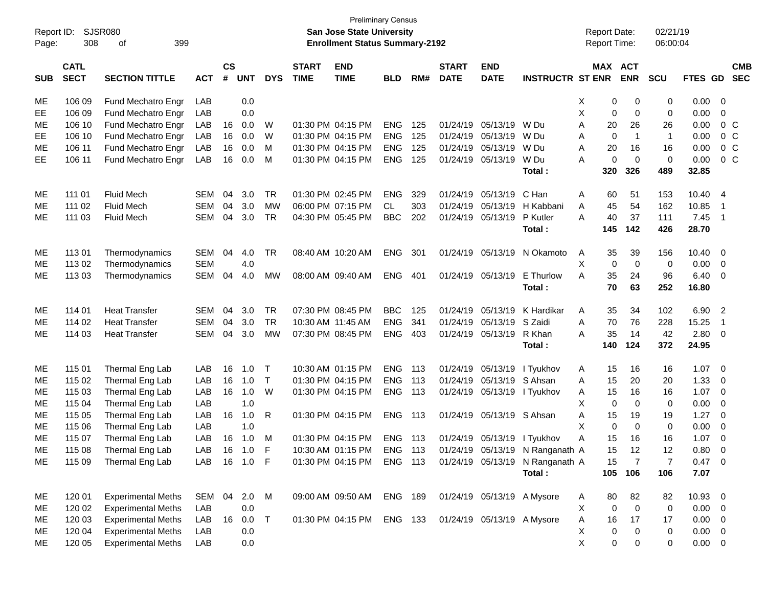| Report ID: |             | SJSR080                   |            |               |            |              |                   | <b>Preliminary Census</b><br><b>San Jose State University</b> |                |     |              |                           |                                 |   | <b>Report Date:</b> |                | 02/21/19       |                |                            |            |
|------------|-------------|---------------------------|------------|---------------|------------|--------------|-------------------|---------------------------------------------------------------|----------------|-----|--------------|---------------------------|---------------------------------|---|---------------------|----------------|----------------|----------------|----------------------------|------------|
| Page:      | 308         | 399<br>of                 |            |               |            |              |                   | <b>Enrollment Status Summary-2192</b>                         |                |     |              |                           |                                 |   | <b>Report Time:</b> |                | 06:00:04       |                |                            |            |
|            | <b>CATL</b> |                           |            | $\mathsf{cs}$ |            |              | <b>START</b>      | <b>END</b>                                                    |                |     | <b>START</b> | <b>END</b>                |                                 |   | MAX ACT             |                |                |                |                            | <b>CMB</b> |
| <b>SUB</b> | <b>SECT</b> | <b>SECTION TITTLE</b>     | <b>ACT</b> | #             | <b>UNT</b> | <b>DYS</b>   | <b>TIME</b>       | <b>TIME</b>                                                   | <b>BLD</b>     | RM# | <b>DATE</b>  | <b>DATE</b>               | <b>INSTRUCTR ST ENR</b>         |   |                     | <b>ENR</b>     | <b>SCU</b>     | <b>FTES GD</b> |                            | <b>SEC</b> |
| ME         | 106 09      | Fund Mechatro Engr        | LAB        |               | 0.0        |              |                   |                                                               |                |     |              |                           |                                 | Х | 0                   | 0              | 0              | 0.00           | $\overline{0}$             |            |
| EE         | 106 09      | Fund Mechatro Engr        | LAB        |               | 0.0        |              |                   |                                                               |                |     |              |                           |                                 | Χ | 0                   | $\mathbf 0$    | $\mathbf 0$    | 0.00           | 0                          |            |
| ME         | 106 10      | Fund Mechatro Engr        | LAB        | 16            | 0.0        | W            |                   | 01:30 PM 04:15 PM                                             | <b>ENG</b>     | 125 | 01/24/19     | 05/13/19                  | W Du                            | Α | 20                  | 26             | 26             | 0.00           | 0 <sup>C</sup>             |            |
| EЕ         | 106 10      | Fund Mechatro Engr        | LAB        | 16            | 0.0        | W            | 01:30 PM 04:15 PM |                                                               | <b>ENG</b>     | 125 | 01/24/19     | 05/13/19                  | W Du                            | Α | $\mathbf 0$         | $\overline{1}$ | $\mathbf{1}$   | 0.00           | $0\,C$                     |            |
| ME         | 106 11      | Fund Mechatro Engr        | LAB        | 16            | 0.0        | M            | 01:30 PM 04:15 PM |                                                               | <b>ENG</b>     | 125 | 01/24/19     | 05/13/19                  | W Du                            | Α | 20                  | 16             | 16             | 0.00           | $0\,C$                     |            |
| EE         | 106 11      | Fund Mechatro Engr        | LAB        | 16            | 0.0        | M            |                   | 01:30 PM 04:15 PM                                             | <b>ENG</b>     | 125 | 01/24/19     | 05/13/19                  | W Du                            | A | 0                   | $\mathbf 0$    | $\mathbf 0$    | 0.00           | 0 <sup>C</sup>             |            |
|            |             |                           |            |               |            |              |                   |                                                               |                |     |              |                           | Total:                          |   | 320                 | 326            | 489            | 32.85          |                            |            |
| ME         | 111 01      | <b>Fluid Mech</b>         | <b>SEM</b> | 04            | 3.0        | <b>TR</b>    |                   | 01:30 PM 02:45 PM                                             | <b>ENG</b>     | 329 | 01/24/19     | 05/13/19                  | C Han                           | Α | 60                  | 51             | 153            | 10.40          | $\overline{4}$             |            |
| ME         | 111 02      | <b>Fluid Mech</b>         | <b>SEM</b> | 04            | 3.0        | MW           |                   | 06:00 PM 07:15 PM                                             | CL.            | 303 | 01/24/19     | 05/13/19                  | H Kabbani                       | Α | 45                  | 54             | 162            | 10.85          | - 1                        |            |
| ME         | 111 03      | <b>Fluid Mech</b>         | <b>SEM</b> | 04            | 3.0        | <b>TR</b>    |                   | 04:30 PM 05:45 PM                                             | <b>BBC</b>     | 202 | 01/24/19     | 05/13/19                  | P Kutler                        | A | 40                  | 37             | 111            | 7.45           | $\overline{\phantom{0}}$ 1 |            |
|            |             |                           |            |               |            |              |                   |                                                               |                |     |              |                           | Total:                          |   | 145                 | 142            | 426            | 28.70          |                            |            |
| ME         | 11301       | Thermodynamics            | <b>SEM</b> | 04            | 4.0        | TR           |                   | 08:40 AM 10:20 AM                                             | <b>ENG</b>     | 301 | 01/24/19     | 05/13/19                  | N Okamoto                       | A | 35                  | 39             | 156            | 10.40          | $\overline{\mathbf{0}}$    |            |
| ME         | 113 02      | Thermodynamics            | <b>SEM</b> |               | 4.0        |              |                   |                                                               |                |     |              |                           |                                 | X | 0                   | $\mathbf 0$    | 0              | 0.00           | $\overline{0}$             |            |
| ME         | 113 03      | Thermodynamics            | <b>SEM</b> | 04            | 4.0        | MW           |                   | 08:00 AM 09:40 AM                                             | ENG 401        |     |              | 01/24/19 05/13/19         | E Thurlow                       | A | 35                  | 24             | 96             | 6.40           | $\overline{\mathbf{0}}$    |            |
|            |             |                           |            |               |            |              |                   |                                                               |                |     |              |                           | Total:                          |   | 70                  | 63             | 252            | 16.80          |                            |            |
| ME         | 114 01      | <b>Heat Transfer</b>      | <b>SEM</b> | 04            | 3.0        | <b>TR</b>    |                   | 07:30 PM 08:45 PM                                             | <b>BBC</b>     | 125 | 01/24/19     | 05/13/19                  | K Hardikar                      | A | 35                  | 34             | 102            | 6.90           | $\overline{\phantom{a}}$   |            |
| ME         | 114 02      | <b>Heat Transfer</b>      | <b>SEM</b> | 04            | 3.0        | <b>TR</b>    | 10:30 AM 11:45 AM |                                                               | <b>ENG</b>     | 341 | 01/24/19     | 05/13/19                  | S Zaidi                         | Α | 70                  | 76             | 228            | 15.25          | $\overline{\mathbf{1}}$    |            |
| ME         | 114 03      | <b>Heat Transfer</b>      | <b>SEM</b> | 04            | 3.0        | <b>MW</b>    |                   | 07:30 PM 08:45 PM                                             | <b>ENG</b>     | 403 | 01/24/19     | 05/13/19                  | R Khan                          | A | 35                  | 14             | 42             | 2.80           | $\overline{0}$             |            |
|            |             |                           |            |               |            |              |                   |                                                               |                |     |              |                           | Total:                          |   | 140                 | 124            | 372            | 24.95          |                            |            |
| ME         | 115 01      | Thermal Eng Lab           | LAB        | 16            | 1.0        | $\mathsf{T}$ |                   | 10:30 AM 01:15 PM                                             | ENG            | 113 | 01/24/19     | 05/13/19                  | I Tyukhov                       | A | 15                  | 16             | 16             | 1.07           | $\overline{\mathbf{0}}$    |            |
| ME         | 115 02      | Thermal Eng Lab           | LAB        | 16            | 1.0        | $\mathsf{T}$ | 01:30 PM 04:15 PM |                                                               | <b>ENG</b>     | 113 | 01/24/19     | 05/13/19                  | S Ahsan                         | Α | 15                  | 20             | 20             | 1.33           | 0                          |            |
| ME         | 115 03      | Thermal Eng Lab           | LAB        | 16            | 1.0        | W            |                   | 01:30 PM 04:15 PM                                             | ENG            | 113 | 01/24/19     |                           | 05/13/19 I Tyukhov              | Α | 15                  | 16             | 16             | 1.07           | $\overline{0}$             |            |
| ME         | 115 04      | Thermal Eng Lab           | LAB        |               | 1.0        |              |                   |                                                               |                |     |              |                           |                                 | X | $\mathbf 0$         | $\mathbf 0$    | 0              | 0.00           | $\overline{0}$             |            |
| ME         | 115 05      | Thermal Eng Lab           | LAB        | 16            | 1.0        | R            |                   | 01:30 PM 04:15 PM                                             | ENG 113        |     |              | 01/24/19 05/13/19 S Ahsan |                                 | Α | 15                  | 19             | 19             | 1.27           | $\overline{0}$             |            |
| ME         | 115 06      | Thermal Eng Lab           | LAB        |               | 1.0        |              |                   |                                                               |                |     |              |                           |                                 | X | $\mathbf 0$         | $\Omega$       | 0              | 0.00           | $\overline{0}$             |            |
| ME         | 115 07      | Thermal Eng Lab           | LAB        |               | 16 1.0     | м            |                   | 01:30 PM 04:15 PM                                             | ENG 113        |     |              |                           | 01/24/19 05/13/19 l Tyukhov     | Α | 15                  | 16             | 16             | 1.07           | $\mathbf 0$                |            |
| ME         | 115 08      | Thermal Eng Lab           | LAB        |               | 16 1.0     | $-F$         |                   | 10:30 AM 01:15 PM ENG 113                                     |                |     |              |                           | 01/24/19 05/13/19 N Ranganath A |   | 15                  | 12             | 12             | 0.80           | $\overline{0}$             |            |
| ME         | 115 09      | Thermal Eng Lab           | LAB        |               | 16 1.0 F   |              |                   | 01:30 PM 04:15 PM                                             | ENG 113        |     |              |                           | 01/24/19 05/13/19 N Ranganath A |   | 15                  | $\overline{7}$ | $\overline{7}$ | 0.47           | $\overline{\mathbf{0}}$    |            |
|            |             |                           |            |               |            |              |                   |                                                               |                |     |              |                           | Total:                          |   | 105                 | 106            | 106            | 7.07           |                            |            |
| ME         | 120 01      | <b>Experimental Meths</b> | SEM        | 04            | 2.0        | M            |                   | 09:00 AM 09:50 AM                                             | <b>ENG 189</b> |     |              |                           | 01/24/19 05/13/19 A Mysore      | A | 80                  | 82             | 82             | 10.93 0        |                            |            |
| ME         | 120 02      | <b>Experimental Meths</b> | LAB        |               | 0.0        |              |                   |                                                               |                |     |              |                           |                                 | X | $\mathbf 0$         | $\mathbf 0$    | $\mathbf 0$    | $0.00 \t 0$    |                            |            |
| ME         | 120 03      | <b>Experimental Meths</b> | LAB        | 16            | 0.0        | T            |                   | 01:30 PM 04:15 PM                                             | ENG 133        |     |              |                           | 01/24/19 05/13/19 A Mysore      | Α | 16                  | 17             | 17             | $0.00 \t 0$    |                            |            |
| ME         | 120 04      | <b>Experimental Meths</b> | LAB        |               | 0.0        |              |                   |                                                               |                |     |              |                           |                                 | Χ | 0                   | 0              | 0              | $0.00 \t 0$    |                            |            |
| ME         | 120 05      | <b>Experimental Meths</b> | LAB        |               | 0.0        |              |                   |                                                               |                |     |              |                           |                                 | X | $\mathbf 0$         | 0              | 0              | $0.00 \t 0$    |                            |            |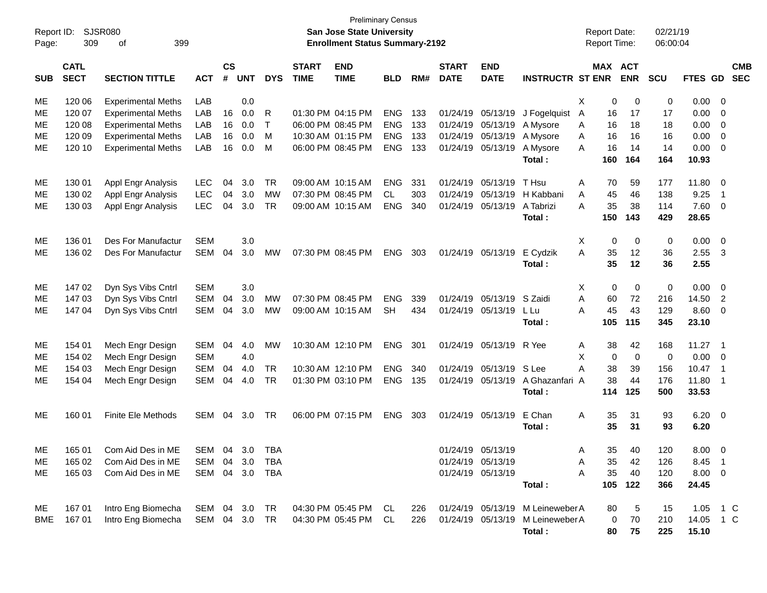| Report ID:<br>Page: | 309                        | <b>SJSR080</b><br>399<br>οf |                |                |            |              |                             | San Jose State University<br><b>Enrollment Status Summary-2192</b> | <b>Preliminary Census</b> |     |                             |                           |                                  | Report Date:<br><b>Report Time:</b> |             | 02/21/19<br>06:00:04 |             |                            |
|---------------------|----------------------------|-----------------------------|----------------|----------------|------------|--------------|-----------------------------|--------------------------------------------------------------------|---------------------------|-----|-----------------------------|---------------------------|----------------------------------|-------------------------------------|-------------|----------------------|-------------|----------------------------|
| <b>SUB</b>          | <b>CATL</b><br><b>SECT</b> | <b>SECTION TITTLE</b>       | <b>ACT</b>     | <b>CS</b><br># | <b>UNT</b> | <b>DYS</b>   | <b>START</b><br><b>TIME</b> | <b>END</b><br><b>TIME</b>                                          | <b>BLD</b>                | RM# | <b>START</b><br><b>DATE</b> | <b>END</b><br><b>DATE</b> | <b>INSTRUCTR ST ENR</b>          | <b>MAX ACT</b>                      | <b>ENR</b>  | <b>SCU</b>           | FTES GD     | <b>CMB</b><br><b>SEC</b>   |
| ME                  | 120 06                     | <b>Experimental Meths</b>   | LAB            |                | 0.0        |              |                             |                                                                    |                           |     |                             |                           |                                  | X<br>0                              | 0           | 0                    | 0.00        | - 0                        |
| МE                  | 120 07                     | <b>Experimental Meths</b>   | LAB            | 16             | 0.0        | R            |                             | 01:30 PM 04:15 PM                                                  | <b>ENG</b>                | 133 |                             | 01/24/19 05/13/19         | J Fogelquist                     | 16<br>A                             | 17          | 17                   | 0.00        | $\overline{0}$             |
| МE                  | 120 08                     | <b>Experimental Meths</b>   | LAB            | 16             | 0.0        | $\mathsf{T}$ |                             | 06:00 PM 08:45 PM                                                  | <b>ENG</b>                | 133 |                             | 01/24/19 05/13/19         | A Mysore                         | 16<br>Α                             | 18          | 18                   | 0.00        | $\overline{0}$             |
| МE                  | 120 09                     | <b>Experimental Meths</b>   | LAB            | 16             | 0.0        | M            |                             | 10:30 AM 01:15 PM                                                  | <b>ENG</b>                | 133 | 01/24/19 05/13/19           |                           | A Mysore                         | 16<br>Α                             | 16          | 16                   | 0.00        | $\overline{0}$             |
| ME                  | 120 10                     | <b>Experimental Meths</b>   | LAB            | 16             | 0.0        | M            |                             | 06:00 PM 08:45 PM                                                  | <b>ENG</b>                | 133 |                             | 01/24/19 05/13/19         | A Mysore                         | A<br>16                             | 14          | 14                   | 0.00        | $\overline{0}$             |
|                     |                            |                             |                |                |            |              |                             |                                                                    |                           |     |                             |                           | Total:                           | 160                                 | 164         | 164                  | 10.93       |                            |
| ME                  | 130 01                     | Appl Engr Analysis          | <b>LEC</b>     | 04             | 3.0        | TR           |                             | 09:00 AM 10:15 AM                                                  | <b>ENG</b>                | 331 | 01/24/19                    | 05/13/19                  | T Hsu                            | Α<br>70                             | 59          | 177                  | 11.80       | - 0                        |
| MЕ                  | 130 02                     | Appl Engr Analysis          | LEC            | 04             | 3.0        | <b>MW</b>    |                             | 07:30 PM 08:45 PM                                                  | <b>CL</b>                 | 303 | 01/24/19                    | 05/13/19                  | H Kabbani                        | 45<br>Α                             | 46          | 138                  | 9.25        | $\overline{1}$             |
| МE                  | 130 03                     | Appl Engr Analysis          | <b>LEC</b>     | 04             | 3.0        | <b>TR</b>    |                             | 09:00 AM 10:15 AM                                                  | <b>ENG</b>                | 340 |                             | 01/24/19 05/13/19         | A Tabrizi                        | 35<br>A                             | 38          | 114                  | 7.60        | $\overline{0}$             |
|                     |                            |                             |                |                |            |              |                             |                                                                    |                           |     |                             |                           | Total:                           | 150                                 | 143         | 429                  | 28.65       |                            |
| ME                  | 136 01                     | Des For Manufactur          | <b>SEM</b>     |                | 3.0        |              |                             |                                                                    |                           |     |                             |                           |                                  | X<br>0                              | 0           | 0                    | 0.00        | $\overline{0}$             |
| МE                  | 136 02                     | Des For Manufactur          | SEM            | 04             | 3.0        | MW           |                             | 07:30 PM 08:45 PM                                                  | <b>ENG</b>                | 303 |                             | 01/24/19 05/13/19         | E Cydzik                         | A<br>35                             | 12          | 36                   | 2.55        | - 3                        |
|                     |                            |                             |                |                |            |              |                             |                                                                    |                           |     |                             |                           | Total:                           | 35                                  | 12          | 36                   | 2.55        |                            |
| ME                  | 147 02                     | Dyn Sys Vibs Cntrl          | <b>SEM</b>     |                | 3.0        |              |                             |                                                                    |                           |     |                             |                           |                                  | Χ<br>0                              | 0           | $\mathbf 0$          | 0.00        | $\overline{\phantom{0}}$   |
| МE                  | 147 03                     | Dyn Sys Vibs Cntrl          | <b>SEM</b>     | 04             | 3.0        | MW           |                             | 07:30 PM 08:45 PM                                                  | <b>ENG</b>                | 339 |                             | 01/24/19 05/13/19         | S Zaidi                          | A<br>60                             | 72          | 216                  | 14.50       | $\overline{2}$             |
| ME.                 | 147 04                     | Dyn Sys Vibs Cntrl          | <b>SEM</b>     | 04             | 3.0        | MW           |                             | 09:00 AM 10:15 AM                                                  | SH.                       | 434 |                             | 01/24/19 05/13/19         | L Lu                             | 45<br>A                             | 43          | 129                  | 8.60        | $\overline{0}$             |
|                     |                            |                             |                |                |            |              |                             |                                                                    |                           |     |                             |                           | Total:                           | 105                                 | 115         | 345                  | 23.10       |                            |
| ME                  | 154 01                     | Mech Engr Design            | SEM            | 04             | 4.0        | <b>MW</b>    |                             | 10:30 AM 12:10 PM                                                  | <b>ENG</b>                | 301 |                             | 01/24/19 05/13/19         | R Yee                            | 38<br>Α                             | 42          | 168                  | 11.27       | $\overline{\phantom{0}}$ 1 |
| MЕ                  | 154 02                     | Mech Engr Design            | <b>SEM</b>     |                | 4.0        |              |                             |                                                                    |                           |     |                             |                           |                                  | Χ<br>0                              | $\mathbf 0$ | 0                    | 0.00        | $\overline{0}$             |
| МE                  | 154 03                     | Mech Engr Design            | <b>SEM</b>     | 04             | 4.0        | <b>TR</b>    |                             | 10:30 AM 12:10 PM                                                  | <b>ENG</b>                | 340 |                             | 01/24/19 05/13/19         | S Lee                            | A<br>38                             | 39          | 156                  | 10.47       | $\overline{1}$             |
| ME.                 | 154 04                     | Mech Engr Design            | SEM            | 04             | 4.0        | TR           |                             | 01:30 PM 03:10 PM                                                  | <b>ENG</b>                | 135 |                             | 01/24/19 05/13/19         | A Ghazanfari A                   | 38                                  | 44          | 176                  | 11.80       | $\overline{\phantom{0}}$ 1 |
|                     |                            |                             |                |                |            |              |                             |                                                                    |                           |     |                             |                           | Total:                           | 114                                 | 125         | 500                  | 33.53       |                            |
| ME.                 | 160 01                     | <b>Finite Ele Methods</b>   | SEM            | 04             | 3.0        | TR           |                             | 06:00 PM 07:15 PM                                                  | <b>ENG</b>                | 303 |                             | 01/24/19 05/13/19         | E Chan                           | 35<br>Α                             | 31          | 93                   | 6.20        | $\overline{\phantom{0}}$   |
|                     |                            |                             |                |                |            |              |                             |                                                                    |                           |     |                             |                           | Total:                           | 35                                  | 31          | 93                   | 6.20        |                            |
| ME                  | 165 01                     | Com Aid Des in ME           | SEM 04 3.0 TBA |                |            |              |                             |                                                                    |                           |     |                             | 01/24/19 05/13/19         |                                  | 35<br>Α                             | 40          | 120                  | 8.00 0      |                            |
| ME                  | 165 02                     | Com Aid Des in ME           | SEM 04         |                | 3.0        | TBA          |                             |                                                                    |                           |     |                             | 01/24/19 05/13/19         |                                  | 35<br>Α                             | 42          | 126                  | $8.45$ 1    |                            |
| ME                  | 165 03                     | Com Aid Des in ME           | SEM 04 3.0 TBA |                |            |              |                             |                                                                    |                           |     |                             | 01/24/19 05/13/19         |                                  | 35<br>Α                             | 40          | 120                  | $8.00 \t 0$ |                            |
|                     |                            |                             |                |                |            |              |                             |                                                                    |                           |     |                             |                           | Total:                           | 105                                 | 122         | 366                  | 24.45       |                            |
| ME                  | 167 01                     | Intro Eng Biomecha          | SEM 04 3.0 TR  |                |            |              |                             | 04:30 PM 05:45 PM CL                                               |                           | 226 |                             |                           | 01/24/19 05/13/19 M Leineweber A | 80                                  | 5           | 15                   | 1.05        | 1 C                        |
| BME                 | 167 01                     | Intro Eng Biomecha          | SEM 04 3.0 TR  |                |            |              |                             | 04:30 PM 05:45 PM                                                  | CL                        | 226 |                             |                           | 01/24/19 05/13/19 M Leineweber A | 0                                   | 70          | 210                  | 14.05 1 C   |                            |
|                     |                            |                             |                |                |            |              |                             |                                                                    |                           |     |                             |                           | Total:                           | 80                                  | 75          | 225                  | 15.10       |                            |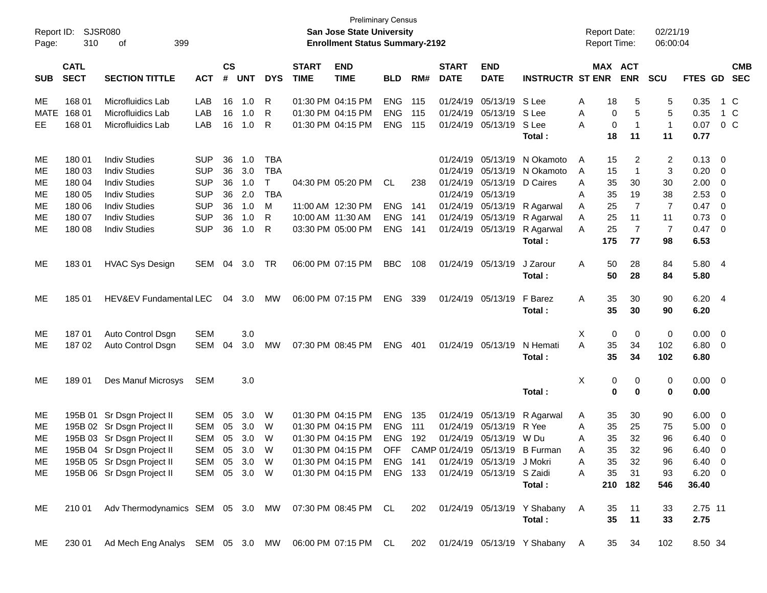| Report ID:<br>Page: | <b>SJSR080</b><br>310      | 399<br>оf                                                                                      |              |                    |            |            |                             | <b>Preliminary Census</b><br>San Jose State University<br><b>Enrollment Status Summary-2192</b> |            |       |                             |                           |                         |   | <b>Report Date:</b><br><b>Report Time:</b> |                | 02/21/19<br>06:00:04 |                |                          |                          |
|---------------------|----------------------------|------------------------------------------------------------------------------------------------|--------------|--------------------|------------|------------|-----------------------------|-------------------------------------------------------------------------------------------------|------------|-------|-----------------------------|---------------------------|-------------------------|---|--------------------------------------------|----------------|----------------------|----------------|--------------------------|--------------------------|
| <b>SUB</b>          | <b>CATL</b><br><b>SECT</b> | <b>SECTION TITTLE</b>                                                                          | <b>ACT</b>   | $\mathsf{cs}$<br># | <b>UNT</b> | <b>DYS</b> | <b>START</b><br><b>TIME</b> | <b>END</b><br><b>TIME</b>                                                                       | <b>BLD</b> | RM#   | <b>START</b><br><b>DATE</b> | <b>END</b><br><b>DATE</b> | <b>INSTRUCTR ST ENR</b> |   | <b>MAX ACT</b>                             | <b>ENR</b>     | <b>SCU</b>           | FTES GD        |                          | <b>CMB</b><br><b>SEC</b> |
| ME                  | 168 01                     | Microfluidics Lab                                                                              | LAB          | 16                 | 1.0        | R          |                             | 01:30 PM 04:15 PM                                                                               | <b>ENG</b> | 115   |                             | 01/24/19 05/13/19         | S Lee                   | Α | 18                                         | 5              | 5                    | 0.35           |                          | 1 C                      |
| <b>MATE</b>         | 168 01                     | Microfluidics Lab                                                                              | LAB          | 16                 | 1.0        | R          |                             | 01:30 PM 04:15 PM                                                                               | <b>ENG</b> | 115   |                             | 01/24/19 05/13/19         | S Lee                   | A | 0                                          | 5              | 5                    | 0.35           |                          | 1 C                      |
| EE.                 | 168 01                     | Microfluidics Lab                                                                              | LAB          | 16                 | 1.0        | R          |                             | 01:30 PM 04:15 PM                                                                               | <b>ENG</b> | - 115 |                             | 01/24/19 05/13/19         | S Lee                   | Α | 0                                          | -1             | $\overline{1}$       | 0.07           |                          | 0 <sup>o</sup>           |
|                     |                            |                                                                                                |              |                    |            |            |                             |                                                                                                 |            |       |                             |                           | Total:                  |   | 18                                         | 11             | 11                   | 0.77           |                          |                          |
| МE                  | 180 01                     | <b>Indiv Studies</b>                                                                           | <b>SUP</b>   | 36                 | 1.0        | <b>TBA</b> |                             |                                                                                                 |            |       |                             | 01/24/19 05/13/19         | N Okamoto               | A | 15                                         | 2              | 2                    | 0.13           | 0                        |                          |
| МE                  | 180 03                     | <b>Indiv Studies</b>                                                                           | <b>SUP</b>   | 36                 | 3.0        | <b>TBA</b> |                             |                                                                                                 |            |       |                             | 01/24/19 05/13/19         | N Okamoto               | A | 15                                         | 1              | 3                    | 0.20           | 0                        |                          |
| МE                  | 180 04                     | <b>Indiv Studies</b>                                                                           | <b>SUP</b>   | 36                 | 1.0        | Τ          |                             | 04:30 PM 05:20 PM                                                                               | CL         | 238   |                             | 01/24/19 05/13/19         | D Caires                | A | 35                                         | 30             | 30                   | 2.00           | 0                        |                          |
| МE                  | 180 05                     | <b>Indiv Studies</b>                                                                           | <b>SUP</b>   | 36                 | 2.0        | <b>TBA</b> |                             |                                                                                                 |            |       |                             | 01/24/19 05/13/19         |                         | A | 35                                         | 19             | 38                   | 2.53           | 0                        |                          |
| МE                  | 180 06                     | <b>Indiv Studies</b>                                                                           | <b>SUP</b>   | 36                 | 1.0        | M          |                             | 11:00 AM 12:30 PM                                                                               | <b>ENG</b> | 141   |                             | 01/24/19 05/13/19         | R Agarwal               | Α | 25                                         | $\overline{7}$ | $\overline{7}$       | 0.47           | 0                        |                          |
| МE                  | 180 07                     | <b>Indiv Studies</b>                                                                           | <b>SUP</b>   | 36                 | 1.0        | R          |                             | 10:00 AM 11:30 AM                                                                               | <b>ENG</b> | 141   |                             | 01/24/19 05/13/19         | R Agarwal               | Α | 25                                         | 11             | 11                   | 0.73           | 0                        |                          |
| МE                  | 180 08                     | <b>Indiv Studies</b>                                                                           | <b>SUP</b>   | 36                 | 1.0        | R          |                             | 03:30 PM 05:00 PM                                                                               | <b>ENG</b> | 141   |                             | 01/24/19 05/13/19         | R Agarwal               | A | 25                                         | $\overline{7}$ | $\overline{7}$       | 0.47           | $\overline{0}$           |                          |
|                     |                            |                                                                                                |              |                    |            |            |                             |                                                                                                 |            |       |                             |                           | Total:                  |   | 175                                        | 77             | 98                   | 6.53           |                          |                          |
| ME                  | 18301                      | <b>HVAC Sys Design</b>                                                                         | SEM          | 04                 | 3.0        | TR         |                             | 06:00 PM 07:15 PM                                                                               | <b>BBC</b> | 108   |                             | 01/24/19 05/13/19         | J Zarour                | A | 50                                         | 28             | 84                   | 5.80 4         |                          |                          |
|                     |                            |                                                                                                |              |                    |            |            |                             |                                                                                                 |            |       |                             |                           | Total:                  |   | 50                                         | 28             | 84                   | 5.80           |                          |                          |
| МE                  | 185 01                     | HEV&EV Fundamental LEC                                                                         |              |                    | 04 3.0     | MW         |                             | 06:00 PM 07:15 PM                                                                               | ENG        | 339   |                             | 01/24/19 05/13/19         | F Barez                 | A | 35                                         | 30             | 90                   | 6.20           | $\overline{4}$           |                          |
|                     |                            |                                                                                                |              |                    |            |            |                             |                                                                                                 |            |       |                             |                           | Total:                  |   | 35                                         | 30             | 90                   | 6.20           |                          |                          |
| ME                  | 18701                      | Auto Control Dsgn                                                                              | <b>SEM</b>   |                    | 3.0        |            |                             |                                                                                                 |            |       |                             |                           |                         | Χ | 0                                          | $\mathbf 0$    | 0                    | 0.00           | $\overline{0}$           |                          |
| МE                  | 18702                      | Auto Control Dsgn                                                                              | SEM          | 04                 | 3.0        | МW         |                             | 07:30 PM 08:45 PM                                                                               | ENG        | - 401 |                             | 01/24/19 05/13/19         | N Hemati                | A | 35                                         | 34             | 102                  | 6.80           | $\overline{0}$           |                          |
|                     |                            |                                                                                                |              |                    |            |            |                             |                                                                                                 |            |       |                             |                           | Total :                 |   | 35                                         | 34             | 102                  | 6.80           |                          |                          |
| МE                  | 18901                      | Des Manuf Microsys                                                                             | <b>SEM</b>   |                    | 3.0        |            |                             |                                                                                                 |            |       |                             |                           |                         | X | 0                                          | 0              | 0                    | 0.00           | $\overline{\phantom{0}}$ |                          |
|                     |                            |                                                                                                |              |                    |            |            |                             |                                                                                                 |            |       |                             |                           | Total:                  |   | 0                                          | 0              | $\bf{0}$             | 0.00           |                          |                          |
| ME                  |                            | 195B 01 Sr Dsgn Project II                                                                     | SEM          | 05                 | 3.0        | W          |                             | 01:30 PM 04:15 PM                                                                               | <b>ENG</b> | 135   |                             | 01/24/19 05/13/19         | R Agarwal               | A | 35                                         | 30             | 90                   | 6.00           | $\overline{0}$           |                          |
| МE                  |                            | 195B 02 Sr Dsgn Project II                                                                     | <b>SEM</b>   | 05                 | 3.0        | W          |                             | 01:30 PM 04:15 PM                                                                               | <b>ENG</b> | 111   |                             | 01/24/19 05/13/19         | R Yee                   | Α | 35                                         | 25             | 75                   | 5.00           | $\overline{0}$           |                          |
| МE                  |                            | 195B 03 Sr Dsgn Project II                                                                     | <b>SEM</b>   | 05                 | 3.0        | W          |                             | 01:30 PM 04:15 PM                                                                               | <b>ENG</b> | 192   |                             | 01/24/19 05/13/19         | W Du                    | A | 35                                         | 32             | 96                   | 6.40           | 0                        |                          |
| ME                  |                            | 195B 04 Sr Dsgn Project II                                                                     | SEM 05 3.0 W |                    |            |            |                             | 01:30 PM 04:15 PM OFF CAMP 01/24/19 05/13/19 B Furman                                           |            |       |                             |                           |                         | A | 35                                         | 32             | 96                   | 6.40 0         |                          |                          |
| ME.                 |                            | 195B 05 Sr Dsgn Project II                                                                     | SEM 05 3.0 W |                    |            |            |                             | 01:30 PM 04:15 PM ENG 141                                                                       |            |       |                             | 01/24/19 05/13/19 J Mokri |                         | A | 35                                         | 32             | 96                   | $6.40 \quad 0$ |                          |                          |
| ME                  |                            | 195B 06 Sr Dsgn Project II                                                                     | SEM 05 3.0 W |                    |            |            |                             | 01:30 PM 04:15 PM ENG 133                                                                       |            |       |                             | 01/24/19 05/13/19 S Zaidi |                         | A | 35                                         | 31             | 93                   | $6.20 \ 0$     |                          |                          |
|                     |                            |                                                                                                |              |                    |            |            |                             |                                                                                                 |            |       |                             |                           | Total:                  |   |                                            | 210 182        | 546                  | 36.40          |                          |                          |
| ME                  |                            | 210 01 Adv Thermodynamics SEM 05 3.0 MW 07:30 PM 08:45 PM CL 202 01/24/19 05/13/19 Y Shabany A |              |                    |            |            |                             |                                                                                                 |            |       |                             |                           |                         |   | 35                                         | 11             | 33                   | 2.75 11        |                          |                          |
|                     |                            |                                                                                                |              |                    |            |            |                             |                                                                                                 |            |       |                             |                           | Total:                  |   | 35                                         | 11             | 33                   | 2.75           |                          |                          |
| ME                  |                            | 230 01 Ad Mech Eng Analys SEM 05 3.0 MW 06:00 PM 07:15 PM CL 202 01/24/19 05/13/19 Y Shabany A |              |                    |            |            |                             |                                                                                                 |            |       |                             |                           |                         |   |                                            | 35 34          | 102                  | 8.50 34        |                          |                          |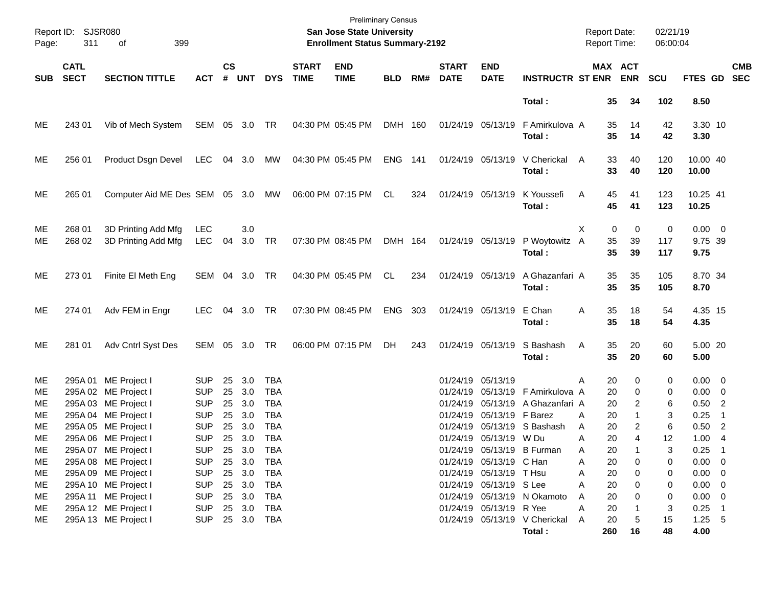| Page:                        | Report ID: SJSR080<br>311  | 399<br>of                                                                                                            |                                                                    |                            |                                                    |                                                             |                             | <b>Preliminary Census</b><br><b>San Jose State University</b><br><b>Enrollment Status Summary-2192</b> |                |     |                             |                                                                                                         |                                                                                                     | <b>Report Date:</b><br><b>Report Time:</b> |                                                | 02/21/19<br>06:00:04   |                                                           |                                   |
|------------------------------|----------------------------|----------------------------------------------------------------------------------------------------------------------|--------------------------------------------------------------------|----------------------------|----------------------------------------------------|-------------------------------------------------------------|-----------------------------|--------------------------------------------------------------------------------------------------------|----------------|-----|-----------------------------|---------------------------------------------------------------------------------------------------------|-----------------------------------------------------------------------------------------------------|--------------------------------------------|------------------------------------------------|------------------------|-----------------------------------------------------------|-----------------------------------|
| <b>SUB</b>                   | <b>CATL</b><br><b>SECT</b> | <b>SECTION TITTLE</b>                                                                                                | <b>ACT</b>                                                         | $\mathsf{cs}$<br>#         | <b>UNT</b>                                         | <b>DYS</b>                                                  | <b>START</b><br><b>TIME</b> | <b>END</b><br><b>TIME</b>                                                                              | <b>BLD</b>     | RM# | <b>START</b><br><b>DATE</b> | <b>END</b><br><b>DATE</b>                                                                               | <b>INSTRUCTR ST ENR ENR</b>                                                                         |                                            | MAX ACT                                        | <b>SCU</b>             | <b>FTES GD</b>                                            | <b>CMB</b><br><b>SEC</b>          |
|                              |                            |                                                                                                                      |                                                                    |                            |                                                    |                                                             |                             |                                                                                                        |                |     |                             |                                                                                                         | Total:                                                                                              |                                            | 35<br>34                                       | 102                    | 8.50                                                      |                                   |
| ME                           | 243 01                     | Vib of Mech System                                                                                                   | SEM 05 3.0 TR                                                      |                            |                                                    |                                                             |                             | 04:30 PM 05:45 PM                                                                                      | DMH 160        |     |                             | 01/24/19 05/13/19                                                                                       | F Amirkulova A<br>Total:                                                                            |                                            | 14<br>35<br>35<br>14                           | 42<br>42               | 3.30 10<br>3.30                                           |                                   |
| ME                           | 256 01                     | Product Dsgn Devel                                                                                                   | LEC                                                                |                            | 04 3.0                                             | MW                                                          |                             | 04:30 PM 05:45 PM                                                                                      | <b>ENG 141</b> |     |                             | 01/24/19 05/13/19                                                                                       | V Cherickal<br>Total:                                                                               | A                                          | 33<br>40<br>33<br>40                           | 120<br>120             | 10.00 40<br>10.00                                         |                                   |
| ME                           | 265 01                     | Computer Aid ME Des SEM 05 3.0 MW                                                                                    |                                                                    |                            |                                                    |                                                             |                             | 06:00 PM 07:15 PM                                                                                      | CL             | 324 |                             | 01/24/19 05/13/19                                                                                       | K Youssefi<br>Total:                                                                                | A                                          | 45<br>41<br>45<br>41                           | 123<br>123             | 10.25 41<br>10.25                                         |                                   |
| ME<br>ME                     | 268 01<br>268 02           | 3D Printing Add Mfg<br>3D Printing Add Mfg                                                                           | LEC<br><b>LEC</b>                                                  | 04                         | 3.0<br>3.0                                         | TR                                                          |                             | 07:30 PM 08:45 PM                                                                                      | DMH 164        |     |                             | 01/24/19 05/13/19                                                                                       | P Woytowitz A<br>Total:                                                                             | X.                                         | 0<br>0<br>35<br>39<br>35<br>39                 | 0<br>117<br>117        | $0.00 \t 0$<br>9.75 39<br>9.75                            |                                   |
| ME                           | 273 01                     | Finite El Meth Eng                                                                                                   | SEM 04 3.0                                                         |                            |                                                    | TR                                                          |                             | 04:30 PM 05:45 PM                                                                                      | CL             | 234 |                             | 01/24/19 05/13/19                                                                                       | A Ghazanfari A<br>Total:                                                                            |                                            | 35<br>35<br>35<br>35                           | 105<br>105             | 8.70 34<br>8.70                                           |                                   |
| ME                           | 274 01                     | Adv FEM in Engr                                                                                                      | <b>LEC</b>                                                         |                            | 04 3.0                                             | TR                                                          |                             | 07:30 PM 08:45 PM                                                                                      | ENG            | 303 |                             | 01/24/19 05/13/19                                                                                       | E Chan<br>Total:                                                                                    | Α                                          | 35<br>18<br>35<br>18                           | 54<br>54               | 4.35 15<br>4.35                                           |                                   |
| ME                           | 281 01                     | Adv Cntrl Syst Des                                                                                                   | SEM 05 3.0                                                         |                            |                                                    | TR                                                          |                             | 06:00 PM 07:15 PM                                                                                      | DH             | 243 |                             | 01/24/19 05/13/19                                                                                       | S Bashash<br>Total:                                                                                 | A                                          | 35<br>20<br>35<br>20                           | 60<br>60               | 5.00 20<br>5.00                                           |                                   |
| ME<br>ME<br>ME<br>ME<br>ME   |                            | 295A 01 ME Project I<br>295A 02 ME Project I<br>295A 03 ME Project I<br>295A 04 ME Project I<br>295A 05 ME Project I | <b>SUP</b><br><b>SUP</b><br><b>SUP</b><br><b>SUP</b><br><b>SUP</b> | 25<br>25<br>25<br>25<br>25 | 3.0<br>3.0<br>3.0<br>3.0<br>3.0                    | TBA<br><b>TBA</b><br><b>TBA</b><br><b>TBA</b><br><b>TBA</b> |                             |                                                                                                        |                |     | 01/24/19 05/13/19           | 01/24/19 05/13/19 F Barez                                                                               | 01/24/19 05/13/19 F Amirkulova A<br>01/24/19 05/13/19 A Ghazanfari A<br>01/24/19 05/13/19 S Bashash | A<br>Α<br>Α                                | 20<br>0<br>20<br>0<br>20<br>2<br>20<br>20<br>2 | 0<br>0<br>6<br>3<br>6  | $0.00 \t 0$<br>$0.00 \t 0$<br>$0.50$ 2<br>0.25<br>0.50    | - 1<br>$\overline{\phantom{0}}^2$ |
| ME<br>ME<br>ME<br>ME.<br>ME. |                            | 295A 06 ME Project I<br>295A 07 ME Project I<br>295A 08 ME Project I<br>295A 09 ME Project I<br>295A 10 ME Project I | <b>SUP</b><br><b>SUP</b><br><b>SUP</b><br><b>SUP</b><br><b>SUP</b> |                            | 25 3.0<br>25 3.0<br>25 3.0 TBA<br>25 3.0<br>25 3.0 | <b>TBA</b><br><b>TBA</b><br>TBA<br>TBA                      |                             |                                                                                                        |                |     |                             | 01/24/19 05/13/19 W Du<br>01/24/19 05/13/19 C Han<br>01/24/19 05/13/19 T Hsu<br>01/24/19 05/13/19 S Lee | 01/24/19 05/13/19 B Furman                                                                          | Α<br>A<br>Α<br>Α<br>20<br>Α                | 20<br>4<br>20<br>20<br>0<br>20<br>0<br>0       | 12<br>3<br>0<br>0<br>0 | 1.00<br>0.25<br>$0.00 \t 0$<br>$0.00 \t 0$<br>$0.00 \t 0$ | $\overline{4}$<br>- 1             |
| МE<br>ME<br>ME               |                            | 295A 11 ME Project I<br>295A 12 ME Project I<br>295A 13 ME Project I                                                 | <b>SUP</b><br><b>SUP</b><br>SUP 25 3.0 TBA                         |                            | 25 3.0<br>25 3.0                                   | TBA<br>TBA                                                  |                             |                                                                                                        |                |     |                             | 01/24/19 05/13/19 R Yee                                                                                 | 01/24/19 05/13/19 N Okamoto<br>01/24/19 05/13/19 V Cherickal<br>Total:                              | 20<br>A<br>Α<br>20<br>A<br>260             | 0<br>20<br>5<br>16                             | 0<br>3<br>15<br>48     | $0.00 \t 0$<br>$0.25$ 1<br>$1.25 - 5$<br>4.00             |                                   |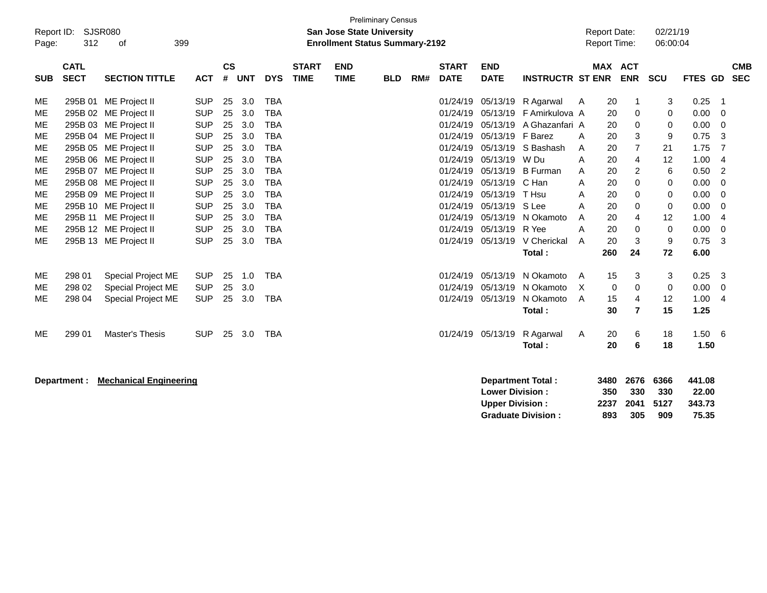| <b>Preliminary Census</b><br><b>SJSR080</b><br>Report ID:<br><b>San Jose State University</b><br>312<br>399<br><b>Enrollment Status Summary-2192</b><br>οf<br>Page: |                            |                               |            |           |       |            |                             |                           |            |     |                             |                           | <b>Report Date:</b><br>Report Time: |   | 02/21/19<br>06:00:04 |                |             |               |                         |                          |
|---------------------------------------------------------------------------------------------------------------------------------------------------------------------|----------------------------|-------------------------------|------------|-----------|-------|------------|-----------------------------|---------------------------|------------|-----|-----------------------------|---------------------------|-------------------------------------|---|----------------------|----------------|-------------|---------------|-------------------------|--------------------------|
| <b>SUB</b>                                                                                                                                                          | <b>CATL</b><br><b>SECT</b> | <b>SECTION TITTLE</b>         | <b>ACT</b> | <b>CS</b> | # UNT | <b>DYS</b> | <b>START</b><br><b>TIME</b> | <b>END</b><br><b>TIME</b> | <b>BLD</b> | RM# | <b>START</b><br><b>DATE</b> | <b>END</b><br><b>DATE</b> | <b>INSTRUCTR ST ENR</b>             |   | MAX ACT              | <b>ENR</b>     | <b>SCU</b>  | FTES GD       |                         | <b>CMB</b><br><b>SEC</b> |
| ME                                                                                                                                                                  |                            | 295B 01 ME Project II         | <b>SUP</b> | 25        | 3.0   | <b>TBA</b> |                             |                           |            |     | 01/24/19                    | 05/13/19                  | R Agarwal                           | A | 20                   | 1              | 3           | 0.25          | $\overline{\mathbf{1}}$ |                          |
| <b>ME</b>                                                                                                                                                           |                            | 295B 02 ME Project II         | <b>SUP</b> | 25        | 3.0   | <b>TBA</b> |                             |                           |            |     | 01/24/19                    | 05/13/19                  | F Amirkulova A                      |   | 20                   | 0              | 0           | 0.00          | $\overline{0}$          |                          |
| ME                                                                                                                                                                  |                            | 295B 03 ME Project II         | <b>SUP</b> | 25        | 3.0   | <b>TBA</b> |                             |                           |            |     | 01/24/19                    | 05/13/19                  | A Ghazanfari A                      |   | 20                   | 0              | 0           | 0.00          | 0                       |                          |
| ME                                                                                                                                                                  |                            | 295B 04 ME Project II         | <b>SUP</b> | 25        | 3.0   | <b>TBA</b> |                             |                           |            |     | 01/24/19                    | 05/13/19 F Barez          |                                     | A | 20                   | 3              | 9           | 0.75          | 3                       |                          |
| ME                                                                                                                                                                  |                            | 295B 05 ME Project II         | <b>SUP</b> | 25        | 3.0   | <b>TBA</b> |                             |                           |            |     | 01/24/19                    |                           | 05/13/19 S Bashash                  | A | 20                   | $\overline{7}$ | 21          | 1.75          | $\overline{7}$          |                          |
| ME                                                                                                                                                                  |                            | 295B 06 ME Project II         | <b>SUP</b> | 25        | 3.0   | <b>TBA</b> |                             |                           |            |     | 01/24/19                    | 05/13/19 W Du             |                                     | A | 20                   | 4              | 12          | 1.00          | $\overline{4}$          |                          |
| ME                                                                                                                                                                  |                            | 295B 07 ME Project II         | <b>SUP</b> | 25        | 3.0   | <b>TBA</b> |                             |                           |            |     | 01/24/19                    | 05/13/19                  | <b>B</b> Furman                     | A | 20                   | 2              | 6           | 0.50          | 2                       |                          |
| ME                                                                                                                                                                  |                            | 295B 08 ME Project II         | <b>SUP</b> | 25        | 3.0   | <b>TBA</b> |                             |                           |            |     | 01/24/19                    | 05/13/19                  | C Han                               | A | 20                   | 0              | 0           | 0.00          | 0                       |                          |
| ME                                                                                                                                                                  |                            | 295B 09 ME Project II         | <b>SUP</b> | 25        | 3.0   | <b>TBA</b> |                             |                           |            |     | 01/24/19                    | 05/13/19                  | T Hsu                               | A | 20                   | 0              | 0           | 0.00          | 0                       |                          |
| ME                                                                                                                                                                  |                            | 295B 10 ME Project II         | <b>SUP</b> | 25        | 3.0   | <b>TBA</b> |                             |                           |            |     | 01/24/19                    | 05/13/19                  | S Lee                               | A | 20                   | 0              | 0           | 0.00          | 0                       |                          |
| ME                                                                                                                                                                  |                            | 295B 11 ME Project II         | <b>SUP</b> | 25        | 3.0   | <b>TBA</b> |                             |                           |            |     | 01/24/19                    |                           | 05/13/19 N Okamoto                  | A | 20                   | 4              | 12          | 1.00          | 4                       |                          |
| ME                                                                                                                                                                  |                            | 295B 12 ME Project II         | <b>SUP</b> | 25        | 3.0   | <b>TBA</b> |                             |                           |            |     | 01/24/19                    | 05/13/19                  | R Yee                               | A | 20                   | $\mathbf 0$    | $\mathbf 0$ | 0.00          | 0                       |                          |
| ME                                                                                                                                                                  |                            | 295B 13 ME Project II         | <b>SUP</b> | 25        | 3.0   | <b>TBA</b> |                             |                           |            |     | 01/24/19                    | 05/13/19                  | V Cherickal                         | A | 20                   | 3              | 9           | 0.75          | 3                       |                          |
|                                                                                                                                                                     |                            |                               |            |           |       |            |                             |                           |            |     |                             |                           | Total:                              |   | 260                  | 24             | 72          | 6.00          |                         |                          |
| ME                                                                                                                                                                  | 298 01                     | Special Project ME            | <b>SUP</b> | 25        | 1.0   | <b>TBA</b> |                             |                           |            |     | 01/24/19                    | 05/13/19                  | N Okamoto                           | A | 15                   | 3              | 3           | 0.25          | 3                       |                          |
| <b>ME</b>                                                                                                                                                           | 298 02                     | Special Project ME            | <b>SUP</b> | 25        | 3.0   |            |                             |                           |            |     | 01/24/19                    | 05/13/19                  | N Okamoto                           | X | $\Omega$             | $\Omega$       | $\mathbf 0$ | 0.00          | $\overline{0}$          |                          |
| <b>ME</b>                                                                                                                                                           | 298 04                     | Special Project ME            | <b>SUP</b> | 25        | 3.0   | <b>TBA</b> |                             |                           |            |     | 01/24/19                    | 05/13/19                  | N Okamoto                           | A | 15                   | 4              | 12          | 1.00          | $\overline{4}$          |                          |
|                                                                                                                                                                     |                            |                               |            |           |       |            |                             |                           |            |     |                             |                           | Total:                              |   | 30                   | $\overline{7}$ | 15          | 1.25          |                         |                          |
| ME                                                                                                                                                                  | 299 01                     | Master's Thesis               | <b>SUP</b> | 25        | 3.0   | <b>TBA</b> |                             |                           |            |     |                             | 01/24/19 05/13/19         | R Agarwal                           | Α | 20                   | 6              | 18          | $1.50\quad 6$ |                         |                          |
|                                                                                                                                                                     |                            |                               |            |           |       |            |                             |                           |            |     |                             |                           | Total:                              |   | 20                   | 6              | 18          | 1.50          |                         |                          |
|                                                                                                                                                                     | Department :               | <b>Mechanical Engineering</b> |            |           |       |            |                             |                           |            |     |                             |                           | <b>Department Total:</b>            |   | 3480                 | 2676           | 6366        | 441.08        |                         |                          |
|                                                                                                                                                                     |                            |                               |            |           |       |            |                             |                           |            |     |                             | <b>Lower Division:</b>    |                                     |   | 350                  | 330            | 330         | 22.00         |                         |                          |
|                                                                                                                                                                     |                            |                               |            |           |       |            |                             |                           |            |     |                             | <b>Upper Division:</b>    |                                     |   | 2237                 | 2041           | 5127        | 343.73        |                         |                          |
|                                                                                                                                                                     |                            |                               |            |           |       |            |                             |                           |            |     |                             |                           | <b>Graduate Division:</b>           |   | 893                  | 305            | 909         | 75.35         |                         |                          |